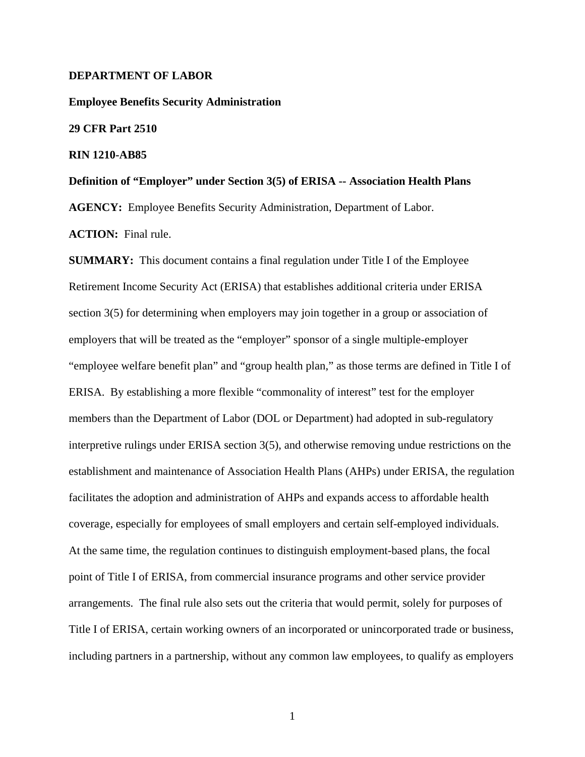# **DEPARTMENT OF LABOR**

**Employee Benefits Security Administration 29 CFR Part 2510 RIN 1210-AB85 Definition of "Employer" under Section 3(5) of ERISA -- Association Health Plans**

**AGENCY:** Employee Benefits Security Administration, Department of Labor.

**ACTION:** Final rule.

**SUMMARY:** This document contains a final regulation under Title I of the Employee Retirement Income Security Act (ERISA) that establishes additional criteria under ERISA section 3(5) for determining when employers may join together in a group or association of employers that will be treated as the "employer" sponsor of a single multiple-employer "employee welfare benefit plan" and "group health plan," as those terms are defined in Title I of ERISA. By establishing a more flexible "commonality of interest" test for the employer members than the Department of Labor (DOL or Department) had adopted in sub-regulatory interpretive rulings under ERISA section 3(5), and otherwise removing undue restrictions on the establishment and maintenance of Association Health Plans (AHPs) under ERISA, the regulation facilitates the adoption and administration of AHPs and expands access to affordable health coverage, especially for employees of small employers and certain self-employed individuals. At the same time, the regulation continues to distinguish employment-based plans, the focal point of Title I of ERISA, from commercial insurance programs and other service provider arrangements. The final rule also sets out the criteria that would permit, solely for purposes of Title I of ERISA, certain working owners of an incorporated or unincorporated trade or business, including partners in a partnership, without any common law employees, to qualify as employers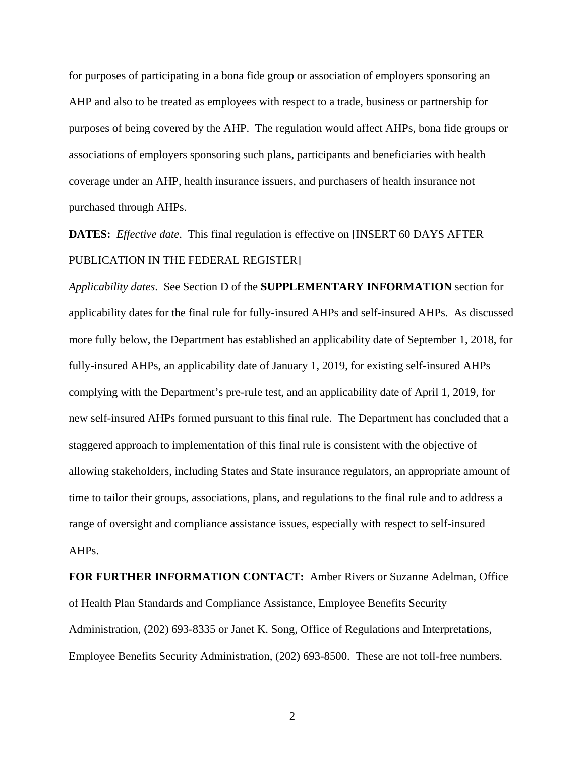for purposes of participating in a bona fide group or association of employers sponsoring an AHP and also to be treated as employees with respect to a trade, business or partnership for purposes of being covered by the AHP. The regulation would affect AHPs, bona fide groups or associations of employers sponsoring such plans, participants and beneficiaries with health coverage under an AHP, health insurance issuers, and purchasers of health insurance not purchased through AHPs.

**DATES:** *Effective date*. This final regulation is effective on [INSERT 60 DAYS AFTER PUBLICATION IN THE FEDERAL REGISTER]

*Applicability dates*. See Section D of the **SUPPLEMENTARY INFORMATION** section for applicability dates for the final rule for fully-insured AHPs and self-insured AHPs. As discussed more fully below, the Department has established an applicability date of September 1, 2018, for fully-insured AHPs, an applicability date of January 1, 2019, for existing self-insured AHPs complying with the Department's pre-rule test, and an applicability date of April 1, 2019, for new self-insured AHPs formed pursuant to this final rule. The Department has concluded that a staggered approach to implementation of this final rule is consistent with the objective of allowing stakeholders, including States and State insurance regulators, an appropriate amount of time to tailor their groups, associations, plans, and regulations to the final rule and to address a range of oversight and compliance assistance issues, especially with respect to self-insured AHPs.

**FOR FURTHER INFORMATION CONTACT:** Amber Rivers or Suzanne Adelman, Office of Health Plan Standards and Compliance Assistance, Employee Benefits Security Administration, (202) 693-8335 or Janet K. Song, Office of Regulations and Interpretations, Employee Benefits Security Administration, (202) 693-8500. These are not toll-free numbers.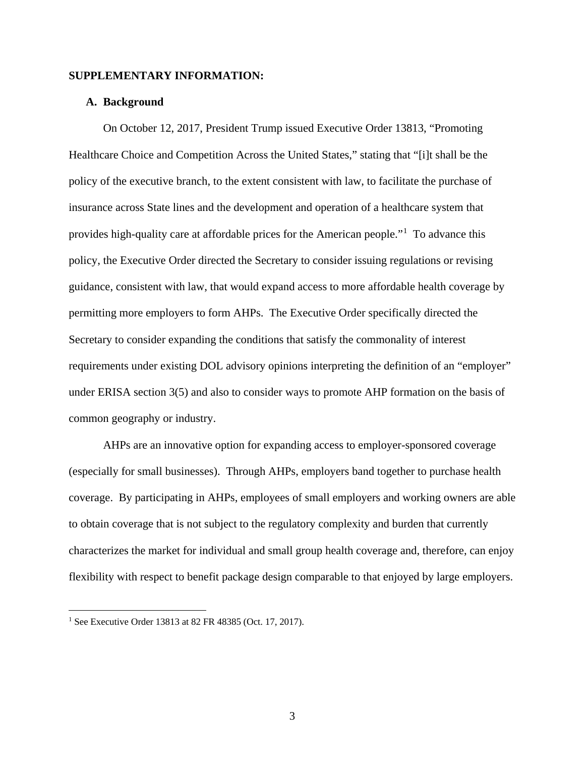# **SUPPLEMENTARY INFORMATION:**

# **A. Background**

On October 12, 2017, President Trump issued Executive Order 13813, "Promoting Healthcare Choice and Competition Across the United States," stating that "[i]t shall be the policy of the executive branch, to the extent consistent with law, to facilitate the purchase of insurance across State lines and the development and operation of a healthcare system that provides high-quality care at affordable prices for the American people."[1](#page-2-0) To advance this policy, the Executive Order directed the Secretary to consider issuing regulations or revising guidance, consistent with law, that would expand access to more affordable health coverage by permitting more employers to form AHPs. The Executive Order specifically directed the Secretary to consider expanding the conditions that satisfy the commonality of interest requirements under existing DOL advisory opinions interpreting the definition of an "employer" under ERISA section 3(5) and also to consider ways to promote AHP formation on the basis of common geography or industry.

AHPs are an innovative option for expanding access to employer-sponsored coverage (especially for small businesses). Through AHPs, employers band together to purchase health coverage. By participating in AHPs, employees of small employers and working owners are able to obtain coverage that is not subject to the regulatory complexity and burden that currently characterizes the market for individual and small group health coverage and, therefore, can enjoy flexibility with respect to benefit package design comparable to that enjoyed by large employers.

<span id="page-2-0"></span><sup>1</sup> See Executive Order 13813 at 82 FR 48385 (Oct. 17, 2017).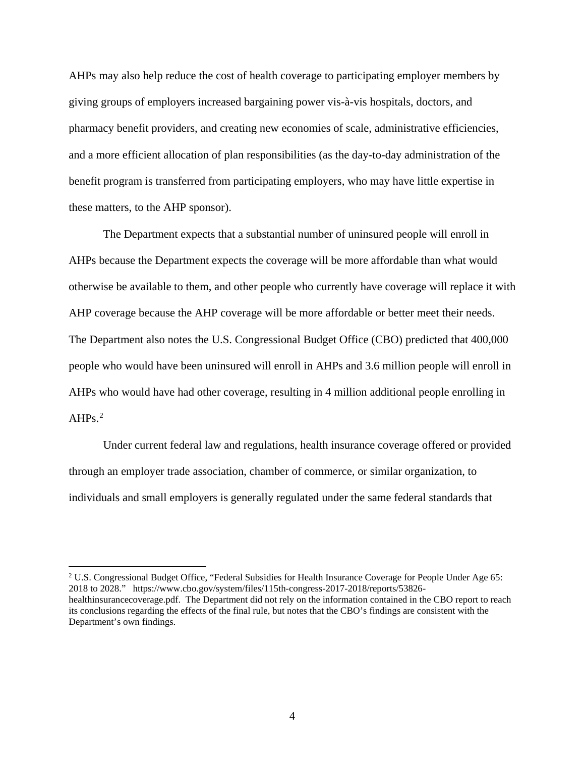AHPs may also help reduce the cost of health coverage to participating employer members by giving groups of employers increased bargaining power vis-à-vis hospitals, doctors, and pharmacy benefit providers, and creating new economies of scale, administrative efficiencies, and a more efficient allocation of plan responsibilities (as the day-to-day administration of the benefit program is transferred from participating employers, who may have little expertise in these matters, to the AHP sponsor).

The Department expects that a substantial number of uninsured people will enroll in AHPs because the Department expects the coverage will be more affordable than what would otherwise be available to them, and other people who currently have coverage will replace it with AHP coverage because the AHP coverage will be more affordable or better meet their needs. The Department also notes the U.S. Congressional Budget Office (CBO) predicted that 400,000 people who would have been uninsured will enroll in AHPs and 3.6 million people will enroll in AHPs who would have had other coverage, resulting in 4 million additional people enrolling in  $AHPs.<sup>2</sup>$  $AHPs.<sup>2</sup>$  $AHPs.<sup>2</sup>$ 

Under current federal law and regulations, health insurance coverage offered or provided through an employer trade association, chamber of commerce, or similar organization, to individuals and small employers is generally regulated under the same federal standards that

<span id="page-3-0"></span><sup>2</sup> U.S. Congressional Budget Office, "Federal Subsidies for Health Insurance Coverage for People Under Age 65: 2018 to 2028." https://www.cbo.gov/system/files/115th-congress-2017-2018/reports/53826 healthinsurancecoverage.pdf. The Department did not rely on the information contained in the CBO report to reach its conclusions regarding the effects of the final rule, but notes that the CBO's findings are consistent with the Department's own findings.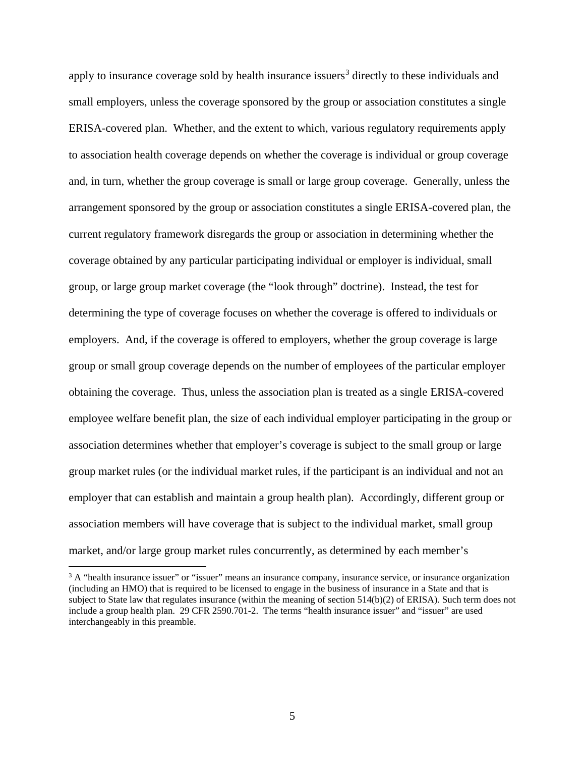apply to insurance coverage sold by health insurance issuers<sup>[3](#page-4-0)</sup> directly to these individuals and small employers, unless the coverage sponsored by the group or association constitutes a single ERISA-covered plan. Whether, and the extent to which, various regulatory requirements apply to association health coverage depends on whether the coverage is individual or group coverage and, in turn, whether the group coverage is small or large group coverage. Generally, unless the arrangement sponsored by the group or association constitutes a single ERISA-covered plan, the current regulatory framework disregards the group or association in determining whether the coverage obtained by any particular participating individual or employer is individual, small group, or large group market coverage (the "look through" doctrine). Instead, the test for determining the type of coverage focuses on whether the coverage is offered to individuals or employers. And, if the coverage is offered to employers, whether the group coverage is large group or small group coverage depends on the number of employees of the particular employer obtaining the coverage. Thus, unless the association plan is treated as a single ERISA-covered employee welfare benefit plan, the size of each individual employer participating in the group or association determines whether that employer's coverage is subject to the small group or large group market rules (or the individual market rules, if the participant is an individual and not an employer that can establish and maintain a group health plan). Accordingly, different group or association members will have coverage that is subject to the individual market, small group market, and/or large group market rules concurrently, as determined by each member's

<span id="page-4-0"></span><sup>&</sup>lt;sup>3</sup> A "health insurance issuer" or "issuer" means an insurance company, insurance service, or insurance organization (including an HMO) that is required to be licensed to engage in the business of insurance in a State and that is subject to State law that regulates insurance (within the meaning of section 514(b)(2) of ERISA). Such term does not include a group health plan. 29 CFR 2590.701-2. The terms "health insurance issuer" and "issuer" are used interchangeably in this preamble.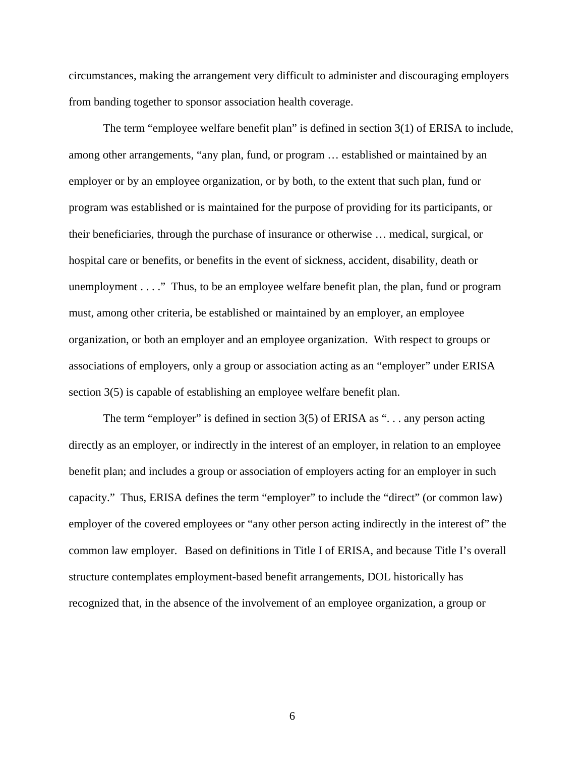circumstances, making the arrangement very difficult to administer and discouraging employers from banding together to sponsor association health coverage.

The term "employee welfare benefit plan" is defined in section 3(1) of ERISA to include, among other arrangements, "any plan, fund, or program … established or maintained by an employer or by an employee organization, or by both, to the extent that such plan, fund or program was established or is maintained for the purpose of providing for its participants, or their beneficiaries, through the purchase of insurance or otherwise … medical, surgical, or hospital care or benefits, or benefits in the event of sickness, accident, disability, death or unemployment . . . ." Thus, to be an employee welfare benefit plan, the plan, fund or program must, among other criteria, be established or maintained by an employer, an employee organization, or both an employer and an employee organization. With respect to groups or associations of employers, only a group or association acting as an "employer" under ERISA section 3(5) is capable of establishing an employee welfare benefit plan.

The term "employer" is defined in section 3(5) of ERISA as "... any person acting directly as an employer, or indirectly in the interest of an employer, in relation to an employee benefit plan; and includes a group or association of employers acting for an employer in such capacity." Thus, ERISA defines the term "employer" to include the "direct" (or common law) employer of the covered employees or "any other person acting indirectly in the interest of" the common law employer. Based on definitions in Title I of ERISA, and because Title I's overall structure contemplates employment-based benefit arrangements, DOL historically has recognized that, in the absence of the involvement of an employee organization, a group or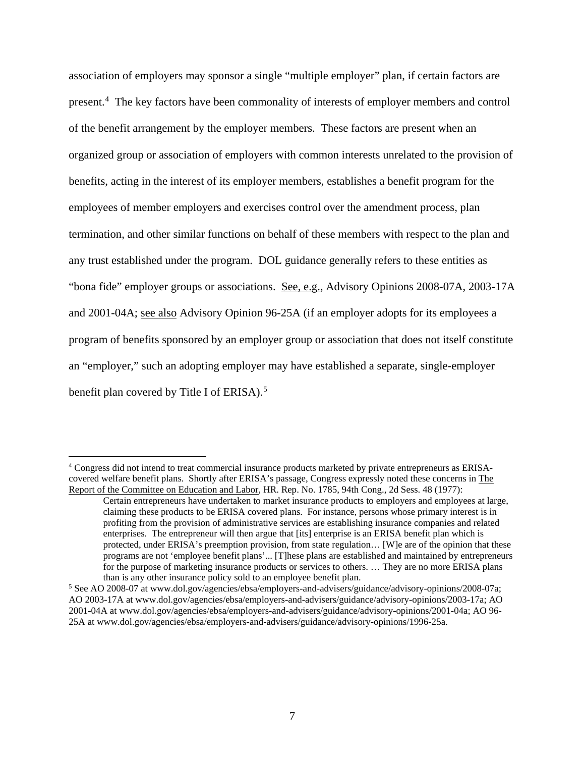association of employers may sponsor a single "multiple employer" plan, if certain factors are present.<sup>[4](#page-6-0)</sup> The key factors have been commonality of interests of employer members and control of the benefit arrangement by the employer members. These factors are present when an organized group or association of employers with common interests unrelated to the provision of benefits, acting in the interest of its employer members, establishes a benefit program for the employees of member employers and exercises control over the amendment process, plan termination, and other similar functions on behalf of these members with respect to the plan and any trust established under the program. DOL guidance generally refers to these entities as "bona fide" employer groups or associations. See, e.g., Advisory Opinions 2008-07A, 2003-17A and 2001-04A; see also Advisory Opinion 96-25A (if an employer adopts for its employees a program of benefits sponsored by an employer group or association that does not itself constitute an "employer," such an adopting employer may have established a separate, single-employer benefit plan covered by Title I of ERISA).<sup>[5](#page-6-1)</sup>

<span id="page-6-0"></span><sup>4</sup> Congress did not intend to treat commercial insurance products marketed by private entrepreneurs as ERISAcovered welfare benefit plans. Shortly after ERISA's passage, Congress expressly noted these concerns in The Report of the Committee on Education and Labor, HR. Rep. No. 1785, 94th Cong., 2d Sess. 48 (1977):

Certain entrepreneurs have undertaken to market insurance products to employers and employees at large, claiming these products to be ERISA covered plans. For instance, persons whose primary interest is in profiting from the provision of administrative services are establishing insurance companies and related enterprises. The entrepreneur will then argue that [its] enterprise is an ERISA benefit plan which is protected, under ERISA's preemption provision, from state regulation… [W]e are of the opinion that these programs are not 'employee benefit plans'... [T]hese plans are established and maintained by entrepreneurs for the purpose of marketing insurance products or services to others. … They are no more ERISA plans than is any other insurance policy sold to an employee benefit plan.

<span id="page-6-1"></span><sup>5</sup> See AO 2008-07 at www.dol.gov/agencies/ebsa/employers-and-advisers/guidance/advisory-opinions/2008-07a; AO 2003-17A at www.dol.gov/agencies/ebsa/employers-and-advisers/guidance/advisory-opinions/2003-17a; AO 2001-04A at www.dol.gov/agencies/ebsa/employers-and-advisers/guidance/advisory-opinions/2001-04a; AO 96- 25A at www.dol.gov/agencies/ebsa/employers-and-advisers/guidance/advisory-opinions/1996-25a.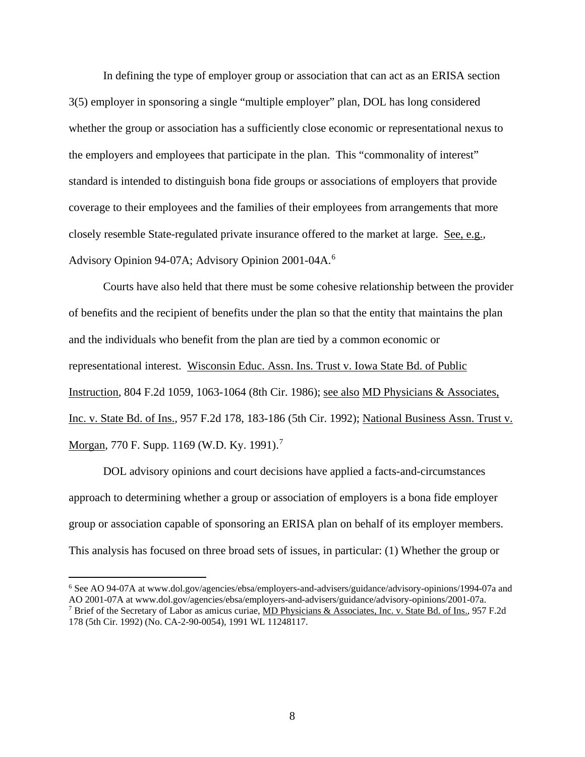In defining the type of employer group or association that can act as an ERISA section 3(5) employer in sponsoring a single "multiple employer" plan, DOL has long considered whether the group or association has a sufficiently close economic or representational nexus to the employers and employees that participate in the plan. This "commonality of interest" standard is intended to distinguish bona fide groups or associations of employers that provide coverage to their employees and the families of their employees from arrangements that more closely resemble State-regulated private insurance offered to the market at large. See, e.g.*,* Advisory Opinion 94-07A; Advisory Opinion 2001-04A.[6](#page-7-0)

Courts have also held that there must be some cohesive relationship between the provider of benefits and the recipient of benefits under the plan so that the entity that maintains the plan and the individuals who benefit from the plan are tied by a common economic or representational interest. Wisconsin Educ. Assn. Ins. Trust v. Iowa State Bd. of Public Instruction*,* 804 F.2d 1059, 1063-1064 (8th Cir. 1986); see also MD Physicians & Associates, Inc. v. State Bd. of Ins.*,* 957 F.2d 178, 183-186 (5th Cir. 1992); National Business Assn. Trust v. Morgan*,* 770 F. Supp. 1169 (W.D. Ky. 1991).[7](#page-7-1)

DOL advisory opinions and court decisions have applied a facts-and-circumstances approach to determining whether a group or association of employers is a bona fide employer group or association capable of sponsoring an ERISA plan on behalf of its employer members. This analysis has focused on three broad sets of issues, in particular: (1) Whether the group or

<span id="page-7-1"></span><span id="page-7-0"></span><sup>6</sup> See AO 94-07A at www.dol.gov/agencies/ebsa/employers-and-advisers/guidance/advisory-opinions/1994-07a and AO 2001-07A at www.dol.gov/agencies/ebsa/employers-and-advisers/guidance/advisory-opinions/2001-07a. <sup>7</sup> Brief of the Secretary of Labor as amicus curiae, MD Physicians & Associates, Inc. v. State Bd. of Ins.*,* 957 F.2d 178 (5th Cir. 1992) (No. CA-2-90-0054), 1991 WL 11248117.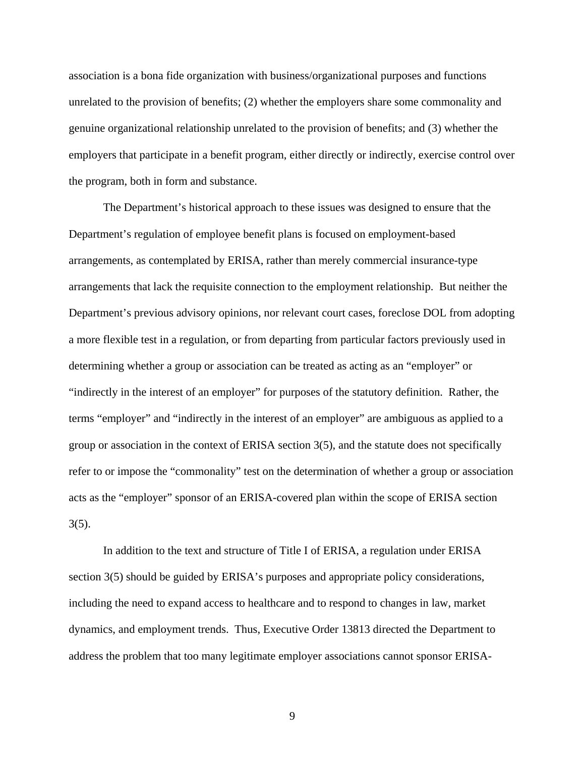association is a bona fide organization with business/organizational purposes and functions unrelated to the provision of benefits; (2) whether the employers share some commonality and genuine organizational relationship unrelated to the provision of benefits; and (3) whether the employers that participate in a benefit program, either directly or indirectly, exercise control over the program, both in form and substance.

The Department's historical approach to these issues was designed to ensure that the Department's regulation of employee benefit plans is focused on employment-based arrangements, as contemplated by ERISA, rather than merely commercial insurance-type arrangements that lack the requisite connection to the employment relationship. But neither the Department's previous advisory opinions, nor relevant court cases, foreclose DOL from adopting a more flexible test in a regulation, or from departing from particular factors previously used in determining whether a group or association can be treated as acting as an "employer" or "indirectly in the interest of an employer" for purposes of the statutory definition. Rather, the terms "employer" and "indirectly in the interest of an employer" are ambiguous as applied to a group or association in the context of ERISA section 3(5), and the statute does not specifically refer to or impose the "commonality" test on the determination of whether a group or association acts as the "employer" sponsor of an ERISA-covered plan within the scope of ERISA section  $3(5)$ .

In addition to the text and structure of Title I of ERISA, a regulation under ERISA section 3(5) should be guided by ERISA's purposes and appropriate policy considerations, including the need to expand access to healthcare and to respond to changes in law, market dynamics, and employment trends. Thus, Executive Order 13813 directed the Department to address the problem that too many legitimate employer associations cannot sponsor ERISA-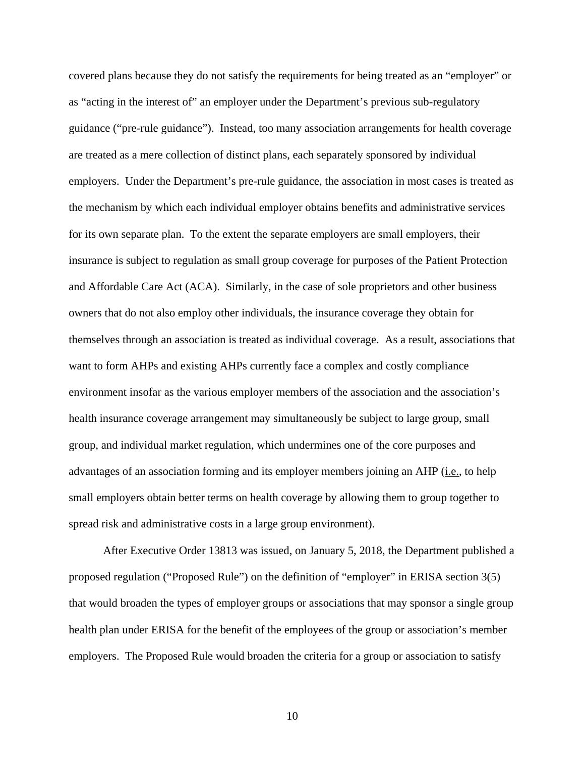covered plans because they do not satisfy the requirements for being treated as an "employer" or as "acting in the interest of" an employer under the Department's previous sub-regulatory guidance ("pre-rule guidance"). Instead, too many association arrangements for health coverage are treated as a mere collection of distinct plans, each separately sponsored by individual employers. Under the Department's pre-rule guidance, the association in most cases is treated as the mechanism by which each individual employer obtains benefits and administrative services for its own separate plan. To the extent the separate employers are small employers, their insurance is subject to regulation as small group coverage for purposes of the Patient Protection and Affordable Care Act (ACA). Similarly, in the case of sole proprietors and other business owners that do not also employ other individuals, the insurance coverage they obtain for themselves through an association is treated as individual coverage. As a result, associations that want to form AHPs and existing AHPs currently face a complex and costly compliance environment insofar as the various employer members of the association and the association's health insurance coverage arrangement may simultaneously be subject to large group, small group, and individual market regulation, which undermines one of the core purposes and advantages of an association forming and its employer members joining an AHP (i.e., to help small employers obtain better terms on health coverage by allowing them to group together to spread risk and administrative costs in a large group environment).

After Executive Order 13813 was issued, on January 5, 2018, the Department published a proposed regulation ("Proposed Rule") on the definition of "employer" in ERISA section 3(5) that would broaden the types of employer groups or associations that may sponsor a single group health plan under ERISA for the benefit of the employees of the group or association's member employers. The Proposed Rule would broaden the criteria for a group or association to satisfy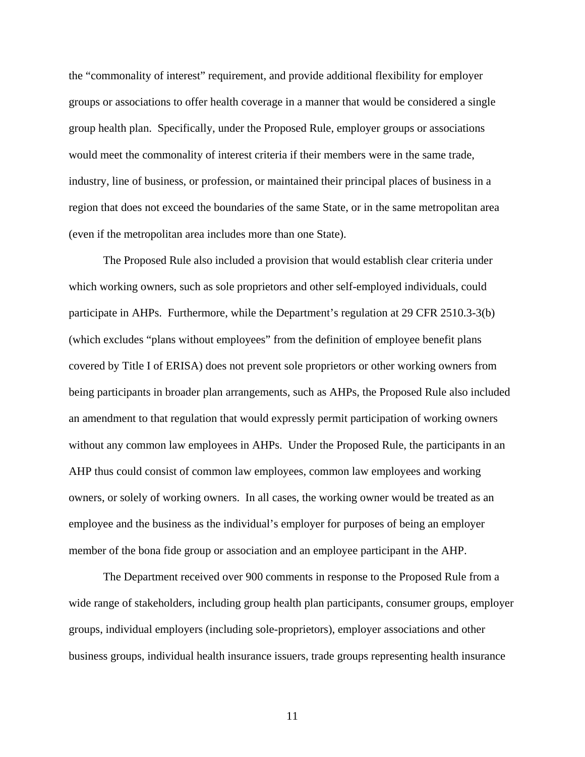the "commonality of interest" requirement, and provide additional flexibility for employer groups or associations to offer health coverage in a manner that would be considered a single group health plan. Specifically, under the Proposed Rule, employer groups or associations would meet the commonality of interest criteria if their members were in the same trade, industry, line of business, or profession, or maintained their principal places of business in a region that does not exceed the boundaries of the same State, or in the same metropolitan area (even if the metropolitan area includes more than one State).

The Proposed Rule also included a provision that would establish clear criteria under which working owners, such as sole proprietors and other self-employed individuals, could participate in AHPs. Furthermore, while the Department's regulation at 29 CFR 2510.3-3(b) (which excludes "plans without employees" from the definition of employee benefit plans covered by Title I of ERISA) does not prevent sole proprietors or other working owners from being participants in broader plan arrangements, such as AHPs, the Proposed Rule also included an amendment to that regulation that would expressly permit participation of working owners without any common law employees in AHPs. Under the Proposed Rule, the participants in an AHP thus could consist of common law employees, common law employees and working owners, or solely of working owners. In all cases, the working owner would be treated as an employee and the business as the individual's employer for purposes of being an employer member of the bona fide group or association and an employee participant in the AHP.

The Department received over 900 comments in response to the Proposed Rule from a wide range of stakeholders, including group health plan participants, consumer groups, employer groups, individual employers (including sole-proprietors), employer associations and other business groups, individual health insurance issuers, trade groups representing health insurance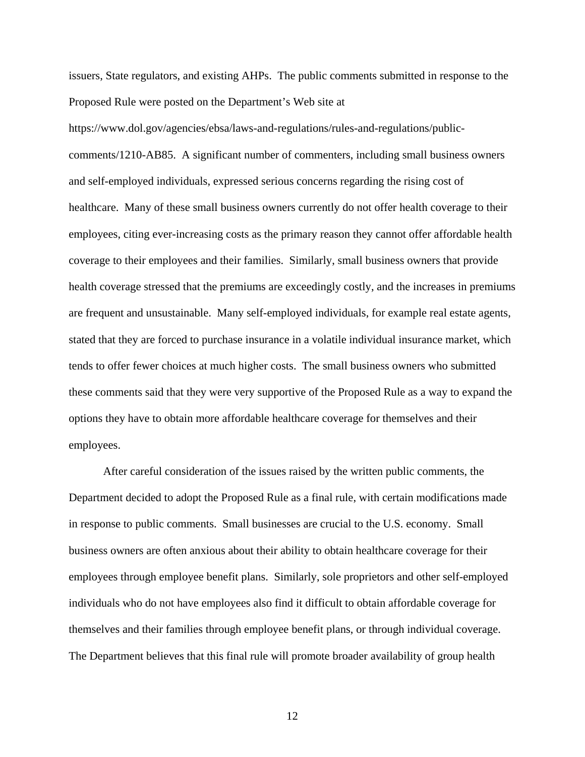issuers, State regulators, and existing AHPs. The public comments submitted in response to the Proposed Rule were posted on the Department's Web site at

https://www.dol.gov/agencies/ebsa/laws-and-regulations/rules-and-regulations/publiccomments/1210-AB85. A significant number of commenters, including small business owners and self-employed individuals, expressed serious concerns regarding the rising cost of healthcare. Many of these small business owners currently do not offer health coverage to their employees, citing ever-increasing costs as the primary reason they cannot offer affordable health coverage to their employees and their families. Similarly, small business owners that provide health coverage stressed that the premiums are exceedingly costly, and the increases in premiums are frequent and unsustainable. Many self-employed individuals, for example real estate agents, stated that they are forced to purchase insurance in a volatile individual insurance market, which tends to offer fewer choices at much higher costs. The small business owners who submitted these comments said that they were very supportive of the Proposed Rule as a way to expand the options they have to obtain more affordable healthcare coverage for themselves and their employees.

After careful consideration of the issues raised by the written public comments, the Department decided to adopt the Proposed Rule as a final rule, with certain modifications made in response to public comments. Small businesses are crucial to the U.S. economy. Small business owners are often anxious about their ability to obtain healthcare coverage for their employees through employee benefit plans. Similarly, sole proprietors and other self-employed individuals who do not have employees also find it difficult to obtain affordable coverage for themselves and their families through employee benefit plans, or through individual coverage. The Department believes that this final rule will promote broader availability of group health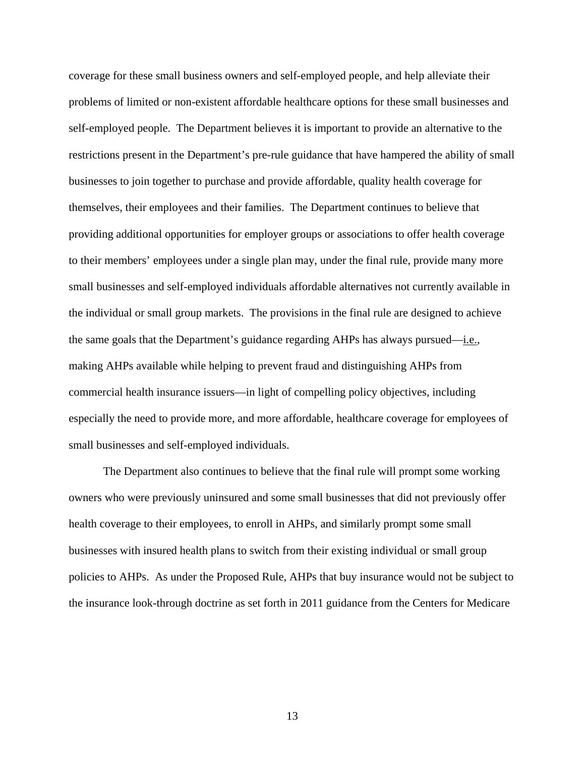coverage for these small business owners and self-employed people, and help alleviate their problems of limited or non-existent affordable healthcare options for these small businesses and self-employed people. The Department believes it is important to provide an alternative to the restrictions present in the Department's pre-rule guidance that have hampered the ability of small businesses to join together to purchase and provide affordable, quality health coverage for themselves, their employees and their families. The Department continues to believe that providing additional opportunities for employer groups or associations to offer health coverage to their members' employees under a single plan may, under the final rule, provide many more small businesses and self-employed individuals affordable alternatives not currently available in the individual or small group markets. The provisions in the final rule are designed to achieve the same goals that the Department's guidance regarding AHPs has always pursued—i.e., making AHPs available while helping to prevent fraud and distinguishing AHPs from commercial health insurance issuers—in light of compelling policy objectives, including especially the need to provide more, and more affordable, healthcare coverage for employees of small businesses and self-employed individuals.

The Department also continues to believe that the final rule will prompt some working owners who were previously uninsured and some small businesses that did not previously offer health coverage to their employees, to enroll in AHPs, and similarly prompt some small businesses with insured health plans to switch from their existing individual or small group policies to AHPs. As under the Proposed Rule, AHPs that buy insurance would not be subject to the insurance look-through doctrine as set forth in 2011 guidance from the Centers for Medicare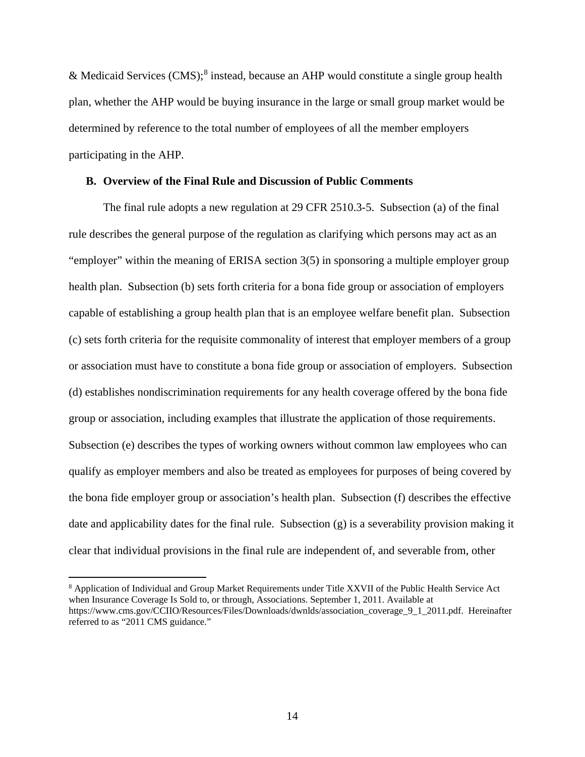& Medicaid Services (CMS); [8](#page-13-0) instead, because an AHP would constitute a single group health plan, whether the AHP would be buying insurance in the large or small group market would be determined by reference to the total number of employees of all the member employers participating in the AHP.

# **B. Overview of the Final Rule and Discussion of Public Comments**

The final rule adopts a new regulation at 29 CFR 2510.3-5. Subsection (a) of the final rule describes the general purpose of the regulation as clarifying which persons may act as an "employer" within the meaning of ERISA section 3(5) in sponsoring a multiple employer group health plan. Subsection (b) sets forth criteria for a bona fide group or association of employers capable of establishing a group health plan that is an employee welfare benefit plan. Subsection (c) sets forth criteria for the requisite commonality of interest that employer members of a group or association must have to constitute a bona fide group or association of employers. Subsection (d) establishes nondiscrimination requirements for any health coverage offered by the bona fide group or association, including examples that illustrate the application of those requirements. Subsection (e) describes the types of working owners without common law employees who can qualify as employer members and also be treated as employees for purposes of being covered by the bona fide employer group or association's health plan. Subsection (f) describes the effective date and applicability dates for the final rule. Subsection (g) is a severability provision making it clear that individual provisions in the final rule are independent of, and severable from, other

<span id="page-13-0"></span><sup>&</sup>lt;sup>8</sup> Application of Individual and Group Market Requirements under Title XXVII of the Public Health Service Act when Insurance Coverage Is Sold to, or through, Associations. September 1, 2011. Available at https://www.cms.gov/CCIIO/Resources/Files/Downloads/dwnlds/association\_coverage\_9\_1\_2011.pdf. Hereinafter referred to as "2011 CMS guidance."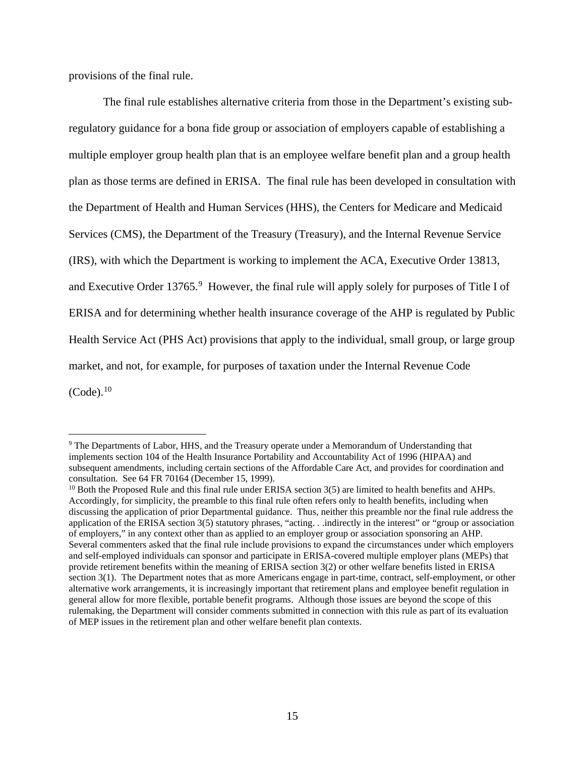provisions of the final rule.

 $\overline{a}$ 

The final rule establishes alternative criteria from those in the Department's existing subregulatory guidance for a bona fide group or association of employers capable of establishing a multiple employer group health plan that is an employee welfare benefit plan and a group health plan as those terms are defined in ERISA. The final rule has been developed in consultation with the Department of Health and Human Services (HHS), the Centers for Medicare and Medicaid Services (CMS), the Department of the Treasury (Treasury), and the Internal Revenue Service (IRS), with which the Department is working to implement the ACA, Executive Order 13813, and Executive Order 13765.<sup>[9](#page-14-0)</sup> However, the final rule will apply solely for purposes of Title I of ERISA and for determining whether health insurance coverage of the AHP is regulated by Public Health Service Act (PHS Act) provisions that apply to the individual, small group, or large group market, and not, for example, for purposes of taxation under the Internal Revenue Code  $(Code).$ <sup>[10](#page-14-1)</sup>

<span id="page-14-0"></span><sup>9</sup> The Departments of Labor, HHS, and the Treasury operate under a Memorandum of Understanding that implements section 104 of the Health Insurance Portability and Accountability Act of 1996 (HIPAA) and subsequent amendments, including certain sections of the Affordable Care Act, and provides for coordination and consultation. See 64 FR 70164 (December 15, 1999).

<span id="page-14-1"></span><sup>&</sup>lt;sup>10</sup> Both the Proposed Rule and this final rule under ERISA section 3(5) are limited to health benefits and AHPs. Accordingly, for simplicity, the preamble to this final rule often refers only to health benefits, including when discussing the application of prior Departmental guidance. Thus, neither this preamble nor the final rule address the application of the ERISA section 3(5) statutory phrases, "acting. . .indirectly in the interest" or "group or association of employers," in any context other than as applied to an employer group or association sponsoring an AHP. Several commenters asked that the final rule include provisions to expand the circumstances under which employers and self-employed individuals can sponsor and participate in ERISA-covered multiple employer plans (MEPs) that provide retirement benefits within the meaning of ERISA section 3(2) or other welfare benefits listed in ERISA section 3(1). The Department notes that as more Americans engage in part-time, contract, self-employment, or other alternative work arrangements, it is increasingly important that retirement plans and employee benefit regulation in general allow for more flexible, portable benefit programs. Although those issues are beyond the scope of this rulemaking, the Department will consider comments submitted in connection with this rule as part of its evaluation of MEP issues in the retirement plan and other welfare benefit plan contexts.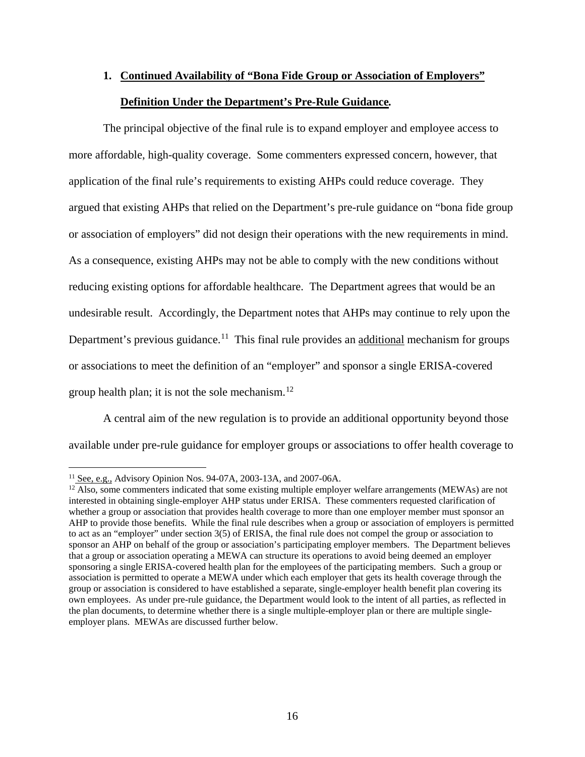# **1. Continued Availability of "Bona Fide Group or Association of Employers" Definition Under the Department's Pre-Rule Guidance***.*

The principal objective of the final rule is to expand employer and employee access to more affordable, high-quality coverage. Some commenters expressed concern, however, that application of the final rule's requirements to existing AHPs could reduce coverage. They argued that existing AHPs that relied on the Department's pre-rule guidance on "bona fide group or association of employers" did not design their operations with the new requirements in mind. As a consequence, existing AHPs may not be able to comply with the new conditions without reducing existing options for affordable healthcare. The Department agrees that would be an undesirable result. Accordingly, the Department notes that AHPs may continue to rely upon the Department's previous guidance.<sup>11</sup> This final rule provides an <u>additional</u> mechanism for groups or associations to meet the definition of an "employer" and sponsor a single ERISA-covered group health plan; it is not the sole mechanism. $^{12}$  $^{12}$  $^{12}$ 

A central aim of the new regulation is to provide an additional opportunity beyond those available under pre-rule guidance for employer groups or associations to offer health coverage to

 $\overline{a}$ <sup>11</sup> See, e.g., Advisory Opinion Nos. 94-07A, 2003-13A, and 2007-06A.

<span id="page-15-1"></span><span id="page-15-0"></span><sup>&</sup>lt;sup>12</sup> Also, some commenters indicated that some existing multiple employer welfare arrangements (MEWAs) are not interested in obtaining single-employer AHP status under ERISA. These commenters requested clarification of whether a group or association that provides health coverage to more than one employer member must sponsor an AHP to provide those benefits. While the final rule describes when a group or association of employers is permitted to act as an "employer" under section 3(5) of ERISA, the final rule does not compel the group or association to sponsor an AHP on behalf of the group or association's participating employer members. The Department believes that a group or association operating a MEWA can structure its operations to avoid being deemed an employer sponsoring a single ERISA-covered health plan for the employees of the participating members. Such a group or association is permitted to operate a MEWA under which each employer that gets its health coverage through the group or association is considered to have established a separate, single-employer health benefit plan covering its own employees. As under pre-rule guidance, the Department would look to the intent of all parties, as reflected in the plan documents, to determine whether there is a single multiple-employer plan or there are multiple singleemployer plans. MEWAs are discussed further below.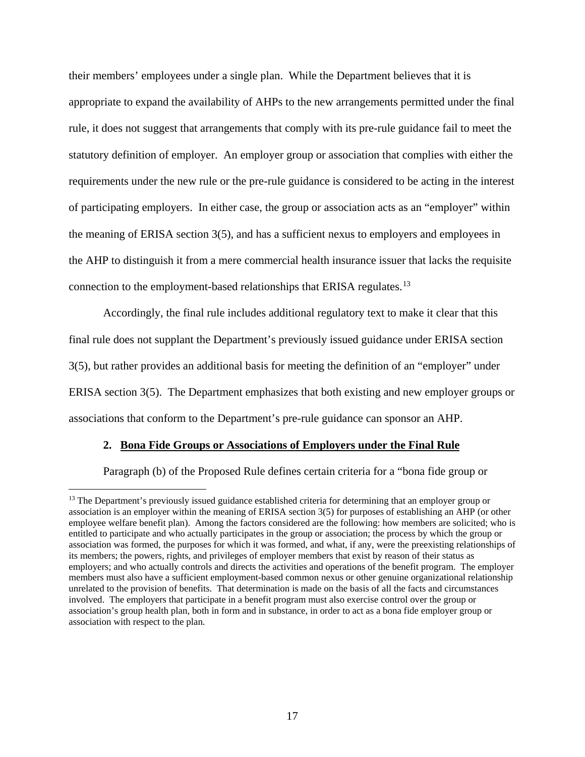their members' employees under a single plan. While the Department believes that it is appropriate to expand the availability of AHPs to the new arrangements permitted under the final rule, it does not suggest that arrangements that comply with its pre-rule guidance fail to meet the statutory definition of employer. An employer group or association that complies with either the requirements under the new rule or the pre-rule guidance is considered to be acting in the interest of participating employers. In either case, the group or association acts as an "employer" within the meaning of ERISA section 3(5), and has a sufficient nexus to employers and employees in the AHP to distinguish it from a mere commercial health insurance issuer that lacks the requisite connection to the employment-based relationships that ERISA regulates.[13](#page-16-0)

Accordingly, the final rule includes additional regulatory text to make it clear that this final rule does not supplant the Department's previously issued guidance under ERISA section 3(5), but rather provides an additional basis for meeting the definition of an "employer" under ERISA section 3(5). The Department emphasizes that both existing and new employer groups or associations that conform to the Department's pre-rule guidance can sponsor an AHP.

#### **2. Bona Fide Groups or Associations of Employers under the Final Rule**

 $\overline{a}$ 

Paragraph (b) of the Proposed Rule defines certain criteria for a "bona fide group or

<span id="page-16-0"></span><sup>&</sup>lt;sup>13</sup> The Department's previously issued guidance established criteria for determining that an employer group or association is an employer within the meaning of ERISA section 3(5) for purposes of establishing an AHP (or other employee welfare benefit plan). Among the factors considered are the following: how members are solicited; who is entitled to participate and who actually participates in the group or association; the process by which the group or association was formed, the purposes for which it was formed, and what, if any, were the preexisting relationships of its members; the powers, rights, and privileges of employer members that exist by reason of their status as employers; and who actually controls and directs the activities and operations of the benefit program. The employer members must also have a sufficient employment-based common nexus or other genuine organizational relationship unrelated to the provision of benefits. That determination is made on the basis of all the facts and circumstances involved. The employers that participate in a benefit program must also exercise control over the group or association's group health plan, both in form and in substance, in order to act as a bona fide employer group or association with respect to the plan.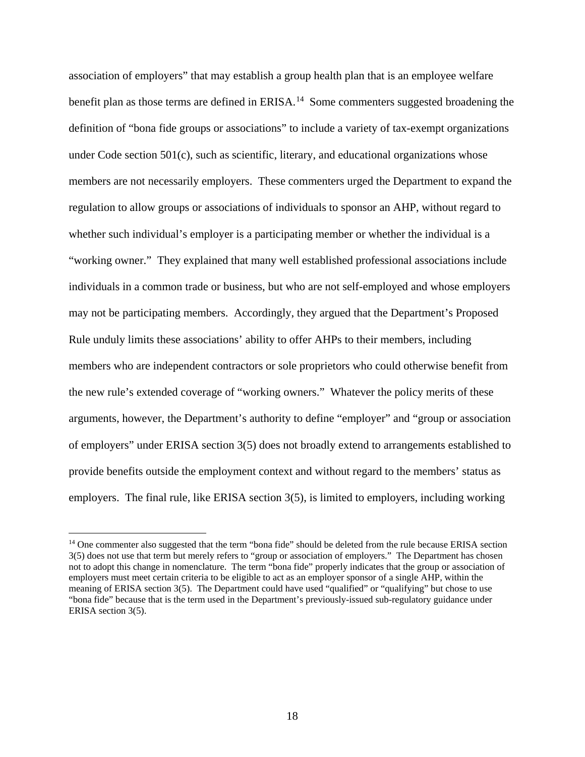association of employers" that may establish a group health plan that is an employee welfare benefit plan as those terms are defined in ERISA.<sup>[14](#page-17-0)</sup> Some commenters suggested broadening the definition of "bona fide groups or associations" to include a variety of tax-exempt organizations under Code section 501(c), such as scientific, literary, and educational organizations whose members are not necessarily employers. These commenters urged the Department to expand the regulation to allow groups or associations of individuals to sponsor an AHP, without regard to whether such individual's employer is a participating member or whether the individual is a "working owner." They explained that many well established professional associations include individuals in a common trade or business, but who are not self-employed and whose employers may not be participating members. Accordingly, they argued that the Department's Proposed Rule unduly limits these associations' ability to offer AHPs to their members, including members who are independent contractors or sole proprietors who could otherwise benefit from the new rule's extended coverage of "working owners." Whatever the policy merits of these arguments, however, the Department's authority to define "employer" and "group or association of employers" under ERISA section 3(5) does not broadly extend to arrangements established to provide benefits outside the employment context and without regard to the members' status as employers. The final rule, like ERISA section 3(5), is limited to employers, including working

<span id="page-17-0"></span><sup>&</sup>lt;sup>14</sup> One commenter also suggested that the term "bona fide" should be deleted from the rule because ERISA section 3(5) does not use that term but merely refers to "group or association of employers." The Department has chosen not to adopt this change in nomenclature. The term "bona fide" properly indicates that the group or association of employers must meet certain criteria to be eligible to act as an employer sponsor of a single AHP, within the meaning of ERISA section 3(5). The Department could have used "qualified" or "qualifying" but chose to use "bona fide" because that is the term used in the Department's previously-issued sub-regulatory guidance under ERISA section 3(5).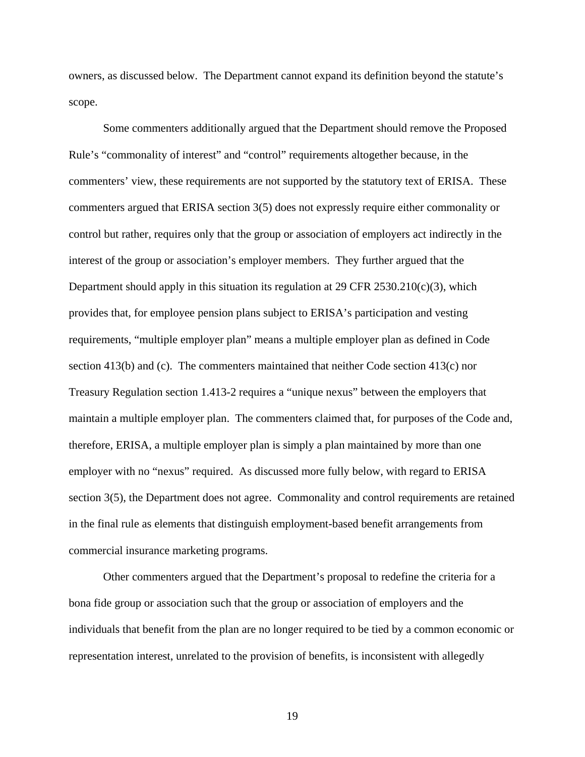owners, as discussed below. The Department cannot expand its definition beyond the statute's scope.

Some commenters additionally argued that the Department should remove the Proposed Rule's "commonality of interest" and "control" requirements altogether because, in the commenters' view, these requirements are not supported by the statutory text of ERISA. These commenters argued that ERISA section 3(5) does not expressly require either commonality or control but rather, requires only that the group or association of employers act indirectly in the interest of the group or association's employer members. They further argued that the Department should apply in this situation its regulation at  $29$  CFR  $2530.210(c)(3)$ , which provides that, for employee pension plans subject to ERISA's participation and vesting requirements, "multiple employer plan" means a multiple employer plan as defined in Code section 413(b) and (c). The commenters maintained that neither Code section 413(c) nor Treasury Regulation section 1.413-2 requires a "unique nexus" between the employers that maintain a multiple employer plan. The commenters claimed that, for purposes of the Code and, therefore, ERISA, a multiple employer plan is simply a plan maintained by more than one employer with no "nexus" required. As discussed more fully below, with regard to ERISA section 3(5), the Department does not agree. Commonality and control requirements are retained in the final rule as elements that distinguish employment-based benefit arrangements from commercial insurance marketing programs.

Other commenters argued that the Department's proposal to redefine the criteria for a bona fide group or association such that the group or association of employers and the individuals that benefit from the plan are no longer required to be tied by a common economic or representation interest, unrelated to the provision of benefits, is inconsistent with allegedly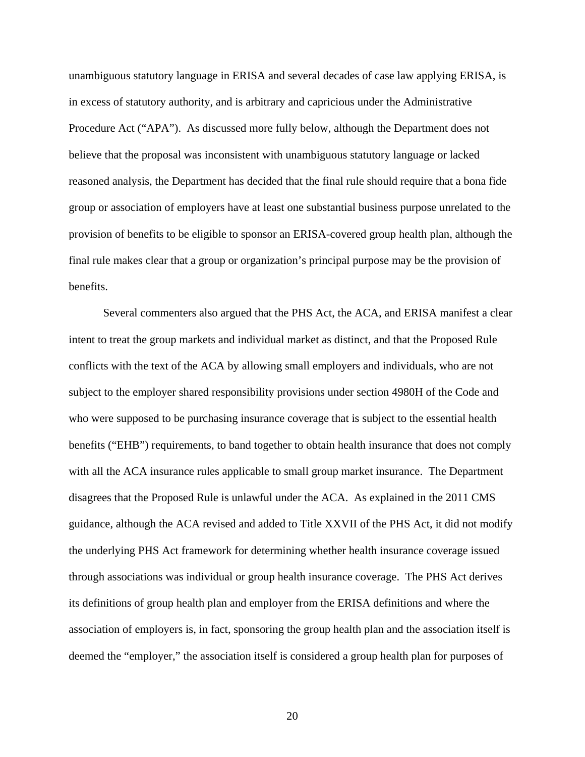unambiguous statutory language in ERISA and several decades of case law applying ERISA, is in excess of statutory authority, and is arbitrary and capricious under the Administrative Procedure Act ("APA"). As discussed more fully below, although the Department does not believe that the proposal was inconsistent with unambiguous statutory language or lacked reasoned analysis, the Department has decided that the final rule should require that a bona fide group or association of employers have at least one substantial business purpose unrelated to the provision of benefits to be eligible to sponsor an ERISA-covered group health plan, although the final rule makes clear that a group or organization's principal purpose may be the provision of benefits.

Several commenters also argued that the PHS Act, the ACA, and ERISA manifest a clear intent to treat the group markets and individual market as distinct, and that the Proposed Rule conflicts with the text of the ACA by allowing small employers and individuals, who are not subject to the employer shared responsibility provisions under section 4980H of the Code and who were supposed to be purchasing insurance coverage that is subject to the essential health benefits ("EHB") requirements, to band together to obtain health insurance that does not comply with all the ACA insurance rules applicable to small group market insurance. The Department disagrees that the Proposed Rule is unlawful under the ACA. As explained in the 2011 CMS guidance, although the ACA revised and added to Title XXVII of the PHS Act, it did not modify the underlying PHS Act framework for determining whether health insurance coverage issued through associations was individual or group health insurance coverage. The PHS Act derives its definitions of group health plan and employer from the ERISA definitions and where the association of employers is, in fact, sponsoring the group health plan and the association itself is deemed the "employer," the association itself is considered a group health plan for purposes of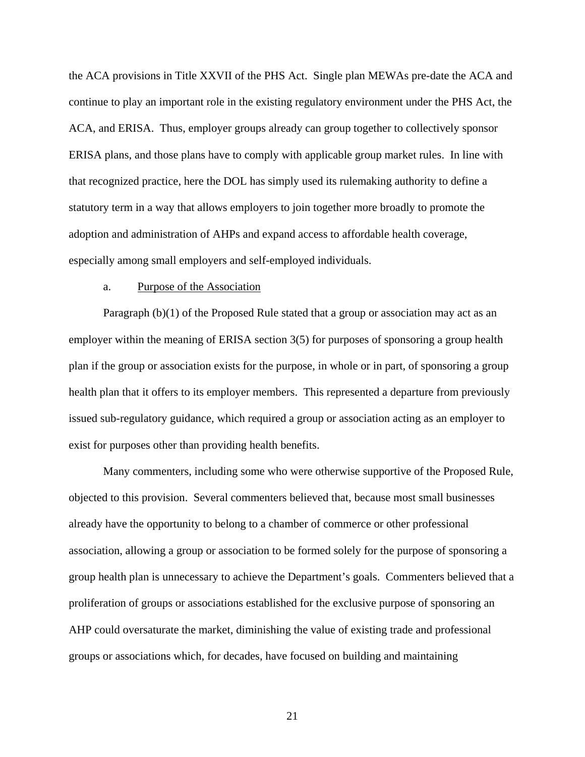the ACA provisions in Title XXVII of the PHS Act. Single plan MEWAs pre-date the ACA and continue to play an important role in the existing regulatory environment under the PHS Act, the ACA, and ERISA. Thus, employer groups already can group together to collectively sponsor ERISA plans, and those plans have to comply with applicable group market rules. In line with that recognized practice, here the DOL has simply used its rulemaking authority to define a statutory term in a way that allows employers to join together more broadly to promote the adoption and administration of AHPs and expand access to affordable health coverage, especially among small employers and self-employed individuals.

#### a. Purpose of the Association

Paragraph (b)(1) of the Proposed Rule stated that a group or association may act as an employer within the meaning of ERISA section 3(5) for purposes of sponsoring a group health plan if the group or association exists for the purpose, in whole or in part, of sponsoring a group health plan that it offers to its employer members. This represented a departure from previously issued sub-regulatory guidance, which required a group or association acting as an employer to exist for purposes other than providing health benefits.

Many commenters, including some who were otherwise supportive of the Proposed Rule, objected to this provision. Several commenters believed that, because most small businesses already have the opportunity to belong to a chamber of commerce or other professional association, allowing a group or association to be formed solely for the purpose of sponsoring a group health plan is unnecessary to achieve the Department's goals. Commenters believed that a proliferation of groups or associations established for the exclusive purpose of sponsoring an AHP could oversaturate the market, diminishing the value of existing trade and professional groups or associations which, for decades, have focused on building and maintaining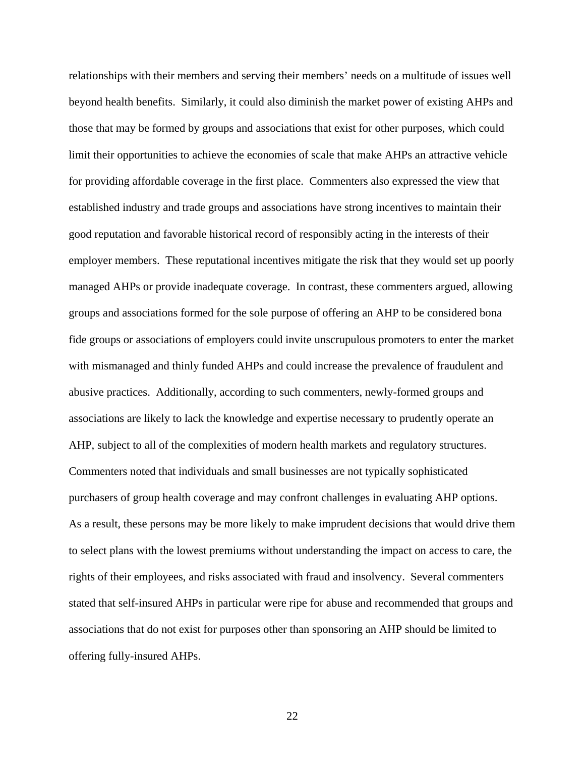relationships with their members and serving their members' needs on a multitude of issues well beyond health benefits. Similarly, it could also diminish the market power of existing AHPs and those that may be formed by groups and associations that exist for other purposes, which could limit their opportunities to achieve the economies of scale that make AHPs an attractive vehicle for providing affordable coverage in the first place. Commenters also expressed the view that established industry and trade groups and associations have strong incentives to maintain their good reputation and favorable historical record of responsibly acting in the interests of their employer members. These reputational incentives mitigate the risk that they would set up poorly managed AHPs or provide inadequate coverage. In contrast, these commenters argued, allowing groups and associations formed for the sole purpose of offering an AHP to be considered bona fide groups or associations of employers could invite unscrupulous promoters to enter the market with mismanaged and thinly funded AHPs and could increase the prevalence of fraudulent and abusive practices. Additionally, according to such commenters, newly-formed groups and associations are likely to lack the knowledge and expertise necessary to prudently operate an AHP, subject to all of the complexities of modern health markets and regulatory structures. Commenters noted that individuals and small businesses are not typically sophisticated purchasers of group health coverage and may confront challenges in evaluating AHP options. As a result, these persons may be more likely to make imprudent decisions that would drive them to select plans with the lowest premiums without understanding the impact on access to care, the rights of their employees, and risks associated with fraud and insolvency. Several commenters stated that self-insured AHPs in particular were ripe for abuse and recommended that groups and associations that do not exist for purposes other than sponsoring an AHP should be limited to offering fully-insured AHPs.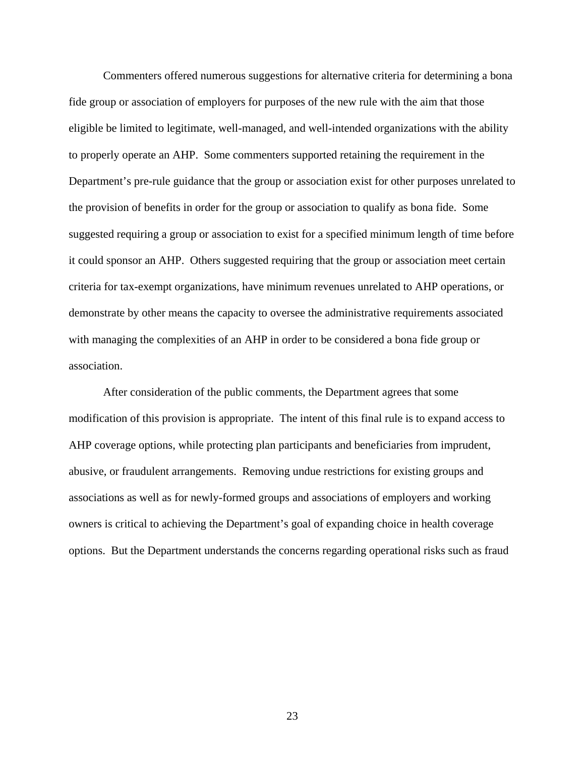Commenters offered numerous suggestions for alternative criteria for determining a bona fide group or association of employers for purposes of the new rule with the aim that those eligible be limited to legitimate, well-managed, and well-intended organizations with the ability to properly operate an AHP. Some commenters supported retaining the requirement in the Department's pre-rule guidance that the group or association exist for other purposes unrelated to the provision of benefits in order for the group or association to qualify as bona fide. Some suggested requiring a group or association to exist for a specified minimum length of time before it could sponsor an AHP. Others suggested requiring that the group or association meet certain criteria for tax-exempt organizations, have minimum revenues unrelated to AHP operations, or demonstrate by other means the capacity to oversee the administrative requirements associated with managing the complexities of an AHP in order to be considered a bona fide group or association.

After consideration of the public comments, the Department agrees that some modification of this provision is appropriate. The intent of this final rule is to expand access to AHP coverage options, while protecting plan participants and beneficiaries from imprudent, abusive, or fraudulent arrangements. Removing undue restrictions for existing groups and associations as well as for newly-formed groups and associations of employers and working owners is critical to achieving the Department's goal of expanding choice in health coverage options. But the Department understands the concerns regarding operational risks such as fraud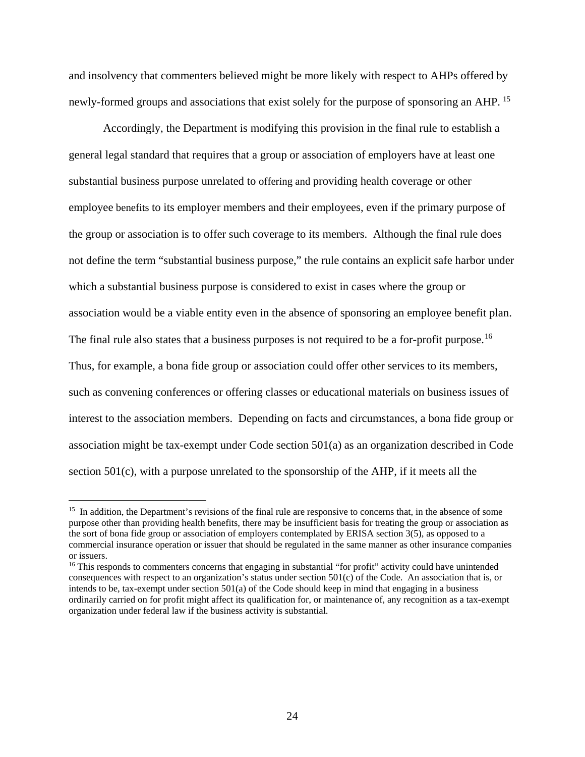and insolvency that commenters believed might be more likely with respect to AHPs offered by newly-formed groups and associations that exist solely for the purpose of sponsoring an AHP.<sup>[15](#page-23-0)</sup>

Accordingly, the Department is modifying this provision in the final rule to establish a general legal standard that requires that a group or association of employers have at least one substantial business purpose unrelated to offering and providing health coverage or other employee benefits to its employer members and their employees, even if the primary purpose of the group or association is to offer such coverage to its members. Although the final rule does not define the term "substantial business purpose," the rule contains an explicit safe harbor under which a substantial business purpose is considered to exist in cases where the group or association would be a viable entity even in the absence of sponsoring an employee benefit plan. The final rule also states that a business purposes is not required to be a for-profit purpose.<sup>[16](#page-23-1)</sup> Thus, for example, a bona fide group or association could offer other services to its members, such as convening conferences or offering classes or educational materials on business issues of interest to the association members. Depending on facts and circumstances, a bona fide group or association might be tax-exempt under Code section 501(a) as an organization described in Code section 501(c), with a purpose unrelated to the sponsorship of the AHP, if it meets all the

<span id="page-23-0"></span><sup>&</sup>lt;sup>15</sup> In addition, the Department's revisions of the final rule are responsive to concerns that, in the absence of some purpose other than providing health benefits, there may be insufficient basis for treating the group or association as the sort of bona fide group or association of employers contemplated by ERISA section 3(5), as opposed to a commercial insurance operation or issuer that should be regulated in the same manner as other insurance companies or issuers.

<span id="page-23-1"></span><sup>&</sup>lt;sup>16</sup> This responds to commenters concerns that engaging in substantial "for profit" activity could have unintended consequences with respect to an organization's status under section 501(c) of the Code. An association that is, or intends to be, tax-exempt under section 501(a) of the Code should keep in mind that engaging in a business ordinarily carried on for profit might affect its qualification for, or maintenance of, any recognition as a tax-exempt organization under federal law if the business activity is substantial.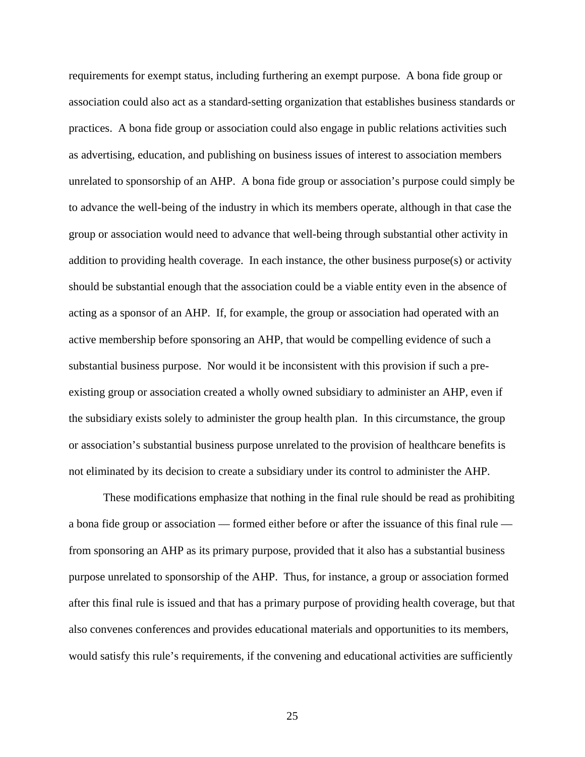requirements for exempt status, including furthering an exempt purpose. A bona fide group or association could also act as a standard-setting organization that establishes business standards or practices. A bona fide group or association could also engage in public relations activities such as advertising, education, and publishing on business issues of interest to association members unrelated to sponsorship of an AHP. A bona fide group or association's purpose could simply be to advance the well-being of the industry in which its members operate, although in that case the group or association would need to advance that well-being through substantial other activity in addition to providing health coverage. In each instance, the other business purpose(s) or activity should be substantial enough that the association could be a viable entity even in the absence of acting as a sponsor of an AHP. If, for example, the group or association had operated with an active membership before sponsoring an AHP, that would be compelling evidence of such a substantial business purpose. Nor would it be inconsistent with this provision if such a preexisting group or association created a wholly owned subsidiary to administer an AHP, even if the subsidiary exists solely to administer the group health plan. In this circumstance, the group or association's substantial business purpose unrelated to the provision of healthcare benefits is not eliminated by its decision to create a subsidiary under its control to administer the AHP.

These modifications emphasize that nothing in the final rule should be read as prohibiting a bona fide group or association — formed either before or after the issuance of this final rule from sponsoring an AHP as its primary purpose, provided that it also has a substantial business purpose unrelated to sponsorship of the AHP. Thus, for instance, a group or association formed after this final rule is issued and that has a primary purpose of providing health coverage, but that also convenes conferences and provides educational materials and opportunities to its members, would satisfy this rule's requirements, if the convening and educational activities are sufficiently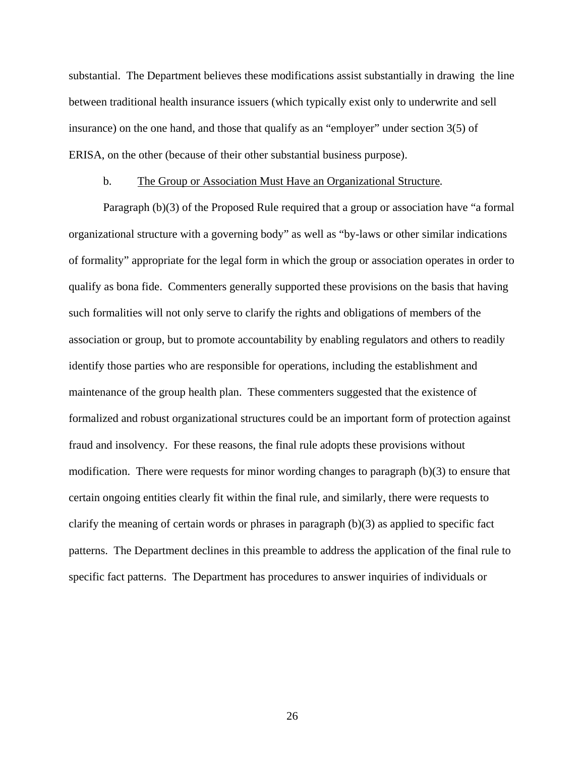substantial. The Department believes these modifications assist substantially in drawing the line between traditional health insurance issuers (which typically exist only to underwrite and sell insurance) on the one hand, and those that qualify as an "employer" under section 3(5) of ERISA, on the other (because of their other substantial business purpose).

# b. The Group or Association Must Have an Organizational Structure*.*

Paragraph (b)(3) of the Proposed Rule required that a group or association have "a formal organizational structure with a governing body" as well as "by-laws or other similar indications of formality" appropriate for the legal form in which the group or association operates in order to qualify as bona fide. Commenters generally supported these provisions on the basis that having such formalities will not only serve to clarify the rights and obligations of members of the association or group, but to promote accountability by enabling regulators and others to readily identify those parties who are responsible for operations, including the establishment and maintenance of the group health plan. These commenters suggested that the existence of formalized and robust organizational structures could be an important form of protection against fraud and insolvency. For these reasons, the final rule adopts these provisions without modification. There were requests for minor wording changes to paragraph (b)(3) to ensure that certain ongoing entities clearly fit within the final rule, and similarly, there were requests to clarify the meaning of certain words or phrases in paragraph (b)(3) as applied to specific fact patterns. The Department declines in this preamble to address the application of the final rule to specific fact patterns. The Department has procedures to answer inquiries of individuals or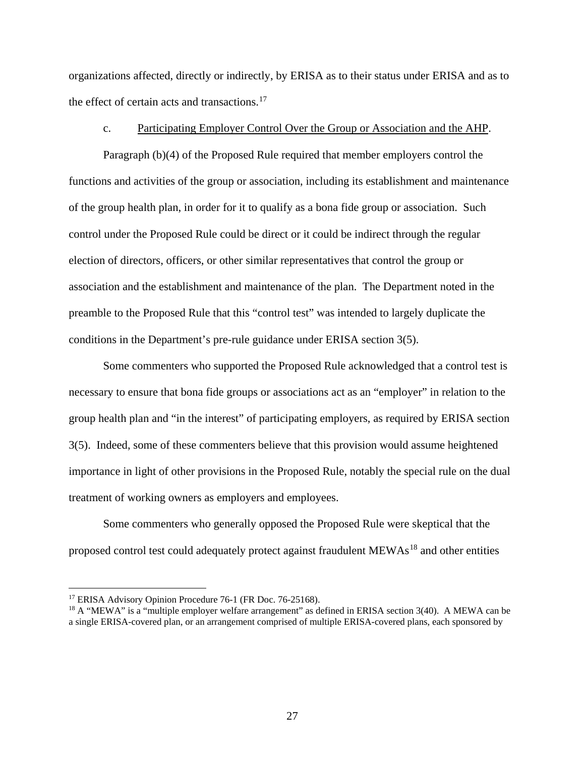organizations affected, directly or indirectly, by ERISA as to their status under ERISA and as to the effect of certain acts and transactions. $17$ 

# c. Participating Employer Control Over the Group or Association and the AHP.

Paragraph (b)(4) of the Proposed Rule required that member employers control the functions and activities of the group or association, including its establishment and maintenance of the group health plan, in order for it to qualify as a bona fide group or association. Such control under the Proposed Rule could be direct or it could be indirect through the regular election of directors, officers, or other similar representatives that control the group or association and the establishment and maintenance of the plan. The Department noted in the preamble to the Proposed Rule that this "control test" was intended to largely duplicate the conditions in the Department's pre-rule guidance under ERISA section 3(5).

Some commenters who supported the Proposed Rule acknowledged that a control test is necessary to ensure that bona fide groups or associations act as an "employer" in relation to the group health plan and "in the interest" of participating employers, as required by ERISA section 3(5). Indeed, some of these commenters believe that this provision would assume heightened importance in light of other provisions in the Proposed Rule, notably the special rule on the dual treatment of working owners as employers and employees.

Some commenters who generally opposed the Proposed Rule were skeptical that the proposed control test could adequately protect against fraudulent MEWAs<sup>[18](#page-26-1)</sup> and other entities

<span id="page-26-0"></span><sup>&</sup>lt;sup>17</sup> ERISA Advisory Opinion Procedure 76-1 (FR Doc. 76-25168).

<span id="page-26-1"></span><sup>&</sup>lt;sup>18</sup> A "MEWA" is a "multiple employer welfare arrangement" as defined in ERISA section 3(40). A MEWA can be a single ERISA-covered plan, or an arrangement comprised of multiple ERISA-covered plans, each sponsored by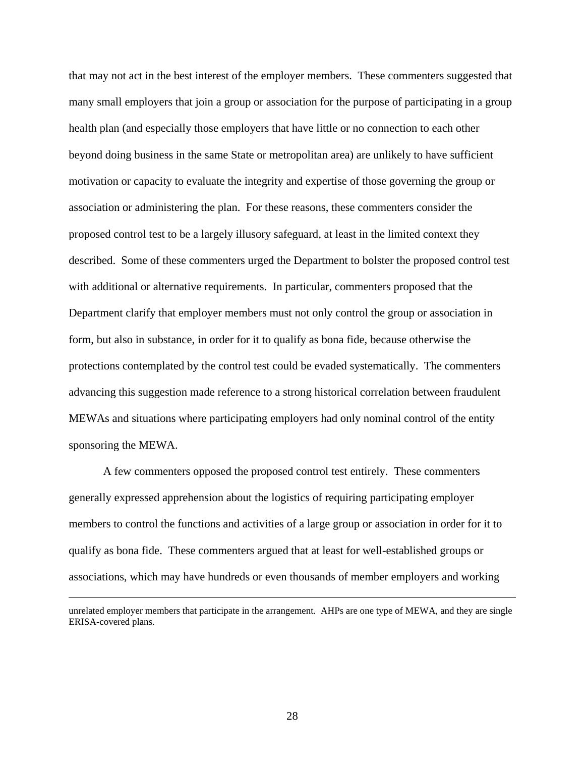that may not act in the best interest of the employer members. These commenters suggested that many small employers that join a group or association for the purpose of participating in a group health plan (and especially those employers that have little or no connection to each other beyond doing business in the same State or metropolitan area) are unlikely to have sufficient motivation or capacity to evaluate the integrity and expertise of those governing the group or association or administering the plan. For these reasons, these commenters consider the proposed control test to be a largely illusory safeguard, at least in the limited context they described. Some of these commenters urged the Department to bolster the proposed control test with additional or alternative requirements. In particular, commenters proposed that the Department clarify that employer members must not only control the group or association in form, but also in substance, in order for it to qualify as bona fide, because otherwise the protections contemplated by the control test could be evaded systematically. The commenters advancing this suggestion made reference to a strong historical correlation between fraudulent MEWAs and situations where participating employers had only nominal control of the entity sponsoring the MEWA.

A few commenters opposed the proposed control test entirely. These commenters generally expressed apprehension about the logistics of requiring participating employer members to control the functions and activities of a large group or association in order for it to qualify as bona fide. These commenters argued that at least for well-established groups or associations, which may have hundreds or even thousands of member employers and working

 $\overline{a}$ 

unrelated employer members that participate in the arrangement. AHPs are one type of MEWA, and they are single ERISA-covered plans.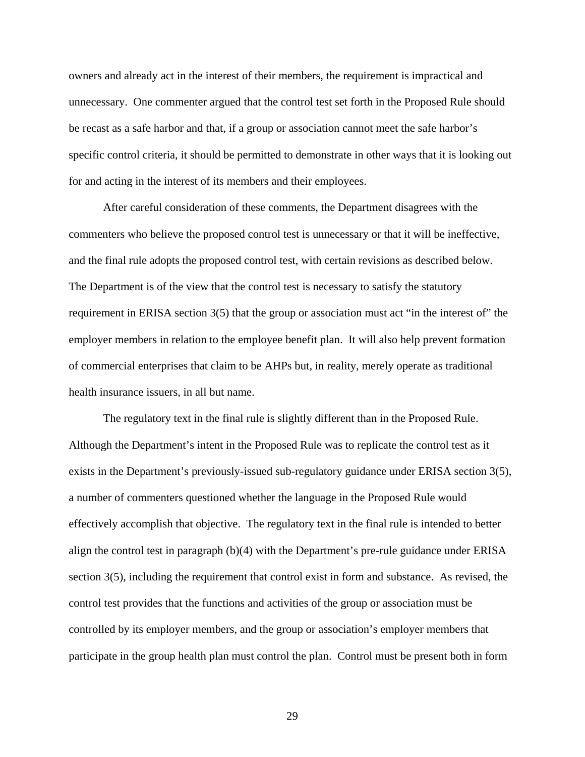owners and already act in the interest of their members, the requirement is impractical and unnecessary. One commenter argued that the control test set forth in the Proposed Rule should be recast as a safe harbor and that, if a group or association cannot meet the safe harbor's specific control criteria, it should be permitted to demonstrate in other ways that it is looking out for and acting in the interest of its members and their employees.

After careful consideration of these comments, the Department disagrees with the commenters who believe the proposed control test is unnecessary or that it will be ineffective, and the final rule adopts the proposed control test, with certain revisions as described below. The Department is of the view that the control test is necessary to satisfy the statutory requirement in ERISA section 3(5) that the group or association must act "in the interest of" the employer members in relation to the employee benefit plan. It will also help prevent formation of commercial enterprises that claim to be AHPs but, in reality, merely operate as traditional health insurance issuers, in all but name.

The regulatory text in the final rule is slightly different than in the Proposed Rule. Although the Department's intent in the Proposed Rule was to replicate the control test as it exists in the Department's previously-issued sub-regulatory guidance under ERISA section 3(5), a number of commenters questioned whether the language in the Proposed Rule would effectively accomplish that objective. The regulatory text in the final rule is intended to better align the control test in paragraph (b)(4) with the Department's pre-rule guidance under ERISA section 3(5), including the requirement that control exist in form and substance. As revised, the control test provides that the functions and activities of the group or association must be controlled by its employer members, and the group or association's employer members that participate in the group health plan must control the plan. Control must be present both in form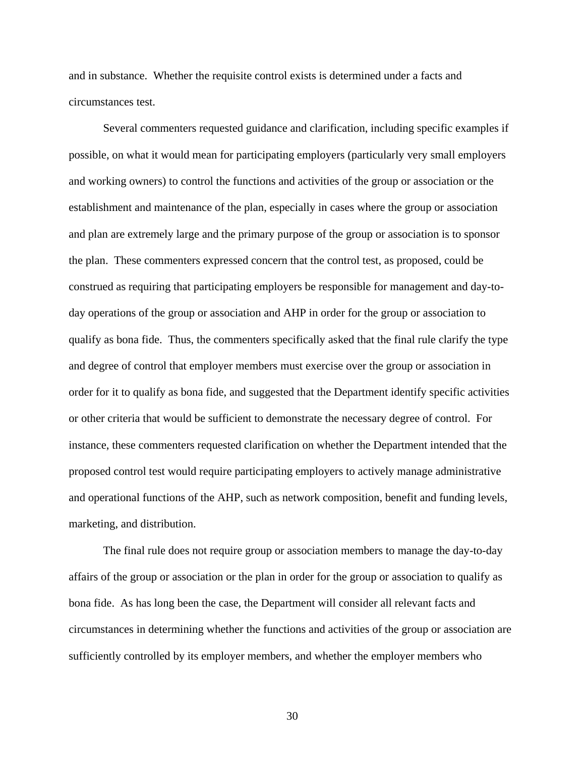and in substance. Whether the requisite control exists is determined under a facts and circumstances test.

Several commenters requested guidance and clarification, including specific examples if possible, on what it would mean for participating employers (particularly very small employers and working owners) to control the functions and activities of the group or association or the establishment and maintenance of the plan, especially in cases where the group or association and plan are extremely large and the primary purpose of the group or association is to sponsor the plan. These commenters expressed concern that the control test, as proposed, could be construed as requiring that participating employers be responsible for management and day-today operations of the group or association and AHP in order for the group or association to qualify as bona fide. Thus, the commenters specifically asked that the final rule clarify the type and degree of control that employer members must exercise over the group or association in order for it to qualify as bona fide, and suggested that the Department identify specific activities or other criteria that would be sufficient to demonstrate the necessary degree of control. For instance, these commenters requested clarification on whether the Department intended that the proposed control test would require participating employers to actively manage administrative and operational functions of the AHP, such as network composition, benefit and funding levels, marketing, and distribution.

The final rule does not require group or association members to manage the day-to-day affairs of the group or association or the plan in order for the group or association to qualify as bona fide. As has long been the case, the Department will consider all relevant facts and circumstances in determining whether the functions and activities of the group or association are sufficiently controlled by its employer members, and whether the employer members who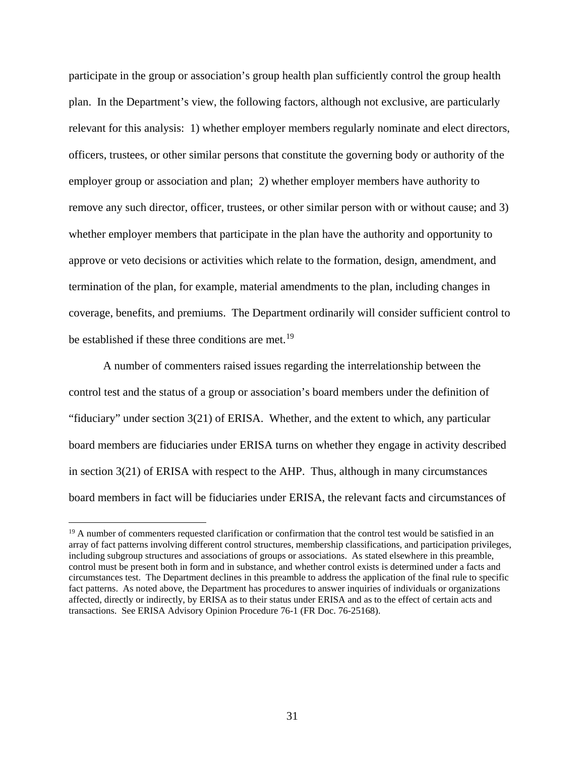participate in the group or association's group health plan sufficiently control the group health plan. In the Department's view, the following factors, although not exclusive, are particularly relevant for this analysis: 1) whether employer members regularly nominate and elect directors, officers, trustees, or other similar persons that constitute the governing body or authority of the employer group or association and plan; 2) whether employer members have authority to remove any such director, officer, trustees, or other similar person with or without cause; and 3) whether employer members that participate in the plan have the authority and opportunity to approve or veto decisions or activities which relate to the formation, design, amendment, and termination of the plan, for example, material amendments to the plan, including changes in coverage, benefits, and premiums. The Department ordinarily will consider sufficient control to be established if these three conditions are met.<sup>[19](#page-30-0)</sup>

A number of commenters raised issues regarding the interrelationship between the control test and the status of a group or association's board members under the definition of "fiduciary" under section 3(21) of ERISA. Whether, and the extent to which, any particular board members are fiduciaries under ERISA turns on whether they engage in activity described in section 3(21) of ERISA with respect to the AHP. Thus, although in many circumstances board members in fact will be fiduciaries under ERISA, the relevant facts and circumstances of

<span id="page-30-0"></span> $19$  A number of commenters requested clarification or confirmation that the control test would be satisfied in an array of fact patterns involving different control structures, membership classifications, and participation privileges, including subgroup structures and associations of groups or associations. As stated elsewhere in this preamble, control must be present both in form and in substance, and whether control exists is determined under a facts and circumstances test. The Department declines in this preamble to address the application of the final rule to specific fact patterns. As noted above, the Department has procedures to answer inquiries of individuals or organizations affected, directly or indirectly, by ERISA as to their status under ERISA and as to the effect of certain acts and transactions. See ERISA Advisory Opinion Procedure 76-1 (FR Doc. 76-25168).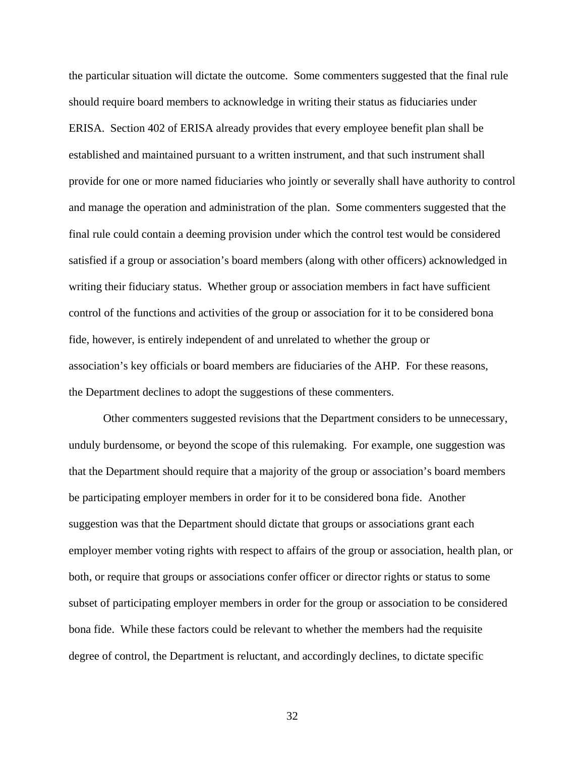the particular situation will dictate the outcome. Some commenters suggested that the final rule should require board members to acknowledge in writing their status as fiduciaries under ERISA. Section 402 of ERISA already provides that every employee benefit plan shall be established and maintained pursuant to a written instrument, and that such instrument shall provide for one or more named fiduciaries who jointly or severally shall have authority to control and manage the operation and administration of the plan. Some commenters suggested that the final rule could contain a deeming provision under which the control test would be considered satisfied if a group or association's board members (along with other officers) acknowledged in writing their fiduciary status. Whether group or association members in fact have sufficient control of the functions and activities of the group or association for it to be considered bona fide, however, is entirely independent of and unrelated to whether the group or association's key officials or board members are fiduciaries of the AHP. For these reasons, the Department declines to adopt the suggestions of these commenters.

Other commenters suggested revisions that the Department considers to be unnecessary, unduly burdensome, or beyond the scope of this rulemaking. For example, one suggestion was that the Department should require that a majority of the group or association's board members be participating employer members in order for it to be considered bona fide. Another suggestion was that the Department should dictate that groups or associations grant each employer member voting rights with respect to affairs of the group or association, health plan, or both, or require that groups or associations confer officer or director rights or status to some subset of participating employer members in order for the group or association to be considered bona fide. While these factors could be relevant to whether the members had the requisite degree of control, the Department is reluctant, and accordingly declines, to dictate specific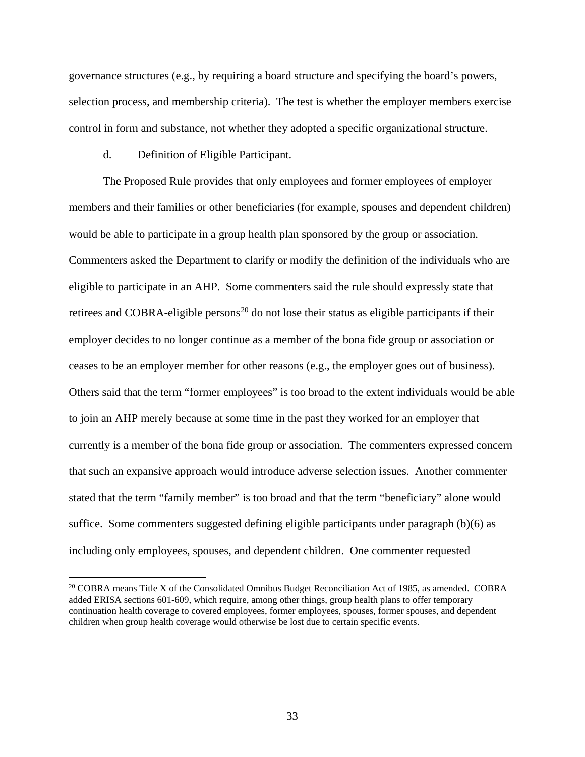governance structures (e.g., by requiring a board structure and specifying the board's powers, selection process, and membership criteria). The test is whether the employer members exercise control in form and substance, not whether they adopted a specific organizational structure.

# d. Definition of Eligible Participant.

 $\overline{a}$ 

The Proposed Rule provides that only employees and former employees of employer members and their families or other beneficiaries (for example, spouses and dependent children) would be able to participate in a group health plan sponsored by the group or association. Commenters asked the Department to clarify or modify the definition of the individuals who are eligible to participate in an AHP. Some commenters said the rule should expressly state that retirees and COBRA-eligible persons<sup>[20](#page-32-0)</sup> do not lose their status as eligible participants if their employer decides to no longer continue as a member of the bona fide group or association or ceases to be an employer member for other reasons (e.g., the employer goes out of business). Others said that the term "former employees" is too broad to the extent individuals would be able to join an AHP merely because at some time in the past they worked for an employer that currently is a member of the bona fide group or association. The commenters expressed concern that such an expansive approach would introduce adverse selection issues. Another commenter stated that the term "family member" is too broad and that the term "beneficiary" alone would suffice. Some commenters suggested defining eligible participants under paragraph (b)(6) as including only employees, spouses, and dependent children. One commenter requested

<span id="page-32-0"></span><sup>&</sup>lt;sup>20</sup> COBRA means Title X of the Consolidated Omnibus Budget Reconciliation Act of 1985, as amended. COBRA added ERISA sections 601-609, which require, among other things, group health plans to offer temporary continuation health coverage to covered employees, former employees, spouses, former spouses, and dependent children when group health coverage would otherwise be lost due to certain specific events.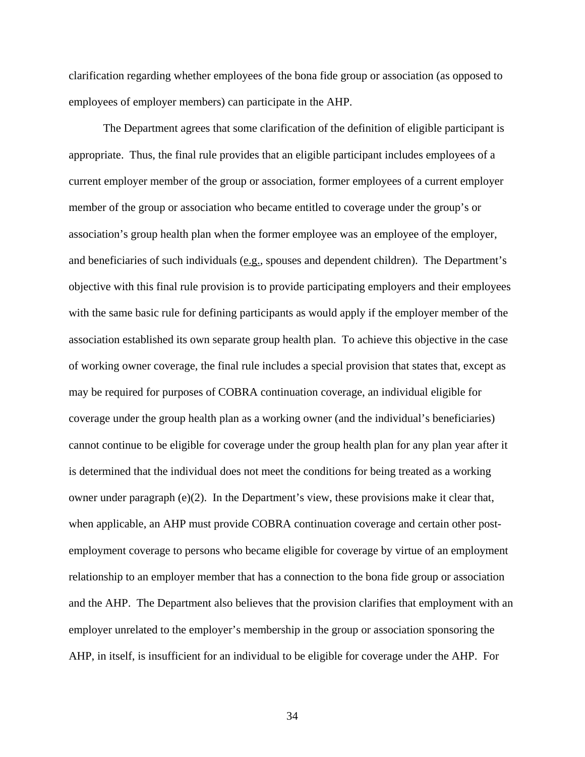clarification regarding whether employees of the bona fide group or association (as opposed to employees of employer members) can participate in the AHP.

The Department agrees that some clarification of the definition of eligible participant is appropriate. Thus, the final rule provides that an eligible participant includes employees of a current employer member of the group or association, former employees of a current employer member of the group or association who became entitled to coverage under the group's or association's group health plan when the former employee was an employee of the employer, and beneficiaries of such individuals (e.g., spouses and dependent children). The Department's objective with this final rule provision is to provide participating employers and their employees with the same basic rule for defining participants as would apply if the employer member of the association established its own separate group health plan. To achieve this objective in the case of working owner coverage, the final rule includes a special provision that states that, except as may be required for purposes of COBRA continuation coverage, an individual eligible for coverage under the group health plan as a working owner (and the individual's beneficiaries) cannot continue to be eligible for coverage under the group health plan for any plan year after it is determined that the individual does not meet the conditions for being treated as a working owner under paragraph (e)(2). In the Department's view, these provisions make it clear that, when applicable, an AHP must provide COBRA continuation coverage and certain other postemployment coverage to persons who became eligible for coverage by virtue of an employment relationship to an employer member that has a connection to the bona fide group or association and the AHP. The Department also believes that the provision clarifies that employment with an employer unrelated to the employer's membership in the group or association sponsoring the AHP, in itself, is insufficient for an individual to be eligible for coverage under the AHP. For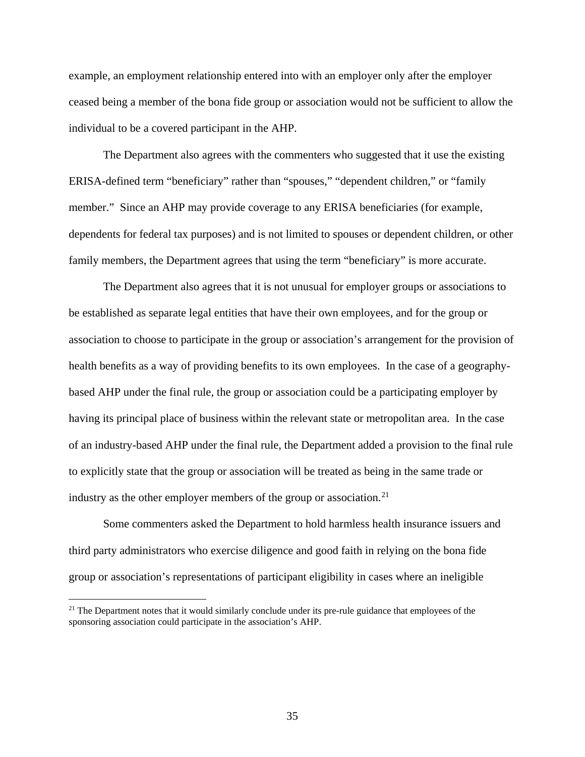example, an employment relationship entered into with an employer only after the employer ceased being a member of the bona fide group or association would not be sufficient to allow the individual to be a covered participant in the AHP.

The Department also agrees with the commenters who suggested that it use the existing ERISA-defined term "beneficiary" rather than "spouses," "dependent children," or "family member." Since an AHP may provide coverage to any ERISA beneficiaries (for example, dependents for federal tax purposes) and is not limited to spouses or dependent children, or other family members, the Department agrees that using the term "beneficiary" is more accurate.

The Department also agrees that it is not unusual for employer groups or associations to be established as separate legal entities that have their own employees, and for the group or association to choose to participate in the group or association's arrangement for the provision of health benefits as a way of providing benefits to its own employees. In the case of a geographybased AHP under the final rule, the group or association could be a participating employer by having its principal place of business within the relevant state or metropolitan area. In the case of an industry-based AHP under the final rule, the Department added a provision to the final rule to explicitly state that the group or association will be treated as being in the same trade or industry as the other employer members of the group or association.<sup>[21](#page-34-0)</sup>

Some commenters asked the Department to hold harmless health insurance issuers and third party administrators who exercise diligence and good faith in relying on the bona fide group or association's representations of participant eligibility in cases where an ineligible

<span id="page-34-0"></span><sup>&</sup>lt;sup>21</sup> The Department notes that it would similarly conclude under its pre-rule guidance that employees of the sponsoring association could participate in the association's AHP.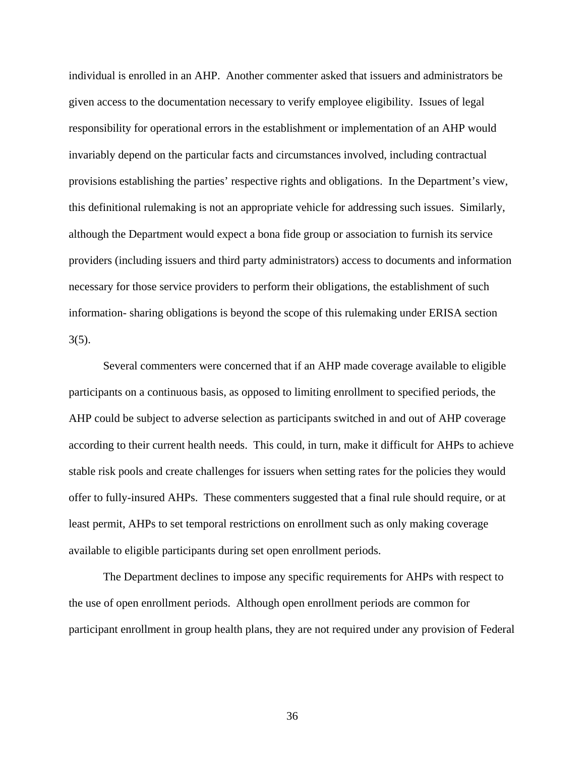individual is enrolled in an AHP. Another commenter asked that issuers and administrators be given access to the documentation necessary to verify employee eligibility. Issues of legal responsibility for operational errors in the establishment or implementation of an AHP would invariably depend on the particular facts and circumstances involved, including contractual provisions establishing the parties' respective rights and obligations. In the Department's view, this definitional rulemaking is not an appropriate vehicle for addressing such issues. Similarly, although the Department would expect a bona fide group or association to furnish its service providers (including issuers and third party administrators) access to documents and information necessary for those service providers to perform their obligations, the establishment of such information- sharing obligations is beyond the scope of this rulemaking under ERISA section 3(5).

Several commenters were concerned that if an AHP made coverage available to eligible participants on a continuous basis, as opposed to limiting enrollment to specified periods, the AHP could be subject to adverse selection as participants switched in and out of AHP coverage according to their current health needs. This could, in turn, make it difficult for AHPs to achieve stable risk pools and create challenges for issuers when setting rates for the policies they would offer to fully-insured AHPs. These commenters suggested that a final rule should require, or at least permit, AHPs to set temporal restrictions on enrollment such as only making coverage available to eligible participants during set open enrollment periods.

The Department declines to impose any specific requirements for AHPs with respect to the use of open enrollment periods. Although open enrollment periods are common for participant enrollment in group health plans, they are not required under any provision of Federal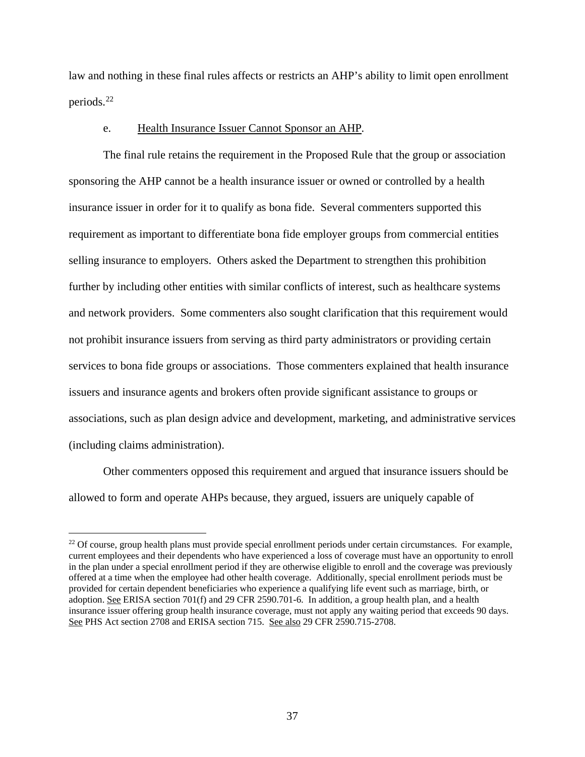law and nothing in these final rules affects or restricts an AHP's ability to limit open enrollment periods.[22](#page-36-0) 

## e. Health Insurance Issuer Cannot Sponsor an AHP*.*

The final rule retains the requirement in the Proposed Rule that the group or association sponsoring the AHP cannot be a health insurance issuer or owned or controlled by a health insurance issuer in order for it to qualify as bona fide. Several commenters supported this requirement as important to differentiate bona fide employer groups from commercial entities selling insurance to employers. Others asked the Department to strengthen this prohibition further by including other entities with similar conflicts of interest, such as healthcare systems and network providers. Some commenters also sought clarification that this requirement would not prohibit insurance issuers from serving as third party administrators or providing certain services to bona fide groups or associations. Those commenters explained that health insurance issuers and insurance agents and brokers often provide significant assistance to groups or associations, such as plan design advice and development, marketing, and administrative services (including claims administration).

Other commenters opposed this requirement and argued that insurance issuers should be allowed to form and operate AHPs because, they argued, issuers are uniquely capable of

<span id="page-36-0"></span><sup>&</sup>lt;sup>22</sup> Of course, group health plans must provide special enrollment periods under certain circumstances. For example, current employees and their dependents who have experienced a loss of coverage must have an opportunity to enroll in the plan under a special enrollment period if they are otherwise eligible to enroll and the coverage was previously offered at a time when the employee had other health coverage. Additionally, special enrollment periods must be provided for certain dependent beneficiaries who experience a qualifying life event such as marriage, birth, or adoption. See ERISA section 701(f) and 29 CFR 2590.701-6. In addition, a group health plan, and a health insurance issuer offering group health insurance coverage, must not apply any waiting period that exceeds 90 days. See PHS Act section 2708 and ERISA section 715. See also 29 CFR 2590.715-2708.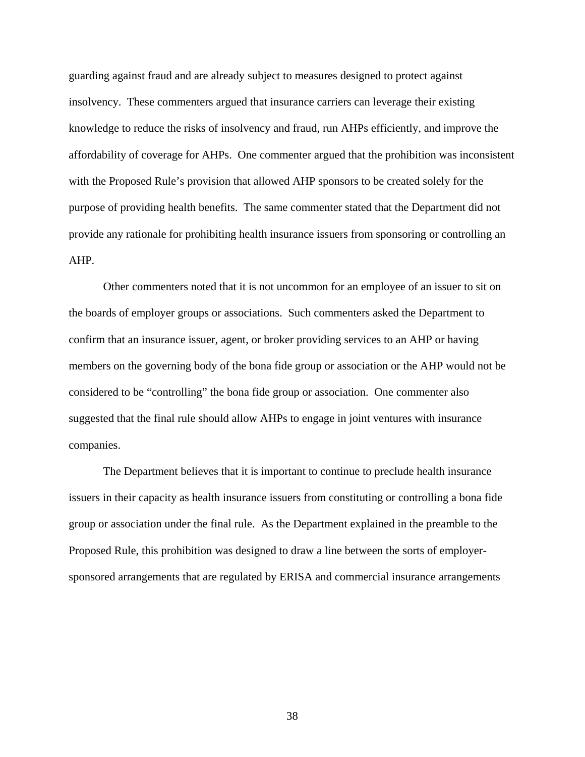guarding against fraud and are already subject to measures designed to protect against insolvency. These commenters argued that insurance carriers can leverage their existing knowledge to reduce the risks of insolvency and fraud, run AHPs efficiently, and improve the affordability of coverage for AHPs. One commenter argued that the prohibition was inconsistent with the Proposed Rule's provision that allowed AHP sponsors to be created solely for the purpose of providing health benefits. The same commenter stated that the Department did not provide any rationale for prohibiting health insurance issuers from sponsoring or controlling an AHP.

Other commenters noted that it is not uncommon for an employee of an issuer to sit on the boards of employer groups or associations. Such commenters asked the Department to confirm that an insurance issuer, agent, or broker providing services to an AHP or having members on the governing body of the bona fide group or association or the AHP would not be considered to be "controlling" the bona fide group or association. One commenter also suggested that the final rule should allow AHPs to engage in joint ventures with insurance companies.

The Department believes that it is important to continue to preclude health insurance issuers in their capacity as health insurance issuers from constituting or controlling a bona fide group or association under the final rule. As the Department explained in the preamble to the Proposed Rule, this prohibition was designed to draw a line between the sorts of employersponsored arrangements that are regulated by ERISA and commercial insurance arrangements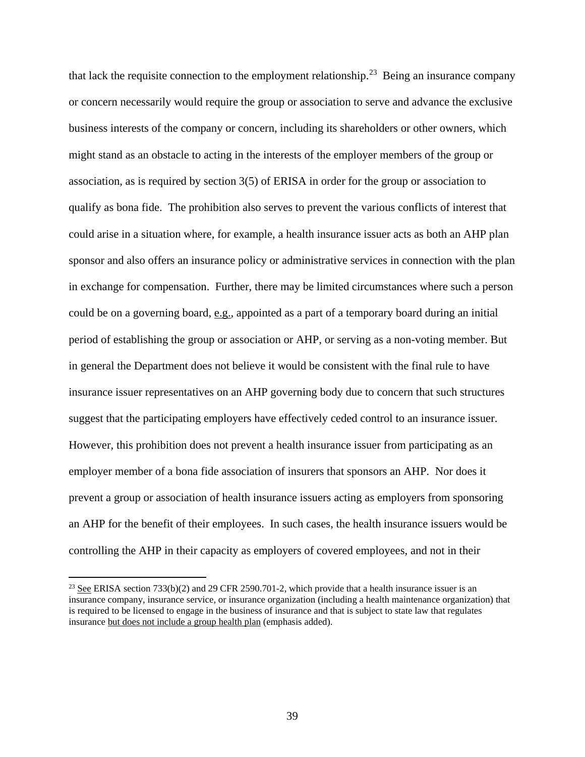that lack the requisite connection to the employment relationship.<sup>23</sup> Being an insurance company or concern necessarily would require the group or association to serve and advance the exclusive business interests of the company or concern, including its shareholders or other owners, which might stand as an obstacle to acting in the interests of the employer members of the group or association, as is required by section 3(5) of ERISA in order for the group or association to qualify as bona fide. The prohibition also serves to prevent the various conflicts of interest that could arise in a situation where, for example, a health insurance issuer acts as both an AHP plan sponsor and also offers an insurance policy or administrative services in connection with the plan in exchange for compensation. Further, there may be limited circumstances where such a person could be on a governing board, e.g., appointed as a part of a temporary board during an initial period of establishing the group or association or AHP, or serving as a non-voting member. But in general the Department does not believe it would be consistent with the final rule to have insurance issuer representatives on an AHP governing body due to concern that such structures suggest that the participating employers have effectively ceded control to an insurance issuer. However, this prohibition does not prevent a health insurance issuer from participating as an employer member of a bona fide association of insurers that sponsors an AHP. Nor does it prevent a group or association of health insurance issuers acting as employers from sponsoring an AHP for the benefit of their employees. In such cases, the health insurance issuers would be controlling the AHP in their capacity as employers of covered employees, and not in their

<span id="page-38-0"></span> $23$  See ERISA section 733(b)(2) and 29 CFR 2590.701-2, which provide that a health insurance issuer is an insurance company, insurance service, or insurance organization (including a health maintenance organization) that is required to be licensed to engage in the business of insurance and that is subject to state law that regulates insurance but does not include a group health plan (emphasis added).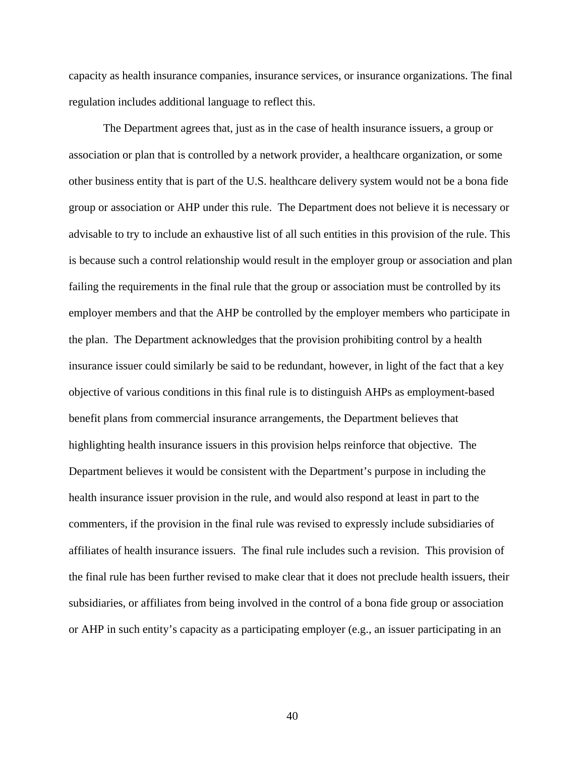capacity as health insurance companies, insurance services, or insurance organizations. The final regulation includes additional language to reflect this.

The Department agrees that, just as in the case of health insurance issuers, a group or association or plan that is controlled by a network provider, a healthcare organization, or some other business entity that is part of the U.S. healthcare delivery system would not be a bona fide group or association or AHP under this rule. The Department does not believe it is necessary or advisable to try to include an exhaustive list of all such entities in this provision of the rule. This is because such a control relationship would result in the employer group or association and plan failing the requirements in the final rule that the group or association must be controlled by its employer members and that the AHP be controlled by the employer members who participate in the plan. The Department acknowledges that the provision prohibiting control by a health insurance issuer could similarly be said to be redundant, however, in light of the fact that a key objective of various conditions in this final rule is to distinguish AHPs as employment-based benefit plans from commercial insurance arrangements, the Department believes that highlighting health insurance issuers in this provision helps reinforce that objective. The Department believes it would be consistent with the Department's purpose in including the health insurance issuer provision in the rule, and would also respond at least in part to the commenters, if the provision in the final rule was revised to expressly include subsidiaries of affiliates of health insurance issuers. The final rule includes such a revision. This provision of the final rule has been further revised to make clear that it does not preclude health issuers, their subsidiaries, or affiliates from being involved in the control of a bona fide group or association or AHP in such entity's capacity as a participating employer (e.g., an issuer participating in an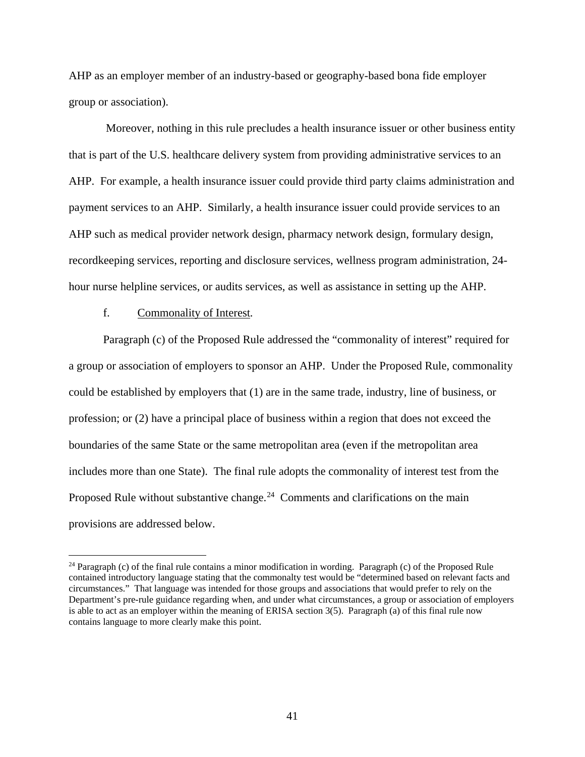AHP as an employer member of an industry-based or geography-based bona fide employer group or association).

Moreover, nothing in this rule precludes a health insurance issuer or other business entity that is part of the U.S. healthcare delivery system from providing administrative services to an AHP. For example, a health insurance issuer could provide third party claims administration and payment services to an AHP. Similarly, a health insurance issuer could provide services to an AHP such as medical provider network design, pharmacy network design, formulary design, recordkeeping services, reporting and disclosure services, wellness program administration, 24 hour nurse helpline services, or audits services, as well as assistance in setting up the AHP.

# f. Commonality of Interest*.*

 $\overline{a}$ 

Paragraph (c) of the Proposed Rule addressed the "commonality of interest" required for a group or association of employers to sponsor an AHP. Under the Proposed Rule, commonality could be established by employers that (1) are in the same trade, industry, line of business, or profession; or (2) have a principal place of business within a region that does not exceed the boundaries of the same State or the same metropolitan area (even if the metropolitan area includes more than one State). The final rule adopts the commonality of interest test from the Proposed Rule without substantive change.<sup>24</sup> Comments and clarifications on the main provisions are addressed below.

<span id="page-40-0"></span><sup>&</sup>lt;sup>24</sup> Paragraph (c) of the final rule contains a minor modification in wording. Paragraph (c) of the Proposed Rule contained introductory language stating that the commonalty test would be "determined based on relevant facts and circumstances." That language was intended for those groups and associations that would prefer to rely on the Department's pre-rule guidance regarding when, and under what circumstances, a group or association of employers is able to act as an employer within the meaning of ERISA section 3(5). Paragraph (a) of this final rule now contains language to more clearly make this point.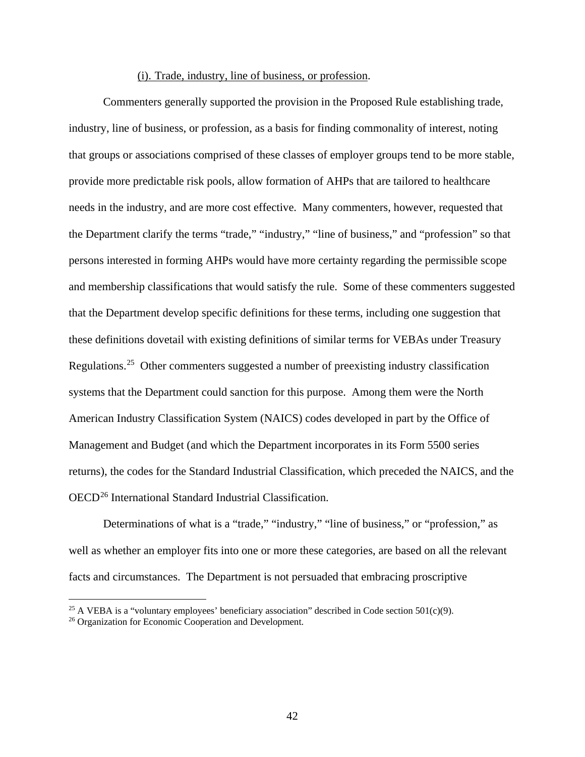## (i). Trade, industry, line of business, or profession.

Commenters generally supported the provision in the Proposed Rule establishing trade, industry, line of business, or profession, as a basis for finding commonality of interest, noting that groups or associations comprised of these classes of employer groups tend to be more stable, provide more predictable risk pools, allow formation of AHPs that are tailored to healthcare needs in the industry, and are more cost effective. Many commenters, however, requested that the Department clarify the terms "trade," "industry," "line of business," and "profession" so that persons interested in forming AHPs would have more certainty regarding the permissible scope and membership classifications that would satisfy the rule. Some of these commenters suggested that the Department develop specific definitions for these terms, including one suggestion that these definitions dovetail with existing definitions of similar terms for VEBAs under Treasury Regulations.[25](#page-41-0) Other commenters suggested a number of preexisting industry classification systems that the Department could sanction for this purpose. Among them were the North American Industry Classification System (NAICS) codes developed in part by the Office of Management and Budget (and which the Department incorporates in its Form 5500 series returns), the codes for the Standard Industrial Classification, which preceded the NAICS, and the OECD[26](#page-41-1) International Standard Industrial Classification.

Determinations of what is a "trade," "industry," "line of business," or "profession," as well as whether an employer fits into one or more these categories, are based on all the relevant facts and circumstances. The Department is not persuaded that embracing proscriptive

<span id="page-41-0"></span><sup>&</sup>lt;sup>25</sup> A VEBA is a "voluntary employees' beneficiary association" described in Code section  $501(c)(9)$ .

<span id="page-41-1"></span><sup>26</sup> Organization for Economic Cooperation and Development.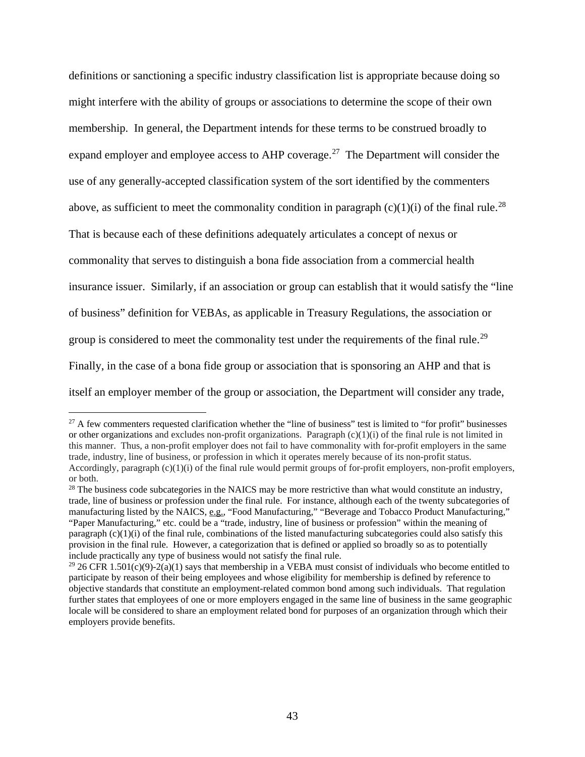definitions or sanctioning a specific industry classification list is appropriate because doing so might interfere with the ability of groups or associations to determine the scope of their own membership. In general, the Department intends for these terms to be construed broadly to expand employer and employee access to AHP coverage.<sup>27</sup> The Department will consider the use of any generally-accepted classification system of the sort identified by the commenters above, as sufficient to meet the commonality condition in paragraph  $(c)(1)(i)$  of the final rule.<sup>28</sup> That is because each of these definitions adequately articulates a concept of nexus or commonality that serves to distinguish a bona fide association from a commercial health insurance issuer. Similarly, if an association or group can establish that it would satisfy the "line of business" definition for VEBAs, as applicable in Treasury Regulations, the association or group is considered to meet the commonality test under the requirements of the final rule.<sup>29</sup> Finally, in the case of a bona fide group or association that is sponsoring an AHP and that is itself an employer member of the group or association, the Department will consider any trade,

<span id="page-42-0"></span> $27$  A few commenters requested clarification whether the "line of business" test is limited to "for profit" businesses or other organizations and excludes non-profit organizations. Paragraph  $(c)(1)(i)$  of the final rule is not limited in this manner. Thus, a non-profit employer does not fail to have commonality with for-profit employers in the same trade, industry, line of business, or profession in which it operates merely because of its non-profit status. Accordingly, paragraph (c)(1)(i) of the final rule would permit groups of for-profit employers, non-profit employers, or both.

<span id="page-42-1"></span><sup>&</sup>lt;sup>28</sup> The business code subcategories in the NAICS may be more restrictive than what would constitute an industry, trade, line of business or profession under the final rule. For instance, although each of the twenty subcategories of manufacturing listed by the NAICS, e.g., "Food Manufacturing," "Beverage and Tobacco Product Manufacturing," "Paper Manufacturing," etc. could be a "trade, industry, line of business or profession" within the meaning of paragraph  $(c)(1)(i)$  of the final rule, combinations of the listed manufacturing subcategories could also satisfy this provision in the final rule. However, a categorization that is defined or applied so broadly so as to potentially include practically any type of business would not satisfy the final rule.

<span id="page-42-2"></span><sup>&</sup>lt;sup>29</sup> 26 CFR 1.501(c)(9)-2(a)(1) says that membership in a VEBA must consist of individuals who become entitled to participate by reason of their being employees and whose eligibility for membership is defined by reference to objective standards that constitute an employment-related common bond among such individuals. That regulation further states that employees of one or more employers engaged in the same line of business in the same geographic locale will be considered to share an employment related bond for purposes of an organization through which their employers provide benefits.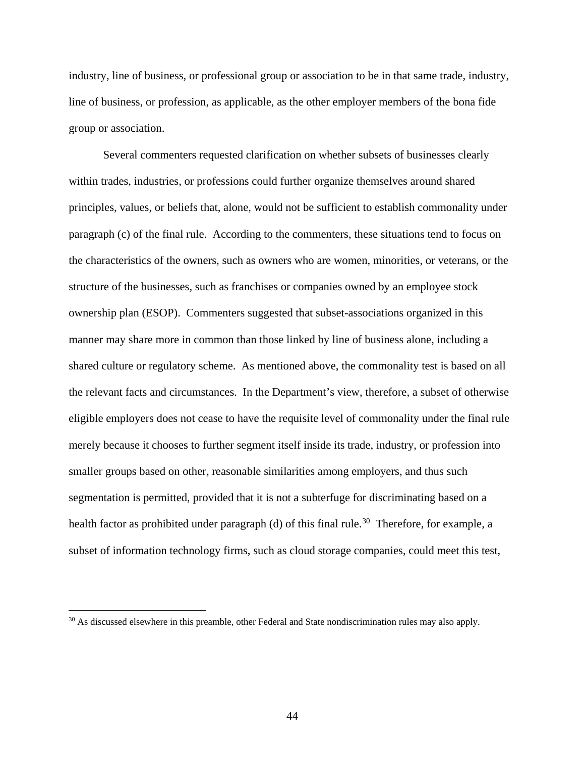industry, line of business, or professional group or association to be in that same trade, industry, line of business, or profession, as applicable, as the other employer members of the bona fide group or association.

Several commenters requested clarification on whether subsets of businesses clearly within trades, industries, or professions could further organize themselves around shared principles, values, or beliefs that, alone, would not be sufficient to establish commonality under paragraph (c) of the final rule. According to the commenters, these situations tend to focus on the characteristics of the owners, such as owners who are women, minorities, or veterans, or the structure of the businesses, such as franchises or companies owned by an employee stock ownership plan (ESOP). Commenters suggested that subset-associations organized in this manner may share more in common than those linked by line of business alone, including a shared culture or regulatory scheme. As mentioned above, the commonality test is based on all the relevant facts and circumstances. In the Department's view, therefore, a subset of otherwise eligible employers does not cease to have the requisite level of commonality under the final rule merely because it chooses to further segment itself inside its trade, industry, or profession into smaller groups based on other, reasonable similarities among employers, and thus such segmentation is permitted, provided that it is not a subterfuge for discriminating based on a health factor as prohibited under paragraph (d) of this final rule.<sup>[30](#page-43-0)</sup> Therefore, for example, a subset of information technology firms, such as cloud storage companies, could meet this test,

<span id="page-43-0"></span> $30$  As discussed elsewhere in this preamble, other Federal and State nondiscrimination rules may also apply.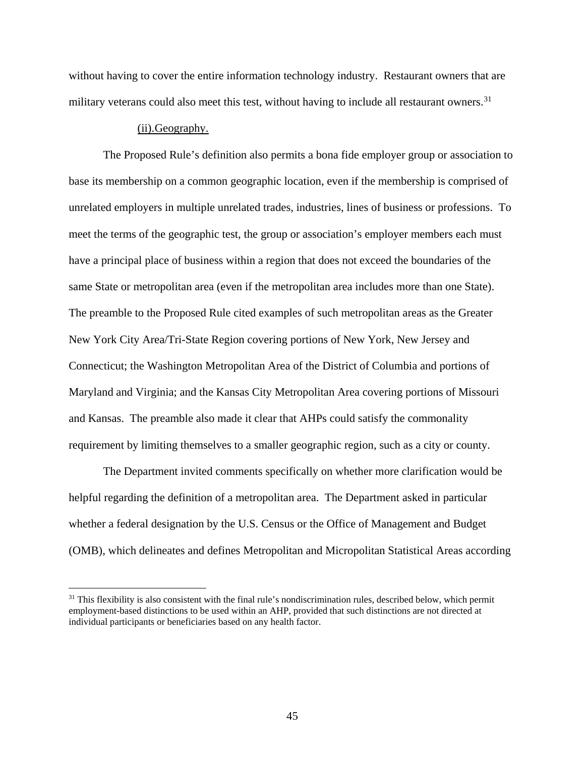without having to cover the entire information technology industry. Restaurant owners that are military veterans could also meet this test, without having to include all restaurant owners.<sup>31</sup>

### (ii).Geography.

 $\overline{a}$ 

The Proposed Rule's definition also permits a bona fide employer group or association to base its membership on a common geographic location, even if the membership is comprised of unrelated employers in multiple unrelated trades, industries, lines of business or professions. To meet the terms of the geographic test, the group or association's employer members each must have a principal place of business within a region that does not exceed the boundaries of the same State or metropolitan area (even if the metropolitan area includes more than one State). The preamble to the Proposed Rule cited examples of such metropolitan areas as the Greater New York City Area/Tri-State Region covering portions of New York, New Jersey and Connecticut; the Washington Metropolitan Area of the District of Columbia and portions of Maryland and Virginia; and the Kansas City Metropolitan Area covering portions of Missouri and Kansas. The preamble also made it clear that AHPs could satisfy the commonality requirement by limiting themselves to a smaller geographic region, such as a city or county.

The Department invited comments specifically on whether more clarification would be helpful regarding the definition of a metropolitan area. The Department asked in particular whether a federal designation by the U.S. Census or the Office of Management and Budget (OMB), which delineates and defines Metropolitan and Micropolitan Statistical Areas according

<span id="page-44-0"></span> $31$  This flexibility is also consistent with the final rule's nondiscrimination rules, described below, which permit employment-based distinctions to be used within an AHP, provided that such distinctions are not directed at individual participants or beneficiaries based on any health factor.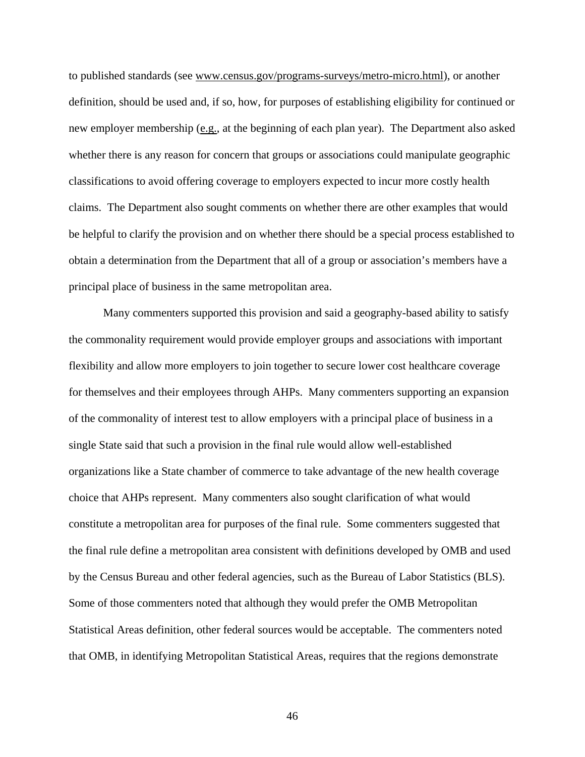to published standards (see www.census.gov/programs-surveys/metro-micro.html), or another definition, should be used and, if so, how, for purposes of establishing eligibility for continued or new employer membership (e.g., at the beginning of each plan year). The Department also asked whether there is any reason for concern that groups or associations could manipulate geographic classifications to avoid offering coverage to employers expected to incur more costly health claims. The Department also sought comments on whether there are other examples that would be helpful to clarify the provision and on whether there should be a special process established to obtain a determination from the Department that all of a group or association's members have a principal place of business in the same metropolitan area.

Many commenters supported this provision and said a geography-based ability to satisfy the commonality requirement would provide employer groups and associations with important flexibility and allow more employers to join together to secure lower cost healthcare coverage for themselves and their employees through AHPs. Many commenters supporting an expansion of the commonality of interest test to allow employers with a principal place of business in a single State said that such a provision in the final rule would allow well-established organizations like a State chamber of commerce to take advantage of the new health coverage choice that AHPs represent. Many commenters also sought clarification of what would constitute a metropolitan area for purposes of the final rule. Some commenters suggested that the final rule define a metropolitan area consistent with definitions developed by OMB and used by the Census Bureau and other federal agencies, such as the Bureau of Labor Statistics (BLS). Some of those commenters noted that although they would prefer the OMB Metropolitan Statistical Areas definition, other federal sources would be acceptable. The commenters noted that OMB, in identifying Metropolitan Statistical Areas, requires that the regions demonstrate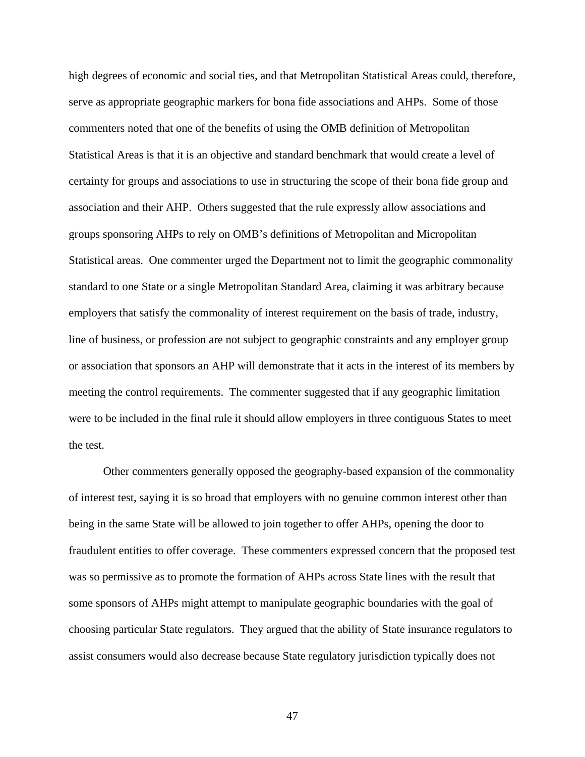high degrees of economic and social ties, and that Metropolitan Statistical Areas could, therefore, serve as appropriate geographic markers for bona fide associations and AHPs. Some of those commenters noted that one of the benefits of using the OMB definition of Metropolitan Statistical Areas is that it is an objective and standard benchmark that would create a level of certainty for groups and associations to use in structuring the scope of their bona fide group and association and their AHP. Others suggested that the rule expressly allow associations and groups sponsoring AHPs to rely on OMB's definitions of Metropolitan and Micropolitan Statistical areas. One commenter urged the Department not to limit the geographic commonality standard to one State or a single Metropolitan Standard Area, claiming it was arbitrary because employers that satisfy the commonality of interest requirement on the basis of trade, industry, line of business, or profession are not subject to geographic constraints and any employer group or association that sponsors an AHP will demonstrate that it acts in the interest of its members by meeting the control requirements. The commenter suggested that if any geographic limitation were to be included in the final rule it should allow employers in three contiguous States to meet the test.

Other commenters generally opposed the geography-based expansion of the commonality of interest test, saying it is so broad that employers with no genuine common interest other than being in the same State will be allowed to join together to offer AHPs, opening the door to fraudulent entities to offer coverage. These commenters expressed concern that the proposed test was so permissive as to promote the formation of AHPs across State lines with the result that some sponsors of AHPs might attempt to manipulate geographic boundaries with the goal of choosing particular State regulators. They argued that the ability of State insurance regulators to assist consumers would also decrease because State regulatory jurisdiction typically does not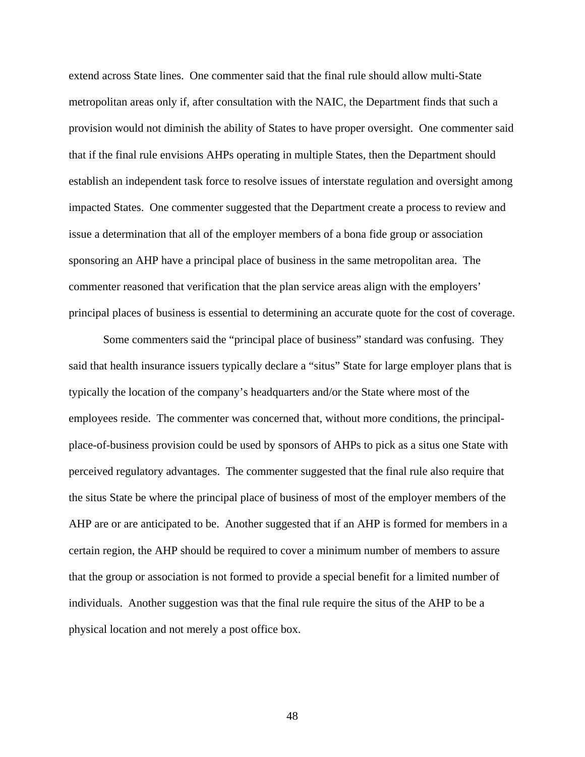extend across State lines. One commenter said that the final rule should allow multi-State metropolitan areas only if, after consultation with the NAIC, the Department finds that such a provision would not diminish the ability of States to have proper oversight. One commenter said that if the final rule envisions AHPs operating in multiple States, then the Department should establish an independent task force to resolve issues of interstate regulation and oversight among impacted States. One commenter suggested that the Department create a process to review and issue a determination that all of the employer members of a bona fide group or association sponsoring an AHP have a principal place of business in the same metropolitan area. The commenter reasoned that verification that the plan service areas align with the employers' principal places of business is essential to determining an accurate quote for the cost of coverage.

Some commenters said the "principal place of business" standard was confusing. They said that health insurance issuers typically declare a "situs" State for large employer plans that is typically the location of the company's headquarters and/or the State where most of the employees reside. The commenter was concerned that, without more conditions, the principalplace-of-business provision could be used by sponsors of AHPs to pick as a situs one State with perceived regulatory advantages. The commenter suggested that the final rule also require that the situs State be where the principal place of business of most of the employer members of the AHP are or are anticipated to be. Another suggested that if an AHP is formed for members in a certain region, the AHP should be required to cover a minimum number of members to assure that the group or association is not formed to provide a special benefit for a limited number of individuals. Another suggestion was that the final rule require the situs of the AHP to be a physical location and not merely a post office box.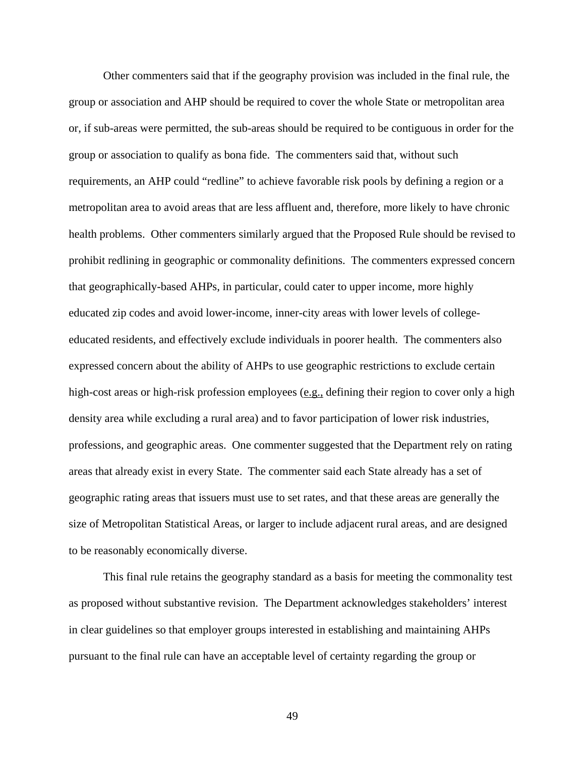Other commenters said that if the geography provision was included in the final rule, the group or association and AHP should be required to cover the whole State or metropolitan area or, if sub-areas were permitted, the sub-areas should be required to be contiguous in order for the group or association to qualify as bona fide. The commenters said that, without such requirements, an AHP could "redline" to achieve favorable risk pools by defining a region or a metropolitan area to avoid areas that are less affluent and, therefore, more likely to have chronic health problems. Other commenters similarly argued that the Proposed Rule should be revised to prohibit redlining in geographic or commonality definitions. The commenters expressed concern that geographically-based AHPs, in particular, could cater to upper income, more highly educated zip codes and avoid lower-income, inner-city areas with lower levels of collegeeducated residents, and effectively exclude individuals in poorer health. The commenters also expressed concern about the ability of AHPs to use geographic restrictions to exclude certain high-cost areas or high-risk profession employees (e.g., defining their region to cover only a high density area while excluding a rural area) and to favor participation of lower risk industries, professions, and geographic areas. One commenter suggested that the Department rely on rating areas that already exist in every State. The commenter said each State already has a set of geographic rating areas that issuers must use to set rates, and that these areas are generally the size of Metropolitan Statistical Areas, or larger to include adjacent rural areas, and are designed to be reasonably economically diverse.

This final rule retains the geography standard as a basis for meeting the commonality test as proposed without substantive revision. The Department acknowledges stakeholders' interest in clear guidelines so that employer groups interested in establishing and maintaining AHPs pursuant to the final rule can have an acceptable level of certainty regarding the group or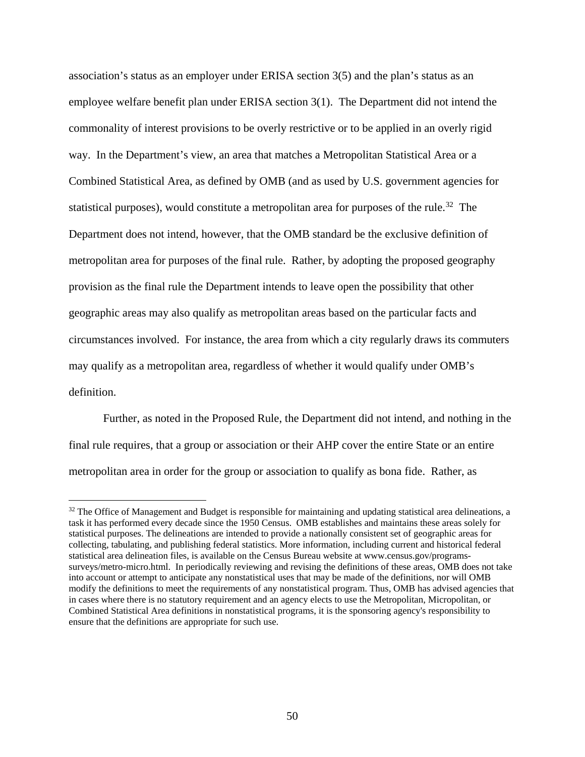association's status as an employer under ERISA section 3(5) and the plan's status as an employee welfare benefit plan under ERISA section 3(1). The Department did not intend the commonality of interest provisions to be overly restrictive or to be applied in an overly rigid way. In the Department's view, an area that matches a Metropolitan Statistical Area or a Combined Statistical Area, as defined by OMB (and as used by U.S. government agencies for statistical purposes), would constitute a metropolitan area for purposes of the rule.<sup>32</sup> The Department does not intend, however, that the OMB standard be the exclusive definition of metropolitan area for purposes of the final rule. Rather, by adopting the proposed geography provision as the final rule the Department intends to leave open the possibility that other geographic areas may also qualify as metropolitan areas based on the particular facts and circumstances involved. For instance, the area from which a city regularly draws its commuters may qualify as a metropolitan area, regardless of whether it would qualify under OMB's definition.

Further, as noted in the Proposed Rule, the Department did not intend, and nothing in the final rule requires, that a group or association or their AHP cover the entire State or an entire metropolitan area in order for the group or association to qualify as bona fide. Rather, as

<span id="page-49-0"></span> $32$  The Office of Management and Budget is responsible for maintaining and updating statistical area delineations, a task it has performed every decade since the 1950 Census. OMB establishes and maintains these areas solely for statistical purposes. The delineations are intended to provide a nationally consistent set of geographic areas for collecting, tabulating, and publishing federal statistics. More information, including current and historical federal statistical area delineation files, is available on the Census Bureau website at www.census.gov/programssurveys/metro-micro.html. In periodically reviewing and revising the definitions of these areas, OMB does not take into account or attempt to anticipate any nonstatistical uses that may be made of the definitions, nor will OMB modify the definitions to meet the requirements of any nonstatistical program. Thus, OMB has advised agencies that in cases where there is no statutory requirement and an agency elects to use the Metropolitan, Micropolitan, or Combined Statistical Area definitions in nonstatistical programs, it is the sponsoring agency's responsibility to ensure that the definitions are appropriate for such use.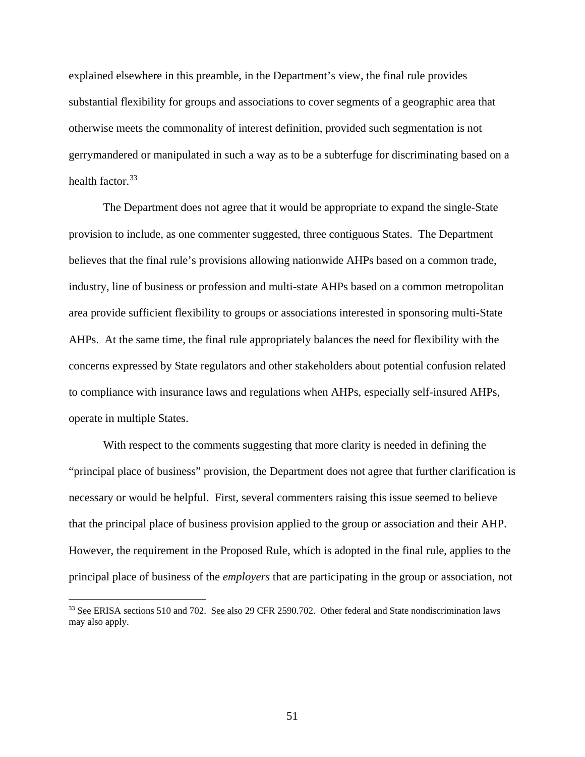explained elsewhere in this preamble, in the Department's view, the final rule provides substantial flexibility for groups and associations to cover segments of a geographic area that otherwise meets the commonality of interest definition, provided such segmentation is not gerrymandered or manipulated in such a way as to be a subterfuge for discriminating based on a health factor. [33](#page-50-0)

The Department does not agree that it would be appropriate to expand the single-State provision to include, as one commenter suggested, three contiguous States. The Department believes that the final rule's provisions allowing nationwide AHPs based on a common trade, industry, line of business or profession and multi-state AHPs based on a common metropolitan area provide sufficient flexibility to groups or associations interested in sponsoring multi-State AHPs. At the same time, the final rule appropriately balances the need for flexibility with the concerns expressed by State regulators and other stakeholders about potential confusion related to compliance with insurance laws and regulations when AHPs, especially self-insured AHPs, operate in multiple States.

With respect to the comments suggesting that more clarity is needed in defining the "principal place of business" provision, the Department does not agree that further clarification is necessary or would be helpful. First, several commenters raising this issue seemed to believe that the principal place of business provision applied to the group or association and their AHP. However, the requirement in the Proposed Rule, which is adopted in the final rule, applies to the principal place of business of the *employers* that are participating in the group or association, not

<span id="page-50-0"></span><sup>&</sup>lt;sup>33</sup> See ERISA sections 510 and 702. See also 29 CFR 2590.702. Other federal and State nondiscrimination laws may also apply.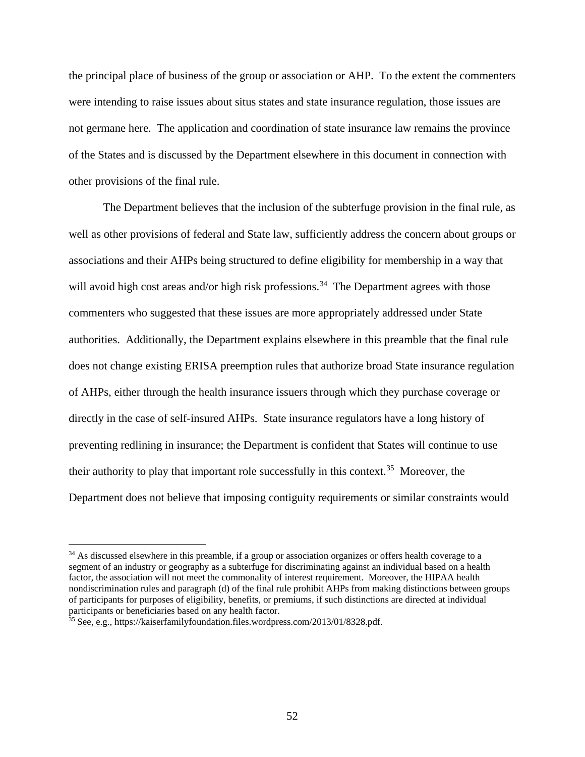the principal place of business of the group or association or AHP. To the extent the commenters were intending to raise issues about situs states and state insurance regulation, those issues are not germane here. The application and coordination of state insurance law remains the province of the States and is discussed by the Department elsewhere in this document in connection with other provisions of the final rule.

The Department believes that the inclusion of the subterfuge provision in the final rule, as well as other provisions of federal and State law, sufficiently address the concern about groups or associations and their AHPs being structured to define eligibility for membership in a way that will avoid high cost areas and/or high risk professions.<sup>34</sup> The Department agrees with those commenters who suggested that these issues are more appropriately addressed under State authorities. Additionally, the Department explains elsewhere in this preamble that the final rule does not change existing ERISA preemption rules that authorize broad State insurance regulation of AHPs, either through the health insurance issuers through which they purchase coverage or directly in the case of self-insured AHPs. State insurance regulators have a long history of preventing redlining in insurance; the Department is confident that States will continue to use their authority to play that important role successfully in this context. [35](#page-51-1) Moreover, the Department does not believe that imposing contiguity requirements or similar constraints would

<span id="page-51-0"></span><sup>&</sup>lt;sup>34</sup> As discussed elsewhere in this preamble, if a group or association organizes or offers health coverage to a segment of an industry or geography as a subterfuge for discriminating against an individual based on a health factor, the association will not meet the commonality of interest requirement. Moreover, the HIPAA health nondiscrimination rules and paragraph (d) of the final rule prohibit AHPs from making distinctions between groups of participants for purposes of eligibility, benefits, or premiums, if such distinctions are directed at individual participants or beneficiaries based on any health factor.

<span id="page-51-1"></span> $35$  See, e.g., https://kaiserfamilyfoundation.files.wordpress.com/2013/01/8328.pdf.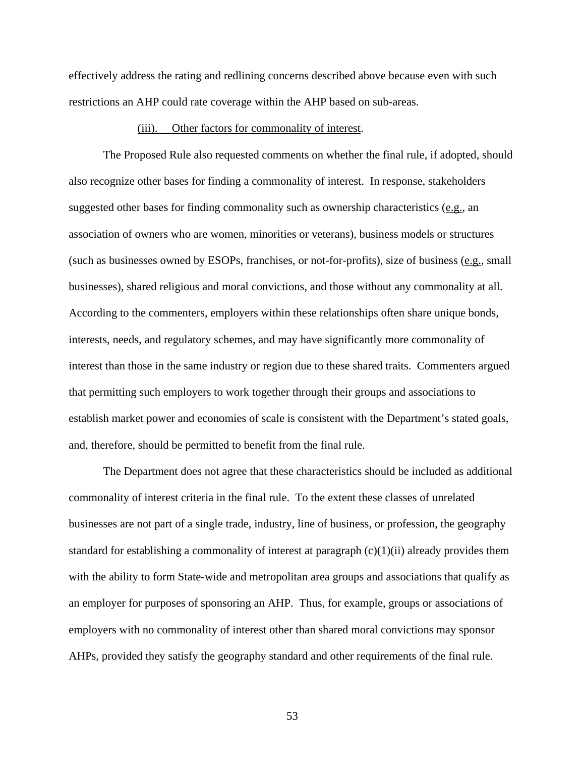effectively address the rating and redlining concerns described above because even with such restrictions an AHP could rate coverage within the AHP based on sub-areas.

### (iii). Other factors for commonality of interest.

The Proposed Rule also requested comments on whether the final rule, if adopted, should also recognize other bases for finding a commonality of interest. In response, stakeholders suggested other bases for finding commonality such as ownership characteristics (e.g., an association of owners who are women, minorities or veterans), business models or structures (such as businesses owned by ESOPs, franchises, or not-for-profits), size of business (e.g., small businesses), shared religious and moral convictions, and those without any commonality at all. According to the commenters, employers within these relationships often share unique bonds, interests, needs, and regulatory schemes, and may have significantly more commonality of interest than those in the same industry or region due to these shared traits. Commenters argued that permitting such employers to work together through their groups and associations to establish market power and economies of scale is consistent with the Department's stated goals, and, therefore, should be permitted to benefit from the final rule.

The Department does not agree that these characteristics should be included as additional commonality of interest criteria in the final rule. To the extent these classes of unrelated businesses are not part of a single trade, industry, line of business, or profession, the geography standard for establishing a commonality of interest at paragraph (c)(1)(ii) already provides them with the ability to form State-wide and metropolitan area groups and associations that qualify as an employer for purposes of sponsoring an AHP. Thus, for example, groups or associations of employers with no commonality of interest other than shared moral convictions may sponsor AHPs, provided they satisfy the geography standard and other requirements of the final rule.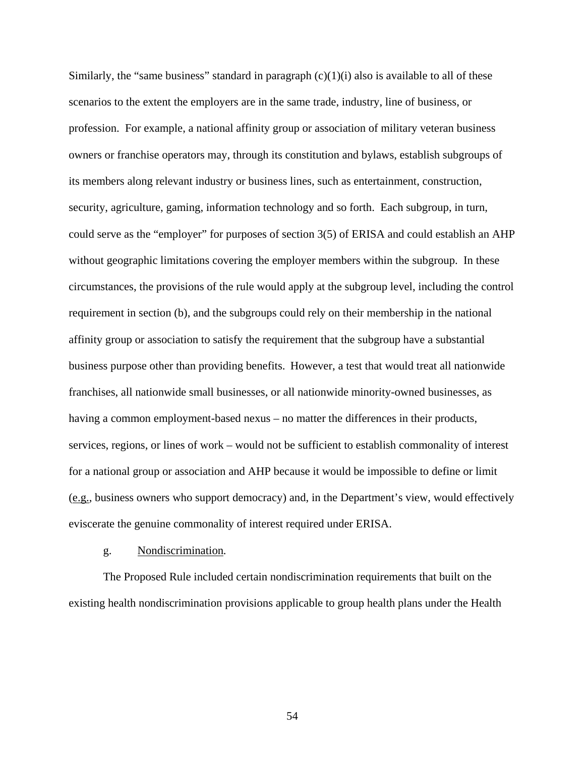Similarly, the "same business" standard in paragraph  $(c)(1)(i)$  also is available to all of these scenarios to the extent the employers are in the same trade, industry, line of business, or profession. For example, a national affinity group or association of military veteran business owners or franchise operators may, through its constitution and bylaws, establish subgroups of its members along relevant industry or business lines, such as entertainment, construction, security, agriculture, gaming, information technology and so forth. Each subgroup, in turn, could serve as the "employer" for purposes of section 3(5) of ERISA and could establish an AHP without geographic limitations covering the employer members within the subgroup. In these circumstances, the provisions of the rule would apply at the subgroup level, including the control requirement in section (b), and the subgroups could rely on their membership in the national affinity group or association to satisfy the requirement that the subgroup have a substantial business purpose other than providing benefits. However, a test that would treat all nationwide franchises, all nationwide small businesses, or all nationwide minority-owned businesses, as having a common employment-based nexus – no matter the differences in their products, services, regions, or lines of work – would not be sufficient to establish commonality of interest for a national group or association and AHP because it would be impossible to define or limit (e.g., business owners who support democracy) and, in the Department's view, would effectively eviscerate the genuine commonality of interest required under ERISA.

#### g. Nondiscrimination*.*

The Proposed Rule included certain nondiscrimination requirements that built on the existing health nondiscrimination provisions applicable to group health plans under the Health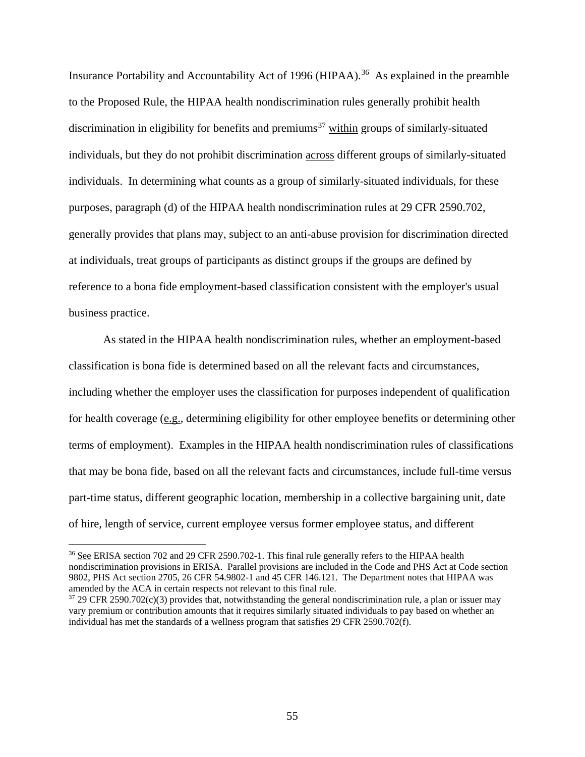Insurance Portability and Accountability Act of 1996 (HIPAA). [36](#page-54-0) As explained in the preamble to the Proposed Rule, the HIPAA health nondiscrimination rules generally prohibit health discrimination in eligibility for benefits and premiums<sup>[37](#page-54-1)</sup> within groups of similarly-situated individuals, but they do not prohibit discrimination across different groups of similarly-situated individuals. In determining what counts as a group of similarly-situated individuals, for these purposes, paragraph (d) of the HIPAA health nondiscrimination rules at 29 CFR 2590.702, generally provides that plans may, subject to an anti-abuse provision for discrimination directed at individuals, treat groups of participants as distinct groups if the groups are defined by reference to a bona fide employment-based classification consistent with the employer's usual business practice.

As stated in the HIPAA health nondiscrimination rules, whether an employment-based classification is bona fide is determined based on all the relevant facts and circumstances, including whether the employer uses the classification for purposes independent of qualification for health coverage (e.g., determining eligibility for other employee benefits or determining other terms of employment). Examples in the HIPAA health nondiscrimination rules of classifications that may be bona fide, based on all the relevant facts and circumstances, include full-time versus part-time status, different geographic location, membership in a collective bargaining unit, date of hire, length of service, current employee versus former employee status, and different

<span id="page-54-0"></span><sup>&</sup>lt;sup>36</sup> See ERISA section 702 and 29 CFR 2590.702-1. This final rule generally refers to the HIPAA health nondiscrimination provisions in ERISA. Parallel provisions are included in the Code and PHS Act at Code section 9802, PHS Act section 2705, 26 CFR 54.9802-1 and 45 CFR 146.121. The Department notes that HIPAA was amended by the ACA in certain respects not relevant to this final rule.

<span id="page-54-1"></span> $37$  29 CFR 2590.702(c)(3) provides that, notwithstanding the general nondiscrimination rule, a plan or issuer may vary premium or contribution amounts that it requires similarly situated individuals to pay based on whether an individual has met the standards of a wellness program that satisfies 29 CFR 2590.702(f).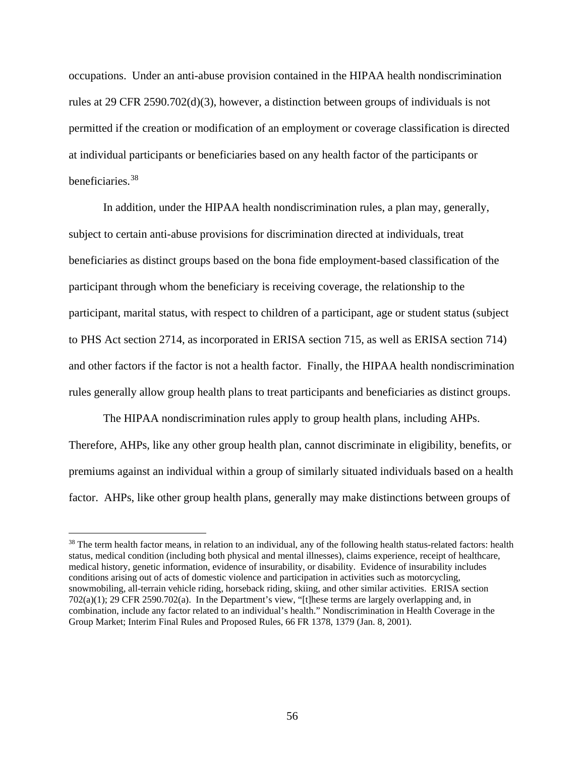occupations. Under an anti-abuse provision contained in the HIPAA health nondiscrimination rules at 29 CFR 2590.702(d)(3), however, a distinction between groups of individuals is not permitted if the creation or modification of an employment or coverage classification is directed at individual participants or beneficiaries based on any health factor of the participants or beneficiaries.[38](#page-55-0)

In addition, under the HIPAA health nondiscrimination rules, a plan may, generally, subject to certain anti-abuse provisions for discrimination directed at individuals, treat beneficiaries as distinct groups based on the bona fide employment-based classification of the participant through whom the beneficiary is receiving coverage, the relationship to the participant, marital status, with respect to children of a participant, age or student status (subject to PHS Act section 2714, as incorporated in ERISA section 715, as well as ERISA section 714) and other factors if the factor is not a health factor. Finally, the HIPAA health nondiscrimination rules generally allow group health plans to treat participants and beneficiaries as distinct groups.

The HIPAA nondiscrimination rules apply to group health plans, including AHPs. Therefore, AHPs, like any other group health plan, cannot discriminate in eligibility, benefits, or premiums against an individual within a group of similarly situated individuals based on a health factor. AHPs, like other group health plans, generally may make distinctions between groups of

<span id="page-55-0"></span><sup>&</sup>lt;sup>38</sup> The term health factor means, in relation to an individual, any of the following health status-related factors: health status, medical condition (including both physical and mental illnesses), claims experience, receipt of healthcare, medical history, genetic information, evidence of insurability, or disability. Evidence of insurability includes conditions arising out of acts of domestic violence and participation in activities such as motorcycling, snowmobiling, all-terrain vehicle riding, horseback riding, skiing, and other similar activities. ERISA section 702(a)(1); 29 CFR 2590.702(a). In the Department's view, "[t]hese terms are largely overlapping and, in combination, include any factor related to an individual's health." Nondiscrimination in Health Coverage in the Group Market; Interim Final Rules and Proposed Rules, 66 FR 1378, 1379 (Jan. 8, 2001).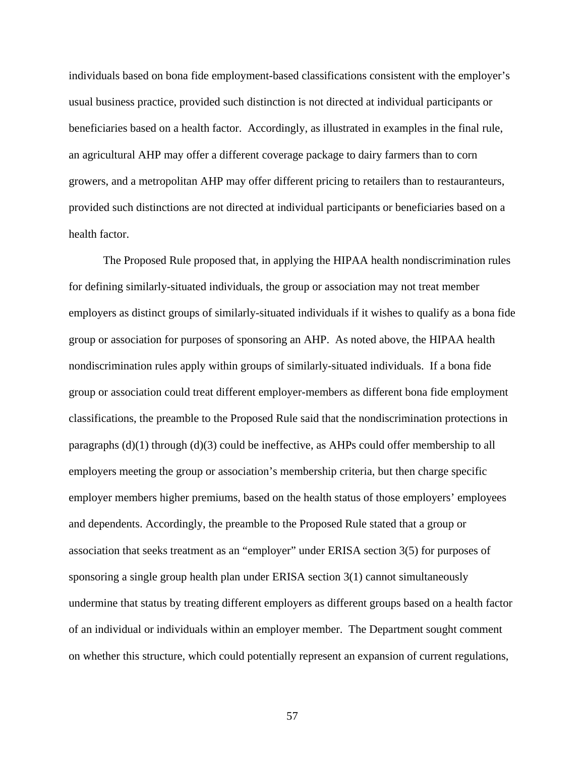individuals based on bona fide employment-based classifications consistent with the employer's usual business practice, provided such distinction is not directed at individual participants or beneficiaries based on a health factor. Accordingly, as illustrated in examples in the final rule, an agricultural AHP may offer a different coverage package to dairy farmers than to corn growers, and a metropolitan AHP may offer different pricing to retailers than to restauranteurs, provided such distinctions are not directed at individual participants or beneficiaries based on a health factor.

The Proposed Rule proposed that, in applying the HIPAA health nondiscrimination rules for defining similarly-situated individuals, the group or association may not treat member employers as distinct groups of similarly-situated individuals if it wishes to qualify as a bona fide group or association for purposes of sponsoring an AHP. As noted above, the HIPAA health nondiscrimination rules apply within groups of similarly-situated individuals. If a bona fide group or association could treat different employer-members as different bona fide employment classifications, the preamble to the Proposed Rule said that the nondiscrimination protections in paragraphs  $(d)(1)$  through  $(d)(3)$  could be ineffective, as AHPs could offer membership to all employers meeting the group or association's membership criteria, but then charge specific employer members higher premiums, based on the health status of those employers' employees and dependents. Accordingly, the preamble to the Proposed Rule stated that a group or association that seeks treatment as an "employer" under ERISA section 3(5) for purposes of sponsoring a single group health plan under ERISA section 3(1) cannot simultaneously undermine that status by treating different employers as different groups based on a health factor of an individual or individuals within an employer member. The Department sought comment on whether this structure, which could potentially represent an expansion of current regulations,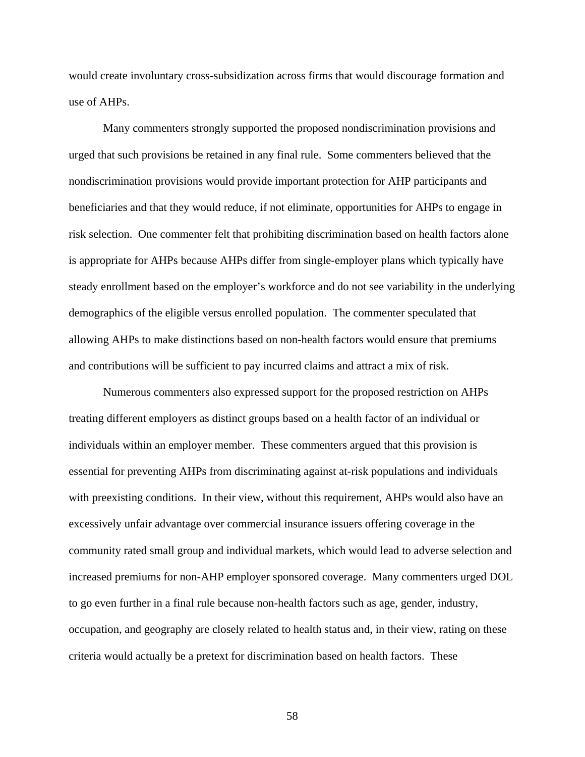would create involuntary cross-subsidization across firms that would discourage formation and use of AHPs.

Many commenters strongly supported the proposed nondiscrimination provisions and urged that such provisions be retained in any final rule. Some commenters believed that the nondiscrimination provisions would provide important protection for AHP participants and beneficiaries and that they would reduce, if not eliminate, opportunities for AHPs to engage in risk selection. One commenter felt that prohibiting discrimination based on health factors alone is appropriate for AHPs because AHPs differ from single-employer plans which typically have steady enrollment based on the employer's workforce and do not see variability in the underlying demographics of the eligible versus enrolled population. The commenter speculated that allowing AHPs to make distinctions based on non-health factors would ensure that premiums and contributions will be sufficient to pay incurred claims and attract a mix of risk.

Numerous commenters also expressed support for the proposed restriction on AHPs treating different employers as distinct groups based on a health factor of an individual or individuals within an employer member. These commenters argued that this provision is essential for preventing AHPs from discriminating against at-risk populations and individuals with preexisting conditions. In their view, without this requirement, AHPs would also have an excessively unfair advantage over commercial insurance issuers offering coverage in the community rated small group and individual markets, which would lead to adverse selection and increased premiums for non-AHP employer sponsored coverage. Many commenters urged DOL to go even further in a final rule because non-health factors such as age, gender, industry, occupation, and geography are closely related to health status and, in their view, rating on these criteria would actually be a pretext for discrimination based on health factors. These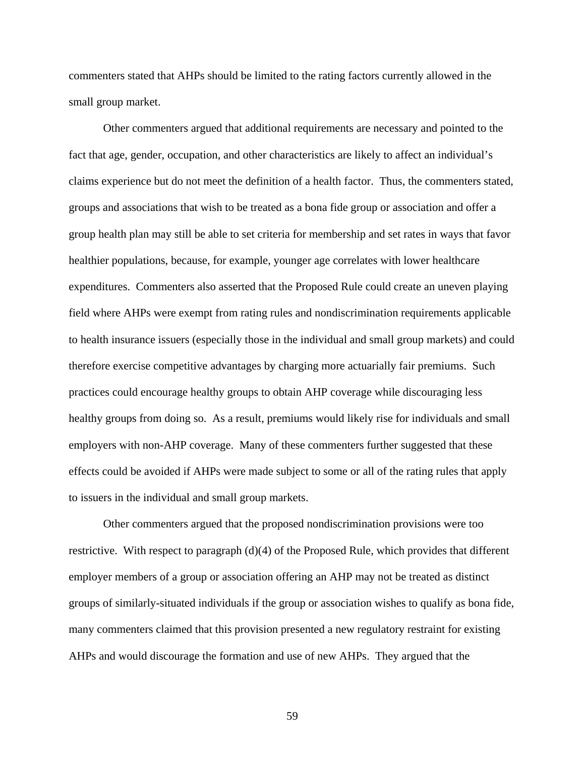commenters stated that AHPs should be limited to the rating factors currently allowed in the small group market.

Other commenters argued that additional requirements are necessary and pointed to the fact that age, gender, occupation, and other characteristics are likely to affect an individual's claims experience but do not meet the definition of a health factor. Thus, the commenters stated, groups and associations that wish to be treated as a bona fide group or association and offer a group health plan may still be able to set criteria for membership and set rates in ways that favor healthier populations, because, for example, younger age correlates with lower healthcare expenditures. Commenters also asserted that the Proposed Rule could create an uneven playing field where AHPs were exempt from rating rules and nondiscrimination requirements applicable to health insurance issuers (especially those in the individual and small group markets) and could therefore exercise competitive advantages by charging more actuarially fair premiums. Such practices could encourage healthy groups to obtain AHP coverage while discouraging less healthy groups from doing so. As a result, premiums would likely rise for individuals and small employers with non-AHP coverage. Many of these commenters further suggested that these effects could be avoided if AHPs were made subject to some or all of the rating rules that apply to issuers in the individual and small group markets.

Other commenters argued that the proposed nondiscrimination provisions were too restrictive. With respect to paragraph (d)(4) of the Proposed Rule, which provides that different employer members of a group or association offering an AHP may not be treated as distinct groups of similarly-situated individuals if the group or association wishes to qualify as bona fide, many commenters claimed that this provision presented a new regulatory restraint for existing AHPs and would discourage the formation and use of new AHPs. They argued that the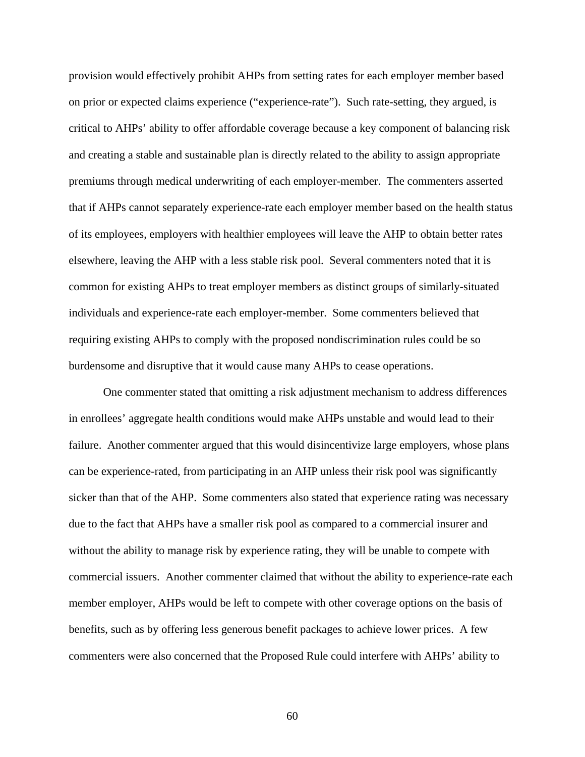provision would effectively prohibit AHPs from setting rates for each employer member based on prior or expected claims experience ("experience-rate"). Such rate-setting, they argued, is critical to AHPs' ability to offer affordable coverage because a key component of balancing risk and creating a stable and sustainable plan is directly related to the ability to assign appropriate premiums through medical underwriting of each employer-member. The commenters asserted that if AHPs cannot separately experience-rate each employer member based on the health status of its employees, employers with healthier employees will leave the AHP to obtain better rates elsewhere, leaving the AHP with a less stable risk pool. Several commenters noted that it is common for existing AHPs to treat employer members as distinct groups of similarly-situated individuals and experience-rate each employer-member. Some commenters believed that requiring existing AHPs to comply with the proposed nondiscrimination rules could be so burdensome and disruptive that it would cause many AHPs to cease operations.

One commenter stated that omitting a risk adjustment mechanism to address differences in enrollees' aggregate health conditions would make AHPs unstable and would lead to their failure. Another commenter argued that this would disincentivize large employers, whose plans can be experience-rated, from participating in an AHP unless their risk pool was significantly sicker than that of the AHP. Some commenters also stated that experience rating was necessary due to the fact that AHPs have a smaller risk pool as compared to a commercial insurer and without the ability to manage risk by experience rating, they will be unable to compete with commercial issuers. Another commenter claimed that without the ability to experience-rate each member employer, AHPs would be left to compete with other coverage options on the basis of benefits, such as by offering less generous benefit packages to achieve lower prices. A few commenters were also concerned that the Proposed Rule could interfere with AHPs' ability to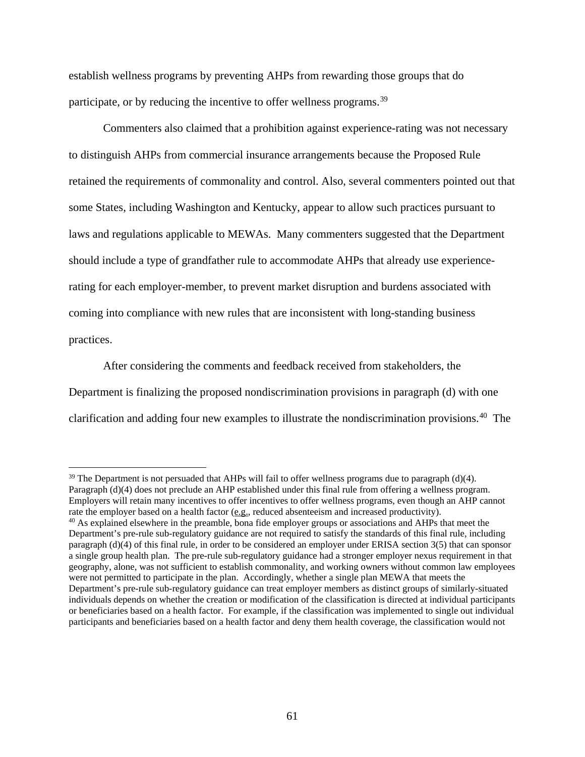establish wellness programs by preventing AHPs from rewarding those groups that do participate, or by reducing the incentive to offer wellness programs.<sup>[39](#page-60-0)</sup>

Commenters also claimed that a prohibition against experience-rating was not necessary to distinguish AHPs from commercial insurance arrangements because the Proposed Rule retained the requirements of commonality and control. Also, several commenters pointed out that some States, including Washington and Kentucky, appear to allow such practices pursuant to laws and regulations applicable to MEWAs. Many commenters suggested that the Department should include a type of grandfather rule to accommodate AHPs that already use experiencerating for each employer-member, to prevent market disruption and burdens associated with coming into compliance with new rules that are inconsistent with long-standing business practices.

After considering the comments and feedback received from stakeholders, the Department is finalizing the proposed nondiscrimination provisions in paragraph (d) with one clarification and adding four new examples to illustrate the nondiscrimination provisions. [40](#page-60-1) The

<span id="page-60-0"></span><sup>&</sup>lt;sup>39</sup> The Department is not persuaded that AHPs will fail to offer wellness programs due to paragraph (d)(4). Paragraph (d)(4) does not preclude an AHP established under this final rule from offering a wellness program. Employers will retain many incentives to offer incentives to offer wellness programs, even though an AHP cannot rate the employer based on a health factor (e.g., reduced absenteeism and increased productivity).

<span id="page-60-1"></span><sup>&</sup>lt;sup>40</sup> As explained elsewhere in the preamble, bona fide employer groups or associations and AHPs that meet the Department's pre-rule sub-regulatory guidance are not required to satisfy the standards of this final rule, including paragraph (d)(4) of this final rule, in order to be considered an employer under ERISA section 3(5) that can sponsor a single group health plan. The pre-rule sub-regulatory guidance had a stronger employer nexus requirement in that geography, alone, was not sufficient to establish commonality, and working owners without common law employees were not permitted to participate in the plan. Accordingly, whether a single plan MEWA that meets the Department's pre-rule sub-regulatory guidance can treat employer members as distinct groups of similarly-situated individuals depends on whether the creation or modification of the classification is directed at individual participants or beneficiaries based on a health factor. For example, if the classification was implemented to single out individual participants and beneficiaries based on a health factor and deny them health coverage, the classification would not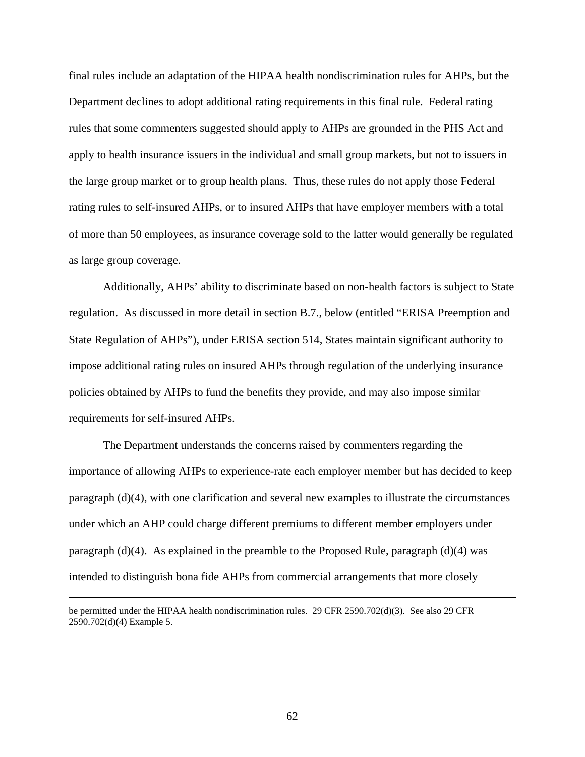final rules include an adaptation of the HIPAA health nondiscrimination rules for AHPs, but the Department declines to adopt additional rating requirements in this final rule. Federal rating rules that some commenters suggested should apply to AHPs are grounded in the PHS Act and apply to health insurance issuers in the individual and small group markets, but not to issuers in the large group market or to group health plans. Thus, these rules do not apply those Federal rating rules to self-insured AHPs, or to insured AHPs that have employer members with a total of more than 50 employees, as insurance coverage sold to the latter would generally be regulated as large group coverage.

Additionally, AHPs' ability to discriminate based on non-health factors is subject to State regulation. As discussed in more detail in section B.7., below (entitled "ERISA Preemption and State Regulation of AHPs"), under ERISA section 514, States maintain significant authority to impose additional rating rules on insured AHPs through regulation of the underlying insurance policies obtained by AHPs to fund the benefits they provide, and may also impose similar requirements for self-insured AHPs.

The Department understands the concerns raised by commenters regarding the importance of allowing AHPs to experience-rate each employer member but has decided to keep paragraph (d)(4), with one clarification and several new examples to illustrate the circumstances under which an AHP could charge different premiums to different member employers under paragraph (d)(4). As explained in the preamble to the Proposed Rule, paragraph (d)(4) was intended to distinguish bona fide AHPs from commercial arrangements that more closely

be permitted under the HIPAA health nondiscrimination rules. 29 CFR 2590.702(d)(3). See also 29 CFR 2590.702(d)(4) Example 5.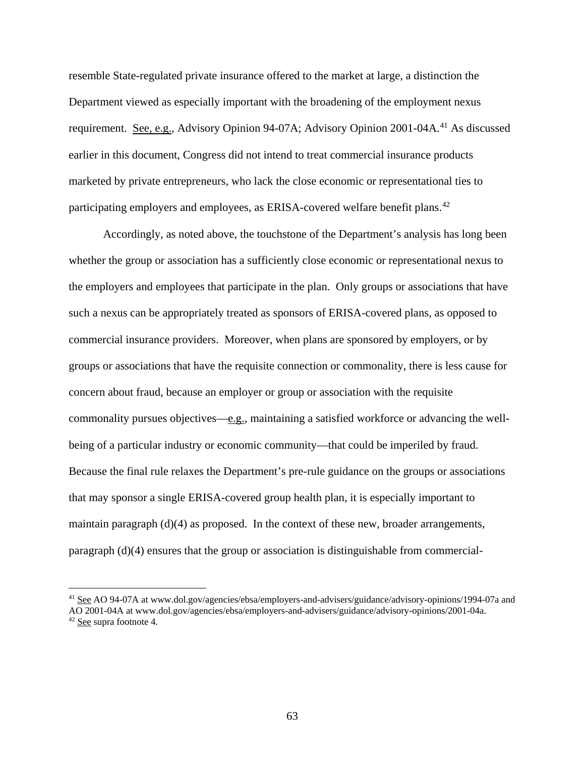resemble State-regulated private insurance offered to the market at large, a distinction the Department viewed as especially important with the broadening of the employment nexus requirement. See, e.g., Advisory Opinion 94-07A; Advisory Opinion 2001-04A.<sup>[41](#page-62-0)</sup> As discussed earlier in this document, Congress did not intend to treat commercial insurance products marketed by private entrepreneurs, who lack the close economic or representational ties to participating employers and employees, as ERISA-covered welfare benefit plans.<sup>[42](#page-62-1)</sup>

Accordingly, as noted above, the touchstone of the Department's analysis has long been whether the group or association has a sufficiently close economic or representational nexus to the employers and employees that participate in the plan. Only groups or associations that have such a nexus can be appropriately treated as sponsors of ERISA-covered plans, as opposed to commercial insurance providers. Moreover, when plans are sponsored by employers, or by groups or associations that have the requisite connection or commonality, there is less cause for concern about fraud, because an employer or group or association with the requisite commonality pursues objectives—e.g., maintaining a satisfied workforce or advancing the wellbeing of a particular industry or economic community—that could be imperiled by fraud. Because the final rule relaxes the Department's pre-rule guidance on the groups or associations that may sponsor a single ERISA-covered group health plan, it is especially important to maintain paragraph  $(d)(4)$  as proposed. In the context of these new, broader arrangements, paragraph (d)(4) ensures that the group or association is distinguishable from commercial-

<span id="page-62-0"></span><sup>&</sup>lt;sup>41</sup> See AO 94-07A at www.dol.gov/agencies/ebsa/employers-and-advisers/guidance/advisory-opinions/1994-07a and AO 2001-04A at www.dol.gov/agencies/ebsa/employers-and-advisers/guidance/advisory-opinions/2001-04a.

<span id="page-62-1"></span><sup>42</sup> See supra footnote 4.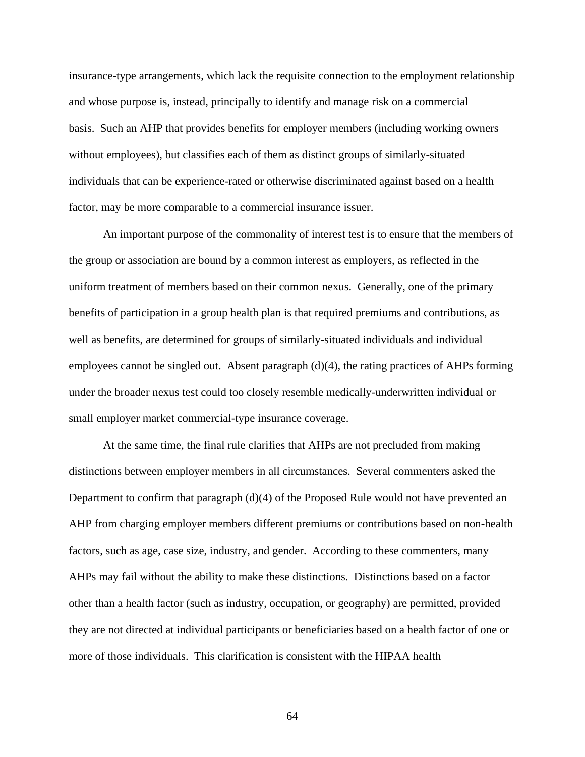insurance-type arrangements, which lack the requisite connection to the employment relationship and whose purpose is, instead, principally to identify and manage risk on a commercial basis. Such an AHP that provides benefits for employer members (including working owners without employees), but classifies each of them as distinct groups of similarly-situated individuals that can be experience-rated or otherwise discriminated against based on a health factor, may be more comparable to a commercial insurance issuer.

An important purpose of the commonality of interest test is to ensure that the members of the group or association are bound by a common interest as employers, as reflected in the uniform treatment of members based on their common nexus. Generally, one of the primary benefits of participation in a group health plan is that required premiums and contributions, as well as benefits, are determined for groups of similarly-situated individuals and individual employees cannot be singled out. Absent paragraph  $(d)(4)$ , the rating practices of AHPs forming under the broader nexus test could too closely resemble medically-underwritten individual or small employer market commercial-type insurance coverage.

At the same time, the final rule clarifies that AHPs are not precluded from making distinctions between employer members in all circumstances. Several commenters asked the Department to confirm that paragraph (d)(4) of the Proposed Rule would not have prevented an AHP from charging employer members different premiums or contributions based on non-health factors, such as age, case size, industry, and gender. According to these commenters, many AHPs may fail without the ability to make these distinctions. Distinctions based on a factor other than a health factor (such as industry, occupation, or geography) are permitted, provided they are not directed at individual participants or beneficiaries based on a health factor of one or more of those individuals. This clarification is consistent with the HIPAA health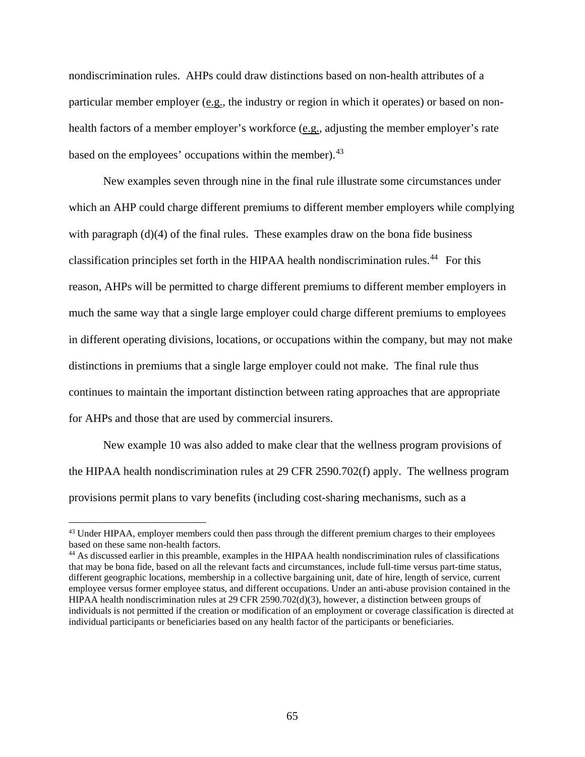nondiscrimination rules. AHPs could draw distinctions based on non-health attributes of a particular member employer (e.g., the industry or region in which it operates) or based on nonhealth factors of a member employer's workforce (e.g., adjusting the member employer's rate based on the employees' occupations within the member).<sup>[43](#page-64-0)</sup>

New examples seven through nine in the final rule illustrate some circumstances under which an AHP could charge different premiums to different member employers while complying with paragraph  $(d)(4)$  of the final rules. These examples draw on the bona fide business classification principles set forth in the HIPAA health nondiscrimination rules.<sup>[44](#page-64-1)</sup> For this reason, AHPs will be permitted to charge different premiums to different member employers in much the same way that a single large employer could charge different premiums to employees in different operating divisions, locations, or occupations within the company, but may not make distinctions in premiums that a single large employer could not make. The final rule thus continues to maintain the important distinction between rating approaches that are appropriate for AHPs and those that are used by commercial insurers.

New example 10 was also added to make clear that the wellness program provisions of the HIPAA health nondiscrimination rules at 29 CFR 2590.702(f) apply. The wellness program provisions permit plans to vary benefits (including cost-sharing mechanisms, such as a

<span id="page-64-0"></span><sup>&</sup>lt;sup>43</sup> Under HIPAA, employer members could then pass through the different premium charges to their employees based on these same non-health factors.

<span id="page-64-1"></span><sup>44</sup> As discussed earlier in this preamble, examples in the HIPAA health nondiscrimination rules of classifications that may be bona fide, based on all the relevant facts and circumstances, include full-time versus part-time status, different geographic locations, membership in a collective bargaining unit, date of hire, length of service, current employee versus former employee status, and different occupations. Under an anti-abuse provision contained in the HIPAA health nondiscrimination rules at 29 CFR 2590.702(d)(3), however, a distinction between groups of individuals is not permitted if the creation or modification of an employment or coverage classification is directed at individual participants or beneficiaries based on any health factor of the participants or beneficiaries.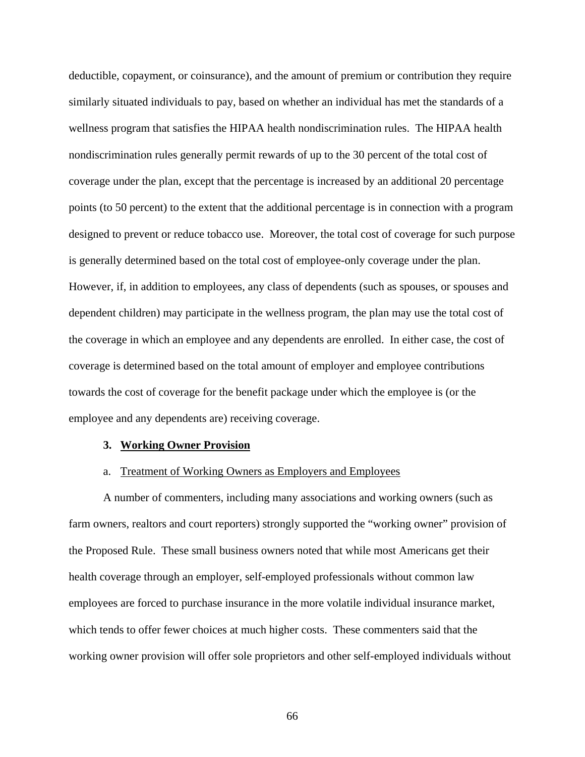deductible, copayment, or coinsurance), and the amount of premium or contribution they require similarly situated individuals to pay, based on whether an individual has met the standards of a wellness program that satisfies the HIPAA health nondiscrimination rules. The HIPAA health nondiscrimination rules generally permit rewards of up to the 30 percent of the total cost of coverage under the plan, except that the percentage is increased by an additional 20 percentage points (to 50 percent) to the extent that the additional percentage is in connection with a program designed to prevent or reduce tobacco use. Moreover, the total cost of coverage for such purpose is generally determined based on the total cost of employee-only coverage under the plan. However, if, in addition to employees, any class of dependents (such as spouses, or spouses and dependent children) may participate in the wellness program, the plan may use the total cost of the coverage in which an employee and any dependents are enrolled. In either case, the cost of coverage is determined based on the total amount of employer and employee contributions towards the cost of coverage for the benefit package under which the employee is (or the employee and any dependents are) receiving coverage.

### **3. Working Owner Provision**

#### a. Treatment of Working Owners as Employers and Employees

A number of commenters, including many associations and working owners (such as farm owners, realtors and court reporters) strongly supported the "working owner" provision of the Proposed Rule. These small business owners noted that while most Americans get their health coverage through an employer, self-employed professionals without common law employees are forced to purchase insurance in the more volatile individual insurance market, which tends to offer fewer choices at much higher costs. These commenters said that the working owner provision will offer sole proprietors and other self-employed individuals without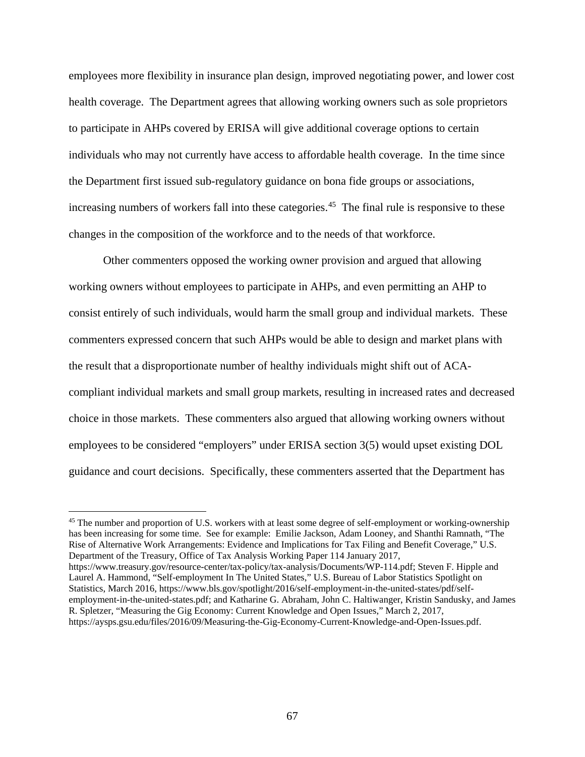employees more flexibility in insurance plan design, improved negotiating power, and lower cost health coverage. The Department agrees that allowing working owners such as sole proprietors to participate in AHPs covered by ERISA will give additional coverage options to certain individuals who may not currently have access to affordable health coverage. In the time since the Department first issued sub-regulatory guidance on bona fide groups or associations, increasing numbers of workers fall into these categories.<sup>45</sup> The final rule is responsive to these changes in the composition of the workforce and to the needs of that workforce.

Other commenters opposed the working owner provision and argued that allowing working owners without employees to participate in AHPs, and even permitting an AHP to consist entirely of such individuals, would harm the small group and individual markets. These commenters expressed concern that such AHPs would be able to design and market plans with the result that a disproportionate number of healthy individuals might shift out of ACAcompliant individual markets and small group markets, resulting in increased rates and decreased choice in those markets. These commenters also argued that allowing working owners without employees to be considered "employers" under ERISA section 3(5) would upset existing DOL guidance and court decisions. Specifically, these commenters asserted that the Department has

<span id="page-66-0"></span><sup>&</sup>lt;sup>45</sup> The number and proportion of U.S. workers with at least some degree of self-employment or working-ownership has been increasing for some time. See for example: Emilie Jackson, Adam Looney, and Shanthi Ramnath, "The Rise of Alternative Work Arrangements: Evidence and Implications for Tax Filing and Benefit Coverage," U.S. Department of the Treasury, Office of Tax Analysis Working Paper 114 January 2017, https://www.treasury.gov/resource-center/tax-policy/tax-analysis/Documents/WP-114.pdf; Steven F. Hipple and Laurel A. Hammond, "Self-employment In The United States," U.S. Bureau of Labor Statistics Spotlight on Statistics, March 2016, https://www.bls.gov/spotlight/2016/self-employment-in-the-united-states/pdf/selfemployment-in-the-united-states.pdf; and Katharine G. Abraham, John C. Haltiwanger, Kristin Sandusky, and James

R. Spletzer, "Measuring the Gig Economy: Current Knowledge and Open Issues," March 2, 2017, https://aysps.gsu.edu/files/2016/09/Measuring-the-Gig-Economy-Current-Knowledge-and-Open-Issues.pdf.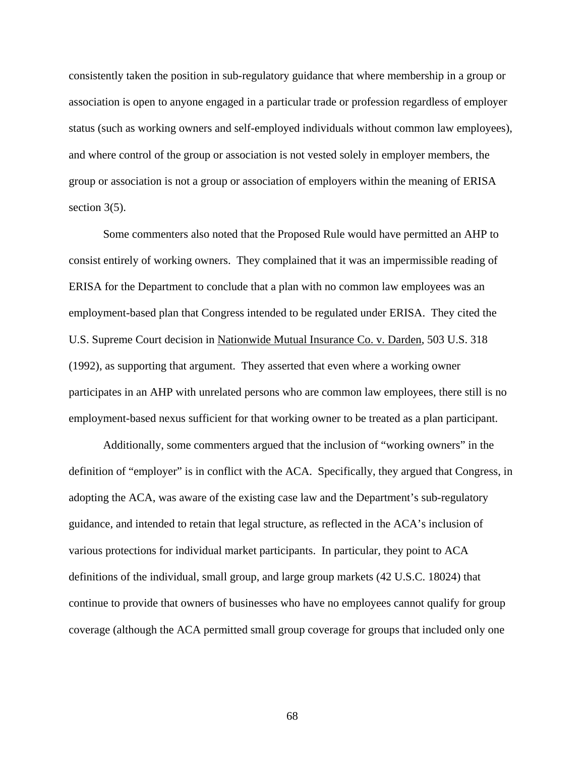consistently taken the position in sub-regulatory guidance that where membership in a group or association is open to anyone engaged in a particular trade or profession regardless of employer status (such as working owners and self-employed individuals without common law employees), and where control of the group or association is not vested solely in employer members, the group or association is not a group or association of employers within the meaning of ERISA section 3(5).

Some commenters also noted that the Proposed Rule would have permitted an AHP to consist entirely of working owners. They complained that it was an impermissible reading of ERISA for the Department to conclude that a plan with no common law employees was an employment-based plan that Congress intended to be regulated under ERISA. They cited the U.S. Supreme Court decision in Nationwide Mutual Insurance Co. v. Darden, 503 U.S. 318 (1992), as supporting that argument. They asserted that even where a working owner participates in an AHP with unrelated persons who are common law employees, there still is no employment-based nexus sufficient for that working owner to be treated as a plan participant.

Additionally, some commenters argued that the inclusion of "working owners" in the definition of "employer" is in conflict with the ACA. Specifically, they argued that Congress, in adopting the ACA, was aware of the existing case law and the Department's sub-regulatory guidance, and intended to retain that legal structure, as reflected in the ACA's inclusion of various protections for individual market participants. In particular, they point to ACA definitions of the individual, small group, and large group markets (42 U.S.C. 18024) that continue to provide that owners of businesses who have no employees cannot qualify for group coverage (although the ACA permitted small group coverage for groups that included only one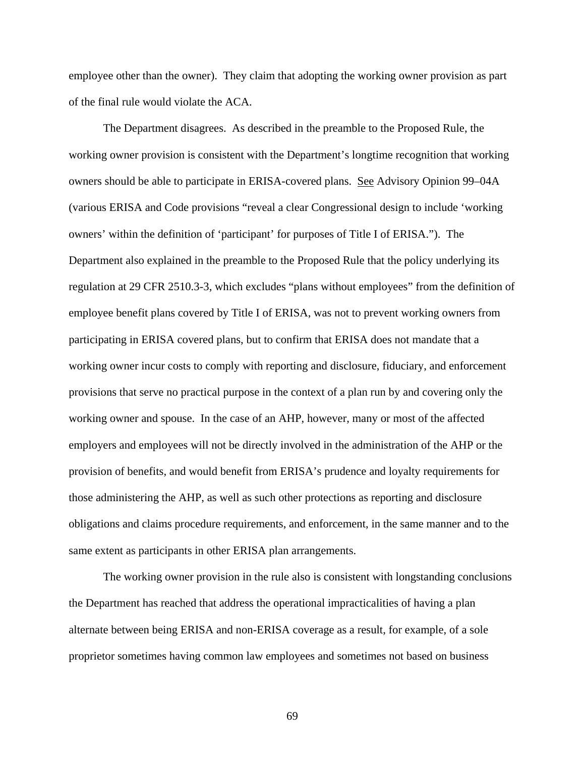employee other than the owner). They claim that adopting the working owner provision as part of the final rule would violate the ACA.

The Department disagrees. As described in the preamble to the Proposed Rule, the working owner provision is consistent with the Department's longtime recognition that working owners should be able to participate in ERISA-covered plans. See Advisory Opinion 99–04A (various ERISA and Code provisions "reveal a clear Congressional design to include 'working owners' within the definition of 'participant' for purposes of Title I of ERISA."). The Department also explained in the preamble to the Proposed Rule that the policy underlying its regulation at 29 CFR 2510.3-3, which excludes "plans without employees" from the definition of employee benefit plans covered by Title I of ERISA, was not to prevent working owners from participating in ERISA covered plans, but to confirm that ERISA does not mandate that a working owner incur costs to comply with reporting and disclosure, fiduciary, and enforcement provisions that serve no practical purpose in the context of a plan run by and covering only the working owner and spouse. In the case of an AHP, however, many or most of the affected employers and employees will not be directly involved in the administration of the AHP or the provision of benefits, and would benefit from ERISA's prudence and loyalty requirements for those administering the AHP, as well as such other protections as reporting and disclosure obligations and claims procedure requirements, and enforcement, in the same manner and to the same extent as participants in other ERISA plan arrangements.

The working owner provision in the rule also is consistent with longstanding conclusions the Department has reached that address the operational impracticalities of having a plan alternate between being ERISA and non-ERISA coverage as a result, for example, of a sole proprietor sometimes having common law employees and sometimes not based on business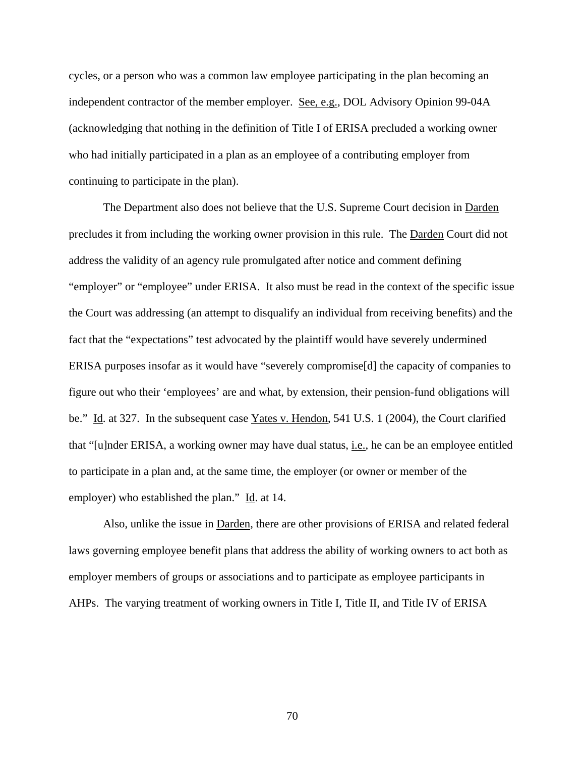cycles, or a person who was a common law employee participating in the plan becoming an independent contractor of the member employer. See, e.g., DOL Advisory Opinion 99-04A (acknowledging that nothing in the definition of Title I of ERISA precluded a working owner who had initially participated in a plan as an employee of a contributing employer from continuing to participate in the plan).

The Department also does not believe that the U.S. Supreme Court decision in Darden precludes it from including the working owner provision in this rule. The Darden Court did not address the validity of an agency rule promulgated after notice and comment defining "employer" or "employee" under ERISA. It also must be read in the context of the specific issue the Court was addressing (an attempt to disqualify an individual from receiving benefits) and the fact that the "expectations" test advocated by the plaintiff would have severely undermined ERISA purposes insofar as it would have "severely compromise[d] the capacity of companies to figure out who their 'employees' are and what, by extension, their pension-fund obligations will be." Id. at 327. In the subsequent case Yates v. Hendon, 541 U.S. 1 (2004), the Court clarified that "[u]nder ERISA, a working owner may have dual status, i.e., he can be an employee entitled to participate in a plan and, at the same time, the employer (or owner or member of the employer) who established the plan." Id. at 14.

Also, unlike the issue in Darden, there are other provisions of ERISA and related federal laws governing employee benefit plans that address the ability of working owners to act both as employer members of groups or associations and to participate as employee participants in AHPs. The varying treatment of working owners in Title I, Title II, and Title IV of ERISA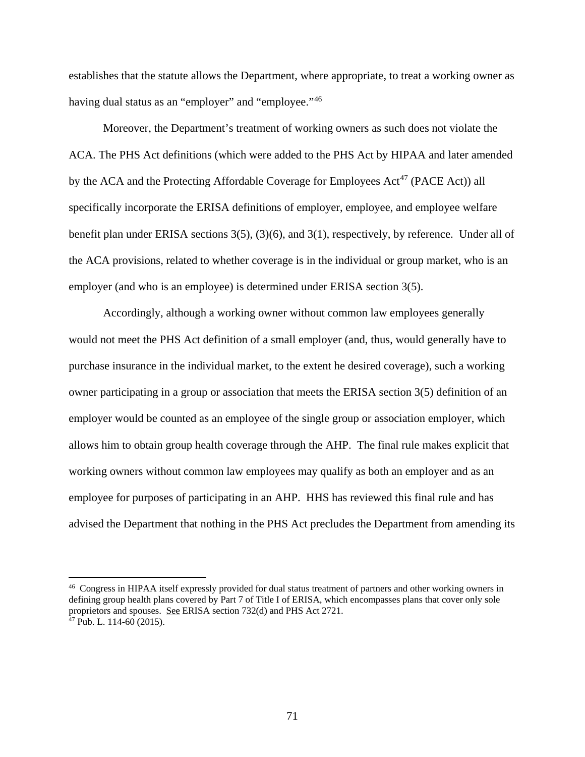establishes that the statute allows the Department, where appropriate, to treat a working owner as having dual status as an "employer" and "employee."<sup>[46](#page-70-0)</sup>

Moreover, the Department's treatment of working owners as such does not violate the ACA. The PHS Act definitions (which were added to the PHS Act by HIPAA and later amended by the ACA and the Protecting Affordable Coverage for Employees  $Act^{47}$  $Act^{47}$  $Act^{47}$  (PACE Act)) all specifically incorporate the ERISA definitions of employer, employee, and employee welfare benefit plan under ERISA sections 3(5), (3)(6), and 3(1), respectively, by reference. Under all of the ACA provisions, related to whether coverage is in the individual or group market, who is an employer (and who is an employee) is determined under ERISA section 3(5).

Accordingly, although a working owner without common law employees generally would not meet the PHS Act definition of a small employer (and, thus, would generally have to purchase insurance in the individual market, to the extent he desired coverage), such a working owner participating in a group or association that meets the ERISA section 3(5) definition of an employer would be counted as an employee of the single group or association employer, which allows him to obtain group health coverage through the AHP. The final rule makes explicit that working owners without common law employees may qualify as both an employer and as an employee for purposes of participating in an AHP. HHS has reviewed this final rule and has advised the Department that nothing in the PHS Act precludes the Department from amending its

<span id="page-70-1"></span><span id="page-70-0"></span><sup>&</sup>lt;sup>46</sup> Congress in HIPAA itself expressly provided for dual status treatment of partners and other working owners in defining group health plans covered by Part 7 of Title I of ERISA, which encompasses plans that cover only sole proprietors and spouses. See ERISA section 732(d) and PHS Act 2721.  $47$  Pub. L. 114-60 (2015).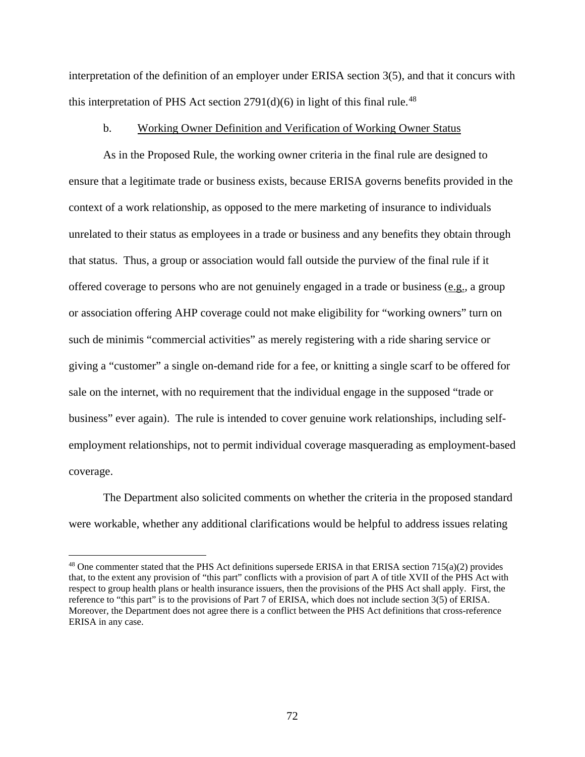interpretation of the definition of an employer under ERISA section 3(5), and that it concurs with this interpretation of PHS Act section  $2791(d)(6)$  in light of this final rule.<sup>[48](#page-71-0)</sup>

## b. Working Owner Definition and Verification of Working Owner Status

As in the Proposed Rule, the working owner criteria in the final rule are designed to ensure that a legitimate trade or business exists, because ERISA governs benefits provided in the context of a work relationship, as opposed to the mere marketing of insurance to individuals unrelated to their status as employees in a trade or business and any benefits they obtain through that status. Thus, a group or association would fall outside the purview of the final rule if it offered coverage to persons who are not genuinely engaged in a trade or business (e.g.*,* a group or association offering AHP coverage could not make eligibility for "working owners" turn on such de minimis "commercial activities" as merely registering with a ride sharing service or giving a "customer" a single on-demand ride for a fee, or knitting a single scarf to be offered for sale on the internet, with no requirement that the individual engage in the supposed "trade or business" ever again). The rule is intended to cover genuine work relationships, including selfemployment relationships, not to permit individual coverage masquerading as employment-based coverage.

The Department also solicited comments on whether the criteria in the proposed standard were workable, whether any additional clarifications would be helpful to address issues relating

<span id="page-71-0"></span><sup>48</sup> One commenter stated that the PHS Act definitions supersede ERISA in that ERISA section 715(a)(2) provides that, to the extent any provision of "this part" conflicts with a provision of part A of title XVII of the PHS Act with respect to group health plans or health insurance issuers, then the provisions of the PHS Act shall apply. First, the reference to "this part" is to the provisions of Part 7 of ERISA, which does not include section 3(5) of ERISA. Moreover, the Department does not agree there is a conflict between the PHS Act definitions that cross-reference ERISA in any case.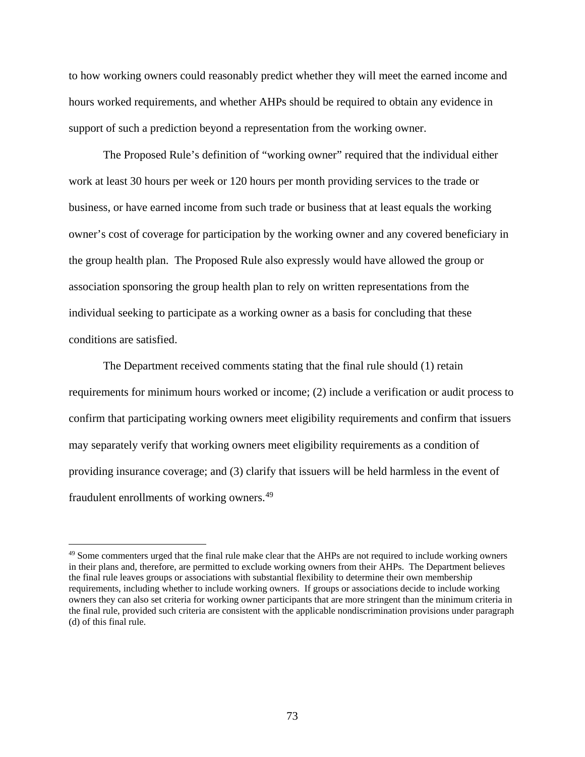to how working owners could reasonably predict whether they will meet the earned income and hours worked requirements, and whether AHPs should be required to obtain any evidence in support of such a prediction beyond a representation from the working owner.

The Proposed Rule's definition of "working owner" required that the individual either work at least 30 hours per week or 120 hours per month providing services to the trade or business, or have earned income from such trade or business that at least equals the working owner's cost of coverage for participation by the working owner and any covered beneficiary in the group health plan. The Proposed Rule also expressly would have allowed the group or association sponsoring the group health plan to rely on written representations from the individual seeking to participate as a working owner as a basis for concluding that these conditions are satisfied.

The Department received comments stating that the final rule should (1) retain requirements for minimum hours worked or income; (2) include a verification or audit process to confirm that participating working owners meet eligibility requirements and confirm that issuers may separately verify that working owners meet eligibility requirements as a condition of providing insurance coverage; and (3) clarify that issuers will be held harmless in the event of fraudulent enrollments of working owners.<sup>[49](#page-72-0)</sup>

<span id="page-72-0"></span><sup>&</sup>lt;sup>49</sup> Some commenters urged that the final rule make clear that the AHPs are not required to include working owners in their plans and, therefore, are permitted to exclude working owners from their AHPs. The Department believes the final rule leaves groups or associations with substantial flexibility to determine their own membership requirements, including whether to include working owners. If groups or associations decide to include working owners they can also set criteria for working owner participants that are more stringent than the minimum criteria in the final rule, provided such criteria are consistent with the applicable nondiscrimination provisions under paragraph (d) of this final rule.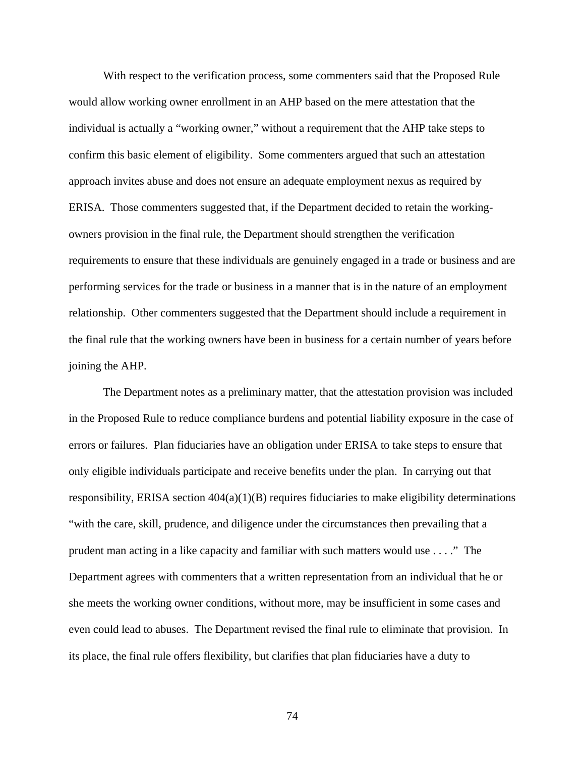With respect to the verification process, some commenters said that the Proposed Rule would allow working owner enrollment in an AHP based on the mere attestation that the individual is actually a "working owner," without a requirement that the AHP take steps to confirm this basic element of eligibility. Some commenters argued that such an attestation approach invites abuse and does not ensure an adequate employment nexus as required by ERISA. Those commenters suggested that, if the Department decided to retain the workingowners provision in the final rule, the Department should strengthen the verification requirements to ensure that these individuals are genuinely engaged in a trade or business and are performing services for the trade or business in a manner that is in the nature of an employment relationship. Other commenters suggested that the Department should include a requirement in the final rule that the working owners have been in business for a certain number of years before joining the AHP.

The Department notes as a preliminary matter, that the attestation provision was included in the Proposed Rule to reduce compliance burdens and potential liability exposure in the case of errors or failures. Plan fiduciaries have an obligation under ERISA to take steps to ensure that only eligible individuals participate and receive benefits under the plan. In carrying out that responsibility, ERISA section  $404(a)(1)(B)$  requires fiduciaries to make eligibility determinations "with the care, skill, prudence, and diligence under the circumstances then prevailing that a prudent man acting in a like capacity and familiar with such matters would use . . . ." The Department agrees with commenters that a written representation from an individual that he or she meets the working owner conditions, without more, may be insufficient in some cases and even could lead to abuses. The Department revised the final rule to eliminate that provision. In its place, the final rule offers flexibility, but clarifies that plan fiduciaries have a duty to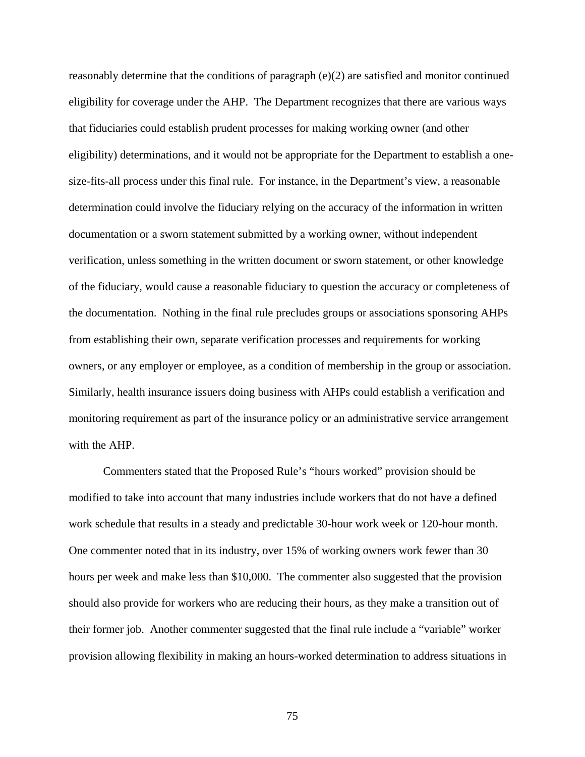reasonably determine that the conditions of paragraph  $(e)(2)$  are satisfied and monitor continued eligibility for coverage under the AHP. The Department recognizes that there are various ways that fiduciaries could establish prudent processes for making working owner (and other eligibility) determinations, and it would not be appropriate for the Department to establish a onesize-fits-all process under this final rule. For instance, in the Department's view, a reasonable determination could involve the fiduciary relying on the accuracy of the information in written documentation or a sworn statement submitted by a working owner, without independent verification, unless something in the written document or sworn statement, or other knowledge of the fiduciary, would cause a reasonable fiduciary to question the accuracy or completeness of the documentation. Nothing in the final rule precludes groups or associations sponsoring AHPs from establishing their own, separate verification processes and requirements for working owners, or any employer or employee, as a condition of membership in the group or association. Similarly, health insurance issuers doing business with AHPs could establish a verification and monitoring requirement as part of the insurance policy or an administrative service arrangement with the AHP.

Commenters stated that the Proposed Rule's "hours worked" provision should be modified to take into account that many industries include workers that do not have a defined work schedule that results in a steady and predictable 30-hour work week or 120-hour month. One commenter noted that in its industry, over 15% of working owners work fewer than 30 hours per week and make less than \$10,000. The commenter also suggested that the provision should also provide for workers who are reducing their hours, as they make a transition out of their former job. Another commenter suggested that the final rule include a "variable" worker provision allowing flexibility in making an hours-worked determination to address situations in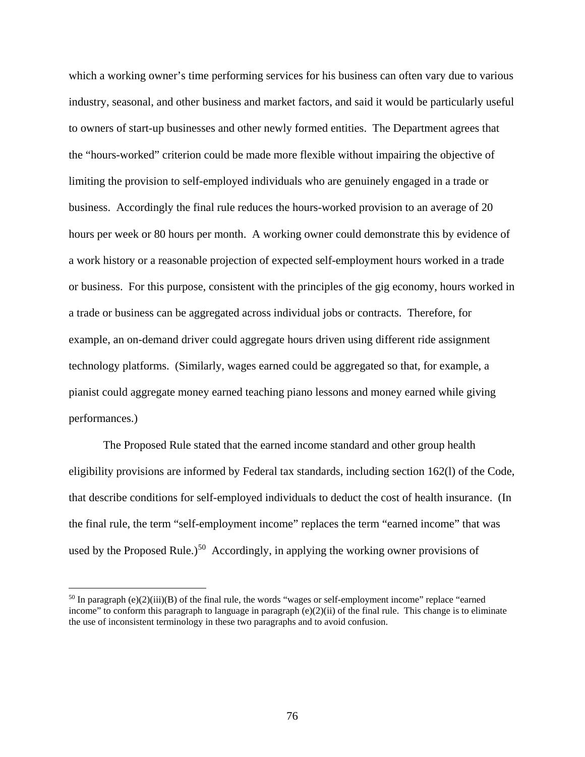which a working owner's time performing services for his business can often vary due to various industry, seasonal, and other business and market factors, and said it would be particularly useful to owners of start-up businesses and other newly formed entities. The Department agrees that the "hours-worked" criterion could be made more flexible without impairing the objective of limiting the provision to self-employed individuals who are genuinely engaged in a trade or business. Accordingly the final rule reduces the hours-worked provision to an average of 20 hours per week or 80 hours per month. A working owner could demonstrate this by evidence of a work history or a reasonable projection of expected self-employment hours worked in a trade or business. For this purpose, consistent with the principles of the gig economy, hours worked in a trade or business can be aggregated across individual jobs or contracts. Therefore, for example, an on-demand driver could aggregate hours driven using different ride assignment technology platforms. (Similarly, wages earned could be aggregated so that, for example, a pianist could aggregate money earned teaching piano lessons and money earned while giving performances.)

The Proposed Rule stated that the earned income standard and other group health eligibility provisions are informed by Federal tax standards, including section 162(l) of the Code, that describe conditions for self-employed individuals to deduct the cost of health insurance. (In the final rule, the term "self-employment income" replaces the term "earned income" that was used by the Proposed Rule.)<sup>50</sup> Accordingly, in applying the working owner provisions of

<span id="page-75-0"></span> $50$  In paragraph (e)(2)(iii)(B) of the final rule, the words "wages or self-employment income" replace "earned income" to conform this paragraph to language in paragraph  $(e)(2)(ii)$  of the final rule. This change is to eliminate the use of inconsistent terminology in these two paragraphs and to avoid confusion.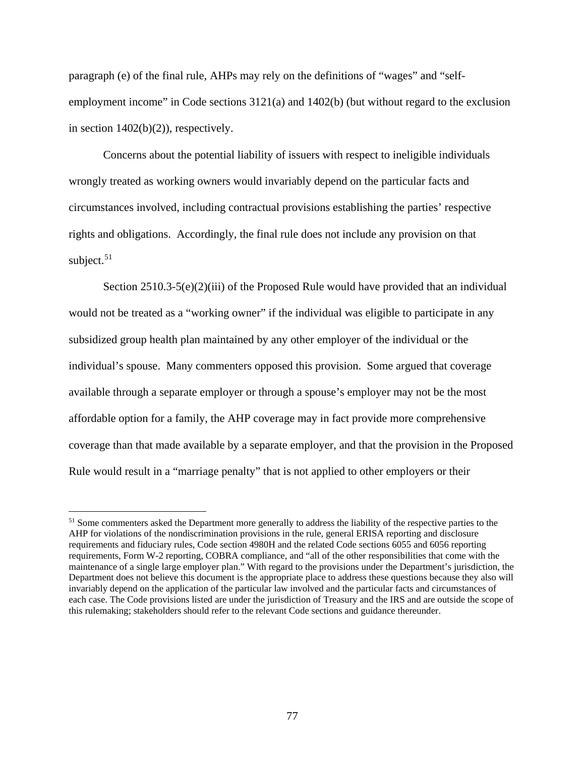paragraph (e) of the final rule, AHPs may rely on the definitions of "wages" and "selfemployment income" in Code sections 3121(a) and 1402(b) (but without regard to the exclusion in section 1402(b)(2)), respectively.

Concerns about the potential liability of issuers with respect to ineligible individuals wrongly treated as working owners would invariably depend on the particular facts and circumstances involved, including contractual provisions establishing the parties' respective rights and obligations. Accordingly, the final rule does not include any provision on that subject. $51$ 

Section 2510.3-5(e)(2)(iii) of the Proposed Rule would have provided that an individual would not be treated as a "working owner" if the individual was eligible to participate in any subsidized group health plan maintained by any other employer of the individual or the individual's spouse. Many commenters opposed this provision. Some argued that coverage available through a separate employer or through a spouse's employer may not be the most affordable option for a family, the AHP coverage may in fact provide more comprehensive coverage than that made available by a separate employer, and that the provision in the Proposed Rule would result in a "marriage penalty" that is not applied to other employers or their

<span id="page-76-0"></span><sup>&</sup>lt;sup>51</sup> Some commenters asked the Department more generally to address the liability of the respective parties to the AHP for violations of the nondiscrimination provisions in the rule, general ERISA reporting and disclosure requirements and fiduciary rules, Code section 4980H and the related Code sections 6055 and 6056 reporting requirements, Form W-2 reporting, COBRA compliance, and "all of the other responsibilities that come with the maintenance of a single large employer plan." With regard to the provisions under the Department's jurisdiction, the Department does not believe this document is the appropriate place to address these questions because they also will invariably depend on the application of the particular law involved and the particular facts and circumstances of each case. The Code provisions listed are under the jurisdiction of Treasury and the IRS and are outside the scope of this rulemaking; stakeholders should refer to the relevant Code sections and guidance thereunder.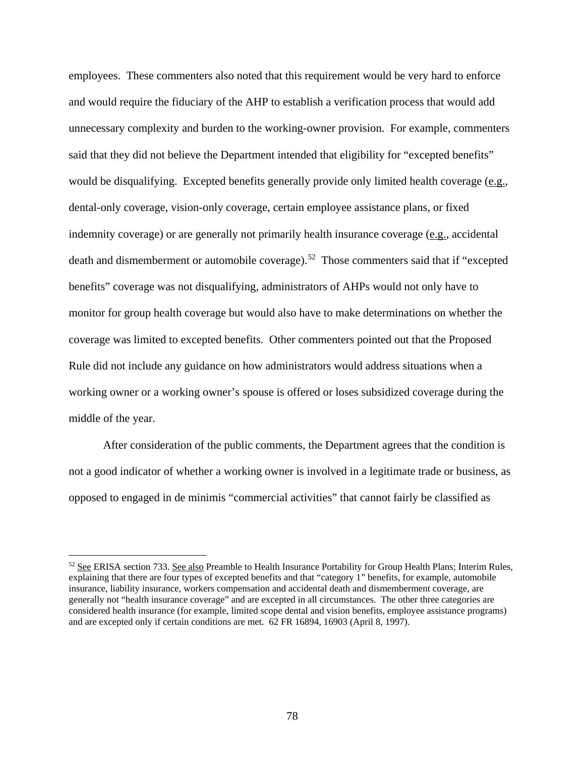employees. These commenters also noted that this requirement would be very hard to enforce and would require the fiduciary of the AHP to establish a verification process that would add unnecessary complexity and burden to the working-owner provision. For example, commenters said that they did not believe the Department intended that eligibility for "excepted benefits" would be disqualifying. Excepted benefits generally provide only limited health coverage (e.g., dental-only coverage, vision-only coverage, certain employee assistance plans, or fixed indemnity coverage) or are generally not primarily health insurance coverage (e.g., accidental death and dismemberment or automobile coverage).<sup>[52](#page-77-0)</sup> Those commenters said that if "excepted benefits" coverage was not disqualifying, administrators of AHPs would not only have to monitor for group health coverage but would also have to make determinations on whether the coverage was limited to excepted benefits. Other commenters pointed out that the Proposed Rule did not include any guidance on how administrators would address situations when a working owner or a working owner's spouse is offered or loses subsidized coverage during the middle of the year.

After consideration of the public comments, the Department agrees that the condition is not a good indicator of whether a working owner is involved in a legitimate trade or business, as opposed to engaged in de minimis "commercial activities" that cannot fairly be classified as

<span id="page-77-0"></span><sup>52</sup> See ERISA section 733. See also Preamble to Health Insurance Portability for Group Health Plans; Interim Rules, explaining that there are four types of excepted benefits and that "category 1" benefits, for example, automobile insurance, liability insurance, workers compensation and accidental death and dismemberment coverage, are generally not "health insurance coverage" and are excepted in all circumstances. The other three categories are considered health insurance (for example, limited scope dental and vision benefits, employee assistance programs) and are excepted only if certain conditions are met. 62 FR 16894, 16903 (April 8, 1997).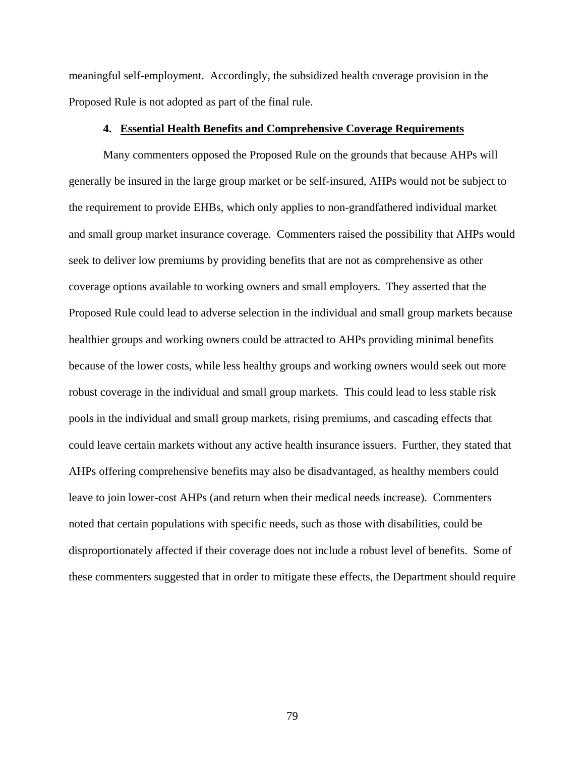meaningful self-employment. Accordingly, the subsidized health coverage provision in the Proposed Rule is not adopted as part of the final rule.

# **4. Essential Health Benefits and Comprehensive Coverage Requirements**

Many commenters opposed the Proposed Rule on the grounds that because AHPs will generally be insured in the large group market or be self-insured, AHPs would not be subject to the requirement to provide EHBs, which only applies to non-grandfathered individual market and small group market insurance coverage. Commenters raised the possibility that AHPs would seek to deliver low premiums by providing benefits that are not as comprehensive as other coverage options available to working owners and small employers. They asserted that the Proposed Rule could lead to adverse selection in the individual and small group markets because healthier groups and working owners could be attracted to AHPs providing minimal benefits because of the lower costs, while less healthy groups and working owners would seek out more robust coverage in the individual and small group markets. This could lead to less stable risk pools in the individual and small group markets, rising premiums, and cascading effects that could leave certain markets without any active health insurance issuers. Further, they stated that AHPs offering comprehensive benefits may also be disadvantaged, as healthy members could leave to join lower-cost AHPs (and return when their medical needs increase). Commenters noted that certain populations with specific needs, such as those with disabilities, could be disproportionately affected if their coverage does not include a robust level of benefits. Some of these commenters suggested that in order to mitigate these effects, the Department should require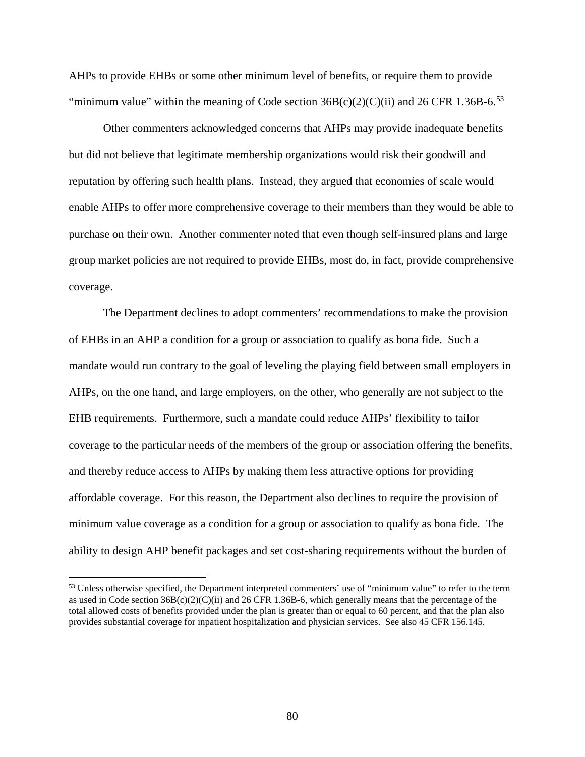AHPs to provide EHBs or some other minimum level of benefits, or require them to provide "minimum value" within the meaning of Code section  $36B(c)(2)(C)(ii)$  and  $26$  CFR 1.36B-6.<sup>[53](#page-79-0)</sup>

Other commenters acknowledged concerns that AHPs may provide inadequate benefits but did not believe that legitimate membership organizations would risk their goodwill and reputation by offering such health plans. Instead, they argued that economies of scale would enable AHPs to offer more comprehensive coverage to their members than they would be able to purchase on their own. Another commenter noted that even though self-insured plans and large group market policies are not required to provide EHBs, most do, in fact, provide comprehensive coverage.

The Department declines to adopt commenters' recommendations to make the provision of EHBs in an AHP a condition for a group or association to qualify as bona fide. Such a mandate would run contrary to the goal of leveling the playing field between small employers in AHPs, on the one hand, and large employers, on the other, who generally are not subject to the EHB requirements. Furthermore, such a mandate could reduce AHPs' flexibility to tailor coverage to the particular needs of the members of the group or association offering the benefits, and thereby reduce access to AHPs by making them less attractive options for providing affordable coverage. For this reason, the Department also declines to require the provision of minimum value coverage as a condition for a group or association to qualify as bona fide. The ability to design AHP benefit packages and set cost-sharing requirements without the burden of

<span id="page-79-0"></span><sup>53</sup> Unless otherwise specified, the Department interpreted commenters' use of "minimum value" to refer to the term as used in Code section  $36B(c)(2)(C)(ii)$  and  $26$  CFR 1.36B-6, which generally means that the percentage of the total allowed costs of benefits provided under the plan is greater than or equal to 60 percent, and that the plan also provides substantial coverage for inpatient hospitalization and physician services. See also 45 CFR 156.145.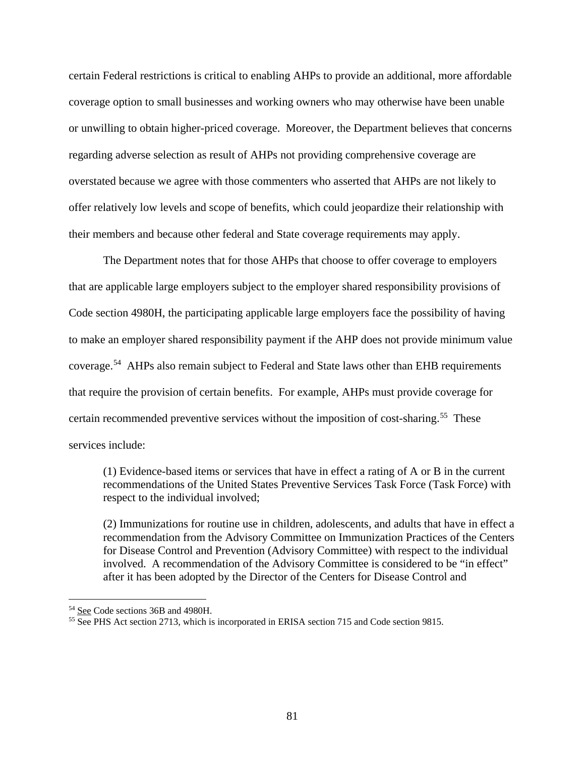certain Federal restrictions is critical to enabling AHPs to provide an additional, more affordable coverage option to small businesses and working owners who may otherwise have been unable or unwilling to obtain higher-priced coverage. Moreover, the Department believes that concerns regarding adverse selection as result of AHPs not providing comprehensive coverage are overstated because we agree with those commenters who asserted that AHPs are not likely to offer relatively low levels and scope of benefits, which could jeopardize their relationship with their members and because other federal and State coverage requirements may apply.

The Department notes that for those AHPs that choose to offer coverage to employers that are applicable large employers subject to the employer shared responsibility provisions of Code section 4980H, the participating applicable large employers face the possibility of having to make an employer shared responsibility payment if the AHP does not provide minimum value coverage. [54](#page-80-0) AHPs also remain subject to Federal and State laws other than EHB requirements that require the provision of certain benefits. For example, AHPs must provide coverage for certain recommended preventive services without the imposition of cost-sharing.<sup>55</sup> These services include:

(1) Evidence-based items or services that have in effect a rating of A or B in the current recommendations of the United States Preventive Services Task Force (Task Force) with respect to the individual involved;

(2) Immunizations for routine use in children, adolescents, and adults that have in effect a recommendation from the Advisory Committee on Immunization Practices of the Centers for Disease Control and Prevention (Advisory Committee) with respect to the individual involved. A recommendation of the Advisory Committee is considered to be "in effect" after it has been adopted by the Director of the Centers for Disease Control and

<span id="page-80-1"></span><span id="page-80-0"></span><sup>&</sup>lt;sup>54</sup> See Code sections 36B and 4980H.<br><sup>55</sup> See PHS Act section 2713, which is incorporated in ERISA section 715 and Code section 9815.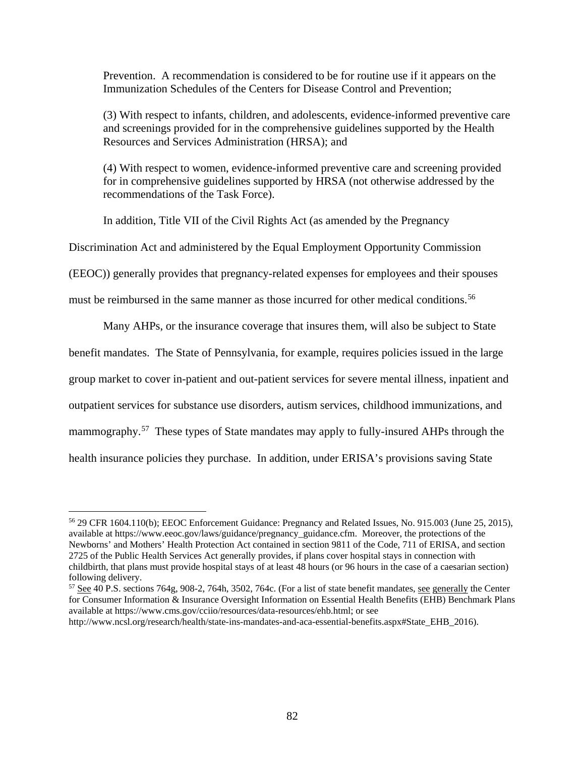Prevention. A recommendation is considered to be for routine use if it appears on the Immunization Schedules of the Centers for Disease Control and Prevention;

(3) With respect to infants, children, and adolescents, evidence-informed preventive care and screenings provided for in the comprehensive guidelines supported by the Health Resources and Services Administration (HRSA); and

(4) With respect to women, evidence-informed preventive care and screening provided for in comprehensive guidelines supported by HRSA (not otherwise addressed by the recommendations of the Task Force).

In addition, Title VII of the Civil Rights Act (as amended by the Pregnancy

Discrimination Act and administered by the Equal Employment Opportunity Commission

(EEOC)) generally provides that pregnancy-related expenses for employees and their spouses

must be reimbursed in the same manner as those incurred for other medical conditions.<sup>56</sup>

Many AHPs, or the insurance coverage that insures them, will also be subject to State benefit mandates. The State of Pennsylvania, for example, requires policies issued in the large group market to cover in-patient and out-patient services for severe mental illness, inpatient and outpatient services for substance use disorders, autism services, childhood immunizations, and mammography.<sup>[57](#page-81-1)</sup> These types of State mandates may apply to fully-insured AHPs through the health insurance policies they purchase. In addition, under ERISA's provisions saving State

<span id="page-81-0"></span><sup>56</sup> 29 CFR 1604.110(b); EEOC Enforcement Guidance: Pregnancy and Related Issues, No. 915.003 (June 25, 2015), available at https://www.eeoc.gov/laws/guidance/pregnancy\_guidance.cfm. Moreover, the protections of the Newborns' and Mothers' Health Protection Act contained in section 9811 of the Code, 711 of ERISA, and section 2725 of the Public Health Services Act generally provides, if plans cover hospital stays in connection with childbirth, that plans must provide hospital stays of at least 48 hours (or 96 hours in the case of a caesarian section) following delivery.

<span id="page-81-1"></span><sup>&</sup>lt;sup>57</sup> See 40 P.S. sections 764g, 908-2, 764h, 3502, 764c. (For a list of state benefit mandates, <u>see generally</u> the Center for Consumer Information & Insurance Oversight Information on Essential Health Benefits (EHB) Benchmark Plans available at https://www.cms.gov/cciio/resources/data-resources/ehb.html; or see

http://www.ncsl.org/research/health/state-ins-mandates-and-aca-essential-benefits.aspx#State\_EHB\_2016).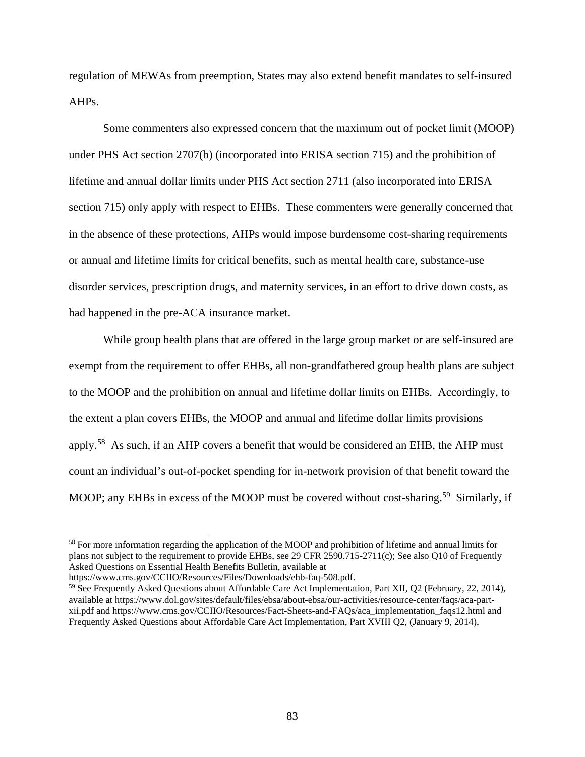regulation of MEWAs from preemption, States may also extend benefit mandates to self-insured AHPs.

Some commenters also expressed concern that the maximum out of pocket limit (MOOP) under PHS Act section 2707(b) (incorporated into ERISA section 715) and the prohibition of lifetime and annual dollar limits under PHS Act section 2711 (also incorporated into ERISA section 715) only apply with respect to EHBs. These commenters were generally concerned that in the absence of these protections, AHPs would impose burdensome cost-sharing requirements or annual and lifetime limits for critical benefits, such as mental health care, substance-use disorder services, prescription drugs, and maternity services, in an effort to drive down costs, as had happened in the pre-ACA insurance market.

While group health plans that are offered in the large group market or are self-insured are exempt from the requirement to offer EHBs, all non-grandfathered group health plans are subject to the MOOP and the prohibition on annual and lifetime dollar limits on EHBs. Accordingly, to the extent a plan covers EHBs, the MOOP and annual and lifetime dollar limits provisions apply.[58](#page-82-0) As such, if an AHP covers a benefit that would be considered an EHB, the AHP must count an individual's out-of-pocket spending for in-network provision of that benefit toward the MOOP; any EHBs in excess of the MOOP must be covered without cost-sharing.<sup>[59](#page-82-1)</sup> Similarly, if

<span id="page-82-0"></span><sup>58</sup> For more information regarding the application of the MOOP and prohibition of lifetime and annual limits for plans not subject to the requirement to provide EHBs, see 29 CFR 2590.715-2711(c); See also Q10 of Frequently Asked Questions on Essential Health Benefits Bulletin, available at

<span id="page-82-1"></span>

https://www.cms.gov/CCIIO/Resources/Files/Downloads/ehb-faq-508.pdf.<br><sup>59</sup> See Frequently Asked Questions about Affordable Care Act Implementation, Part XII, Q2 (February, 22, 2014), available at https://www.dol.gov/sites/default/files/ebsa/about-ebsa/our-activities/resource-center/faqs/aca-partxii.pdf and https://www.cms.gov/CCIIO/Resources/Fact-Sheets-and-FAQs/aca\_implementation\_faqs12.html and Frequently Asked Questions about Affordable Care Act Implementation, Part XVIII Q2, (January 9, 2014),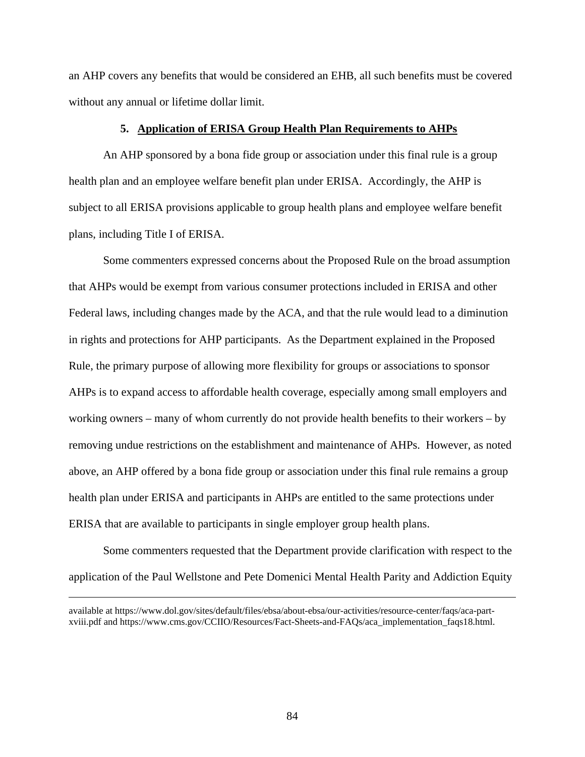an AHP covers any benefits that would be considered an EHB, all such benefits must be covered without any annual or lifetime dollar limit.

# **5. Application of ERISA Group Health Plan Requirements to AHPs**

An AHP sponsored by a bona fide group or association under this final rule is a group health plan and an employee welfare benefit plan under ERISA. Accordingly, the AHP is subject to all ERISA provisions applicable to group health plans and employee welfare benefit plans, including Title I of ERISA.

Some commenters expressed concerns about the Proposed Rule on the broad assumption that AHPs would be exempt from various consumer protections included in ERISA and other Federal laws, including changes made by the ACA, and that the rule would lead to a diminution in rights and protections for AHP participants. As the Department explained in the Proposed Rule, the primary purpose of allowing more flexibility for groups or associations to sponsor AHPs is to expand access to affordable health coverage, especially among small employers and working owners – many of whom currently do not provide health benefits to their workers – by removing undue restrictions on the establishment and maintenance of AHPs. However, as noted above, an AHP offered by a bona fide group or association under this final rule remains a group health plan under ERISA and participants in AHPs are entitled to the same protections under ERISA that are available to participants in single employer group health plans.

Some commenters requested that the Department provide clarification with respect to the application of the Paul Wellstone and Pete Domenici Mental Health Parity and Addiction Equity

available at https://www.dol.gov/sites/default/files/ebsa/about-ebsa/our-activities/resource-center/faqs/aca-partxviii.pdf and https://www.cms.gov/CCIIO/Resources/Fact-Sheets-and-FAQs/aca\_implementation\_faqs18.html.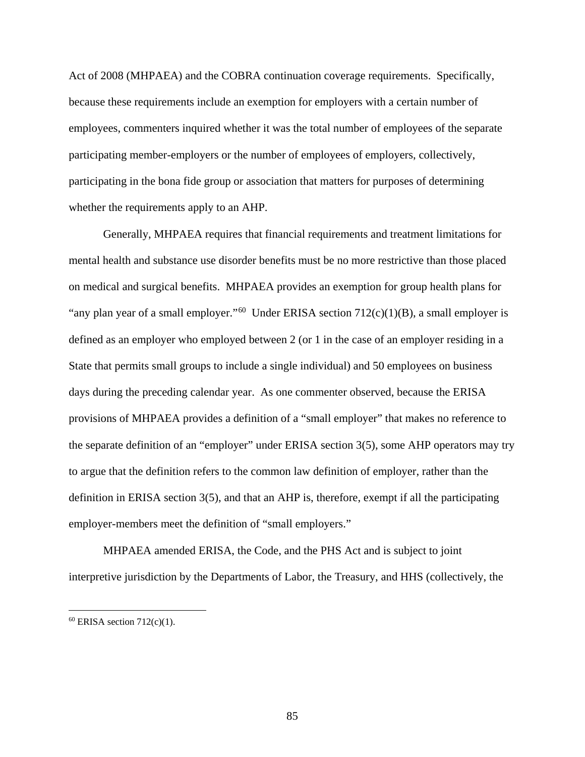Act of 2008 (MHPAEA) and the COBRA continuation coverage requirements. Specifically, because these requirements include an exemption for employers with a certain number of employees, commenters inquired whether it was the total number of employees of the separate participating member-employers or the number of employees of employers, collectively, participating in the bona fide group or association that matters for purposes of determining whether the requirements apply to an AHP.

Generally, MHPAEA requires that financial requirements and treatment limitations for mental health and substance use disorder benefits must be no more restrictive than those placed on medical and surgical benefits. MHPAEA provides an exemption for group health plans for "any plan year of a small employer."<sup>60</sup> Under ERISA section  $712(c)(1)(B)$ , a small employer is defined as an employer who employed between 2 (or 1 in the case of an employer residing in a State that permits small groups to include a single individual) and 50 employees on business days during the preceding calendar year. As one commenter observed, because the ERISA provisions of MHPAEA provides a definition of a "small employer" that makes no reference to the separate definition of an "employer" under ERISA section 3(5), some AHP operators may try to argue that the definition refers to the common law definition of employer, rather than the definition in ERISA section 3(5), and that an AHP is, therefore, exempt if all the participating employer-members meet the definition of "small employers."

MHPAEA amended ERISA, the Code, and the PHS Act and is subject to joint interpretive jurisdiction by the Departments of Labor, the Treasury, and HHS (collectively, the

<span id="page-84-0"></span> $60$  ERISA section 712(c)(1).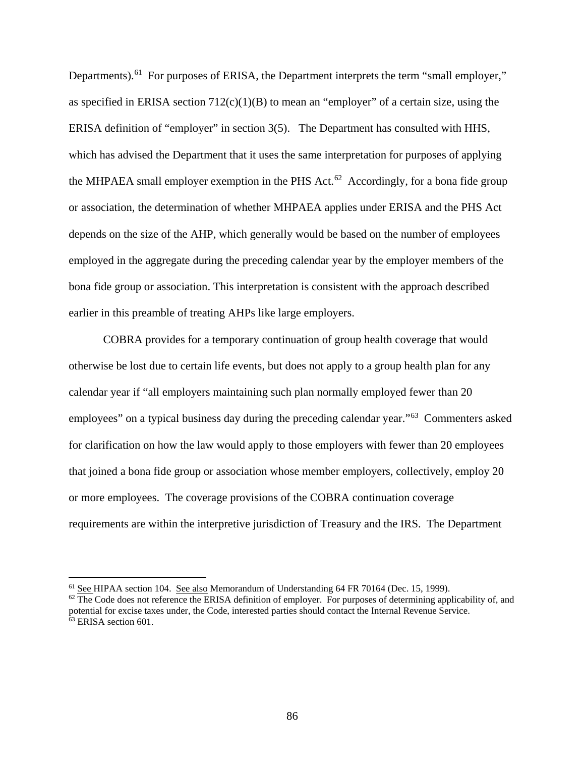Departments).<sup>[61](#page-85-0)</sup> For purposes of ERISA, the Department interprets the term "small employer," as specified in ERISA section  $712(c)(1)(B)$  to mean an "employer" of a certain size, using the ERISA definition of "employer" in section 3(5). The Department has consulted with HHS, which has advised the Department that it uses the same interpretation for purposes of applying the MHPAEA small employer exemption in the PHS Act.<sup>[62](#page-85-1)</sup> Accordingly, for a bona fide group or association, the determination of whether MHPAEA applies under ERISA and the PHS Act depends on the size of the AHP, which generally would be based on the number of employees employed in the aggregate during the preceding calendar year by the employer members of the bona fide group or association. This interpretation is consistent with the approach described earlier in this preamble of treating AHPs like large employers.

COBRA provides for a temporary continuation of group health coverage that would otherwise be lost due to certain life events, but does not apply to a group health plan for any calendar year if "all employers maintaining such plan normally employed fewer than 20 employees" on a typical business day during the preceding calendar year."[63](#page-85-2) Commenters asked for clarification on how the law would apply to those employers with fewer than 20 employees that joined a bona fide group or association whose member employers, collectively, employ 20 or more employees. The coverage provisions of the COBRA continuation coverage requirements are within the interpretive jurisdiction of Treasury and the IRS. The Department

<span id="page-85-0"></span><sup>&</sup>lt;sup>61</sup> See HIPAA section 104. See also Memorandum of Understanding 64 FR 70164 (Dec. 15, 1999).

<span id="page-85-2"></span><span id="page-85-1"></span> $62$  The Code does not reference the ERISA definition of employer. For purposes of determining applicability of, and potential for excise taxes under, the Code, interested parties should contact the Internal Revenue Service. <sup>63</sup> ERISA section 601.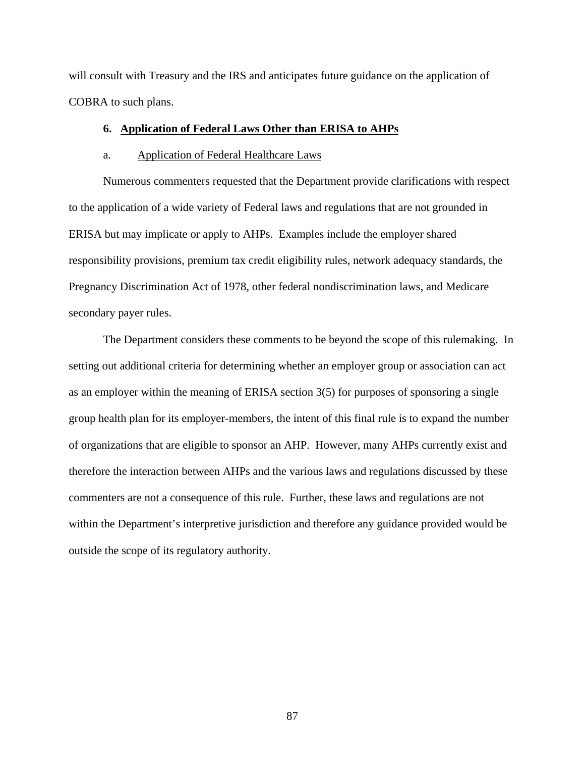will consult with Treasury and the IRS and anticipates future guidance on the application of COBRA to such plans.

# **6. Application of Federal Laws Other than ERISA to AHPs**

### a. Application of Federal Healthcare Laws

Numerous commenters requested that the Department provide clarifications with respect to the application of a wide variety of Federal laws and regulations that are not grounded in ERISA but may implicate or apply to AHPs. Examples include the employer shared responsibility provisions, premium tax credit eligibility rules, network adequacy standards, the Pregnancy Discrimination Act of 1978, other federal nondiscrimination laws, and Medicare secondary payer rules.

The Department considers these comments to be beyond the scope of this rulemaking. In setting out additional criteria for determining whether an employer group or association can act as an employer within the meaning of ERISA section 3(5) for purposes of sponsoring a single group health plan for its employer-members, the intent of this final rule is to expand the number of organizations that are eligible to sponsor an AHP. However, many AHPs currently exist and therefore the interaction between AHPs and the various laws and regulations discussed by these commenters are not a consequence of this rule. Further, these laws and regulations are not within the Department's interpretive jurisdiction and therefore any guidance provided would be outside the scope of its regulatory authority.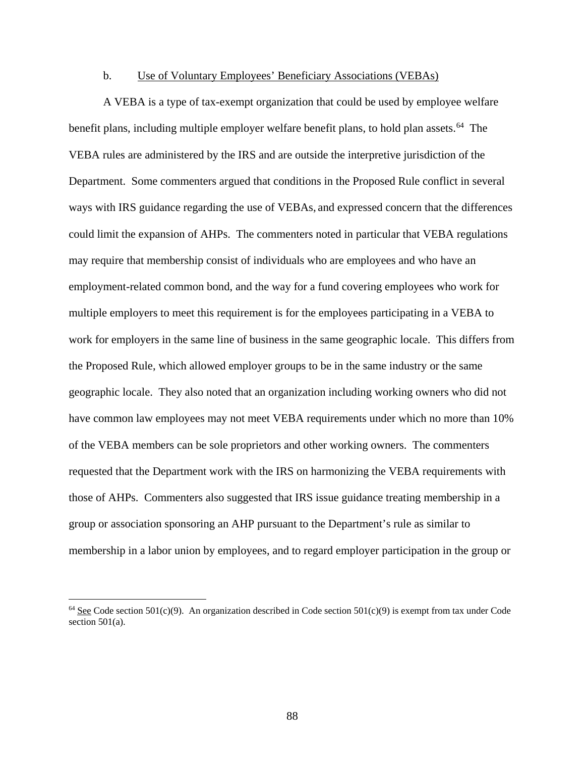### b. Use of Voluntary Employees' Beneficiary Associations (VEBAs)

A VEBA is a type of tax-exempt organization that could be used by employee welfare benefit plans, including multiple employer welfare benefit plans, to hold plan assets.<sup>64</sup> The VEBA rules are administered by the IRS and are outside the interpretive jurisdiction of the Department. Some commenters argued that conditions in the Proposed Rule conflict in several ways with IRS guidance regarding the use of VEBAs, and expressed concern that the differences could limit the expansion of AHPs. The commenters noted in particular that VEBA regulations may require that membership consist of individuals who are employees and who have an employment-related common bond, and the way for a fund covering employees who work for multiple employers to meet this requirement is for the employees participating in a VEBA to work for employers in the same line of business in the same geographic locale. This differs from the Proposed Rule, which allowed employer groups to be in the same industry or the same geographic locale. They also noted that an organization including working owners who did not have common law employees may not meet VEBA requirements under which no more than 10% of the VEBA members can be sole proprietors and other working owners. The commenters requested that the Department work with the IRS on harmonizing the VEBA requirements with those of AHPs. Commenters also suggested that IRS issue guidance treating membership in a group or association sponsoring an AHP pursuant to the Department's rule as similar to membership in a labor union by employees, and to regard employer participation in the group or

<span id="page-87-0"></span> $64$  See Code section 501(c)(9). An organization described in Code section 501(c)(9) is exempt from tax under Code section 501(a).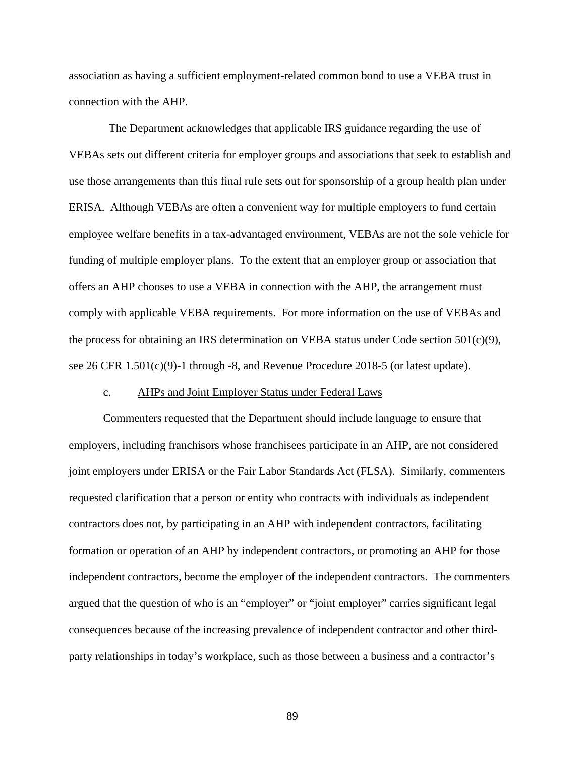association as having a sufficient employment-related common bond to use a VEBA trust in connection with the AHP.

 The Department acknowledges that applicable IRS guidance regarding the use of VEBAs sets out different criteria for employer groups and associations that seek to establish and use those arrangements than this final rule sets out for sponsorship of a group health plan under ERISA. Although VEBAs are often a convenient way for multiple employers to fund certain employee welfare benefits in a tax-advantaged environment, VEBAs are not the sole vehicle for funding of multiple employer plans. To the extent that an employer group or association that offers an AHP chooses to use a VEBA in connection with the AHP, the arrangement must comply with applicable VEBA requirements. For more information on the use of VEBAs and the process for obtaining an IRS determination on VEBA status under Code section 501(c)(9), see 26 CFR 1.501(c)(9)-1 through -8, and Revenue Procedure 2018-5 (or latest update).

# c. AHPs and Joint Employer Status under Federal Laws

Commenters requested that the Department should include language to ensure that employers, including franchisors whose franchisees participate in an AHP, are not considered joint employers under ERISA or the Fair Labor Standards Act (FLSA). Similarly, commenters requested clarification that a person or entity who contracts with individuals as independent contractors does not, by participating in an AHP with independent contractors, facilitating formation or operation of an AHP by independent contractors, or promoting an AHP for those independent contractors, become the employer of the independent contractors. The commenters argued that the question of who is an "employer" or "joint employer" carries significant legal consequences because of the increasing prevalence of independent contractor and other thirdparty relationships in today's workplace, such as those between a business and a contractor's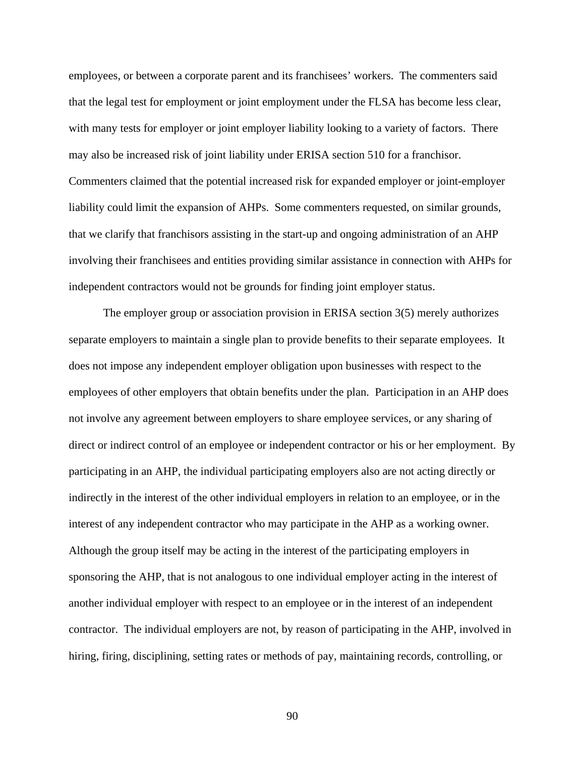employees, or between a corporate parent and its franchisees' workers. The commenters said that the legal test for employment or joint employment under the FLSA has become less clear, with many tests for employer or joint employer liability looking to a variety of factors. There may also be increased risk of joint liability under ERISA section 510 for a franchisor. Commenters claimed that the potential increased risk for expanded employer or joint-employer liability could limit the expansion of AHPs. Some commenters requested, on similar grounds, that we clarify that franchisors assisting in the start-up and ongoing administration of an AHP involving their franchisees and entities providing similar assistance in connection with AHPs for independent contractors would not be grounds for finding joint employer status.

The employer group or association provision in ERISA section 3(5) merely authorizes separate employers to maintain a single plan to provide benefits to their separate employees. It does not impose any independent employer obligation upon businesses with respect to the employees of other employers that obtain benefits under the plan. Participation in an AHP does not involve any agreement between employers to share employee services, or any sharing of direct or indirect control of an employee or independent contractor or his or her employment. By participating in an AHP, the individual participating employers also are not acting directly or indirectly in the interest of the other individual employers in relation to an employee, or in the interest of any independent contractor who may participate in the AHP as a working owner. Although the group itself may be acting in the interest of the participating employers in sponsoring the AHP, that is not analogous to one individual employer acting in the interest of another individual employer with respect to an employee or in the interest of an independent contractor. The individual employers are not, by reason of participating in the AHP, involved in hiring, firing, disciplining, setting rates or methods of pay, maintaining records, controlling, or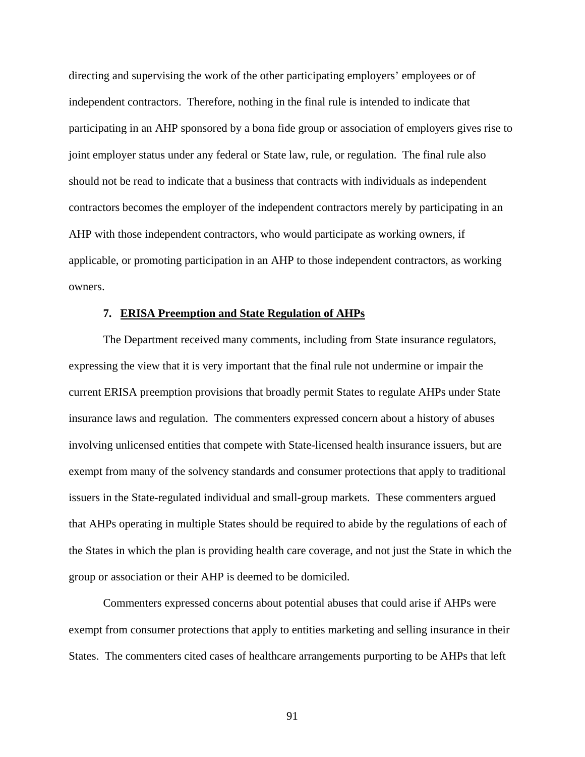directing and supervising the work of the other participating employers' employees or of independent contractors. Therefore, nothing in the final rule is intended to indicate that participating in an AHP sponsored by a bona fide group or association of employers gives rise to joint employer status under any federal or State law, rule, or regulation. The final rule also should not be read to indicate that a business that contracts with individuals as independent contractors becomes the employer of the independent contractors merely by participating in an AHP with those independent contractors, who would participate as working owners, if applicable, or promoting participation in an AHP to those independent contractors, as working owners.

#### **7. ERISA Preemption and State Regulation of AHPs**

The Department received many comments, including from State insurance regulators, expressing the view that it is very important that the final rule not undermine or impair the current ERISA preemption provisions that broadly permit States to regulate AHPs under State insurance laws and regulation. The commenters expressed concern about a history of abuses involving unlicensed entities that compete with State-licensed health insurance issuers, but are exempt from many of the solvency standards and consumer protections that apply to traditional issuers in the State-regulated individual and small-group markets. These commenters argued that AHPs operating in multiple States should be required to abide by the regulations of each of the States in which the plan is providing health care coverage, and not just the State in which the group or association or their AHP is deemed to be domiciled.

Commenters expressed concerns about potential abuses that could arise if AHPs were exempt from consumer protections that apply to entities marketing and selling insurance in their States. The commenters cited cases of healthcare arrangements purporting to be AHPs that left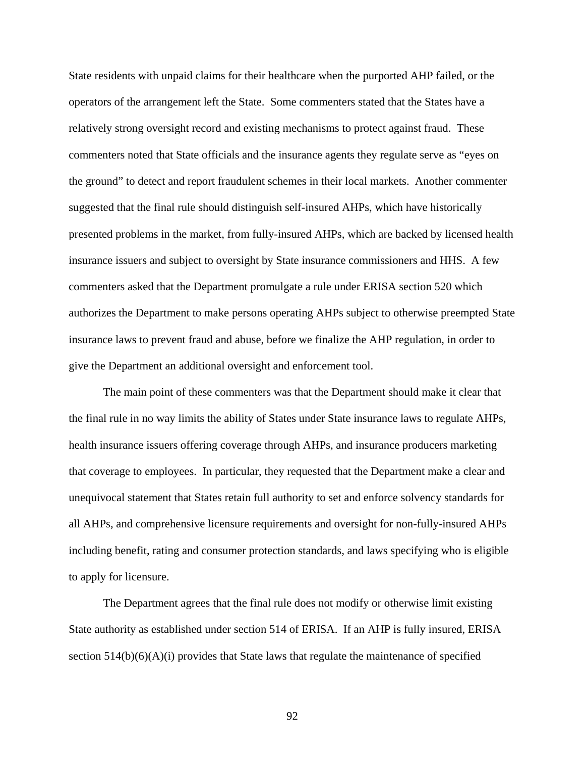State residents with unpaid claims for their healthcare when the purported AHP failed, or the operators of the arrangement left the State. Some commenters stated that the States have a relatively strong oversight record and existing mechanisms to protect against fraud. These commenters noted that State officials and the insurance agents they regulate serve as "eyes on the ground" to detect and report fraudulent schemes in their local markets. Another commenter suggested that the final rule should distinguish self-insured AHPs, which have historically presented problems in the market, from fully-insured AHPs, which are backed by licensed health insurance issuers and subject to oversight by State insurance commissioners and HHS. A few commenters asked that the Department promulgate a rule under ERISA section 520 which authorizes the Department to make persons operating AHPs subject to otherwise preempted State insurance laws to prevent fraud and abuse, before we finalize the AHP regulation, in order to give the Department an additional oversight and enforcement tool.

The main point of these commenters was that the Department should make it clear that the final rule in no way limits the ability of States under State insurance laws to regulate AHPs, health insurance issuers offering coverage through AHPs, and insurance producers marketing that coverage to employees. In particular, they requested that the Department make a clear and unequivocal statement that States retain full authority to set and enforce solvency standards for all AHPs, and comprehensive licensure requirements and oversight for non-fully-insured AHPs including benefit, rating and consumer protection standards, and laws specifying who is eligible to apply for licensure.

The Department agrees that the final rule does not modify or otherwise limit existing State authority as established under section 514 of ERISA. If an AHP is fully insured, ERISA section  $514(b)(6)(A)(i)$  provides that State laws that regulate the maintenance of specified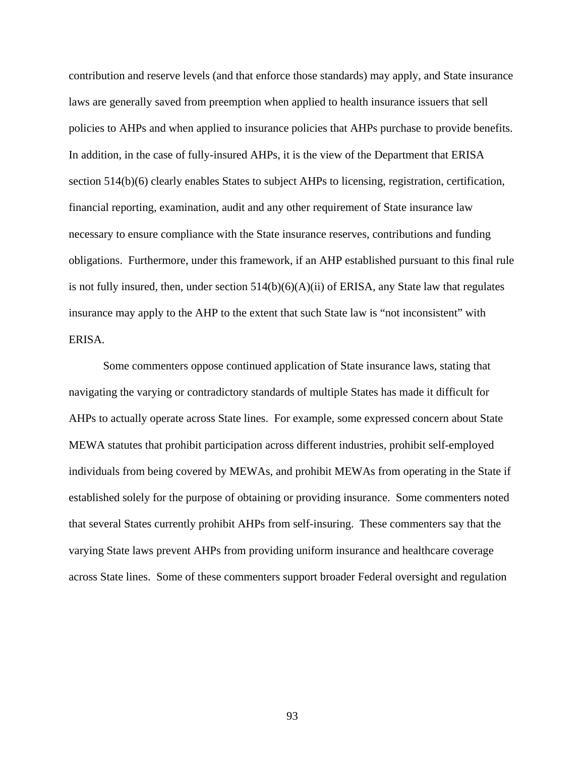contribution and reserve levels (and that enforce those standards) may apply, and State insurance laws are generally saved from preemption when applied to health insurance issuers that sell policies to AHPs and when applied to insurance policies that AHPs purchase to provide benefits. In addition, in the case of fully-insured AHPs, it is the view of the Department that ERISA section 514(b)(6) clearly enables States to subject AHPs to licensing, registration, certification, financial reporting, examination, audit and any other requirement of State insurance law necessary to ensure compliance with the State insurance reserves, contributions and funding obligations. Furthermore, under this framework, if an AHP established pursuant to this final rule is not fully insured, then, under section  $514(b)(6)(A)(ii)$  of ERISA, any State law that regulates insurance may apply to the AHP to the extent that such State law is "not inconsistent" with ERISA.

Some commenters oppose continued application of State insurance laws, stating that navigating the varying or contradictory standards of multiple States has made it difficult for AHPs to actually operate across State lines. For example, some expressed concern about State MEWA statutes that prohibit participation across different industries, prohibit self-employed individuals from being covered by MEWAs, and prohibit MEWAs from operating in the State if established solely for the purpose of obtaining or providing insurance. Some commenters noted that several States currently prohibit AHPs from self-insuring. These commenters say that the varying State laws prevent AHPs from providing uniform insurance and healthcare coverage across State lines. Some of these commenters support broader Federal oversight and regulation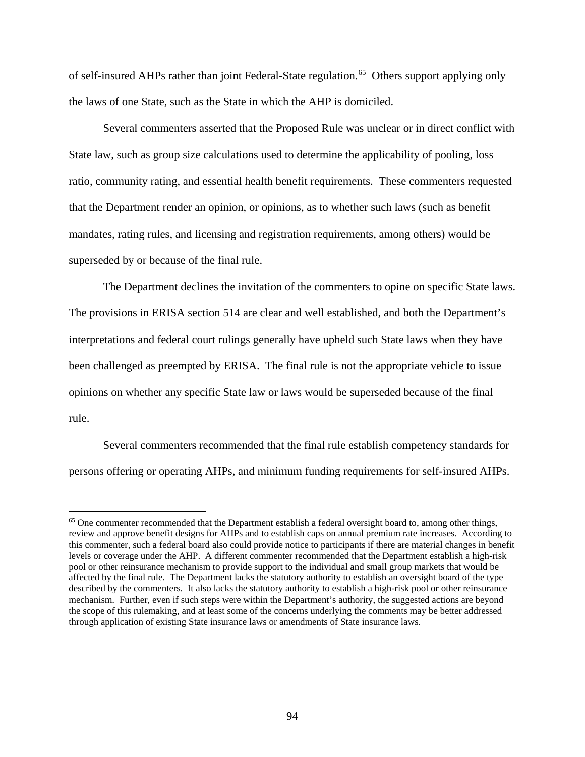of self-insured AHPs rather than joint Federal-State regulation.<sup>[65](#page-93-0)</sup> Others support applying only the laws of one State, such as the State in which the AHP is domiciled.

Several commenters asserted that the Proposed Rule was unclear or in direct conflict with State law, such as group size calculations used to determine the applicability of pooling, loss ratio, community rating, and essential health benefit requirements. These commenters requested that the Department render an opinion, or opinions, as to whether such laws (such as benefit mandates, rating rules, and licensing and registration requirements, among others) would be superseded by or because of the final rule.

The Department declines the invitation of the commenters to opine on specific State laws. The provisions in ERISA section 514 are clear and well established, and both the Department's interpretations and federal court rulings generally have upheld such State laws when they have been challenged as preempted by ERISA. The final rule is not the appropriate vehicle to issue opinions on whether any specific State law or laws would be superseded because of the final rule.

Several commenters recommended that the final rule establish competency standards for persons offering or operating AHPs, and minimum funding requirements for self-insured AHPs.

<span id="page-93-0"></span><sup>&</sup>lt;sup>65</sup> One commenter recommended that the Department establish a federal oversight board to, among other things, review and approve benefit designs for AHPs and to establish caps on annual premium rate increases. According to this commenter, such a federal board also could provide notice to participants if there are material changes in benefit levels or coverage under the AHP. A different commenter recommended that the Department establish a high-risk pool or other reinsurance mechanism to provide support to the individual and small group markets that would be affected by the final rule. The Department lacks the statutory authority to establish an oversight board of the type described by the commenters. It also lacks the statutory authority to establish a high-risk pool or other reinsurance mechanism. Further, even if such steps were within the Department's authority, the suggested actions are beyond the scope of this rulemaking, and at least some of the concerns underlying the comments may be better addressed through application of existing State insurance laws or amendments of State insurance laws.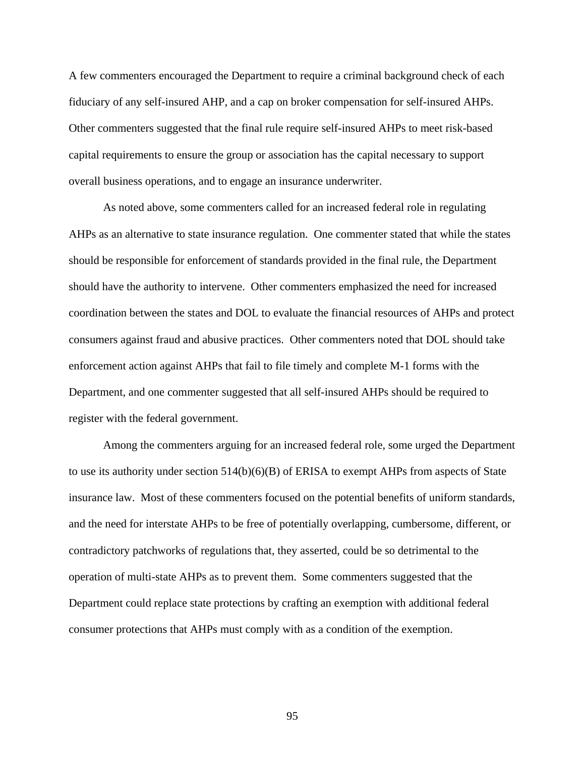A few commenters encouraged the Department to require a criminal background check of each fiduciary of any self-insured AHP, and a cap on broker compensation for self-insured AHPs. Other commenters suggested that the final rule require self-insured AHPs to meet risk-based capital requirements to ensure the group or association has the capital necessary to support overall business operations, and to engage an insurance underwriter.

As noted above, some commenters called for an increased federal role in regulating AHPs as an alternative to state insurance regulation. One commenter stated that while the states should be responsible for enforcement of standards provided in the final rule, the Department should have the authority to intervene. Other commenters emphasized the need for increased coordination between the states and DOL to evaluate the financial resources of AHPs and protect consumers against fraud and abusive practices. Other commenters noted that DOL should take enforcement action against AHPs that fail to file timely and complete M-1 forms with the Department, and one commenter suggested that all self-insured AHPs should be required to register with the federal government.

Among the commenters arguing for an increased federal role, some urged the Department to use its authority under section 514(b)(6)(B) of ERISA to exempt AHPs from aspects of State insurance law. Most of these commenters focused on the potential benefits of uniform standards, and the need for interstate AHPs to be free of potentially overlapping, cumbersome, different, or contradictory patchworks of regulations that, they asserted, could be so detrimental to the operation of multi-state AHPs as to prevent them. Some commenters suggested that the Department could replace state protections by crafting an exemption with additional federal consumer protections that AHPs must comply with as a condition of the exemption.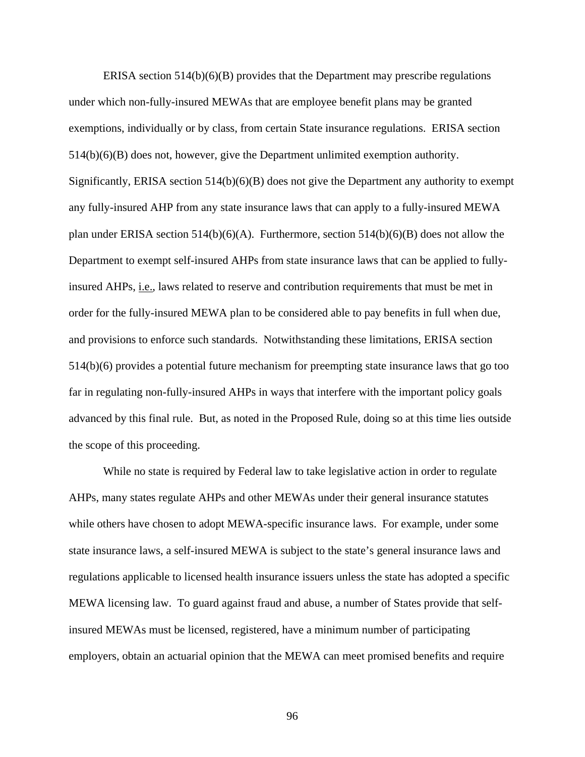ERISA section  $514(b)(6)(B)$  provides that the Department may prescribe regulations under which non-fully-insured MEWAs that are employee benefit plans may be granted exemptions, individually or by class, from certain State insurance regulations. ERISA section 514(b)(6)(B) does not, however, give the Department unlimited exemption authority. Significantly, ERISA section  $514(b)(6)(B)$  does not give the Department any authority to exempt any fully-insured AHP from any state insurance laws that can apply to a fully-insured MEWA plan under ERISA section 514(b)(6)(A). Furthermore, section 514(b)(6)(B) does not allow the Department to exempt self-insured AHPs from state insurance laws that can be applied to fullyinsured AHPs, i.e., laws related to reserve and contribution requirements that must be met in order for the fully-insured MEWA plan to be considered able to pay benefits in full when due, and provisions to enforce such standards. Notwithstanding these limitations, ERISA section 514(b)(6) provides a potential future mechanism for preempting state insurance laws that go too far in regulating non-fully-insured AHPs in ways that interfere with the important policy goals advanced by this final rule. But, as noted in the Proposed Rule, doing so at this time lies outside the scope of this proceeding.

While no state is required by Federal law to take legislative action in order to regulate AHPs, many states regulate AHPs and other MEWAs under their general insurance statutes while others have chosen to adopt MEWA-specific insurance laws. For example, under some state insurance laws, a self-insured MEWA is subject to the state's general insurance laws and regulations applicable to licensed health insurance issuers unless the state has adopted a specific MEWA licensing law. To guard against fraud and abuse, a number of States provide that selfinsured MEWAs must be licensed, registered, have a minimum number of participating employers, obtain an actuarial opinion that the MEWA can meet promised benefits and require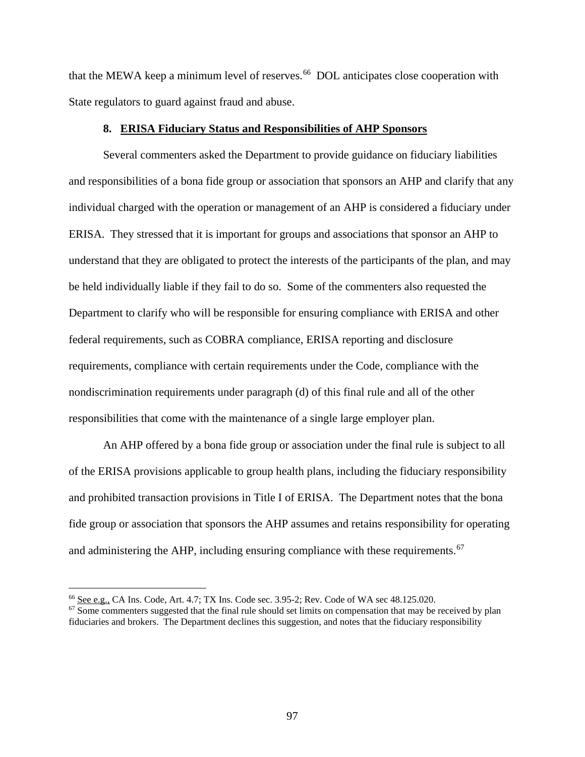that the MEWA keep a minimum level of reserves.<sup>[66](#page-96-0)</sup> DOL anticipates close cooperation with State regulators to guard against fraud and abuse.

### **8. ERISA Fiduciary Status and Responsibilities of AHP Sponsors**

Several commenters asked the Department to provide guidance on fiduciary liabilities and responsibilities of a bona fide group or association that sponsors an AHP and clarify that any individual charged with the operation or management of an AHP is considered a fiduciary under ERISA. They stressed that it is important for groups and associations that sponsor an AHP to understand that they are obligated to protect the interests of the participants of the plan, and may be held individually liable if they fail to do so. Some of the commenters also requested the Department to clarify who will be responsible for ensuring compliance with ERISA and other federal requirements, such as COBRA compliance, ERISA reporting and disclosure requirements, compliance with certain requirements under the Code, compliance with the nondiscrimination requirements under paragraph (d) of this final rule and all of the other responsibilities that come with the maintenance of a single large employer plan.

An AHP offered by a bona fide group or association under the final rule is subject to all of the ERISA provisions applicable to group health plans, including the fiduciary responsibility and prohibited transaction provisions in Title I of ERISA. The Department notes that the bona fide group or association that sponsors the AHP assumes and retains responsibility for operating and administering the AHP, including ensuring compliance with these requirements.<sup>[67](#page-96-1)</sup>

<span id="page-96-1"></span><span id="page-96-0"></span><sup>&</sup>lt;sup>66</sup> See e.g., CA Ins. Code, Art. 4.7; TX Ins. Code sec. 3.95-2; Rev. Code of WA sec 48.125.020.<br><sup>67</sup> Some commenters suggested that the final rule should set limits on compensation that may be received by plan fiduciaries and brokers. The Department declines this suggestion, and notes that the fiduciary responsibility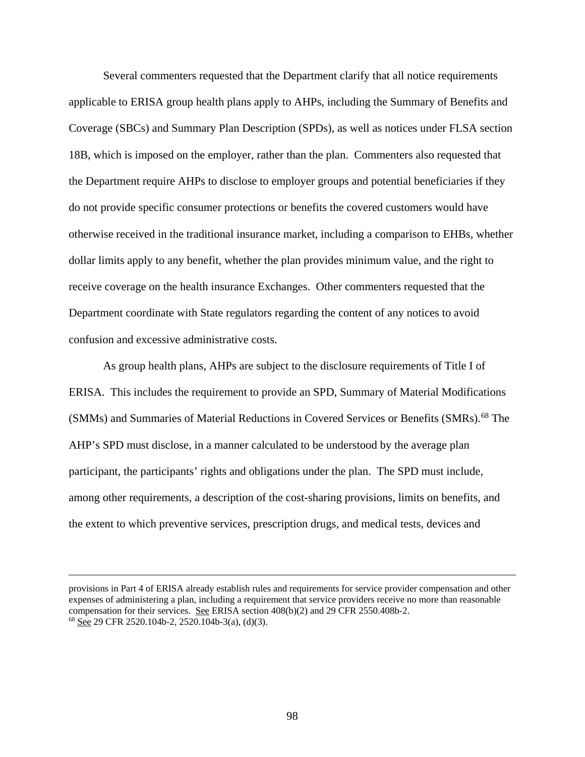Several commenters requested that the Department clarify that all notice requirements applicable to ERISA group health plans apply to AHPs, including the Summary of Benefits and Coverage (SBCs) and Summary Plan Description (SPDs), as well as notices under FLSA section 18B, which is imposed on the employer, rather than the plan. Commenters also requested that the Department require AHPs to disclose to employer groups and potential beneficiaries if they do not provide specific consumer protections or benefits the covered customers would have otherwise received in the traditional insurance market, including a comparison to EHBs, whether dollar limits apply to any benefit, whether the plan provides minimum value, and the right to receive coverage on the health insurance Exchanges. Other commenters requested that the Department coordinate with State regulators regarding the content of any notices to avoid confusion and excessive administrative costs.

As group health plans, AHPs are subject to the disclosure requirements of Title I of ERISA. This includes the requirement to provide an SPD, Summary of Material Modifications (SMMs) and Summaries of Material Reductions in Covered Services or Benefits (SMRs). [68](#page-97-0) The AHP's SPD must disclose, in a manner calculated to be understood by the average plan participant, the participants' rights and obligations under the plan. The SPD must include, among other requirements, a description of the cost-sharing provisions, limits on benefits, and the extent to which preventive services, prescription drugs, and medical tests, devices and

<span id="page-97-0"></span>provisions in Part 4 of ERISA already establish rules and requirements for service provider compensation and other expenses of administering a plan, including a requirement that service providers receive no more than reasonable compensation for their services. See ERISA section 408(b)(2) and 29 CFR 2550.408b-2. <sup>68</sup> See 29 CFR 2520.104b-2, 2520.104b-3(a), (d)(3).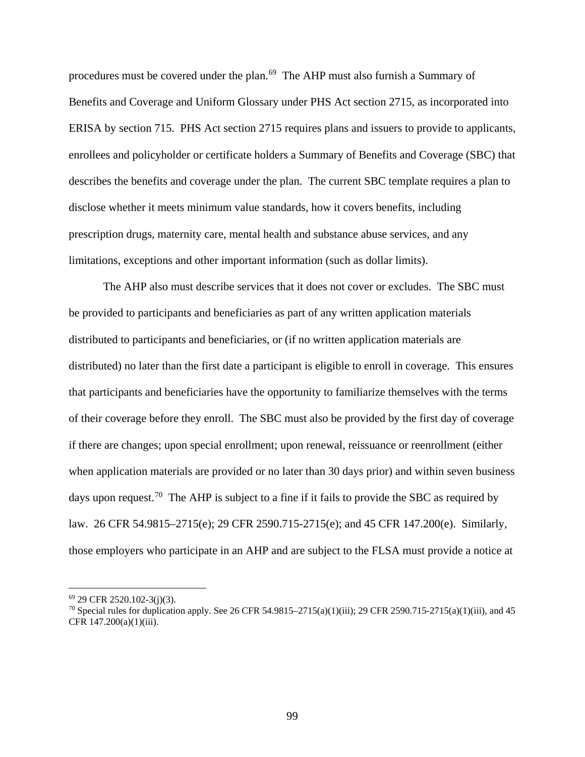procedures must be covered under the plan.<sup>[69](#page-98-0)</sup> The AHP must also furnish a Summary of Benefits and Coverage and Uniform Glossary under PHS Act section 2715, as incorporated into ERISA by section 715. PHS Act section 2715 requires plans and issuers to provide to applicants, enrollees and policyholder or certificate holders a Summary of Benefits and Coverage (SBC) that describes the benefits and coverage under the plan. The current SBC template requires a plan to disclose whether it meets minimum value standards, how it covers benefits, including prescription drugs, maternity care, mental health and substance abuse services, and any limitations, exceptions and other important information (such as dollar limits).

The AHP also must describe services that it does not cover or excludes. The SBC must be provided to participants and beneficiaries as part of any written application materials distributed to participants and beneficiaries, or (if no written application materials are distributed) no later than the first date a participant is eligible to enroll in coverage. This ensures that participants and beneficiaries have the opportunity to familiarize themselves with the terms of their coverage before they enroll. The SBC must also be provided by the first day of coverage if there are changes; upon special enrollment; upon renewal, reissuance or reenrollment (either when application materials are provided or no later than 30 days prior) and within seven business days upon request.<sup>[70](#page-98-1)</sup> The AHP is subject to a fine if it fails to provide the SBC as required by law. 26 CFR 54.9815–2715(e); 29 CFR 2590.715-2715(e); and 45 CFR 147.200(e). Similarly, those employers who participate in an AHP and are subject to the FLSA must provide a notice at

<span id="page-98-0"></span><sup>69</sup> 29 CFR 2520.102-3(j)(3).

<span id="page-98-1"></span><sup>&</sup>lt;sup>70</sup> Special rules for duplication apply. See 26 CFR 54.9815–2715(a)(1)(iii); 29 CFR 2590.715-2715(a)(1)(iii), and 45 CFR 147.200(a)(1)(iii).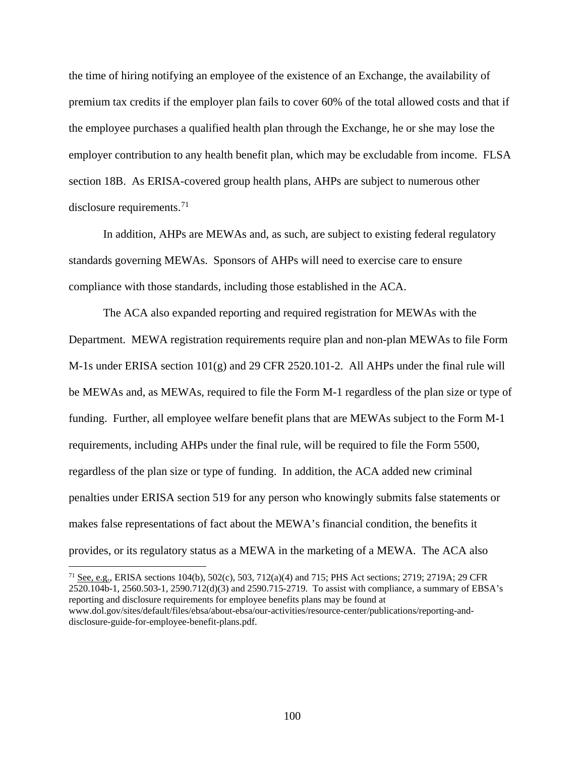the time of hiring notifying an employee of the existence of an Exchange, the availability of premium tax credits if the employer plan fails to cover 60% of the total allowed costs and that if the employee purchases a qualified health plan through the Exchange, he or she may lose the employer contribution to any health benefit plan, which may be excludable from income. FLSA section 18B. As ERISA-covered group health plans, AHPs are subject to numerous other disclosure requirements.<sup>[71](#page-99-0)</sup>

In addition, AHPs are MEWAs and, as such, are subject to existing federal regulatory standards governing MEWAs. Sponsors of AHPs will need to exercise care to ensure compliance with those standards, including those established in the ACA.

The ACA also expanded reporting and required registration for MEWAs with the Department. MEWA registration requirements require plan and non-plan MEWAs to file Form M-1s under ERISA section 101(g) and 29 CFR 2520.101-2. All AHPs under the final rule will be MEWAs and, as MEWAs, required to file the Form M-1 regardless of the plan size or type of funding. Further, all employee welfare benefit plans that are MEWAs subject to the Form M-1 requirements, including AHPs under the final rule, will be required to file the Form 5500, regardless of the plan size or type of funding. In addition, the ACA added new criminal penalties under ERISA section 519 for any person who knowingly submits false statements or makes false representations of fact about the MEWA's financial condition, the benefits it provides, or its regulatory status as a MEWA in the marketing of a MEWA. The ACA also

<span id="page-99-0"></span><sup>71</sup> See, e.g., ERISA sections 104(b), 502(c), 503, 712(a)(4) and 715; PHS Act sections; 2719; 2719A; 29 CFR 2520.104b-1, 2560.503-1, 2590.712(d)(3) and 2590.715-2719. To assist with compliance, a summary of EBSA's reporting and disclosure requirements for employee benefits plans may be found at www.dol.gov/sites/default/files/ebsa/about-ebsa/our-activities/resource-center/publications/reporting-anddisclosure-guide-for-employee-benefit-plans.pdf.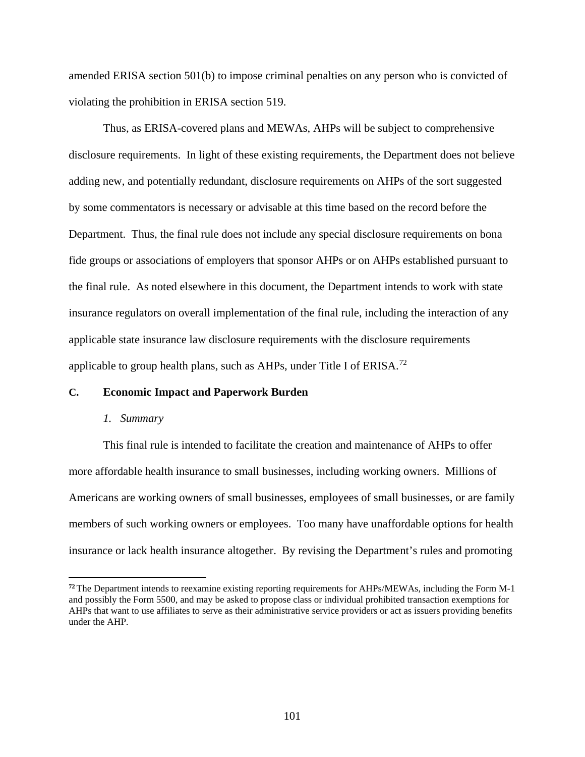amended ERISA section 501(b) to impose criminal penalties on any person who is convicted of violating the prohibition in ERISA section 519.

Thus, as ERISA-covered plans and MEWAs, AHPs will be subject to comprehensive disclosure requirements. In light of these existing requirements, the Department does not believe adding new, and potentially redundant, disclosure requirements on AHPs of the sort suggested by some commentators is necessary or advisable at this time based on the record before the Department. Thus, the final rule does not include any special disclosure requirements on bona fide groups or associations of employers that sponsor AHPs or on AHPs established pursuant to the final rule. As noted elsewhere in this document, the Department intends to work with state insurance regulators on overall implementation of the final rule, including the interaction of any applicable state insurance law disclosure requirements with the disclosure requirements applicable to group health plans, such as  $AHPs$ , under Title I of ERISA.<sup>[72](#page-100-0)</sup>

### **C. Economic Impact and Paperwork Burden**

#### *1. Summary*

 $\overline{a}$ 

This final rule is intended to facilitate the creation and maintenance of AHPs to offer more affordable health insurance to small businesses, including working owners. Millions of Americans are working owners of small businesses, employees of small businesses, or are family members of such working owners or employees. Too many have unaffordable options for health insurance or lack health insurance altogether. By revising the Department's rules and promoting

<span id="page-100-0"></span>**<sup>72</sup>** The Department intends to reexamine existing reporting requirements for AHPs/MEWAs, including the Form M-1 and possibly the Form 5500, and may be asked to propose class or individual prohibited transaction exemptions for AHPs that want to use affiliates to serve as their administrative service providers or act as issuers providing benefits under the AHP.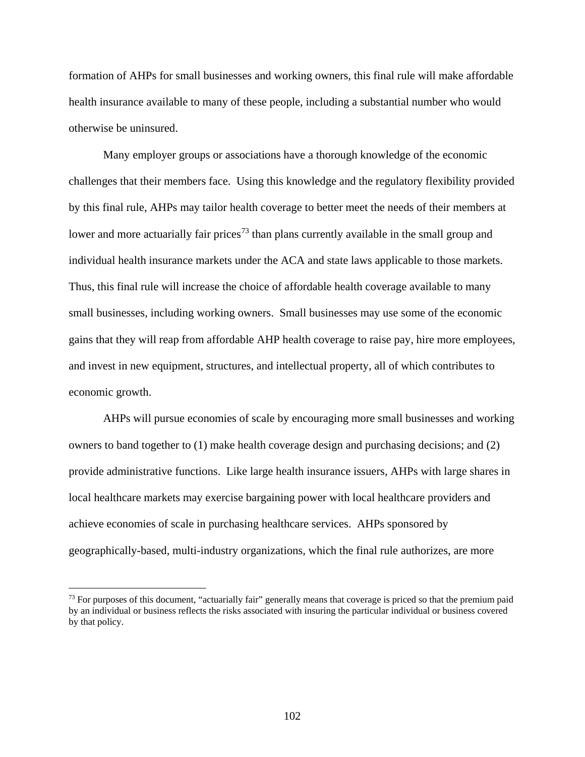formation of AHPs for small businesses and working owners, this final rule will make affordable health insurance available to many of these people, including a substantial number who would otherwise be uninsured.

Many employer groups or associations have a thorough knowledge of the economic challenges that their members face. Using this knowledge and the regulatory flexibility provided by this final rule, AHPs may tailor health coverage to better meet the needs of their members at lower and more actuarially fair prices<sup>[73](#page-101-0)</sup> than plans currently available in the small group and individual health insurance markets under the ACA and state laws applicable to those markets. Thus, this final rule will increase the choice of affordable health coverage available to many small businesses, including working owners. Small businesses may use some of the economic gains that they will reap from affordable AHP health coverage to raise pay, hire more employees, and invest in new equipment, structures, and intellectual property, all of which contributes to economic growth.

AHPs will pursue economies of scale by encouraging more small businesses and working owners to band together to (1) make health coverage design and purchasing decisions; and (2) provide administrative functions. Like large health insurance issuers, AHPs with large shares in local healthcare markets may exercise bargaining power with local healthcare providers and achieve economies of scale in purchasing healthcare services. AHPs sponsored by geographically-based, multi-industry organizations, which the final rule authorizes, are more

<span id="page-101-0"></span> $73$  For purposes of this document, "actuarially fair" generally means that coverage is priced so that the premium paid by an individual or business reflects the risks associated with insuring the particular individual or business covered by that policy.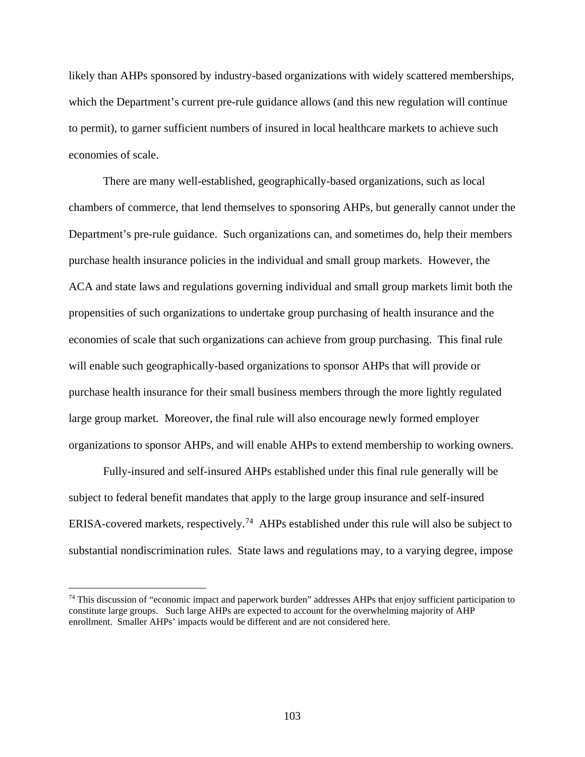likely than AHPs sponsored by industry-based organizations with widely scattered memberships, which the Department's current pre-rule guidance allows (and this new regulation will continue to permit), to garner sufficient numbers of insured in local healthcare markets to achieve such economies of scale.

There are many well-established, geographically-based organizations, such as local chambers of commerce, that lend themselves to sponsoring AHPs, but generally cannot under the Department's pre-rule guidance. Such organizations can, and sometimes do, help their members purchase health insurance policies in the individual and small group markets. However, the ACA and state laws and regulations governing individual and small group markets limit both the propensities of such organizations to undertake group purchasing of health insurance and the economies of scale that such organizations can achieve from group purchasing. This final rule will enable such geographically-based organizations to sponsor AHPs that will provide or purchase health insurance for their small business members through the more lightly regulated large group market. Moreover, the final rule will also encourage newly formed employer organizations to sponsor AHPs, and will enable AHPs to extend membership to working owners.

Fully-insured and self-insured AHPs established under this final rule generally will be subject to federal benefit mandates that apply to the large group insurance and self-insured ERISA-covered markets, respectively.<sup>[74](#page-102-0)</sup> AHPs established under this rule will also be subject to substantial nondiscrimination rules. State laws and regulations may, to a varying degree, impose

<span id="page-102-0"></span> $74$  This discussion of "economic impact and paperwork burden" addresses AHPs that enjoy sufficient participation to constitute large groups. Such large AHPs are expected to account for the overwhelming majority of AHP enrollment. Smaller AHPs' impacts would be different and are not considered here.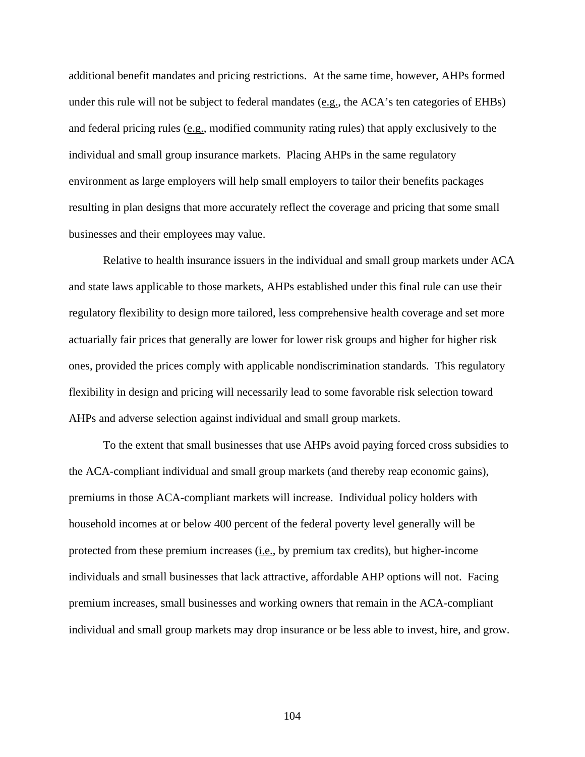additional benefit mandates and pricing restrictions. At the same time, however, AHPs formed under this rule will not be subject to federal mandates (e.g., the ACA's ten categories of EHBs) and federal pricing rules (e.g., modified community rating rules) that apply exclusively to the individual and small group insurance markets. Placing AHPs in the same regulatory environment as large employers will help small employers to tailor their benefits packages resulting in plan designs that more accurately reflect the coverage and pricing that some small businesses and their employees may value.

Relative to health insurance issuers in the individual and small group markets under ACA and state laws applicable to those markets, AHPs established under this final rule can use their regulatory flexibility to design more tailored, less comprehensive health coverage and set more actuarially fair prices that generally are lower for lower risk groups and higher for higher risk ones, provided the prices comply with applicable nondiscrimination standards. This regulatory flexibility in design and pricing will necessarily lead to some favorable risk selection toward AHPs and adverse selection against individual and small group markets.

To the extent that small businesses that use AHPs avoid paying forced cross subsidies to the ACA-compliant individual and small group markets (and thereby reap economic gains), premiums in those ACA-compliant markets will increase. Individual policy holders with household incomes at or below 400 percent of the federal poverty level generally will be protected from these premium increases  $(i.e., by premium tax credits)$ , but higher-income individuals and small businesses that lack attractive, affordable AHP options will not. Facing premium increases, small businesses and working owners that remain in the ACA-compliant individual and small group markets may drop insurance or be less able to invest, hire, and grow.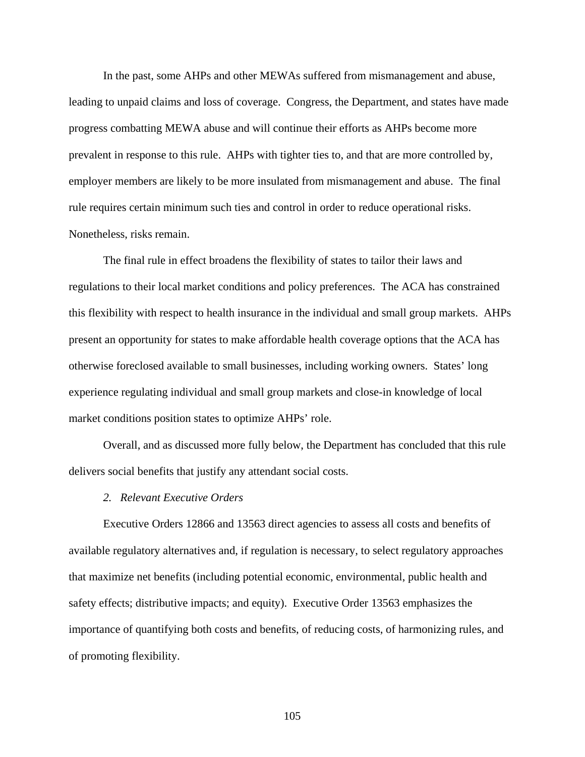In the past, some AHPs and other MEWAs suffered from mismanagement and abuse, leading to unpaid claims and loss of coverage. Congress, the Department, and states have made progress combatting MEWA abuse and will continue their efforts as AHPs become more prevalent in response to this rule. AHPs with tighter ties to, and that are more controlled by, employer members are likely to be more insulated from mismanagement and abuse. The final rule requires certain minimum such ties and control in order to reduce operational risks. Nonetheless, risks remain.

The final rule in effect broadens the flexibility of states to tailor their laws and regulations to their local market conditions and policy preferences. The ACA has constrained this flexibility with respect to health insurance in the individual and small group markets. AHPs present an opportunity for states to make affordable health coverage options that the ACA has otherwise foreclosed available to small businesses, including working owners. States' long experience regulating individual and small group markets and close-in knowledge of local market conditions position states to optimize AHPs' role.

Overall, and as discussed more fully below, the Department has concluded that this rule delivers social benefits that justify any attendant social costs.

# *2. Relevant Executive Orders*

Executive Orders 12866 and 13563 direct agencies to assess all costs and benefits of available regulatory alternatives and, if regulation is necessary, to select regulatory approaches that maximize net benefits (including potential economic, environmental, public health and safety effects; distributive impacts; and equity). Executive Order 13563 emphasizes the importance of quantifying both costs and benefits, of reducing costs, of harmonizing rules, and of promoting flexibility.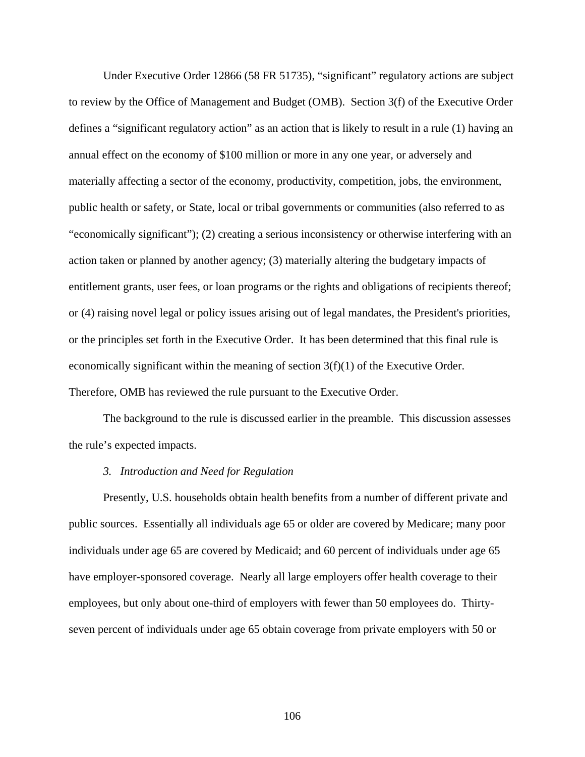Under Executive Order 12866 (58 FR 51735), "significant" regulatory actions are subject to review by the Office of Management and Budget (OMB). Section 3(f) of the Executive Order defines a "significant regulatory action" as an action that is likely to result in a rule (1) having an annual effect on the economy of \$100 million or more in any one year, or adversely and materially affecting a sector of the economy, productivity, competition, jobs, the environment, public health or safety, or State, local or tribal governments or communities (also referred to as "economically significant"); (2) creating a serious inconsistency or otherwise interfering with an action taken or planned by another agency; (3) materially altering the budgetary impacts of entitlement grants, user fees, or loan programs or the rights and obligations of recipients thereof; or (4) raising novel legal or policy issues arising out of legal mandates, the President's priorities, or the principles set forth in the Executive Order. It has been determined that this final rule is economically significant within the meaning of section 3(f)(1) of the Executive Order. Therefore, OMB has reviewed the rule pursuant to the Executive Order.

The background to the rule is discussed earlier in the preamble. This discussion assesses the rule's expected impacts.

### *3. Introduction and Need for Regulation*

Presently, U.S. households obtain health benefits from a number of different private and public sources. Essentially all individuals age 65 or older are covered by Medicare; many poor individuals under age 65 are covered by Medicaid; and 60 percent of individuals under age 65 have employer-sponsored coverage. Nearly all large employers offer health coverage to their employees, but only about one-third of employers with fewer than 50 employees do. Thirtyseven percent of individuals under age 65 obtain coverage from private employers with 50 or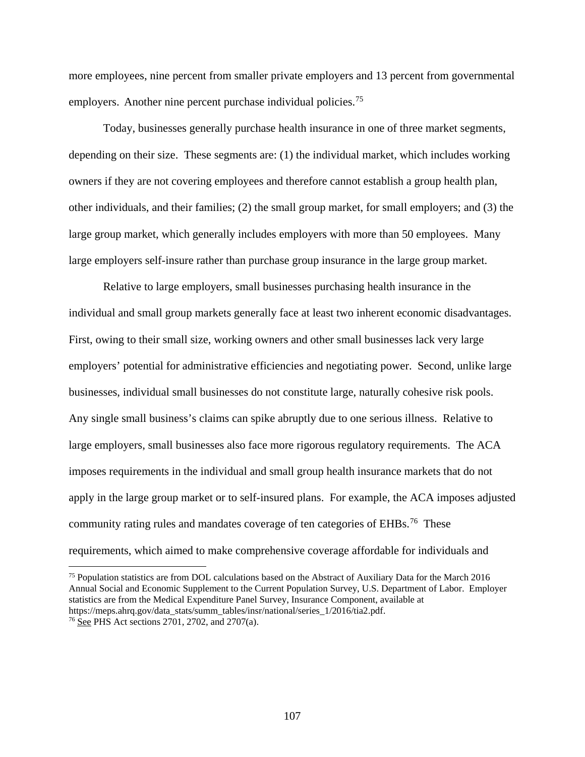more employees, nine percent from smaller private employers and 13 percent from governmental employers. Another nine percent purchase individual policies.<sup>[75](#page-106-0)</sup>

Today, businesses generally purchase health insurance in one of three market segments, depending on their size. These segments are: (1) the individual market, which includes working owners if they are not covering employees and therefore cannot establish a group health plan, other individuals, and their families; (2) the small group market, for small employers; and (3) the large group market, which generally includes employers with more than 50 employees. Many large employers self-insure rather than purchase group insurance in the large group market.

Relative to large employers, small businesses purchasing health insurance in the individual and small group markets generally face at least two inherent economic disadvantages. First, owing to their small size, working owners and other small businesses lack very large employers' potential for administrative efficiencies and negotiating power. Second, unlike large businesses, individual small businesses do not constitute large, naturally cohesive risk pools. Any single small business's claims can spike abruptly due to one serious illness. Relative to large employers, small businesses also face more rigorous regulatory requirements. The ACA imposes requirements in the individual and small group health insurance markets that do not apply in the large group market or to self-insured plans. For example, the ACA imposes adjusted community rating rules and mandates coverage of ten categories of EHBs.<sup>[76](#page-106-1)</sup> These requirements, which aimed to make comprehensive coverage affordable for individuals and

<span id="page-106-0"></span><sup>75</sup> Population statistics are from DOL calculations based on the Abstract of Auxiliary Data for the March 2016 Annual Social and Economic Supplement to the Current Population Survey, U.S. Department of Labor. Employer statistics are from the Medical Expenditure Panel Survey, Insurance Component, available at https://meps.ahrq.gov/data\_stats/summ\_tables/insr/national/series\_1/2016/tia2.pdf.

<span id="page-106-1"></span><sup>76</sup> See PHS Act sections 2701, 2702, and 2707(a).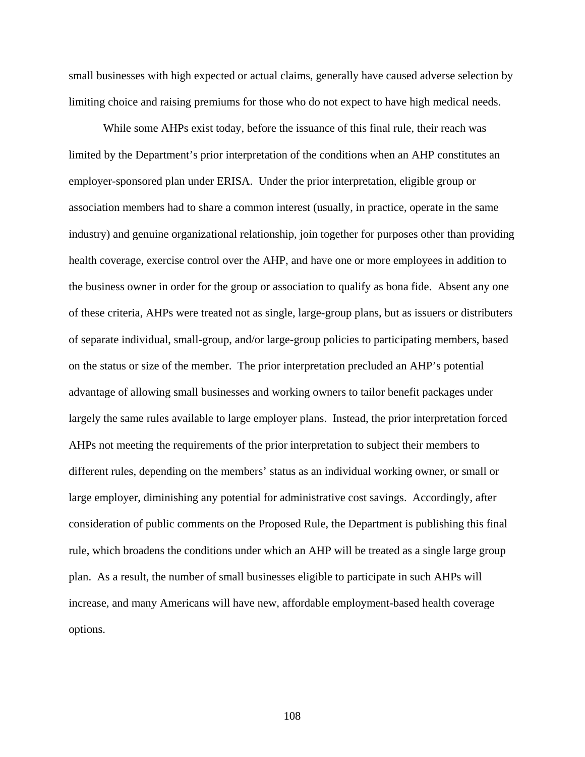small businesses with high expected or actual claims, generally have caused adverse selection by limiting choice and raising premiums for those who do not expect to have high medical needs.

While some AHPs exist today, before the issuance of this final rule, their reach was limited by the Department's prior interpretation of the conditions when an AHP constitutes an employer-sponsored plan under ERISA. Under the prior interpretation, eligible group or association members had to share a common interest (usually, in practice, operate in the same industry) and genuine organizational relationship, join together for purposes other than providing health coverage, exercise control over the AHP, and have one or more employees in addition to the business owner in order for the group or association to qualify as bona fide. Absent any one of these criteria, AHPs were treated not as single, large-group plans, but as issuers or distributers of separate individual, small-group, and/or large-group policies to participating members, based on the status or size of the member. The prior interpretation precluded an AHP's potential advantage of allowing small businesses and working owners to tailor benefit packages under largely the same rules available to large employer plans. Instead, the prior interpretation forced AHPs not meeting the requirements of the prior interpretation to subject their members to different rules, depending on the members' status as an individual working owner, or small or large employer, diminishing any potential for administrative cost savings. Accordingly, after consideration of public comments on the Proposed Rule, the Department is publishing this final rule, which broadens the conditions under which an AHP will be treated as a single large group plan. As a result, the number of small businesses eligible to participate in such AHPs will increase, and many Americans will have new, affordable employment-based health coverage options.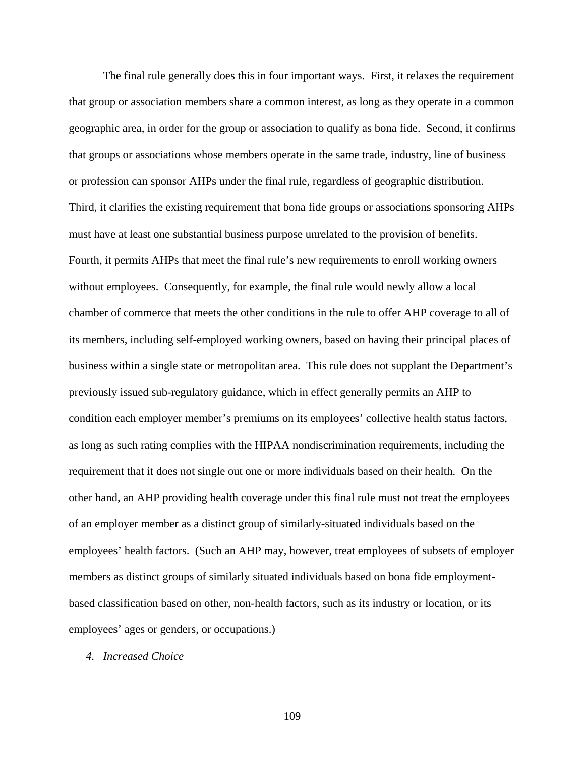The final rule generally does this in four important ways. First, it relaxes the requirement that group or association members share a common interest, as long as they operate in a common geographic area, in order for the group or association to qualify as bona fide. Second, it confirms that groups or associations whose members operate in the same trade, industry, line of business or profession can sponsor AHPs under the final rule, regardless of geographic distribution. Third, it clarifies the existing requirement that bona fide groups or associations sponsoring AHPs must have at least one substantial business purpose unrelated to the provision of benefits. Fourth, it permits AHPs that meet the final rule's new requirements to enroll working owners without employees. Consequently, for example, the final rule would newly allow a local chamber of commerce that meets the other conditions in the rule to offer AHP coverage to all of its members, including self-employed working owners, based on having their principal places of business within a single state or metropolitan area. This rule does not supplant the Department's previously issued sub-regulatory guidance, which in effect generally permits an AHP to condition each employer member's premiums on its employees' collective health status factors, as long as such rating complies with the HIPAA nondiscrimination requirements, including the requirement that it does not single out one or more individuals based on their health. On the other hand, an AHP providing health coverage under this final rule must not treat the employees of an employer member as a distinct group of similarly-situated individuals based on the employees' health factors. (Such an AHP may, however, treat employees of subsets of employer members as distinct groups of similarly situated individuals based on bona fide employmentbased classification based on other, non-health factors, such as its industry or location, or its employees' ages or genders, or occupations.)

*4. Increased Choice*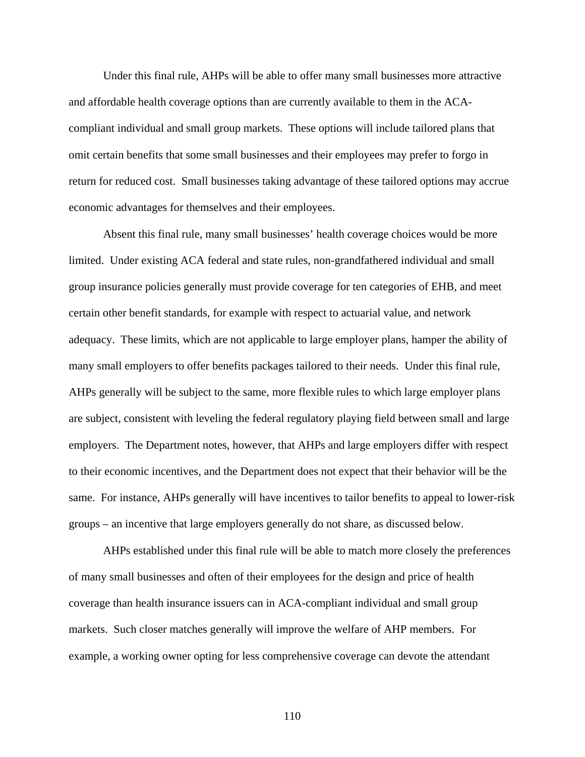Under this final rule, AHPs will be able to offer many small businesses more attractive and affordable health coverage options than are currently available to them in the ACAcompliant individual and small group markets. These options will include tailored plans that omit certain benefits that some small businesses and their employees may prefer to forgo in return for reduced cost. Small businesses taking advantage of these tailored options may accrue economic advantages for themselves and their employees.

Absent this final rule, many small businesses' health coverage choices would be more limited. Under existing ACA federal and state rules, non-grandfathered individual and small group insurance policies generally must provide coverage for ten categories of EHB, and meet certain other benefit standards, for example with respect to actuarial value, and network adequacy. These limits, which are not applicable to large employer plans, hamper the ability of many small employers to offer benefits packages tailored to their needs. Under this final rule, AHPs generally will be subject to the same, more flexible rules to which large employer plans are subject, consistent with leveling the federal regulatory playing field between small and large employers. The Department notes, however, that AHPs and large employers differ with respect to their economic incentives, and the Department does not expect that their behavior will be the same. For instance, AHPs generally will have incentives to tailor benefits to appeal to lower-risk groups – an incentive that large employers generally do not share, as discussed below.

AHPs established under this final rule will be able to match more closely the preferences of many small businesses and often of their employees for the design and price of health coverage than health insurance issuers can in ACA-compliant individual and small group markets. Such closer matches generally will improve the welfare of AHP members. For example, a working owner opting for less comprehensive coverage can devote the attendant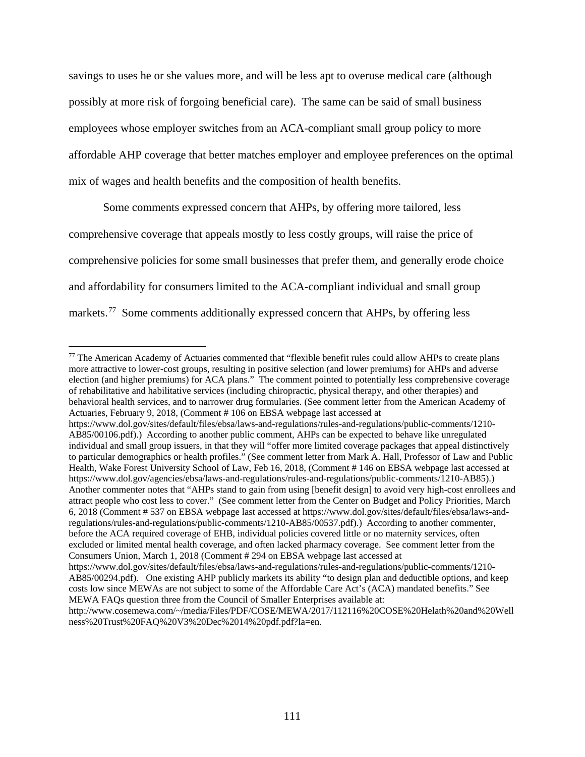savings to uses he or she values more, and will be less apt to overuse medical care (although possibly at more risk of forgoing beneficial care). The same can be said of small business employees whose employer switches from an ACA-compliant small group policy to more affordable AHP coverage that better matches employer and employee preferences on the optimal mix of wages and health benefits and the composition of health benefits.

Some comments expressed concern that AHPs, by offering more tailored, less comprehensive coverage that appeals mostly to less costly groups, will raise the price of comprehensive policies for some small businesses that prefer them, and generally erode choice and affordability for consumers limited to the ACA-compliant individual and small group markets.<sup>77</sup> Some comments additionally expressed concern that AHPs, by offering less

<span id="page-110-0"></span><sup>&</sup>lt;sup>77</sup> The American Academy of Actuaries commented that "flexible benefit rules could allow AHPs to create plans more attractive to lower-cost groups, resulting in positive selection (and lower premiums) for AHPs and adverse election (and higher premiums) for ACA plans." The comment pointed to potentially less comprehensive coverage of rehabilitative and habilitative services (including chiropractic, physical therapy, and other therapies) and behavioral health services, and to narrower drug formularies. (See comment letter from the American Academy of Actuaries, February 9, 2018, (Comment # 106 on EBSA webpage last accessed at

https://www.dol.gov/sites/default/files/ebsa/laws-and-regulations/rules-and-regulations/public-comments/1210- AB85/00106.pdf).) According to another public comment, AHPs can be expected to behave like unregulated individual and small group issuers, in that they will "offer more limited coverage packages that appeal distinctively to particular demographics or health profiles." (See comment letter from Mark A. Hall, Professor of Law and Public Health, Wake Forest University School of Law, Feb 16, 2018, (Comment # 146 on EBSA webpage last accessed at https://www.dol.gov/agencies/ebsa/laws-and-regulations/rules-and-regulations/public-comments/1210-AB85).) Another commenter notes that "AHPs stand to gain from using [benefit design] to avoid very high-cost enrollees and attract people who cost less to cover." (See comment letter from the Center on Budget and Policy Priorities, March 6, 2018 (Comment # 537 on EBSA webpage last accessed at https://www.dol.gov/sites/default/files/ebsa/laws-andregulations/rules-and-regulations/public-comments/1210-AB85/00537.pdf).) According to another commenter, before the ACA required coverage of EHB, individual policies covered little or no maternity services, often excluded or limited mental health coverage, and often lacked pharmacy coverage. See comment letter from the Consumers Union, March 1, 2018 (Comment # 294 on EBSA webpage last accessed at https://www.dol.gov/sites/default/files/ebsa/laws-and-regulations/rules-and-regulations/public-comments/1210- AB85/00294.pdf). One existing AHP publicly markets its ability "to design plan and deductible options, and keep

costs low since MEWAs are not subject to some of the Affordable Care Act's (ACA) mandated benefits." See MEWA FAQs question three from the Council of Smaller Enterprises available at:

http://www.cosemewa.com/~/media/Files/PDF/COSE/MEWA/2017/112116%20COSE%20Helath%20and%20Well ness%20Trust%20FAQ%20V3%20Dec%2014%20pdf.pdf?la=en.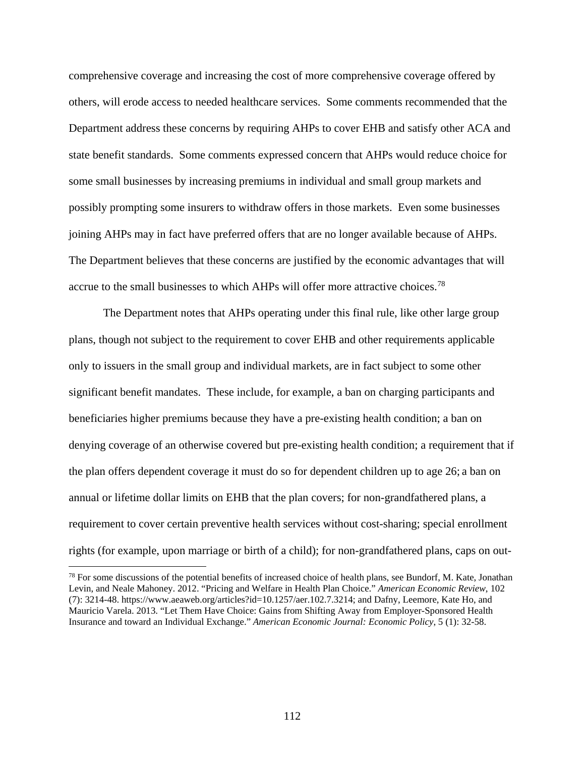comprehensive coverage and increasing the cost of more comprehensive coverage offered by others, will erode access to needed healthcare services. Some comments recommended that the Department address these concerns by requiring AHPs to cover EHB and satisfy other ACA and state benefit standards. Some comments expressed concern that AHPs would reduce choice for some small businesses by increasing premiums in individual and small group markets and possibly prompting some insurers to withdraw offers in those markets. Even some businesses joining AHPs may in fact have preferred offers that are no longer available because of AHPs. The Department believes that these concerns are justified by the economic advantages that will accrue to the small businesses to which AHPs will offer more attractive choices.[78](#page-111-0)

The Department notes that AHPs operating under this final rule, like other large group plans, though not subject to the requirement to cover EHB and other requirements applicable only to issuers in the small group and individual markets, are in fact subject to some other significant benefit mandates. These include, for example, a ban on charging participants and beneficiaries higher premiums because they have a pre-existing health condition; a ban on denying coverage of an otherwise covered but pre-existing health condition; a requirement that if the plan offers dependent coverage it must do so for dependent children up to age 26; a ban on annual or lifetime dollar limits on EHB that the plan covers; for non-grandfathered plans, a requirement to cover certain preventive health services without cost-sharing; special enrollment rights (for example, upon marriage or birth of a child); for non-grandfathered plans, caps on out-

<span id="page-111-0"></span> $78$  For some discussions of the potential benefits of increased choice of health plans, see Bundorf, M. Kate, Jonathan Levin, and Neale Mahoney. 2012. "Pricing and Welfare in Health Plan Choice." *American Economic Review*, 102 (7): 3214-48. https://www.aeaweb.org/articles?id=10.1257/aer.102.7.3214; and Dafny, Leemore, Kate Ho, and Mauricio Varela. 2013. "Let Them Have Choice: Gains from Shifting Away from Employer-Sponsored Health Insurance and toward an Individual Exchange." *American Economic Journal: Economic Policy*, 5 (1): 32-58.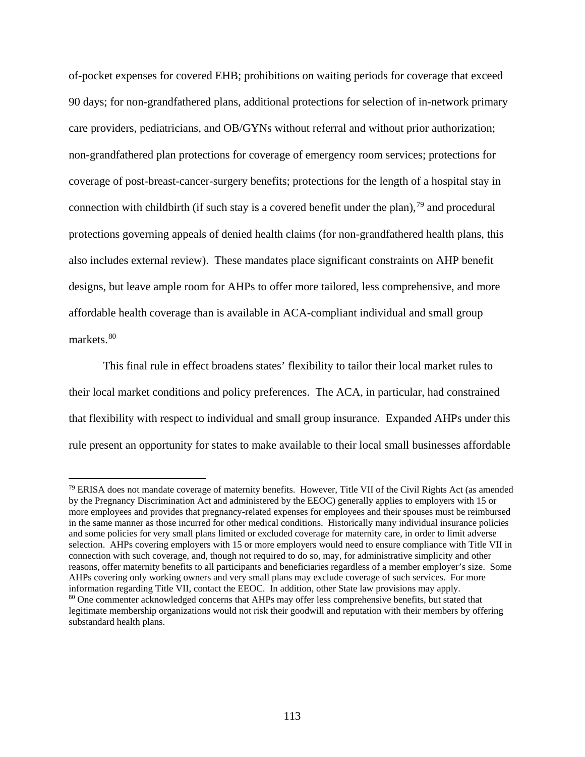of-pocket expenses for covered EHB; prohibitions on waiting periods for coverage that exceed 90 days; for non-grandfathered plans, additional protections for selection of in-network primary care providers, pediatricians, and OB/GYNs without referral and without prior authorization; non-grandfathered plan protections for coverage of emergency room services; protections for coverage of post-breast-cancer-surgery benefits; protections for the length of a hospital stay in connection with childbirth (if such stay is a covered benefit under the plan),<sup>[79](#page-112-0)</sup> and procedural protections governing appeals of denied health claims (for non-grandfathered health plans, this also includes external review). These mandates place significant constraints on AHP benefit designs, but leave ample room for AHPs to offer more tailored, less comprehensive, and more affordable health coverage than is available in ACA-compliant individual and small group markets.<sup>[80](#page-112-1)</sup>

This final rule in effect broadens states' flexibility to tailor their local market rules to their local market conditions and policy preferences. The ACA, in particular, had constrained that flexibility with respect to individual and small group insurance. Expanded AHPs under this rule present an opportunity for states to make available to their local small businesses affordable

<span id="page-112-0"></span><sup>79</sup> ERISA does not mandate coverage of maternity benefits. However, Title VII of the Civil Rights Act (as amended by the Pregnancy Discrimination Act and administered by the EEOC) generally applies to employers with 15 or more employees and provides that pregnancy-related expenses for employees and their spouses must be reimbursed in the same manner as those incurred for other medical conditions. Historically many individual insurance policies and some policies for very small plans limited or excluded coverage for maternity care, in order to limit adverse selection. AHPs covering employers with 15 or more employers would need to ensure compliance with Title VII in connection with such coverage, and, though not required to do so, may, for administrative simplicity and other reasons, offer maternity benefits to all participants and beneficiaries regardless of a member employer's size. Some AHPs covering only working owners and very small plans may exclude coverage of such services. For more information regarding Title VII, contact the EEOC. In addition, other State law provisions may apply.

<span id="page-112-1"></span><sup>&</sup>lt;sup>80</sup> One commenter acknowledged concerns that AHPs may offer less comprehensive benefits, but stated that legitimate membership organizations would not risk their goodwill and reputation with their members by offering substandard health plans.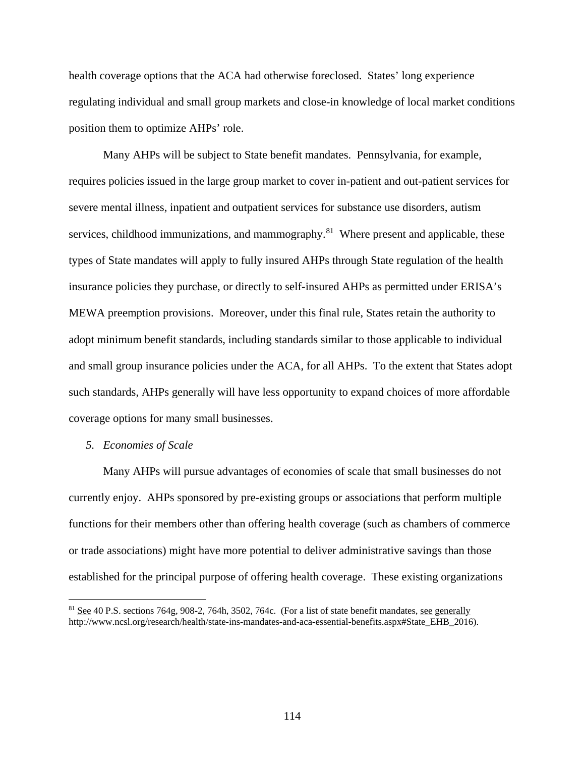health coverage options that the ACA had otherwise foreclosed. States' long experience regulating individual and small group markets and close-in knowledge of local market conditions position them to optimize AHPs' role.

Many AHPs will be subject to State benefit mandates. Pennsylvania, for example, requires policies issued in the large group market to cover in-patient and out-patient services for severe mental illness, inpatient and outpatient services for substance use disorders, autism services, childhood immunizations, and mammography.<sup>[81](#page-113-0)</sup> Where present and applicable, these types of State mandates will apply to fully insured AHPs through State regulation of the health insurance policies they purchase, or directly to self-insured AHPs as permitted under ERISA's MEWA preemption provisions. Moreover, under this final rule, States retain the authority to adopt minimum benefit standards, including standards similar to those applicable to individual and small group insurance policies under the ACA, for all AHPs. To the extent that States adopt such standards, AHPs generally will have less opportunity to expand choices of more affordable coverage options for many small businesses.

### *5. Economies of Scale*

 $\overline{a}$ 

Many AHPs will pursue advantages of economies of scale that small businesses do not currently enjoy. AHPs sponsored by pre-existing groups or associations that perform multiple functions for their members other than offering health coverage (such as chambers of commerce or trade associations) might have more potential to deliver administrative savings than those established for the principal purpose of offering health coverage. These existing organizations

<span id="page-113-0"></span><sup>&</sup>lt;sup>81</sup> See 40 P.S. sections 764g, 908-2, 764h, 3502, 764c. (For a list of state benefit mandates, <u>see generally</u> http://www.ncsl.org/research/health/state-ins-mandates-and-aca-essential-benefits.aspx#State\_EHB\_2016).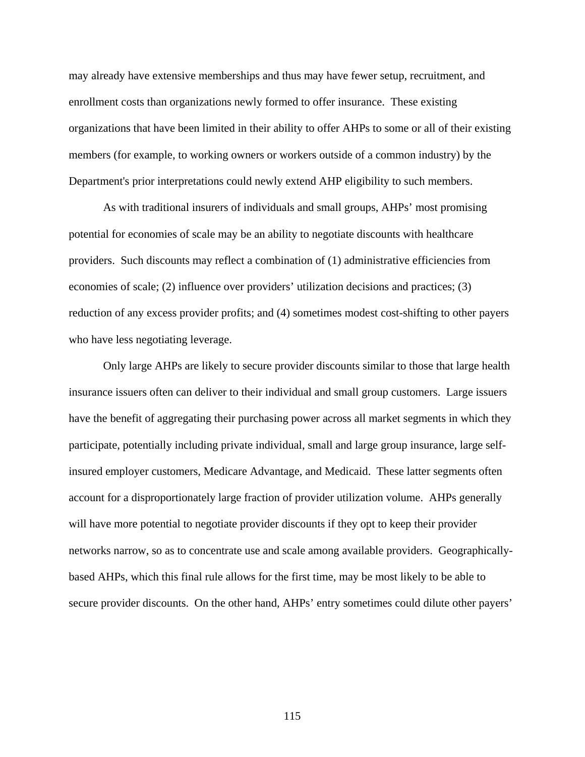may already have extensive memberships and thus may have fewer setup, recruitment, and enrollment costs than organizations newly formed to offer insurance. These existing organizations that have been limited in their ability to offer AHPs to some or all of their existing members (for example, to working owners or workers outside of a common industry) by the Department's prior interpretations could newly extend AHP eligibility to such members.

As with traditional insurers of individuals and small groups, AHPs' most promising potential for economies of scale may be an ability to negotiate discounts with healthcare providers. Such discounts may reflect a combination of (1) administrative efficiencies from economies of scale; (2) influence over providers' utilization decisions and practices; (3) reduction of any excess provider profits; and (4) sometimes modest cost-shifting to other payers who have less negotiating leverage.

Only large AHPs are likely to secure provider discounts similar to those that large health insurance issuers often can deliver to their individual and small group customers. Large issuers have the benefit of aggregating their purchasing power across all market segments in which they participate, potentially including private individual, small and large group insurance, large selfinsured employer customers, Medicare Advantage, and Medicaid. These latter segments often account for a disproportionately large fraction of provider utilization volume. AHPs generally will have more potential to negotiate provider discounts if they opt to keep their provider networks narrow, so as to concentrate use and scale among available providers. Geographicallybased AHPs, which this final rule allows for the first time, may be most likely to be able to secure provider discounts. On the other hand, AHPs' entry sometimes could dilute other payers'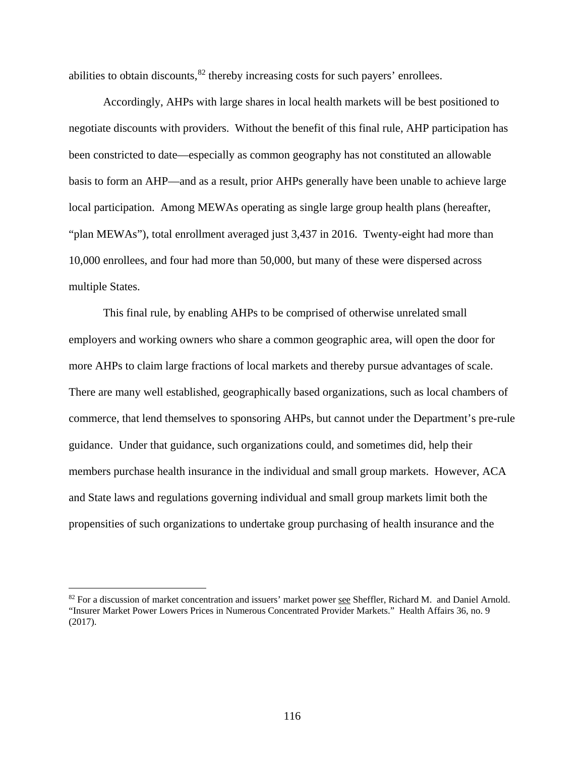abilities to obtain discounts,  $82$  thereby increasing costs for such payers' enrollees.

Accordingly, AHPs with large shares in local health markets will be best positioned to negotiate discounts with providers. Without the benefit of this final rule, AHP participation has been constricted to date—especially as common geography has not constituted an allowable basis to form an AHP—and as a result, prior AHPs generally have been unable to achieve large local participation. Among MEWAs operating as single large group health plans (hereafter, "plan MEWAs"), total enrollment averaged just 3,437 in 2016. Twenty-eight had more than 10,000 enrollees, and four had more than 50,000, but many of these were dispersed across multiple States.

This final rule, by enabling AHPs to be comprised of otherwise unrelated small employers and working owners who share a common geographic area, will open the door for more AHPs to claim large fractions of local markets and thereby pursue advantages of scale. There are many well established, geographically based organizations, such as local chambers of commerce, that lend themselves to sponsoring AHPs, but cannot under the Department's pre-rule guidance. Under that guidance, such organizations could, and sometimes did, help their members purchase health insurance in the individual and small group markets. However, ACA and State laws and regulations governing individual and small group markets limit both the propensities of such organizations to undertake group purchasing of health insurance and the

<span id="page-115-0"></span><sup>&</sup>lt;sup>82</sup> For a discussion of market concentration and issuers' market power see Sheffler, Richard M. and Daniel Arnold. "Insurer Market Power Lowers Prices in Numerous Concentrated Provider Markets." Health Affairs 36, no. 9 (2017).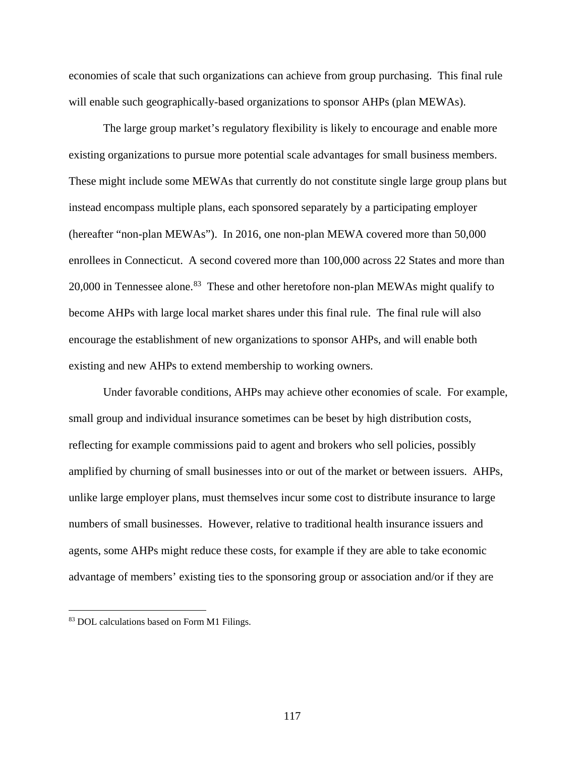economies of scale that such organizations can achieve from group purchasing. This final rule will enable such geographically-based organizations to sponsor AHPs (plan MEWAs).

The large group market's regulatory flexibility is likely to encourage and enable more existing organizations to pursue more potential scale advantages for small business members. These might include some MEWAs that currently do not constitute single large group plans but instead encompass multiple plans, each sponsored separately by a participating employer (hereafter "non-plan MEWAs"). In 2016, one non-plan MEWA covered more than 50,000 enrollees in Connecticut. A second covered more than 100,000 across 22 States and more than  $20,000$  in Tennessee alone.<sup>83</sup> These and other heretofore non-plan MEWAs might qualify to become AHPs with large local market shares under this final rule. The final rule will also encourage the establishment of new organizations to sponsor AHPs, and will enable both existing and new AHPs to extend membership to working owners.

Under favorable conditions, AHPs may achieve other economies of scale. For example, small group and individual insurance sometimes can be beset by high distribution costs, reflecting for example commissions paid to agent and brokers who sell policies, possibly amplified by churning of small businesses into or out of the market or between issuers. AHPs, unlike large employer plans, must themselves incur some cost to distribute insurance to large numbers of small businesses. However, relative to traditional health insurance issuers and agents, some AHPs might reduce these costs, for example if they are able to take economic advantage of members' existing ties to the sponsoring group or association and/or if they are

<span id="page-116-0"></span><sup>83</sup> DOL calculations based on Form M1 Filings.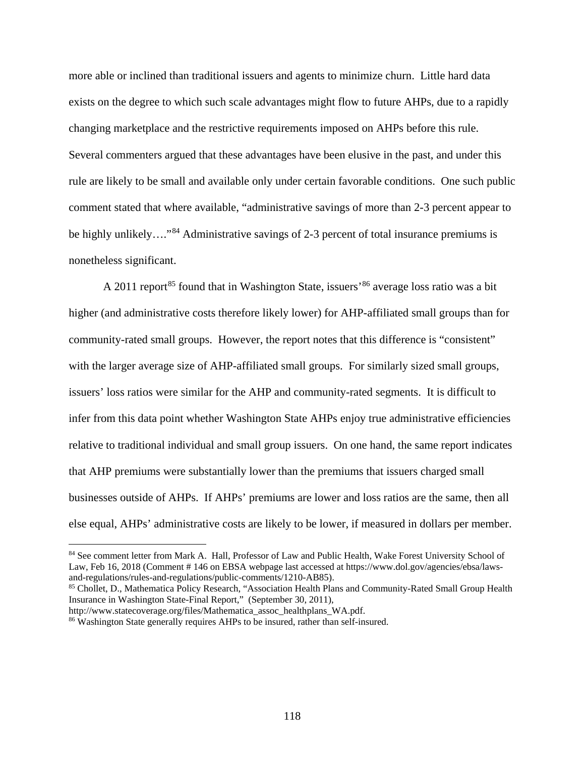more able or inclined than traditional issuers and agents to minimize churn. Little hard data exists on the degree to which such scale advantages might flow to future AHPs, due to a rapidly changing marketplace and the restrictive requirements imposed on AHPs before this rule. Several commenters argued that these advantages have been elusive in the past, and under this rule are likely to be small and available only under certain favorable conditions. One such public comment stated that where available, "administrative savings of more than 2-3 percent appear to be highly unlikely…."<sup>[84](#page-117-0)</sup> Administrative savings of 2-3 percent of total insurance premiums is nonetheless significant.

A 2011 report<sup>[85](#page-117-1)</sup> found that in Washington State, issuers<sup>[86](#page-117-2)</sup> average loss ratio was a bit higher (and administrative costs therefore likely lower) for AHP-affiliated small groups than for community-rated small groups. However, the report notes that this difference is "consistent" with the larger average size of AHP-affiliated small groups. For similarly sized small groups, issuers' loss ratios were similar for the AHP and community-rated segments. It is difficult to infer from this data point whether Washington State AHPs enjoy true administrative efficiencies relative to traditional individual and small group issuers. On one hand, the same report indicates that AHP premiums were substantially lower than the premiums that issuers charged small businesses outside of AHPs. If AHPs' premiums are lower and loss ratios are the same, then all else equal, AHPs' administrative costs are likely to be lower, if measured in dollars per member.

<span id="page-117-1"></span>Insurance in Washington State-Final Report," (September 30, 2011),

<span id="page-117-0"></span><sup>84</sup> See comment letter from Mark A. Hall, Professor of Law and Public Health, Wake Forest University School of Law, Feb 16, 2018 (Comment # 146 on EBSA webpage last accessed at https://www.dol.gov/agencies/ebsa/lawsand-regulations/rules-and-regulations/public-comments/1210-AB85).<br><sup>85</sup> Chollet, D., Mathematica Policy Research, "Association Health Plans and Community-Rated Small Group Health

http://www.statecoverage.org/files/Mathematica\_assoc\_healthplans\_WA.pdf.

<span id="page-117-2"></span><sup>86</sup> Washington State generally requires AHPs to be insured, rather than self-insured.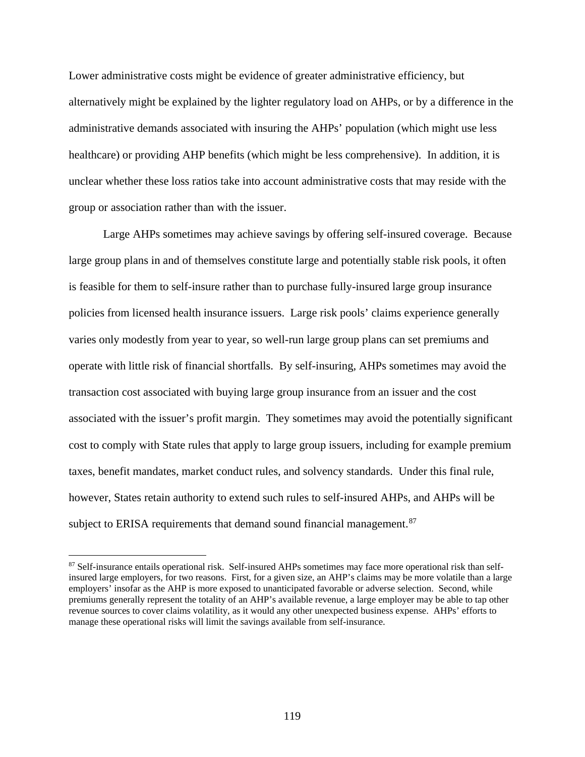Lower administrative costs might be evidence of greater administrative efficiency, but alternatively might be explained by the lighter regulatory load on AHPs, or by a difference in the administrative demands associated with insuring the AHPs' population (which might use less healthcare) or providing AHP benefits (which might be less comprehensive). In addition, it is unclear whether these loss ratios take into account administrative costs that may reside with the group or association rather than with the issuer.

Large AHPs sometimes may achieve savings by offering self-insured coverage. Because large group plans in and of themselves constitute large and potentially stable risk pools, it often is feasible for them to self-insure rather than to purchase fully-insured large group insurance policies from licensed health insurance issuers. Large risk pools' claims experience generally varies only modestly from year to year, so well-run large group plans can set premiums and operate with little risk of financial shortfalls. By self-insuring, AHPs sometimes may avoid the transaction cost associated with buying large group insurance from an issuer and the cost associated with the issuer's profit margin. They sometimes may avoid the potentially significant cost to comply with State rules that apply to large group issuers, including for example premium taxes, benefit mandates, market conduct rules, and solvency standards. Under this final rule, however, States retain authority to extend such rules to self-insured AHPs, and AHPs will be subject to ERISA requirements that demand sound financial management.<sup>[87](#page-118-0)</sup>

<span id="page-118-0"></span><sup>&</sup>lt;sup>87</sup> Self-insurance entails operational risk. Self-insured AHPs sometimes may face more operational risk than selfinsured large employers, for two reasons. First, for a given size, an AHP's claims may be more volatile than a large employers' insofar as the AHP is more exposed to unanticipated favorable or adverse selection. Second, while premiums generally represent the totality of an AHP's available revenue, a large employer may be able to tap other revenue sources to cover claims volatility, as it would any other unexpected business expense. AHPs' efforts to manage these operational risks will limit the savings available from self-insurance.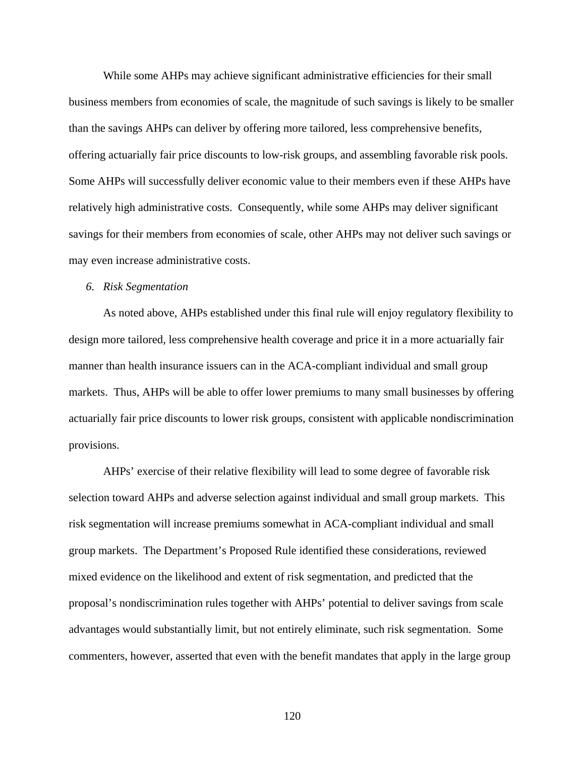While some AHPs may achieve significant administrative efficiencies for their small business members from economies of scale, the magnitude of such savings is likely to be smaller than the savings AHPs can deliver by offering more tailored, less comprehensive benefits, offering actuarially fair price discounts to low-risk groups, and assembling favorable risk pools. Some AHPs will successfully deliver economic value to their members even if these AHPs have relatively high administrative costs. Consequently, while some AHPs may deliver significant savings for their members from economies of scale, other AHPs may not deliver such savings or may even increase administrative costs.

#### *6. Risk Segmentation*

As noted above, AHPs established under this final rule will enjoy regulatory flexibility to design more tailored, less comprehensive health coverage and price it in a more actuarially fair manner than health insurance issuers can in the ACA-compliant individual and small group markets. Thus, AHPs will be able to offer lower premiums to many small businesses by offering actuarially fair price discounts to lower risk groups, consistent with applicable nondiscrimination provisions.

AHPs' exercise of their relative flexibility will lead to some degree of favorable risk selection toward AHPs and adverse selection against individual and small group markets. This risk segmentation will increase premiums somewhat in ACA-compliant individual and small group markets. The Department's Proposed Rule identified these considerations, reviewed mixed evidence on the likelihood and extent of risk segmentation, and predicted that the proposal's nondiscrimination rules together with AHPs' potential to deliver savings from scale advantages would substantially limit, but not entirely eliminate, such risk segmentation. Some commenters, however, asserted that even with the benefit mandates that apply in the large group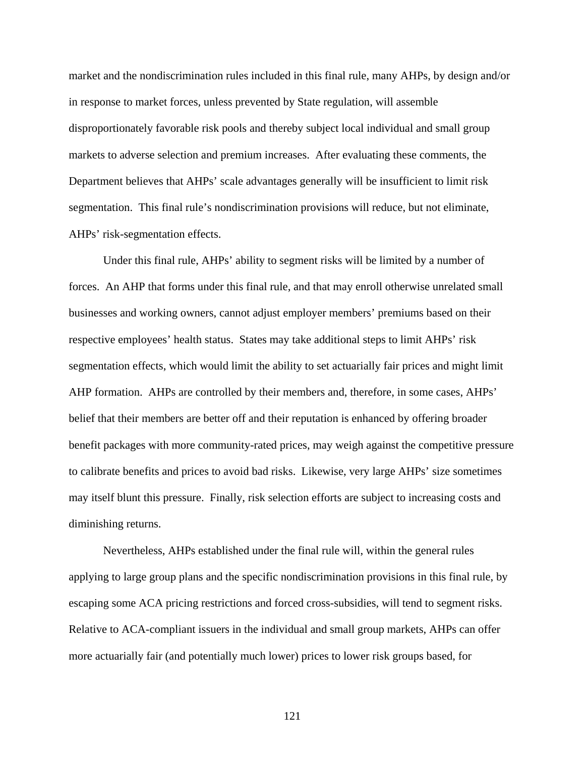market and the nondiscrimination rules included in this final rule, many AHPs, by design and/or in response to market forces, unless prevented by State regulation, will assemble disproportionately favorable risk pools and thereby subject local individual and small group markets to adverse selection and premium increases. After evaluating these comments, the Department believes that AHPs' scale advantages generally will be insufficient to limit risk segmentation. This final rule's nondiscrimination provisions will reduce, but not eliminate, AHPs' risk-segmentation effects.

Under this final rule, AHPs' ability to segment risks will be limited by a number of forces. An AHP that forms under this final rule, and that may enroll otherwise unrelated small businesses and working owners, cannot adjust employer members' premiums based on their respective employees' health status. States may take additional steps to limit AHPs' risk segmentation effects, which would limit the ability to set actuarially fair prices and might limit AHP formation. AHPs are controlled by their members and, therefore, in some cases, AHPs' belief that their members are better off and their reputation is enhanced by offering broader benefit packages with more community-rated prices, may weigh against the competitive pressure to calibrate benefits and prices to avoid bad risks. Likewise, very large AHPs' size sometimes may itself blunt this pressure. Finally, risk selection efforts are subject to increasing costs and diminishing returns.

Nevertheless, AHPs established under the final rule will, within the general rules applying to large group plans and the specific nondiscrimination provisions in this final rule, by escaping some ACA pricing restrictions and forced cross-subsidies, will tend to segment risks. Relative to ACA-compliant issuers in the individual and small group markets, AHPs can offer more actuarially fair (and potentially much lower) prices to lower risk groups based, for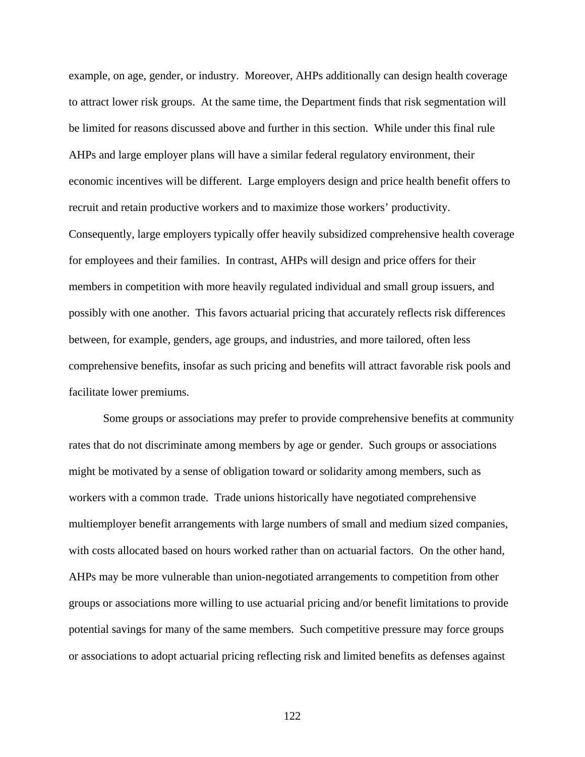example, on age, gender, or industry. Moreover, AHPs additionally can design health coverage to attract lower risk groups. At the same time, the Department finds that risk segmentation will be limited for reasons discussed above and further in this section. While under this final rule AHPs and large employer plans will have a similar federal regulatory environment, their economic incentives will be different. Large employers design and price health benefit offers to recruit and retain productive workers and to maximize those workers' productivity. Consequently, large employers typically offer heavily subsidized comprehensive health coverage for employees and their families. In contrast, AHPs will design and price offers for their members in competition with more heavily regulated individual and small group issuers, and possibly with one another. This favors actuarial pricing that accurately reflects risk differences between, for example, genders, age groups, and industries, and more tailored, often less comprehensive benefits, insofar as such pricing and benefits will attract favorable risk pools and facilitate lower premiums.

Some groups or associations may prefer to provide comprehensive benefits at community rates that do not discriminate among members by age or gender. Such groups or associations might be motivated by a sense of obligation toward or solidarity among members, such as workers with a common trade. Trade unions historically have negotiated comprehensive multiemployer benefit arrangements with large numbers of small and medium sized companies, with costs allocated based on hours worked rather than on actuarial factors. On the other hand, AHPs may be more vulnerable than union-negotiated arrangements to competition from other groups or associations more willing to use actuarial pricing and/or benefit limitations to provide potential savings for many of the same members. Such competitive pressure may force groups or associations to adopt actuarial pricing reflecting risk and limited benefits as defenses against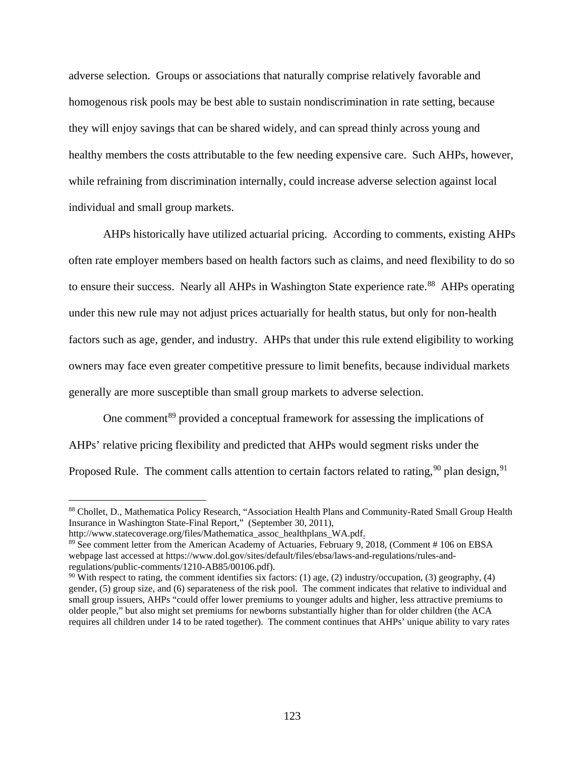adverse selection. Groups or associations that naturally comprise relatively favorable and homogenous risk pools may be best able to sustain nondiscrimination in rate setting, because they will enjoy savings that can be shared widely, and can spread thinly across young and healthy members the costs attributable to the few needing expensive care. Such AHPs, however, while refraining from discrimination internally, could increase adverse selection against local individual and small group markets.

AHPs historically have utilized actuarial pricing. According to comments, existing AHPs often rate employer members based on health factors such as claims, and need flexibility to do so to ensure their success. Nearly all AHPs in Washington State experience rate.<sup>88</sup> AHPs operating under this new rule may not adjust prices actuarially for health status, but only for non-health factors such as age, gender, and industry. AHPs that under this rule extend eligibility to working owners may face even greater competitive pressure to limit benefits, because individual markets generally are more susceptible than small group markets to adverse selection.

<span id="page-122-3"></span>One comment<sup>[89](#page-122-1)</sup> provided a conceptual framework for assessing the implications of AHPs' relative pricing flexibility and predicted that AHPs would segment risks under the Proposed Rule. The comment calls attention to certain factors related to rating,  $90$  plan design,  $91$ 

<span id="page-122-0"></span><sup>88</sup> Chollet, D., Mathematica Policy Research, "Association Health Plans and Community-Rated Small Group Health Insurance in Washington State-Final Report," (September 30, 2011),

http://www.statecoverage.org/files/Mathematica\_assoc\_healthplans\_WA.pdf.

<span id="page-122-1"></span><sup>89</sup> See comment letter from the American Academy of Actuaries, February 9, 2018, (Comment # 106 on EBSA webpage last accessed at https://www.dol.gov/sites/default/files/ebsa/laws-and-regulations/rules-andregulations/public-comments/1210-AB85/00106.pdf).

<span id="page-122-2"></span> $90$  With respect to rating, the comment identifies six factors: (1) age, (2) industry/occupation, (3) geography, (4) gender, (5) group size, and (6) separateness of the risk pool. The comment indicates that relative to individual and small group issuers, AHPs "could offer lower premiums to younger adults and higher, less attractive premiums to older people," but also might set premiums for newborns substantially higher than for older children (the ACA requires all children under 14 to be rated together). The comment continues that AHPs' unique ability to vary rates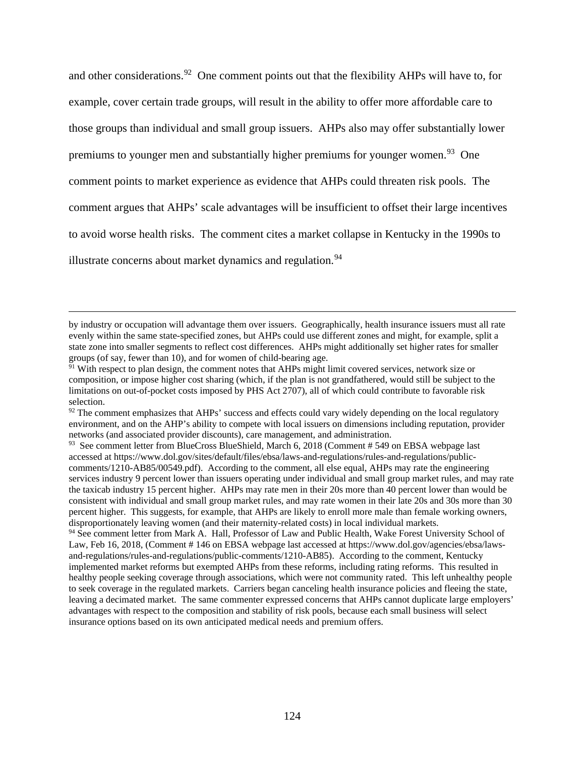and other considerations.<sup>92</sup> One comment points out that the flexibility AHPs will have to, for example, cover certain trade groups, will result in the ability to offer more affordable care to those groups than individual and small group issuers. AHPs also may offer substantially lower premiums to younger men and substantially higher premiums for younger women.<sup>[93](#page-123-1)</sup> One comment points to market experience as evidence that AHPs could threaten risk pools. The comment argues that AHPs' scale advantages will be insufficient to offset their large incentives to avoid worse health risks. The comment cites a market collapse in Kentucky in the 1990s to illustrate concerns about market dynamics and regulation.<sup>[94](#page-123-2)</sup>

by industry or occupation will advantage them over issuers. Geographically, health insurance issuers must all rate evenly within the same state-specified zones, but AHPs could use different zones and might, for example, split a state zone into smaller segments to reflect cost differences. AHPs might additionally set higher rates for smaller groups (of say, fewer than 10), and for women of child-bearing age.

<sup>&</sup>lt;sup>91</sup> With respect to plan design, the comment notes that AHPs might limit covered services, network size or composition, or impose higher cost sharing (which, if the plan is not grandfathered, would still be subject to the limitations on out-of-pocket costs imposed by PHS Act 2707), all of which could contribute to favorable risk selection.

<span id="page-123-0"></span><sup>&</sup>lt;sup>92</sup> The comment emphasizes that AHPs' success and effects could vary widely depending on the local regulatory environment, and on the AHP's ability to compete with local issuers on dimensions including reputation, provider networks (and associated provider discounts), care management, and administration.

<span id="page-123-1"></span><sup>&</sup>lt;sup>93</sup> See comment letter from BlueCross BlueShield, March 6, 2018 (Comment # 549 on EBSA webpage last accessed at https://www.dol.gov/sites/default/files/ebsa/laws-and-regulations/rules-and-regulations/publiccomments/1210-AB85/00549.pdf). According to the comment, all else equal, AHPs may rate the engineering services industry 9 percent lower than issuers operating under individual and small group market rules, and may rate the taxicab industry 15 percent higher. AHPs may rate men in their 20s more than 40 percent lower than would be consistent with individual and small group market rules, and may rate women in their late 20s and 30s more than 30 percent higher. This suggests, for example, that AHPs are likely to enroll more male than female working owners, disproportionately leaving women (and their maternity-related costs) in local individual markets.

<span id="page-123-2"></span><sup>&</sup>lt;sup>94</sup> See comment letter from Mark A. Hall, Professor of Law and Public Health, Wake Forest University School of Law, Feb 16, 2018, (Comment # 146 on EBSA webpage last accessed at https://www.dol.gov/agencies/ebsa/lawsand-regulations/rules-and-regulations/public-comments/1210-AB85). According to the comment, Kentucky implemented market reforms but exempted AHPs from these reforms, including rating reforms. This resulted in healthy people seeking coverage through associations, which were not community rated. This left unhealthy people to seek coverage in the regulated markets. Carriers began canceling health insurance policies and fleeing the state, leaving a decimated market. The same commenter expressed concerns that AHPs cannot duplicate large employers' advantages with respect to the composition and stability of risk pools, because each small business will select insurance options based on its own anticipated medical needs and premium offers.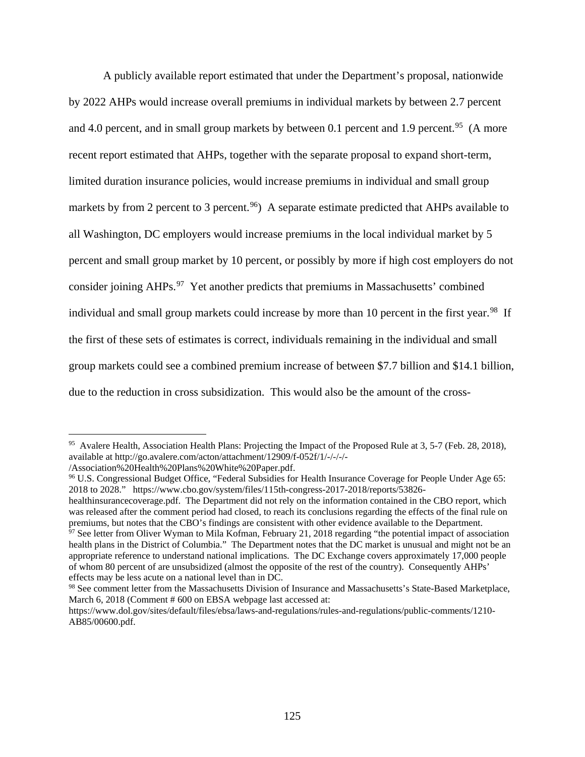A publicly available report estimated that under the Department's proposal, nationwide by 2022 AHPs would increase overall premiums in individual markets by between 2.7 percent and 4.0 percent, and in small group markets by between 0.1 percent and 1.9 percent.<sup>95</sup> (A more recent report estimated that AHPs, together with the separate proposal to expand short-term, limited duration insurance policies, would increase premiums in individual and small group markets by from 2 percent to 3 percent.<sup>96</sup>) A separate estimate predicted that AHPs available to all Washington, DC employers would increase premiums in the local individual market by 5 percent and small group market by 10 percent, or possibly by more if high cost employers do not consider joining AHPs.<sup>97</sup> Yet another predicts that premiums in Massachusetts' combined individual and small group markets could increase by more than 10 percent in the first year.<sup>[98](#page-124-3)</sup> If the first of these sets of estimates is correct, individuals remaining in the individual and small group markets could see a combined premium increase of between \$7.7 billion and \$14.1 billion, due to the reduction in cross subsidization. This would also be the amount of the cross-

<span id="page-124-0"></span><sup>&</sup>lt;sup>95</sup> Avalere Health, Association Health Plans: Projecting the Impact of the Proposed Rule at 3, 5-7 (Feb. 28, 2018), available at http://go.avalere.com/acton/attachment/12909/f-052f/1/-/-/-/-

<sup>/</sup>Association%20Health%20Plans%20White%20Paper.pdf.

<span id="page-124-1"></span><sup>96</sup> U.S. Congressional Budget Office, "Federal Subsidies for Health Insurance Coverage for People Under Age 65: 2018 to 2028." https://www.cbo.gov/system/files/115th-congress-2017-2018/reports/53826-

healthinsurancecoverage.pdf. The Department did not rely on the information contained in the CBO report, which was released after the comment period had closed, to reach its conclusions regarding the effects of the final rule on premiums, but notes that the CBO's findings are consistent with other evidence available to the Department.

<span id="page-124-2"></span> $\frac{97}{97}$  See letter from Oliver Wyman to Mila Kofman, February 21, 2018 regarding "the potential impact of association health plans in the District of Columbia." The Department notes that the DC market is unusual and might not be an appropriate reference to understand national implications. The DC Exchange covers approximately 17,000 people of whom 80 percent of are unsubsidized (almost the opposite of the rest of the country). Consequently AHPs' effects may be less acute on a national level than in DC.

<span id="page-124-3"></span><sup>98</sup> See comment letter from the Massachusetts Division of Insurance and Massachusetts's State-Based Marketplace, March 6, 2018 (Comment # 600 on EBSA webpage last accessed at:

https://www.dol.gov/sites/default/files/ebsa/laws-and-regulations/rules-and-regulations/public-comments/1210- AB85/00600.pdf.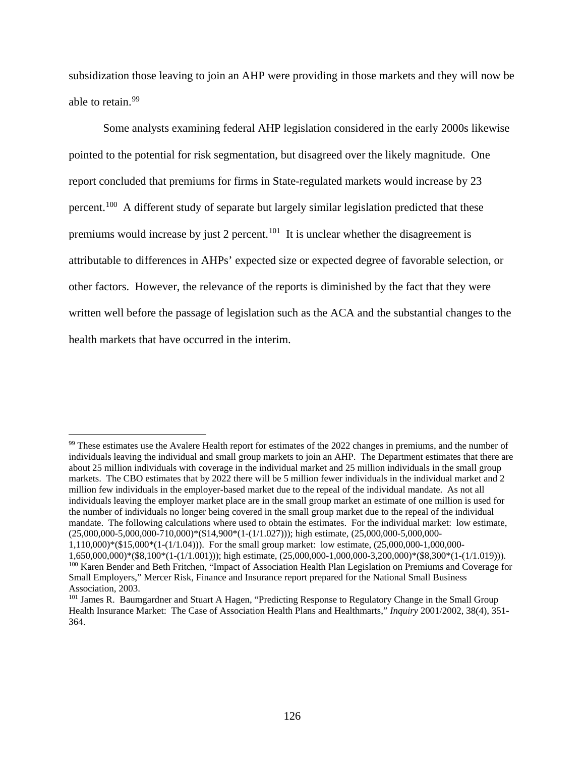subsidization those leaving to join an AHP were providing in those markets and they will now be able to retain.<sup>[99](#page-125-0)</sup>

Some analysts examining federal AHP legislation considered in the early 2000s likewise pointed to the potential for risk segmentation, but disagreed over the likely magnitude. One report concluded that premiums for firms in State-regulated markets would increase by 23 percent.<sup>100</sup> A different study of separate but largely similar legislation predicted that these premiums would increase by just 2 percent.<sup>101</sup> It is unclear whether the disagreement is attributable to differences in AHPs' expected size or expected degree of favorable selection, or other factors. However, the relevance of the reports is diminished by the fact that they were written well before the passage of legislation such as the ACA and the substantial changes to the health markets that have occurred in the interim.

<span id="page-125-0"></span><sup>99</sup> These estimates use the Avalere Health report for estimates of the 2022 changes in premiums, and the number of individuals leaving the individual and small group markets to join an AHP. The Department estimates that there are about 25 million individuals with coverage in the individual market and 25 million individuals in the small group markets. The CBO estimates that by 2022 there will be 5 million fewer individuals in the individual market and 2 million few individuals in the employer-based market due to the repeal of the individual mandate. As not all individuals leaving the employer market place are in the small group market an estimate of one million is used for the number of individuals no longer being covered in the small group market due to the repeal of the individual mandate. The following calculations where used to obtain the estimates. For the individual market: low estimate, (25,000,000-5,000,000-710,000)\*(\$14,900\*(1-(1/1.027))); high estimate, (25,000,000-5,000,000- 1,110,000)\*(\$15,000\*(1-(1/1.04))). For the small group market: low estimate, (25,000,000-1,000,000- 1,650,000,000)\*(\$8,100\*(1-(1/1.001))); high estimate, (25,000,000-1,000,000-3,200,000)\*(\$8,300\*(1-(1/1.019))).

<span id="page-125-1"></span><sup>&</sup>lt;sup>100</sup> Karen Bender and Beth Fritchen, "Impact of Association Health Plan Legislation on Premiums and Coverage for Small Employers," Mercer Risk, Finance and Insurance report prepared for the National Small Business Association, 2003.

<span id="page-125-2"></span><sup>&</sup>lt;sup>101</sup> James R. Baumgardner and Stuart A Hagen, "Predicting Response to Regulatory Change in the Small Group Health Insurance Market: The Case of Association Health Plans and Healthmarts," *Inquiry* 2001/2002, 38(4), 351- 364.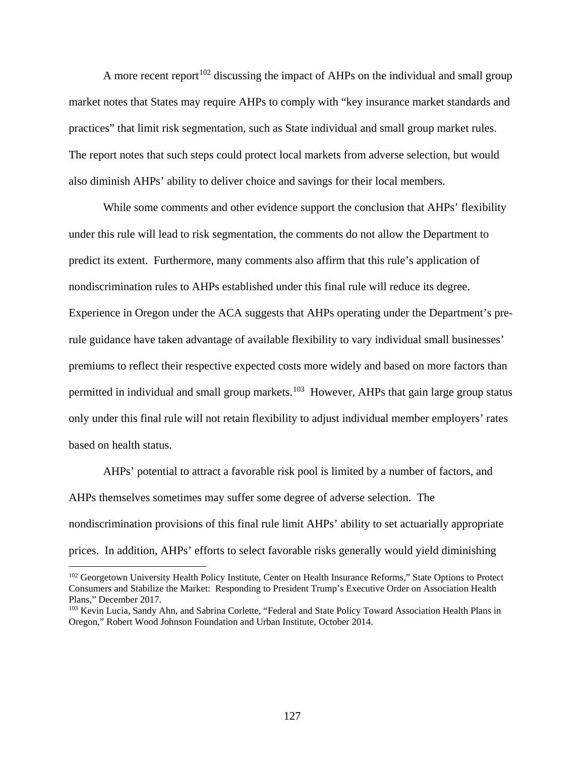A more recent report<sup>[102](#page-126-0)</sup> discussing the impact of AHPs on the individual and small group market notes that States may require AHPs to comply with "key insurance market standards and practices" that limit risk segmentation, such as State individual and small group market rules. The report notes that such steps could protect local markets from adverse selection, but would also diminish AHPs' ability to deliver choice and savings for their local members.

While some comments and other evidence support the conclusion that AHPs' flexibility under this rule will lead to risk segmentation, the comments do not allow the Department to predict its extent. Furthermore, many comments also affirm that this rule's application of nondiscrimination rules to AHPs established under this final rule will reduce its degree. Experience in Oregon under the ACA suggests that AHPs operating under the Department's prerule guidance have taken advantage of available flexibility to vary individual small businesses' premiums to reflect their respective expected costs more widely and based on more factors than permitted in individual and small group markets.<sup>103</sup> However, AHPs that gain large group status only under this final rule will not retain flexibility to adjust individual member employers' rates based on health status.

AHPs' potential to attract a favorable risk pool is limited by a number of factors, and AHPs themselves sometimes may suffer some degree of adverse selection. The nondiscrimination provisions of this final rule limit AHPs' ability to set actuarially appropriate prices. In addition, AHPs' efforts to select favorable risks generally would yield diminishing

<span id="page-126-0"></span><sup>&</sup>lt;sup>102</sup> Georgetown University Health Policy Institute, Center on Health Insurance Reforms," State Options to Protect Consumers and Stabilize the Market: Responding to President Trump's Executive Order on Association Health Plans," December 2017.

<span id="page-126-1"></span><sup>&</sup>lt;sup>103</sup> Kevin Lucia, Sandy Ahn, and Sabrina Corlette, "Federal and State Policy Toward Association Health Plans in Oregon," Robert Wood Johnson Foundation and Urban Institute, October 2014.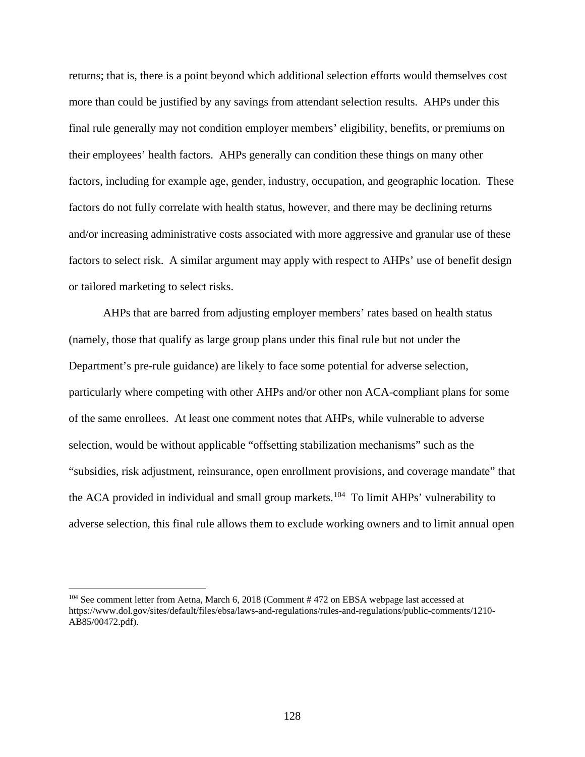returns; that is, there is a point beyond which additional selection efforts would themselves cost more than could be justified by any savings from attendant selection results. AHPs under this final rule generally may not condition employer members' eligibility, benefits, or premiums on their employees' health factors. AHPs generally can condition these things on many other factors, including for example age, gender, industry, occupation, and geographic location. These factors do not fully correlate with health status, however, and there may be declining returns and/or increasing administrative costs associated with more aggressive and granular use of these factors to select risk. A similar argument may apply with respect to AHPs' use of benefit design or tailored marketing to select risks.

AHPs that are barred from adjusting employer members' rates based on health status (namely, those that qualify as large group plans under this final rule but not under the Department's pre-rule guidance) are likely to face some potential for adverse selection, particularly where competing with other AHPs and/or other non ACA-compliant plans for some of the same enrollees. At least one comment notes that AHPs, while vulnerable to adverse selection, would be without applicable "offsetting stabilization mechanisms" such as the "subsidies, risk adjustment, reinsurance, open enrollment provisions, and coverage mandate" that the ACA provided in individual and small group markets.<sup>104</sup> To limit AHPs' vulnerability to adverse selection, this final rule allows them to exclude working owners and to limit annual open

<span id="page-127-0"></span><sup>&</sup>lt;sup>104</sup> See comment letter from Aetna, March 6, 2018 (Comment # 472 on EBSA webpage last accessed at https://www.dol.gov/sites/default/files/ebsa/laws-and-regulations/rules-and-regulations/public-comments/1210- AB85/00472.pdf).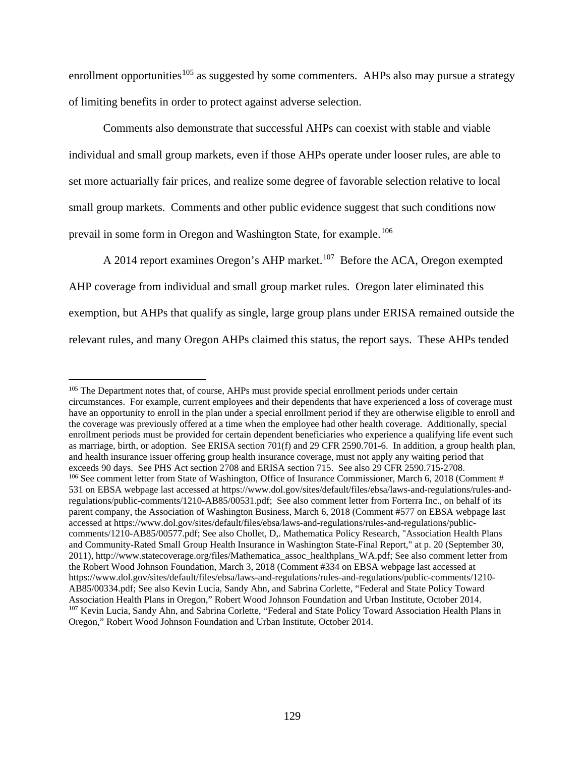enrollment opportunities<sup>[105](#page-128-0)</sup> as suggested by some commenters. AHPs also may pursue a strategy of limiting benefits in order to protect against adverse selection.

Comments also demonstrate that successful AHPs can coexist with stable and viable individual and small group markets, even if those AHPs operate under looser rules, are able to set more actuarially fair prices, and realize some degree of favorable selection relative to local small group markets. Comments and other public evidence suggest that such conditions now prevail in some form in Oregon and Washington State, for example.<sup>[106](#page-128-1)</sup>

A 2014 report examines Oregon's AHP market.<sup>[107](#page-128-2)</sup> Before the ACA, Oregon exempted AHP coverage from individual and small group market rules. Oregon later eliminated this exemption, but AHPs that qualify as single, large group plans under ERISA remained outside the relevant rules, and many Oregon AHPs claimed this status, the report says. These AHPs tended

<span id="page-128-2"></span><span id="page-128-1"></span><span id="page-128-0"></span><sup>&</sup>lt;sup>105</sup> The Department notes that, of course, AHPs must provide special enrollment periods under certain circumstances. For example, current employees and their dependents that have experienced a loss of coverage must have an opportunity to enroll in the plan under a special enrollment period if they are otherwise eligible to enroll and the coverage was previously offered at a time when the employee had other health coverage. Additionally, special enrollment periods must be provided for certain dependent beneficiaries who experience a qualifying life event such as marriage, birth, or adoption. See ERISA section 701(f) and 29 CFR 2590.701-6. In addition, a group health plan, and health insurance issuer offering group health insurance coverage, must not apply any waiting period that exceeds 90 days. See PHS Act section 2708 and ERISA section 715. See also 29 CFR 2590.715-2708. <sup>106</sup> See comment letter from State of Washington, Office of Insurance Commissioner, March 6, 2018 (Comment # 531 on EBSA webpage last accessed at https://www.dol.gov/sites/default/files/ebsa/laws-and-regulations/rules-andregulations/public-comments/1210-AB85/00531.pdf; See also comment letter from Forterra Inc., on behalf of its parent company, the Association of Washington Business, March 6, 2018 (Comment #577 on EBSA webpage last accessed at https://www.dol.gov/sites/default/files/ebsa/laws-and-regulations/rules-and-regulations/publiccomments/1210-AB85/00577.pdf; See also Chollet, D,. Mathematica Policy Research, "Association Health Plans and Community-Rated Small Group Health Insurance in Washington State-Final Report," at p. 20 (September 30, 2011), http://www.statecoverage.org/files/Mathematica\_assoc\_healthplans\_WA.pdf; See also comment letter from the Robert Wood Johnson Foundation, March 3, 2018 (Comment #334 on EBSA webpage last accessed at https://www.dol.gov/sites/default/files/ebsa/laws-and-regulations/rules-and-regulations/public-comments/1210- AB85/00334.pdf; See also Kevin Lucia, Sandy Ahn, and Sabrina Corlette, "Federal and State Policy Toward Association Health Plans in Oregon," Robert Wood Johnson Foundation and Urban Institute, October 2014. <sup>107</sup> Kevin Lucia, Sandy Ahn, and Sabrina Corlette, "Federal and State Policy Toward Association Health Plans in Oregon," Robert Wood Johnson Foundation and Urban Institute, October 2014.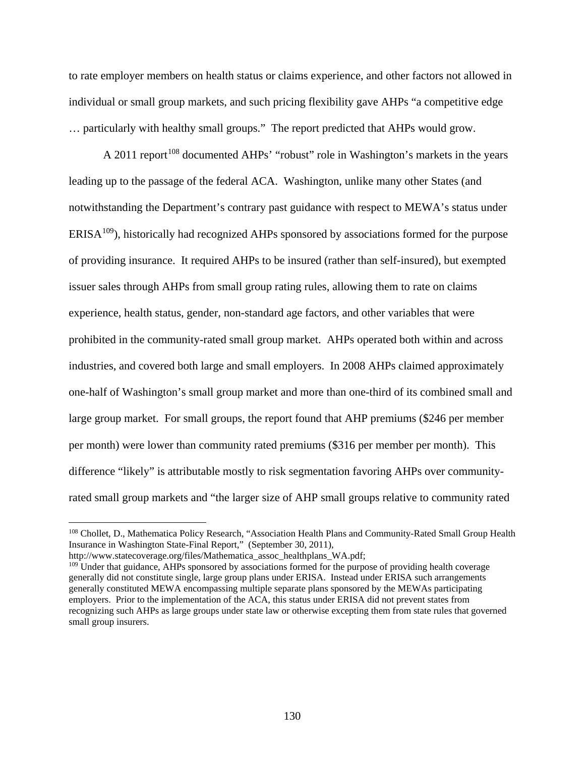to rate employer members on health status or claims experience, and other factors not allowed in individual or small group markets, and such pricing flexibility gave AHPs "a competitive edge … particularly with healthy small groups." The report predicted that AHPs would grow.

A 2011 report<sup>[108](#page-129-0)</sup> documented AHPs' "robust" role in Washington's markets in the years leading up to the passage of the federal ACA. Washington, unlike many other States (and notwithstanding the Department's contrary past guidance with respect to MEWA's status under  $ERISA<sup>109</sup>$  $ERISA<sup>109</sup>$  $ERISA<sup>109</sup>$ , historically had recognized AHPs sponsored by associations formed for the purpose of providing insurance. It required AHPs to be insured (rather than self-insured), but exempted issuer sales through AHPs from small group rating rules, allowing them to rate on claims experience, health status, gender, non-standard age factors, and other variables that were prohibited in the community-rated small group market. AHPs operated both within and across industries, and covered both large and small employers. In 2008 AHPs claimed approximately one-half of Washington's small group market and more than one-third of its combined small and large group market. For small groups, the report found that AHP premiums (\$246 per member per month) were lower than community rated premiums (\$316 per member per month). This difference "likely" is attributable mostly to risk segmentation favoring AHPs over communityrated small group markets and "the larger size of AHP small groups relative to community rated

<span id="page-129-0"></span><sup>&</sup>lt;sup>108</sup> Chollet, D., Mathematica Policy Research, "Association Health Plans and Community-Rated Small Group Health Insurance in Washington State-Final Report," (September 30, 2011),

http://www.statecoverage.org/files/Mathematica\_assoc\_healthplans\_WA.pdf;

<span id="page-129-1"></span><sup>&</sup>lt;sup>109</sup> Under that guidance, AHPs sponsored by associations formed for the purpose of providing health coverage generally did not constitute single, large group plans under ERISA. Instead under ERISA such arrangements generally constituted MEWA encompassing multiple separate plans sponsored by the MEWAs participating employers. Prior to the implementation of the ACA, this status under ERISA did not prevent states from recognizing such AHPs as large groups under state law or otherwise excepting them from state rules that governed small group insurers.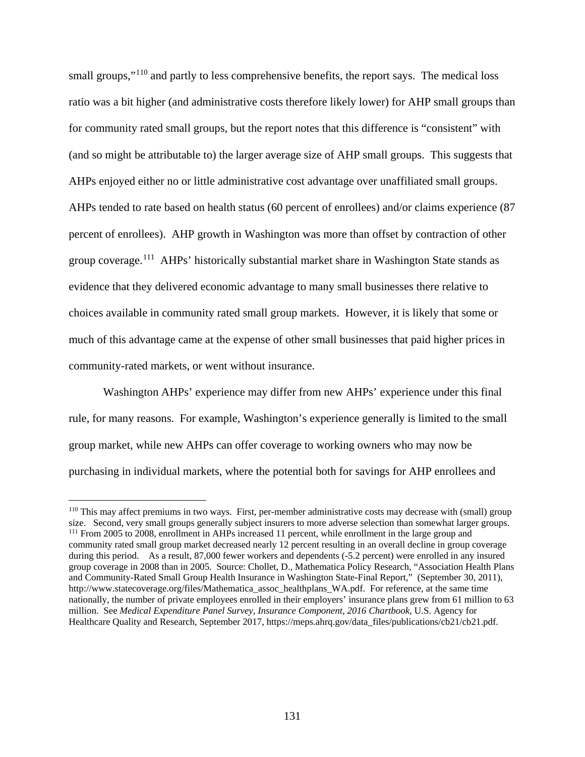small groups,"<sup>[110](#page-130-0)</sup> and partly to less comprehensive benefits, the report says. The medical loss ratio was a bit higher (and administrative costs therefore likely lower) for AHP small groups than for community rated small groups, but the report notes that this difference is "consistent" with (and so might be attributable to) the larger average size of AHP small groups. This suggests that AHPs enjoyed either no or little administrative cost advantage over unaffiliated small groups. AHPs tended to rate based on health status (60 percent of enrollees) and/or claims experience (87 percent of enrollees). AHP growth in Washington was more than offset by contraction of other group coverage.[111](#page-130-1) AHPs' historically substantial market share in Washington State stands as evidence that they delivered economic advantage to many small businesses there relative to choices available in community rated small group markets. However, it is likely that some or much of this advantage came at the expense of other small businesses that paid higher prices in community-rated markets, or went without insurance.

Washington AHPs' experience may differ from new AHPs' experience under this final rule, for many reasons. For example, Washington's experience generally is limited to the small group market, while new AHPs can offer coverage to working owners who may now be purchasing in individual markets, where the potential both for savings for AHP enrollees and

<span id="page-130-1"></span><span id="page-130-0"></span><sup>110</sup> This may affect premiums in two ways. First, per-member administrative costs may decrease with (small) group size. Second, very small groups generally subject insurers to more adverse selection than somewhat larger groups. <sup>111</sup> From 2005 to 2008, enrollment in AHPs increased 11 percent, while enrollment in the large group and community rated small group market decreased nearly 12 percent resulting in an overall decline in group coverage during this period. As a result, 87,000 fewer workers and dependents (-5.2 percent) were enrolled in any insured group coverage in 2008 than in 2005. Source: Chollet, D., Mathematica Policy Research, "Association Health Plans and Community-Rated Small Group Health Insurance in Washington State-Final Report," (September 30, 2011), http://www.statecoverage.org/files/Mathematica\_assoc\_healthplans\_WA.pdf. For reference, at the same time nationally, the number of private employees enrolled in their employers' insurance plans grew from 61 million to 63 million. See *Medical Expenditure Panel Survey, Insurance Component, 2016 Chartbook*, U.S. Agency for Healthcare Quality and Research, September 2017, https://meps.ahrq.gov/data\_files/publications/cb21/cb21.pdf.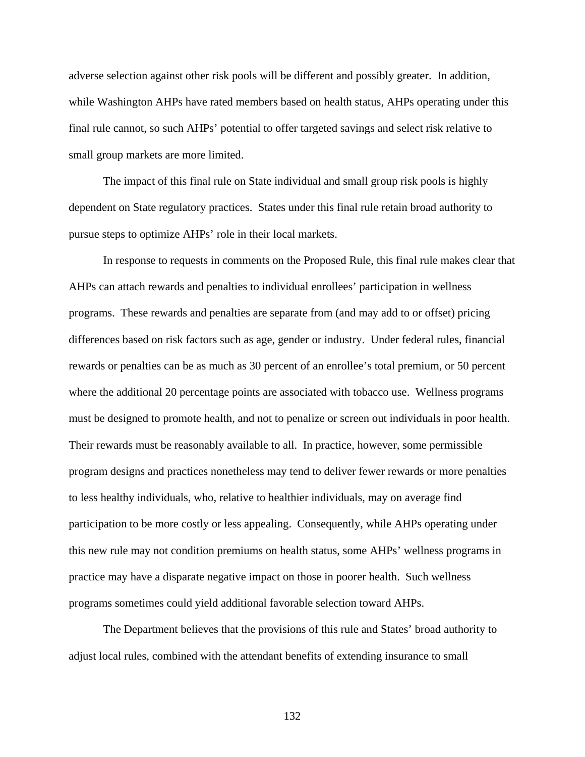adverse selection against other risk pools will be different and possibly greater. In addition, while Washington AHPs have rated members based on health status, AHPs operating under this final rule cannot, so such AHPs' potential to offer targeted savings and select risk relative to small group markets are more limited.

The impact of this final rule on State individual and small group risk pools is highly dependent on State regulatory practices. States under this final rule retain broad authority to pursue steps to optimize AHPs' role in their local markets.

In response to requests in comments on the Proposed Rule, this final rule makes clear that AHPs can attach rewards and penalties to individual enrollees' participation in wellness programs. These rewards and penalties are separate from (and may add to or offset) pricing differences based on risk factors such as age, gender or industry. Under federal rules, financial rewards or penalties can be as much as 30 percent of an enrollee's total premium, or 50 percent where the additional 20 percentage points are associated with tobacco use. Wellness programs must be designed to promote health, and not to penalize or screen out individuals in poor health. Their rewards must be reasonably available to all. In practice, however, some permissible program designs and practices nonetheless may tend to deliver fewer rewards or more penalties to less healthy individuals, who, relative to healthier individuals, may on average find participation to be more costly or less appealing. Consequently, while AHPs operating under this new rule may not condition premiums on health status, some AHPs' wellness programs in practice may have a disparate negative impact on those in poorer health. Such wellness programs sometimes could yield additional favorable selection toward AHPs.

The Department believes that the provisions of this rule and States' broad authority to adjust local rules, combined with the attendant benefits of extending insurance to small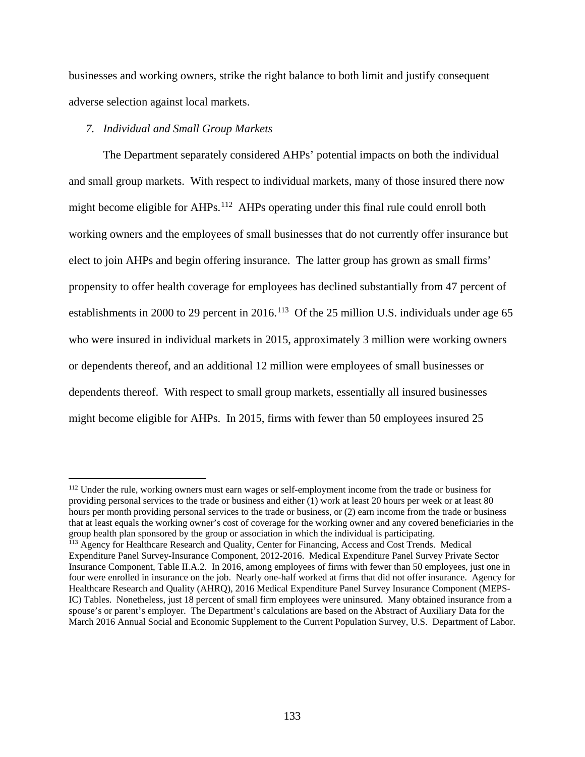businesses and working owners, strike the right balance to both limit and justify consequent adverse selection against local markets.

# *7. Individual and Small Group Markets*

 $\overline{a}$ 

The Department separately considered AHPs' potential impacts on both the individual and small group markets. With respect to individual markets, many of those insured there now might become eligible for AHPs.<sup>112</sup> AHPs operating under this final rule could enroll both working owners and the employees of small businesses that do not currently offer insurance but elect to join AHPs and begin offering insurance. The latter group has grown as small firms' propensity to offer health coverage for employees has declined substantially from 47 percent of establishments in 2000 to 29 percent in 2016.<sup>[113](#page-132-1)</sup> Of the 25 million U.S. individuals under age 65 who were insured in individual markets in 2015, approximately 3 million were working owners or dependents thereof, and an additional 12 million were employees of small businesses or dependents thereof. With respect to small group markets, essentially all insured businesses might become eligible for AHPs. In 2015, firms with fewer than 50 employees insured 25

<span id="page-132-0"></span><sup>&</sup>lt;sup>112</sup> Under the rule, working owners must earn wages or self-employment income from the trade or business for providing personal services to the trade or business and either (1) work at least 20 hours per week or at least 80 hours per month providing personal services to the trade or business, or (2) earn income from the trade or business that at least equals the working owner's cost of coverage for the working owner and any covered beneficiaries in the group health plan sponsored by the group or association in which the individual is participating. <sup>113</sup> Agency for Healthcare Research and Quality, Center for Financing, Access and Cost Trends. Medical Expenditure Panel Survey-Insurance Component, 2012-2016. Medical Expenditure Panel Survey Private Sector

<span id="page-132-1"></span>Insurance Component, Table II.A.2. In 2016, among employees of firms with fewer than 50 employees, just one in four were enrolled in insurance on the job. Nearly one-half worked at firms that did not offer insurance. Agency for Healthcare Research and Quality (AHRQ), 2016 Medical Expenditure Panel Survey Insurance Component (MEPS-IC) Tables. Nonetheless, just 18 percent of small firm employees were uninsured. Many obtained insurance from a spouse's or parent's employer. The Department's calculations are based on the Abstract of Auxiliary Data for the March 2016 Annual Social and Economic Supplement to the Current Population Survey, U.S. Department of Labor.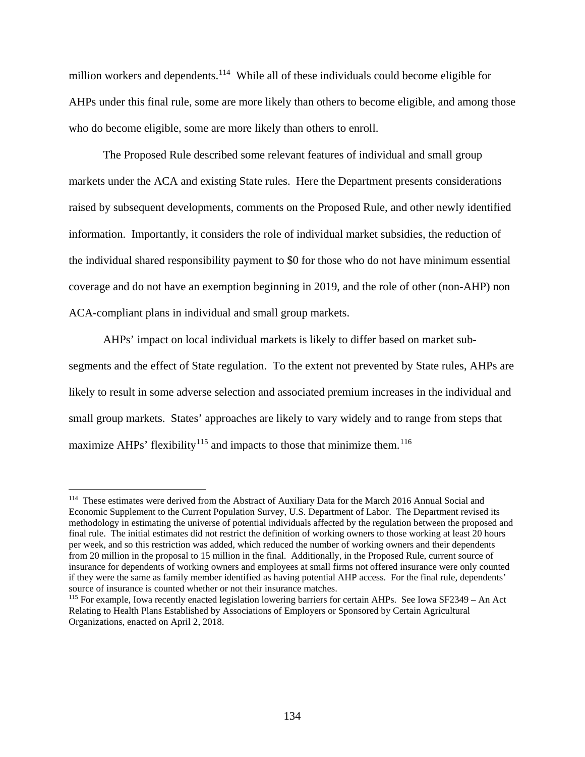million workers and dependents.<sup>[114](#page-133-0)</sup> While all of these individuals could become eligible for AHPs under this final rule, some are more likely than others to become eligible, and among those who do become eligible, some are more likely than others to enroll.

The Proposed Rule described some relevant features of individual and small group markets under the ACA and existing State rules. Here the Department presents considerations raised by subsequent developments, comments on the Proposed Rule, and other newly identified information. Importantly, it considers the role of individual market subsidies, the reduction of the individual shared responsibility payment to \$0 for those who do not have minimum essential coverage and do not have an exemption beginning in 2019, and the role of other (non-AHP) non ACA-compliant plans in individual and small group markets.

AHPs' impact on local individual markets is likely to differ based on market subsegments and the effect of State regulation. To the extent not prevented by State rules, AHPs are likely to result in some adverse selection and associated premium increases in the individual and small group markets. States' approaches are likely to vary widely and to range from steps that maximize AHPs' flexibility<sup>[115](#page-133-1)</sup> and impacts to those that minimize them.<sup>[116](#page-133-2)</sup>

<span id="page-133-0"></span><sup>&</sup>lt;sup>114</sup> These estimates were derived from the Abstract of Auxiliary Data for the March 2016 Annual Social and Economic Supplement to the Current Population Survey, U.S. Department of Labor. The Department revised its methodology in estimating the universe of potential individuals affected by the regulation between the proposed and final rule. The initial estimates did not restrict the definition of working owners to those working at least 20 hours per week, and so this restriction was added, which reduced the number of working owners and their dependents from 20 million in the proposal to 15 million in the final. Additionally, in the Proposed Rule, current source of insurance for dependents of working owners and employees at small firms not offered insurance were only counted if they were the same as family member identified as having potential AHP access. For the final rule, dependents' source of insurance is counted whether or not their insurance matches.

<span id="page-133-2"></span><span id="page-133-1"></span><sup>115</sup> For example, Iowa recently enacted legislation lowering barriers for certain AHPs. See Iowa SF2349 – An Act Relating to Health Plans Established by Associations of Employers or Sponsored by Certain Agricultural Organizations, enacted on April 2, 2018.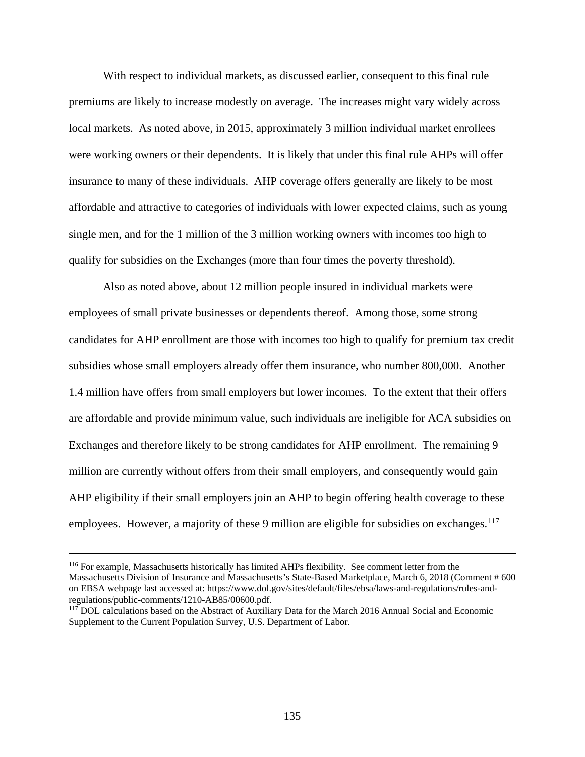With respect to individual markets, as discussed earlier, consequent to this final rule premiums are likely to increase modestly on average. The increases might vary widely across local markets. As noted above, in 2015, approximately 3 million individual market enrollees were working owners or their dependents. It is likely that under this final rule AHPs will offer insurance to many of these individuals. AHP coverage offers generally are likely to be most affordable and attractive to categories of individuals with lower expected claims, such as young single men, and for the 1 million of the 3 million working owners with incomes too high to qualify for subsidies on the Exchanges (more than four times the poverty threshold).

Also as noted above, about 12 million people insured in individual markets were employees of small private businesses or dependents thereof. Among those, some strong candidates for AHP enrollment are those with incomes too high to qualify for premium tax credit subsidies whose small employers already offer them insurance, who number 800,000. Another 1.4 million have offers from small employers but lower incomes. To the extent that their offers are affordable and provide minimum value, such individuals are ineligible for ACA subsidies on Exchanges and therefore likely to be strong candidates for AHP enrollment. The remaining 9 million are currently without offers from their small employers, and consequently would gain AHP eligibility if their small employers join an AHP to begin offering health coverage to these employees. However, a majority of these 9 million are eligible for subsidies on exchanges.<sup>117</sup>

<sup>116</sup> For example, Massachusetts historically has limited AHPs flexibility. See comment letter from the Massachusetts Division of Insurance and Massachusetts's State-Based Marketplace, March 6, 2018 (Comment # 600 on EBSA webpage last accessed at: https://www.dol.gov/sites/default/files/ebsa/laws-and-regulations/rules-and-

<span id="page-134-0"></span> $117$  DOL calculations based on the Abstract of Auxiliary Data for the March 2016 Annual Social and Economic Supplement to the Current Population Survey, U.S. Department of Labor.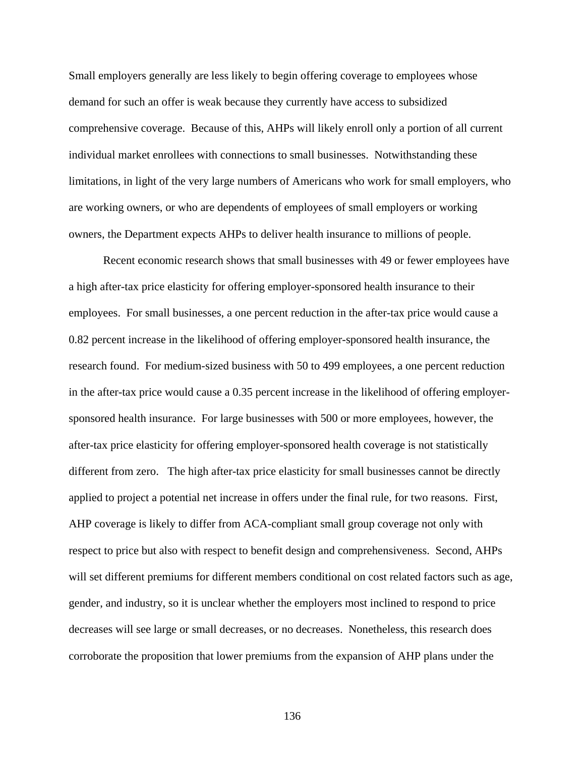Small employers generally are less likely to begin offering coverage to employees whose demand for such an offer is weak because they currently have access to subsidized comprehensive coverage. Because of this, AHPs will likely enroll only a portion of all current individual market enrollees with connections to small businesses. Notwithstanding these limitations, in light of the very large numbers of Americans who work for small employers, who are working owners, or who are dependents of employees of small employers or working owners, the Department expects AHPs to deliver health insurance to millions of people.

Recent economic research shows that small businesses with 49 or fewer employees have a high after-tax price elasticity for offering employer-sponsored health insurance to their employees. For small businesses, a one percent reduction in the after-tax price would cause a 0.82 percent increase in the likelihood of offering employer-sponsored health insurance, the research found. For medium-sized business with 50 to 499 employees, a one percent reduction in the after-tax price would cause a 0.35 percent increase in the likelihood of offering employersponsored health insurance. For large businesses with 500 or more employees, however, the after-tax price elasticity for offering employer-sponsored health coverage is not statistically different from zero. The high after-tax price elasticity for small businesses cannot be directly applied to project a potential net increase in offers under the final rule, for two reasons. First, AHP coverage is likely to differ from ACA-compliant small group coverage not only with respect to price but also with respect to benefit design and comprehensiveness. Second, AHPs will set different premiums for different members conditional on cost related factors such as age, gender, and industry, so it is unclear whether the employers most inclined to respond to price decreases will see large or small decreases, or no decreases. Nonetheless, this research does corroborate the proposition that lower premiums from the expansion of AHP plans under the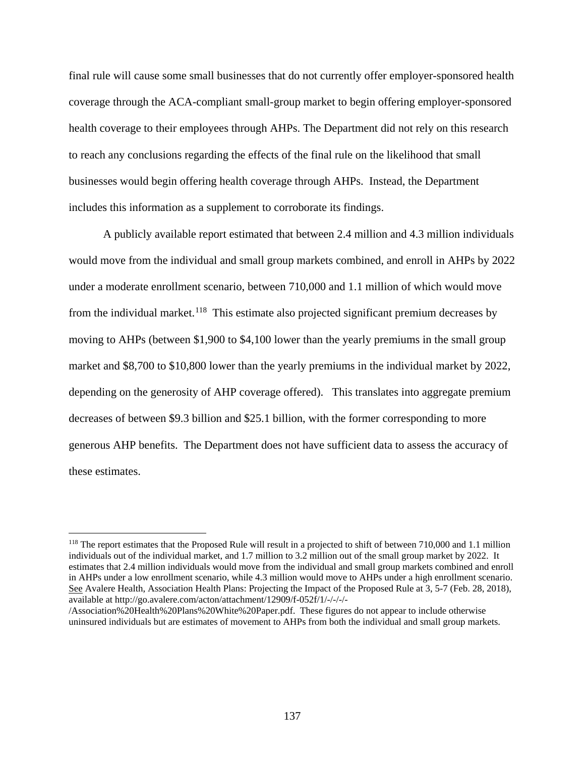final rule will cause some small businesses that do not currently offer employer-sponsored health coverage through the ACA-compliant small-group market to begin offering employer-sponsored health coverage to their employees through AHPs. The Department did not rely on this research to reach any conclusions regarding the effects of the final rule on the likelihood that small businesses would begin offering health coverage through AHPs. Instead, the Department includes this information as a supplement to corroborate its findings.

A publicly available report estimated that between 2.4 million and 4.3 million individuals would move from the individual and small group markets combined, and enroll in AHPs by 2022 under a moderate enrollment scenario, between 710,000 and 1.1 million of which would move from the individual market.<sup>118</sup> This estimate also projected significant premium decreases by moving to AHPs (between \$1,900 to \$4,100 lower than the yearly premiums in the small group market and \$8,700 to \$10,800 lower than the yearly premiums in the individual market by 2022, depending on the generosity of AHP coverage offered). This translates into aggregate premium decreases of between \$9.3 billion and \$25.1 billion, with the former corresponding to more generous AHP benefits. The Department does not have sufficient data to assess the accuracy of these estimates.

<span id="page-136-0"></span><sup>&</sup>lt;sup>118</sup> The report estimates that the Proposed Rule will result in a projected to shift of between 710,000 and 1.1 million individuals out of the individual market, and 1.7 million to 3.2 million out of the small group market by 2022. It estimates that 2.4 million individuals would move from the individual and small group markets combined and enroll in AHPs under a low enrollment scenario, while 4.3 million would move to AHPs under a high enrollment scenario. See Avalere Health, Association Health Plans: Projecting the Impact of the Proposed Rule at 3, 5-7 (Feb. 28, 2018), available at http://go.avalere.com/acton/attachment/12909/f-052f/1/-/-/-/-

<sup>/</sup>Association%20Health%20Plans%20White%20Paper.pdf. These figures do not appear to include otherwise uninsured individuals but are estimates of movement to AHPs from both the individual and small group markets.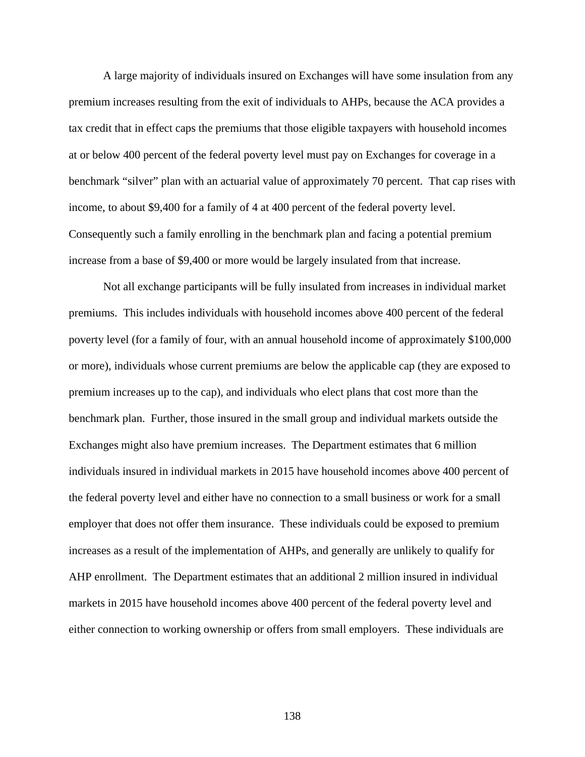A large majority of individuals insured on Exchanges will have some insulation from any premium increases resulting from the exit of individuals to AHPs, because the ACA provides a tax credit that in effect caps the premiums that those eligible taxpayers with household incomes at or below 400 percent of the federal poverty level must pay on Exchanges for coverage in a benchmark "silver" plan with an actuarial value of approximately 70 percent. That cap rises with income, to about \$9,400 for a family of 4 at 400 percent of the federal poverty level. Consequently such a family enrolling in the benchmark plan and facing a potential premium increase from a base of \$9,400 or more would be largely insulated from that increase.

Not all exchange participants will be fully insulated from increases in individual market premiums. This includes individuals with household incomes above 400 percent of the federal poverty level (for a family of four, with an annual household income of approximately \$100,000 or more), individuals whose current premiums are below the applicable cap (they are exposed to premium increases up to the cap), and individuals who elect plans that cost more than the benchmark plan. Further, those insured in the small group and individual markets outside the Exchanges might also have premium increases. The Department estimates that 6 million individuals insured in individual markets in 2015 have household incomes above 400 percent of the federal poverty level and either have no connection to a small business or work for a small employer that does not offer them insurance. These individuals could be exposed to premium increases as a result of the implementation of AHPs, and generally are unlikely to qualify for AHP enrollment. The Department estimates that an additional 2 million insured in individual markets in 2015 have household incomes above 400 percent of the federal poverty level and either connection to working ownership or offers from small employers. These individuals are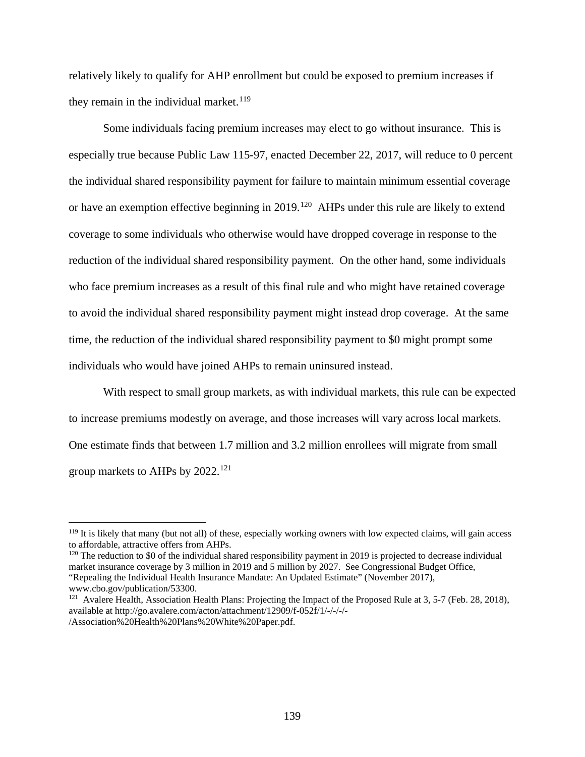relatively likely to qualify for AHP enrollment but could be exposed to premium increases if they remain in the individual market.<sup>[119](#page-138-0)</sup>

Some individuals facing premium increases may elect to go without insurance. This is especially true because Public Law 115-97, enacted December 22, 2017, will reduce to 0 percent the individual shared responsibility payment for failure to maintain minimum essential coverage or have an exemption effective beginning in 2019.<sup>120</sup> AHPs under this rule are likely to extend coverage to some individuals who otherwise would have dropped coverage in response to the reduction of the individual shared responsibility payment. On the other hand, some individuals who face premium increases as a result of this final rule and who might have retained coverage to avoid the individual shared responsibility payment might instead drop coverage. At the same time, the reduction of the individual shared responsibility payment to \$0 might prompt some individuals who would have joined AHPs to remain uninsured instead.

With respect to small group markets, as with individual markets, this rule can be expected to increase premiums modestly on average, and those increases will vary across local markets. One estimate finds that between 1.7 million and 3.2 million enrollees will migrate from small group markets to AHPs by 2022.[121](#page-138-2)

 $\overline{a}$ 

<span id="page-138-1"></span><sup>120</sup> The reduction to \$0 of the individual shared responsibility payment in 2019 is projected to decrease individual market insurance coverage by 3 million in 2019 and 5 million by 2027. See Congressional Budget Office, "Repealing the Individual Health Insurance Mandate: An Updated Estimate" (November 2017), www.cbo.gov/publication/53300.

<span id="page-138-0"></span> $119$  It is likely that many (but not all) of these, especially working owners with low expected claims, will gain access to affordable, attractive offers from AHPs.

<span id="page-138-2"></span><sup>&</sup>lt;sup>121</sup> Avalere Health, Association Health Plans: Projecting the Impact of the Proposed Rule at 3, 5-7 (Feb. 28, 2018), available at http://go.avalere.com/acton/attachment/12909/f-052f/1/-/-/-/- /Association%20Health%20Plans%20White%20Paper.pdf.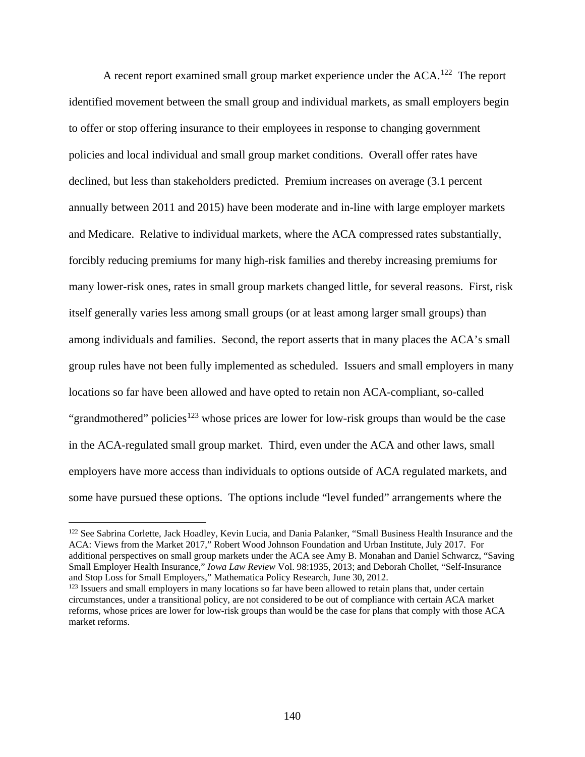A recent report examined small group market experience under the ACA.<sup>[122](#page-139-0)</sup> The report identified movement between the small group and individual markets, as small employers begin to offer or stop offering insurance to their employees in response to changing government policies and local individual and small group market conditions. Overall offer rates have declined, but less than stakeholders predicted. Premium increases on average (3.1 percent annually between 2011 and 2015) have been moderate and in-line with large employer markets and Medicare. Relative to individual markets, where the ACA compressed rates substantially, forcibly reducing premiums for many high-risk families and thereby increasing premiums for many lower-risk ones, rates in small group markets changed little, for several reasons. First, risk itself generally varies less among small groups (or at least among larger small groups) than among individuals and families. Second, the report asserts that in many places the ACA's small group rules have not been fully implemented as scheduled. Issuers and small employers in many locations so far have been allowed and have opted to retain non ACA-compliant, so-called "grandmothered" policies<sup>[123](#page-139-1)</sup> whose prices are lower for low-risk groups than would be the case in the ACA-regulated small group market. Third, even under the ACA and other laws, small employers have more access than individuals to options outside of ACA regulated markets, and some have pursued these options. The options include "level funded" arrangements where the

<span id="page-139-0"></span><sup>&</sup>lt;sup>122</sup> See Sabrina Corlette, Jack Hoadley, Kevin Lucia, and Dania Palanker, "Small Business Health Insurance and the ACA: Views from the Market 2017," Robert Wood Johnson Foundation and Urban Institute, July 2017. For additional perspectives on small group markets under the ACA see Amy B. Monahan and Daniel Schwarcz, "Saving Small Employer Health Insurance," *Iowa Law Review* Vol. 98:1935, 2013; and Deborah Chollet, "Self-Insurance and Stop Loss for Small Employers," Mathematica Policy Research, June 30, 2012.

<span id="page-139-1"></span><sup>&</sup>lt;sup>123</sup> Issuers and small employers in many locations so far have been allowed to retain plans that, under certain circumstances, under a transitional policy, are not considered to be out of compliance with certain ACA market reforms, whose prices are lower for low-risk groups than would be the case for plans that comply with those ACA market reforms.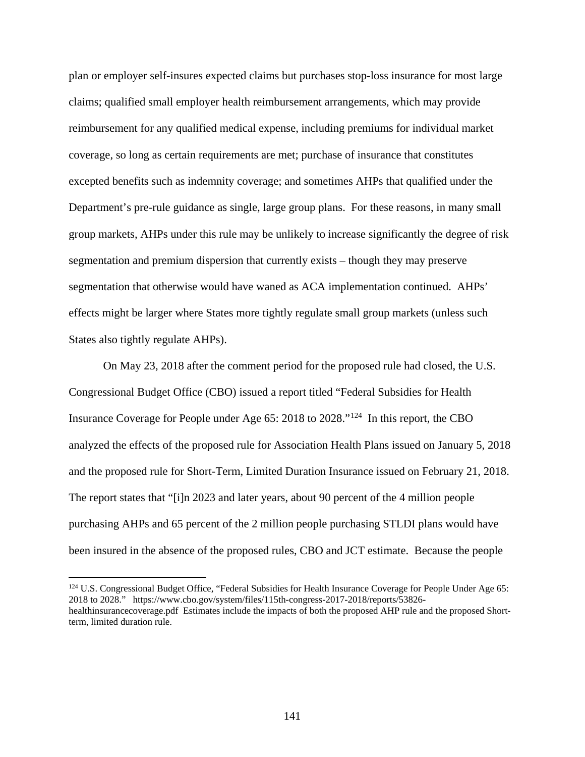plan or employer self-insures expected claims but purchases stop-loss insurance for most large claims; qualified small employer health reimbursement arrangements, which may provide reimbursement for any qualified medical expense, including premiums for individual market coverage, so long as certain requirements are met; purchase of insurance that constitutes excepted benefits such as indemnity coverage; and sometimes AHPs that qualified under the Department's pre-rule guidance as single, large group plans. For these reasons, in many small group markets, AHPs under this rule may be unlikely to increase significantly the degree of risk segmentation and premium dispersion that currently exists – though they may preserve segmentation that otherwise would have waned as ACA implementation continued. AHPs' effects might be larger where States more tightly regulate small group markets (unless such States also tightly regulate AHPs).

On May 23, 2018 after the comment period for the proposed rule had closed, the U.S. Congressional Budget Office (CBO) issued a report titled "Federal Subsidies for Health Insurance Coverage for People under Age 65: 2018 to 2028."[124](#page-140-0) In this report, the CBO analyzed the effects of the proposed rule for Association Health Plans issued on January 5, 2018 and the proposed rule for Short-Term, Limited Duration Insurance issued on February 21, 2018. The report states that "[i]n 2023 and later years, about 90 percent of the 4 million people purchasing AHPs and 65 percent of the 2 million people purchasing STLDI plans would have been insured in the absence of the proposed rules, CBO and JCT estimate. Because the people

<span id="page-140-0"></span><sup>&</sup>lt;sup>124</sup> U.S. Congressional Budget Office, "Federal Subsidies for Health Insurance Coverage for People Under Age 65: 2018 to 2028." https://www.cbo.gov/system/files/115th-congress-2017-2018/reports/53826 healthinsurancecoverage.pdf Estimates include the impacts of both the proposed AHP rule and the proposed Shortterm, limited duration rule.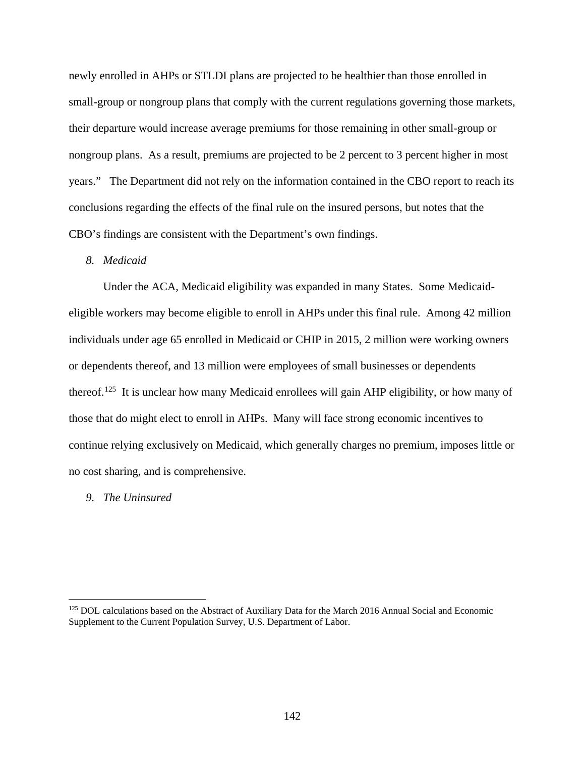newly enrolled in AHPs or STLDI plans are projected to be healthier than those enrolled in small-group or nongroup plans that comply with the current regulations governing those markets, their departure would increase average premiums for those remaining in other small-group or nongroup plans. As a result, premiums are projected to be 2 percent to 3 percent higher in most years." The Department did not rely on the information contained in the CBO report to reach its conclusions regarding the effects of the final rule on the insured persons, but notes that the CBO's findings are consistent with the Department's own findings.

## *8. Medicaid*

Under the ACA, Medicaid eligibility was expanded in many States. Some Medicaideligible workers may become eligible to enroll in AHPs under this final rule. Among 42 million individuals under age 65 enrolled in Medicaid or CHIP in 2015, 2 million were working owners or dependents thereof, and 13 million were employees of small businesses or dependents thereof.[125](#page-141-0) It is unclear how many Medicaid enrollees will gain AHP eligibility, or how many of those that do might elect to enroll in AHPs. Many will face strong economic incentives to continue relying exclusively on Medicaid, which generally charges no premium, imposes little or no cost sharing, and is comprehensive.

## *9. The Uninsured*

<span id="page-141-0"></span><sup>&</sup>lt;sup>125</sup> DOL calculations based on the Abstract of Auxiliary Data for the March 2016 Annual Social and Economic Supplement to the Current Population Survey, U.S. Department of Labor.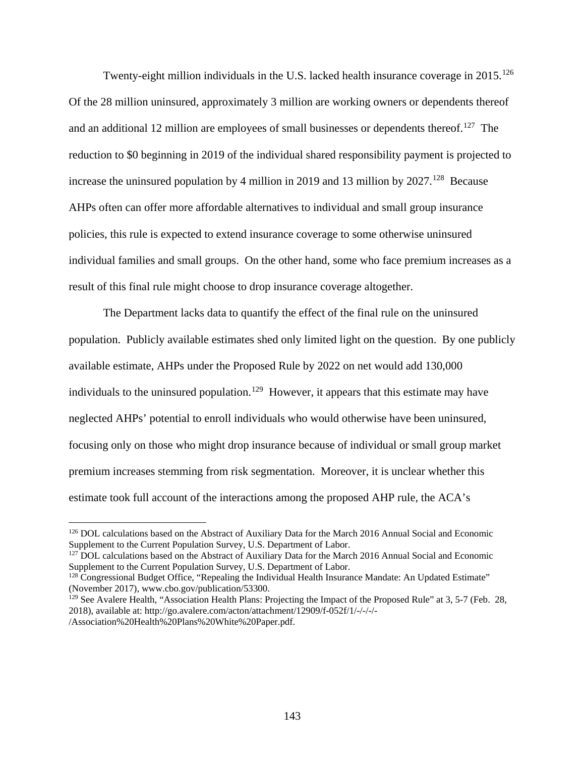Twenty-eight million individuals in the U.S. lacked health insurance coverage in  $2015$ <sup>126</sup> Of the 28 million uninsured, approximately 3 million are working owners or dependents thereof and an additional 12 million are employees of small businesses or dependents thereof.<sup>[127](#page-142-1)</sup> The reduction to \$0 beginning in 2019 of the individual shared responsibility payment is projected to increase the uninsured population by 4 million in 2019 and 13 million by  $2027$ .<sup>[128](#page-142-2)</sup> Because AHPs often can offer more affordable alternatives to individual and small group insurance policies, this rule is expected to extend insurance coverage to some otherwise uninsured individual families and small groups. On the other hand, some who face premium increases as a result of this final rule might choose to drop insurance coverage altogether.

The Department lacks data to quantify the effect of the final rule on the uninsured population. Publicly available estimates shed only limited light on the question. By one publicly available estimate, AHPs under the Proposed Rule by 2022 on net would add 130,000 individuals to the uninsured population.<sup>129</sup> However, it appears that this estimate may have neglected AHPs' potential to enroll individuals who would otherwise have been uninsured, focusing only on those who might drop insurance because of individual or small group market premium increases stemming from risk segmentation. Moreover, it is unclear whether this estimate took full account of the interactions among the proposed AHP rule, the ACA's

 $\overline{a}$ 

<span id="page-142-1"></span><sup>127</sup> DOL calculations based on the Abstract of Auxiliary Data for the March 2016 Annual Social and Economic Supplement to the Current Population Survey, U.S. Department of Labor.

<span id="page-142-0"></span><sup>&</sup>lt;sup>126</sup> DOL calculations based on the Abstract of Auxiliary Data for the March 2016 Annual Social and Economic Supplement to the Current Population Survey, U.S. Department of Labor.

<span id="page-142-2"></span><sup>&</sup>lt;sup>128</sup> Congressional Budget Office, "Repealing the Individual Health Insurance Mandate: An Updated Estimate" (November 2017), www.cbo.gov/publication/53300.

<span id="page-142-3"></span><sup>&</sup>lt;sup>129</sup> See Avalere Health, "Association Health Plans: Projecting the Impact of the Proposed Rule" at 3, 5-7 (Feb. 28, 2018), available at: http://go.avalere.com/acton/attachment/12909/f-052f/1/-/-/-/- /Association%20Health%20Plans%20White%20Paper.pdf.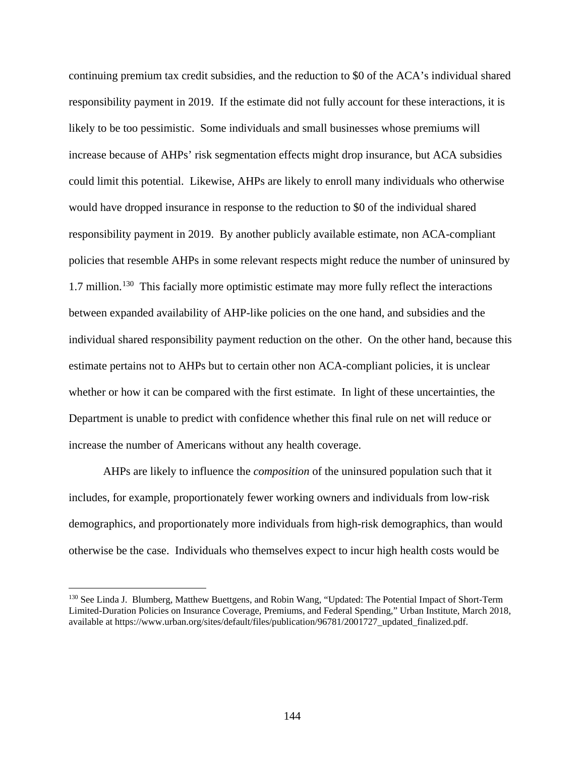continuing premium tax credit subsidies, and the reduction to \$0 of the ACA's individual shared responsibility payment in 2019. If the estimate did not fully account for these interactions, it is likely to be too pessimistic. Some individuals and small businesses whose premiums will increase because of AHPs' risk segmentation effects might drop insurance, but ACA subsidies could limit this potential. Likewise, AHPs are likely to enroll many individuals who otherwise would have dropped insurance in response to the reduction to \$0 of the individual shared responsibility payment in 2019. By another publicly available estimate, non ACA-compliant policies that resemble AHPs in some relevant respects might reduce the number of uninsured by 1.7 million.<sup>[130](#page-143-0)</sup> This facially more optimistic estimate may more fully reflect the interactions between expanded availability of AHP-like policies on the one hand, and subsidies and the individual shared responsibility payment reduction on the other. On the other hand, because this estimate pertains not to AHPs but to certain other non ACA-compliant policies, it is unclear whether or how it can be compared with the first estimate. In light of these uncertainties, the Department is unable to predict with confidence whether this final rule on net will reduce or increase the number of Americans without any health coverage.

AHPs are likely to influence the *composition* of the uninsured population such that it includes, for example, proportionately fewer working owners and individuals from low-risk demographics, and proportionately more individuals from high-risk demographics, than would otherwise be the case. Individuals who themselves expect to incur high health costs would be

<span id="page-143-0"></span><sup>&</sup>lt;sup>130</sup> See Linda J. Blumberg, Matthew Buettgens, and Robin Wang, "Updated: The Potential Impact of Short-Term Limited-Duration Policies on Insurance Coverage, Premiums, and Federal Spending," Urban Institute, March 2018, available at https://www.urban.org/sites/default/files/publication/96781/2001727\_updated\_finalized.pdf.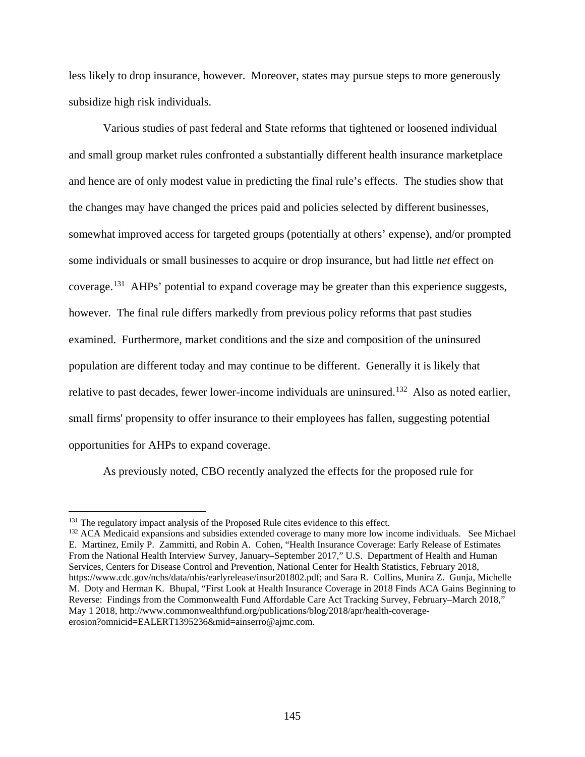less likely to drop insurance, however. Moreover, states may pursue steps to more generously subsidize high risk individuals.

Various studies of past federal and State reforms that tightened or loosened individual and small group market rules confronted a substantially different health insurance marketplace and hence are of only modest value in predicting the final rule's effects. The studies show that the changes may have changed the prices paid and policies selected by different businesses, somewhat improved access for targeted groups (potentially at others' expense), and/or prompted some individuals or small businesses to acquire or drop insurance, but had little *net* effect on coverage.[131](#page-144-0) AHPs' potential to expand coverage may be greater than this experience suggests, however. The final rule differs markedly from previous policy reforms that past studies examined. Furthermore, market conditions and the size and composition of the uninsured population are different today and may continue to be different. Generally it is likely that relative to past decades, fewer lower-income individuals are uninsured.<sup>[132](#page-144-1)</sup> Also as noted earlier, small firms' propensity to offer insurance to their employees has fallen, suggesting potential opportunities for AHPs to expand coverage.

As previously noted, CBO recently analyzed the effects for the proposed rule for

<span id="page-144-0"></span><sup>&</sup>lt;sup>131</sup> The regulatory impact analysis of the Proposed Rule cites evidence to this effect.

<span id="page-144-1"></span><sup>&</sup>lt;sup>132</sup> ACA Medicaid expansions and subsidies extended coverage to many more low income individuals. See Michael E. Martinez, Emily P. Zammitti, and Robin A. Cohen, "Health Insurance Coverage: Early Release of Estimates From the National Health Interview Survey, January–September 2017," U.S. Department of Health and Human Services, Centers for Disease Control and Prevention, National Center for Health Statistics, February 2018, https://www.cdc.gov/nchs/data/nhis/earlyrelease/insur201802.pdf; and Sara R. Collins, Munira Z. Gunja, Michelle M. Doty and Herman K. Bhupal, "First Look at Health Insurance Coverage in 2018 Finds ACA Gains Beginning to Reverse: Findings from the Commonwealth Fund Affordable Care Act Tracking Survey, February–March 2018," May 1 2018, http://www.commonwealthfund.org/publications/blog/2018/apr/health-coverageerosion?omnicid=EALERT1395236&mid=ainserro@ajmc.com.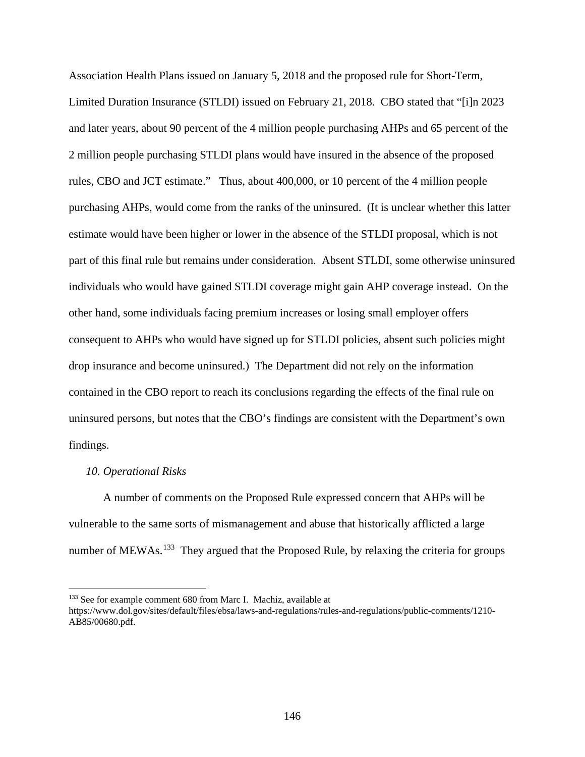Association Health Plans issued on January 5, 2018 and the proposed rule for Short-Term, Limited Duration Insurance (STLDI) issued on February 21, 2018. CBO stated that "[i]n 2023 and later years, about 90 percent of the 4 million people purchasing AHPs and 65 percent of the 2 million people purchasing STLDI plans would have insured in the absence of the proposed rules, CBO and JCT estimate." Thus, about 400,000, or 10 percent of the 4 million people purchasing AHPs, would come from the ranks of the uninsured. (It is unclear whether this latter estimate would have been higher or lower in the absence of the STLDI proposal, which is not part of this final rule but remains under consideration. Absent STLDI, some otherwise uninsured individuals who would have gained STLDI coverage might gain AHP coverage instead. On the other hand, some individuals facing premium increases or losing small employer offers consequent to AHPs who would have signed up for STLDI policies, absent such policies might drop insurance and become uninsured.) The Department did not rely on the information contained in the CBO report to reach its conclusions regarding the effects of the final rule on uninsured persons, but notes that the CBO's findings are consistent with the Department's own findings.

### *10. Operational Risks*

 $\overline{a}$ 

A number of comments on the Proposed Rule expressed concern that AHPs will be vulnerable to the same sorts of mismanagement and abuse that historically afflicted a large number of MEWAs.<sup>133</sup> They argued that the Proposed Rule, by relaxing the criteria for groups

<span id="page-145-0"></span><sup>&</sup>lt;sup>133</sup> See for example comment 680 from Marc I. Machiz, available at

https://www.dol.gov/sites/default/files/ebsa/laws-and-regulations/rules-and-regulations/public-comments/1210- AB85/00680.pdf.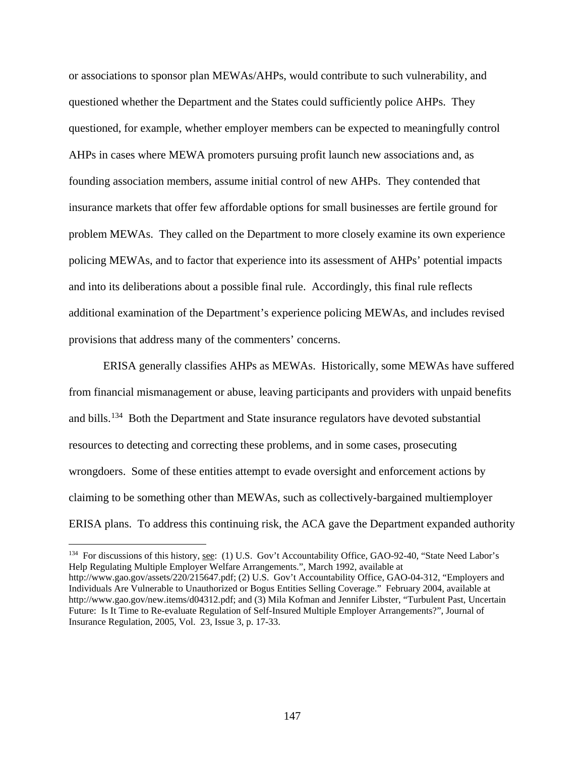or associations to sponsor plan MEWAs/AHPs, would contribute to such vulnerability, and questioned whether the Department and the States could sufficiently police AHPs. They questioned, for example, whether employer members can be expected to meaningfully control AHPs in cases where MEWA promoters pursuing profit launch new associations and, as founding association members, assume initial control of new AHPs. They contended that insurance markets that offer few affordable options for small businesses are fertile ground for problem MEWAs. They called on the Department to more closely examine its own experience policing MEWAs, and to factor that experience into its assessment of AHPs' potential impacts and into its deliberations about a possible final rule. Accordingly, this final rule reflects additional examination of the Department's experience policing MEWAs, and includes revised provisions that address many of the commenters' concerns.

ERISA generally classifies AHPs as MEWAs. Historically, some MEWAs have suffered from financial mismanagement or abuse, leaving participants and providers with unpaid benefits and bills.<sup>134</sup> Both the Department and State insurance regulators have devoted substantial resources to detecting and correcting these problems, and in some cases, prosecuting wrongdoers. Some of these entities attempt to evade oversight and enforcement actions by claiming to be something other than MEWAs, such as collectively-bargained multiemployer ERISA plans. To address this continuing risk, the ACA gave the Department expanded authority

<span id="page-146-0"></span><sup>&</sup>lt;sup>134</sup> For discussions of this history, <u>see</u>: (1) U.S. Gov't Accountability Office, GAO-92-40, "State Need Labor's Help Regulating Multiple Employer Welfare Arrangements.", March 1992, available at http://www.gao.gov/assets/220/215647.pdf; (2) U.S. Gov't Accountability Office, GAO-04-312, "Employers and Individuals Are Vulnerable to Unauthorized or Bogus Entities Selling Coverage." February 2004, available at http://www.gao.gov/new.items/d04312.pdf; and (3) Mila Kofman and Jennifer Libster, "Turbulent Past, Uncertain Future: Is It Time to Re-evaluate Regulation of Self-Insured Multiple Employer Arrangements?", Journal of Insurance Regulation, 2005, Vol. 23, Issue 3, p. 17-33.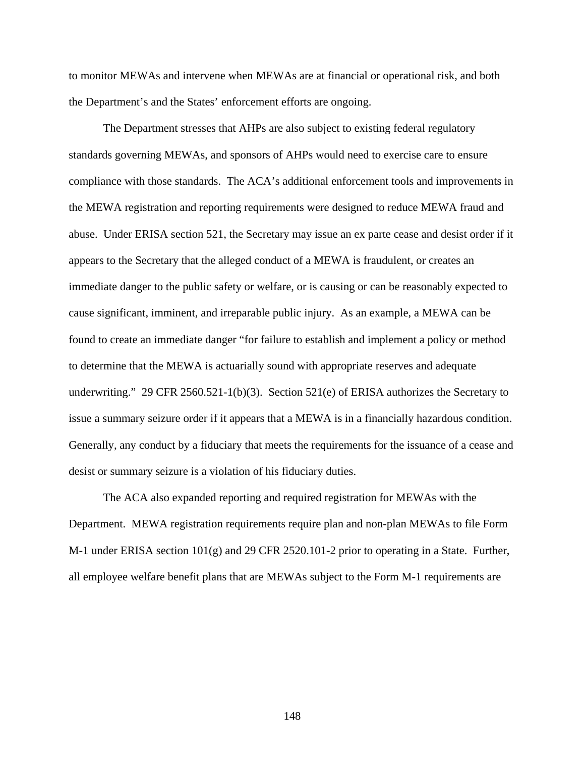to monitor MEWAs and intervene when MEWAs are at financial or operational risk, and both the Department's and the States' enforcement efforts are ongoing.

The Department stresses that AHPs are also subject to existing federal regulatory standards governing MEWAs, and sponsors of AHPs would need to exercise care to ensure compliance with those standards. The ACA's additional enforcement tools and improvements in the MEWA registration and reporting requirements were designed to reduce MEWA fraud and abuse. Under ERISA section 521, the Secretary may issue an ex parte cease and desist order if it appears to the Secretary that the alleged conduct of a MEWA is fraudulent, or creates an immediate danger to the public safety or welfare, or is causing or can be reasonably expected to cause significant, imminent, and irreparable public injury. As an example, a MEWA can be found to create an immediate danger "for failure to establish and implement a policy or method to determine that the MEWA is actuarially sound with appropriate reserves and adequate underwriting." 29 CFR 2560.521-1(b)(3). Section 521(e) of ERISA authorizes the Secretary to issue a summary seizure order if it appears that a MEWA is in a financially hazardous condition. Generally, any conduct by a fiduciary that meets the requirements for the issuance of a cease and desist or summary seizure is a violation of his fiduciary duties.

The ACA also expanded reporting and required registration for MEWAs with the Department. MEWA registration requirements require plan and non-plan MEWAs to file Form M-1 under ERISA section 101(g) and 29 CFR 2520.101-2 prior to operating in a State. Further, all employee welfare benefit plans that are MEWAs subject to the Form M-1 requirements are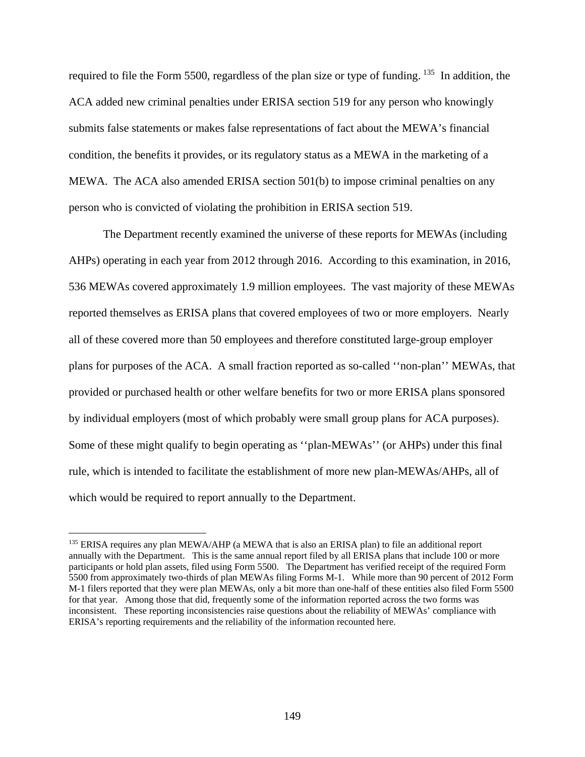required to file the Form 5500, regardless of the plan size or type of funding. <sup>[135](#page-148-0)</sup> In addition, the ACA added new criminal penalties under ERISA section 519 for any person who knowingly submits false statements or makes false representations of fact about the MEWA's financial condition, the benefits it provides, or its regulatory status as a MEWA in the marketing of a MEWA. The ACA also amended ERISA section 501(b) to impose criminal penalties on any person who is convicted of violating the prohibition in ERISA section 519.

The Department recently examined the universe of these reports for MEWAs (including AHPs) operating in each year from 2012 through 2016. According to this examination, in 2016, 536 MEWAs covered approximately 1.9 million employees. The vast majority of these MEWAs reported themselves as ERISA plans that covered employees of two or more employers. Nearly all of these covered more than 50 employees and therefore constituted large-group employer plans for purposes of the ACA. A small fraction reported as so-called ''non-plan'' MEWAs, that provided or purchased health or other welfare benefits for two or more ERISA plans sponsored by individual employers (most of which probably were small group plans for ACA purposes). Some of these might qualify to begin operating as ''plan-MEWAs'' (or AHPs) under this final rule, which is intended to facilitate the establishment of more new plan-MEWAs/AHPs, all of which would be required to report annually to the Department.

<span id="page-148-0"></span><sup>&</sup>lt;sup>135</sup> ERISA requires any plan MEWA/AHP (a MEWA that is also an ERISA plan) to file an additional report annually with the Department. This is the same annual report filed by all ERISA plans that include 100 or more participants or hold plan assets, filed using Form 5500. The Department has verified receipt of the required Form 5500 from approximately two-thirds of plan MEWAs filing Forms M-1. While more than 90 percent of 2012 Form M-1 filers reported that they were plan MEWAs, only a bit more than one-half of these entities also filed Form 5500 for that year. Among those that did, frequently some of the information reported across the two forms was inconsistent. These reporting inconsistencies raise questions about the reliability of MEWAs' compliance with ERISA's reporting requirements and the reliability of the information recounted here.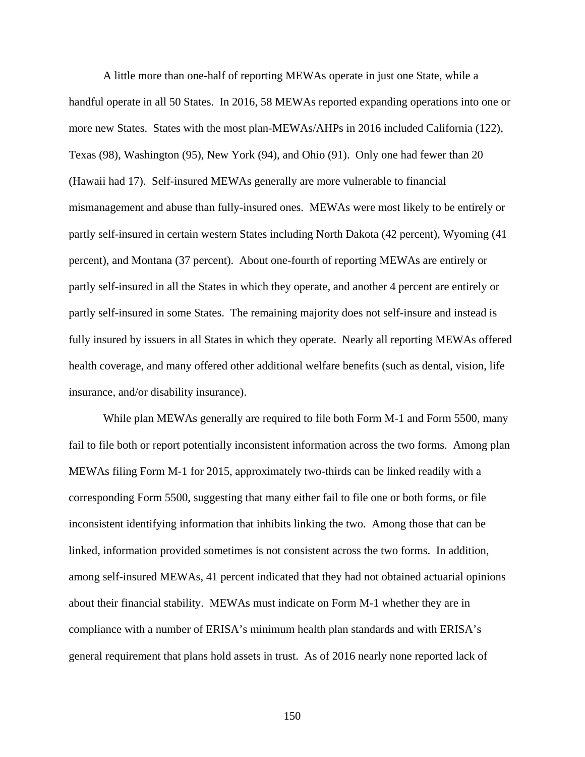A little more than one-half of reporting MEWAs operate in just one State, while a handful operate in all 50 States. In 2016, 58 MEWAs reported expanding operations into one or more new States. States with the most plan-MEWAs/AHPs in 2016 included California (122), Texas (98), Washington (95), New York (94), and Ohio (91). Only one had fewer than 20 (Hawaii had 17). Self-insured MEWAs generally are more vulnerable to financial mismanagement and abuse than fully-insured ones. MEWAs were most likely to be entirely or partly self-insured in certain western States including North Dakota (42 percent), Wyoming (41 percent), and Montana (37 percent). About one-fourth of reporting MEWAs are entirely or partly self-insured in all the States in which they operate, and another 4 percent are entirely or partly self-insured in some States. The remaining majority does not self-insure and instead is fully insured by issuers in all States in which they operate. Nearly all reporting MEWAs offered health coverage, and many offered other additional welfare benefits (such as dental, vision, life insurance, and/or disability insurance).

While plan MEWAs generally are required to file both Form M-1 and Form 5500, many fail to file both or report potentially inconsistent information across the two forms. Among plan MEWAs filing Form M-1 for 2015, approximately two-thirds can be linked readily with a corresponding Form 5500, suggesting that many either fail to file one or both forms, or file inconsistent identifying information that inhibits linking the two. Among those that can be linked, information provided sometimes is not consistent across the two forms. In addition, among self-insured MEWAs, 41 percent indicated that they had not obtained actuarial opinions about their financial stability. MEWAs must indicate on Form M-1 whether they are in compliance with a number of ERISA's minimum health plan standards and with ERISA's general requirement that plans hold assets in trust. As of 2016 nearly none reported lack of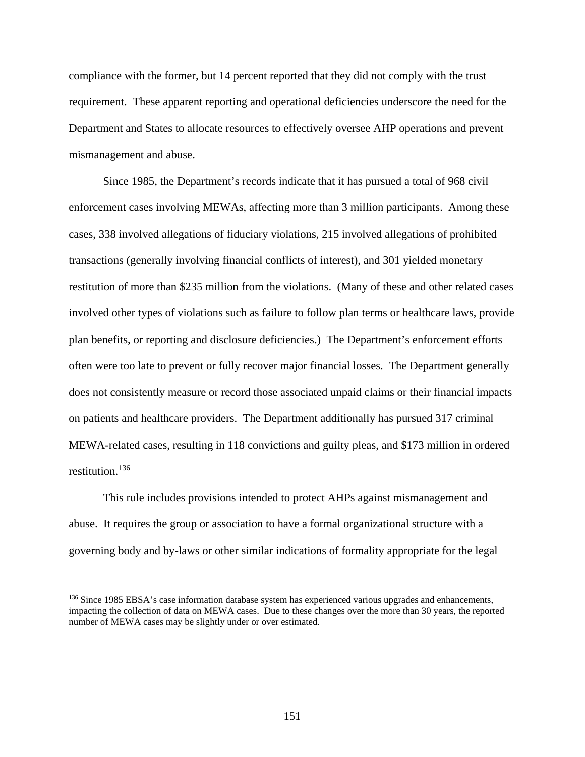compliance with the former, but 14 percent reported that they did not comply with the trust requirement. These apparent reporting and operational deficiencies underscore the need for the Department and States to allocate resources to effectively oversee AHP operations and prevent mismanagement and abuse.

Since 1985, the Department's records indicate that it has pursued a total of 968 civil enforcement cases involving MEWAs, affecting more than 3 million participants. Among these cases, 338 involved allegations of fiduciary violations, 215 involved allegations of prohibited transactions (generally involving financial conflicts of interest), and 301 yielded monetary restitution of more than \$235 million from the violations. (Many of these and other related cases involved other types of violations such as failure to follow plan terms or healthcare laws, provide plan benefits, or reporting and disclosure deficiencies.) The Department's enforcement efforts often were too late to prevent or fully recover major financial losses. The Department generally does not consistently measure or record those associated unpaid claims or their financial impacts on patients and healthcare providers. The Department additionally has pursued 317 criminal MEWA-related cases, resulting in 118 convictions and guilty pleas, and \$173 million in ordered restitution.<sup>[136](#page-150-0)</sup>

This rule includes provisions intended to protect AHPs against mismanagement and abuse. It requires the group or association to have a formal organizational structure with a governing body and by-laws or other similar indications of formality appropriate for the legal

<span id="page-150-0"></span><sup>&</sup>lt;sup>136</sup> Since 1985 EBSA's case information database system has experienced various upgrades and enhancements, impacting the collection of data on MEWA cases. Due to these changes over the more than 30 years, the reported number of MEWA cases may be slightly under or over estimated.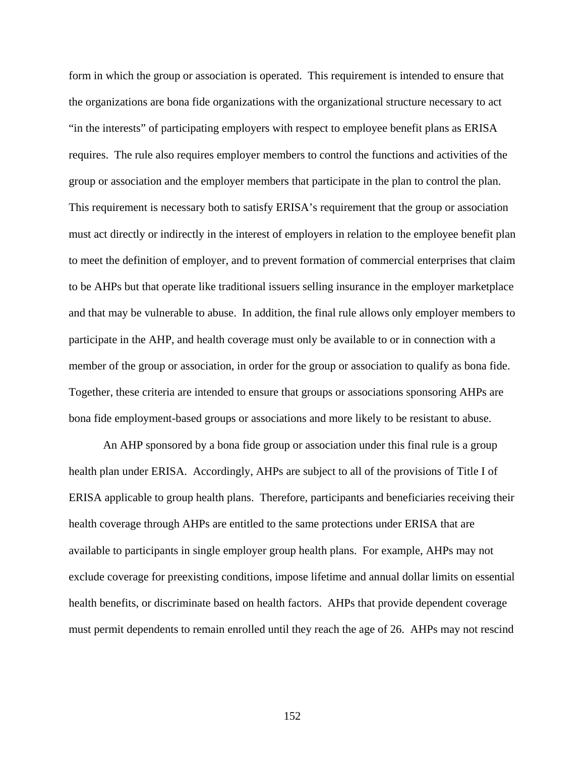form in which the group or association is operated. This requirement is intended to ensure that the organizations are bona fide organizations with the organizational structure necessary to act "in the interests" of participating employers with respect to employee benefit plans as ERISA requires. The rule also requires employer members to control the functions and activities of the group or association and the employer members that participate in the plan to control the plan. This requirement is necessary both to satisfy ERISA's requirement that the group or association must act directly or indirectly in the interest of employers in relation to the employee benefit plan to meet the definition of employer, and to prevent formation of commercial enterprises that claim to be AHPs but that operate like traditional issuers selling insurance in the employer marketplace and that may be vulnerable to abuse. In addition, the final rule allows only employer members to participate in the AHP, and health coverage must only be available to or in connection with a member of the group or association, in order for the group or association to qualify as bona fide. Together, these criteria are intended to ensure that groups or associations sponsoring AHPs are bona fide employment-based groups or associations and more likely to be resistant to abuse.

An AHP sponsored by a bona fide group or association under this final rule is a group health plan under ERISA. Accordingly, AHPs are subject to all of the provisions of Title I of ERISA applicable to group health plans. Therefore, participants and beneficiaries receiving their health coverage through AHPs are entitled to the same protections under ERISA that are available to participants in single employer group health plans. For example, AHPs may not exclude coverage for preexisting conditions, impose lifetime and annual dollar limits on essential health benefits, or discriminate based on health factors. AHPs that provide dependent coverage must permit dependents to remain enrolled until they reach the age of 26. AHPs may not rescind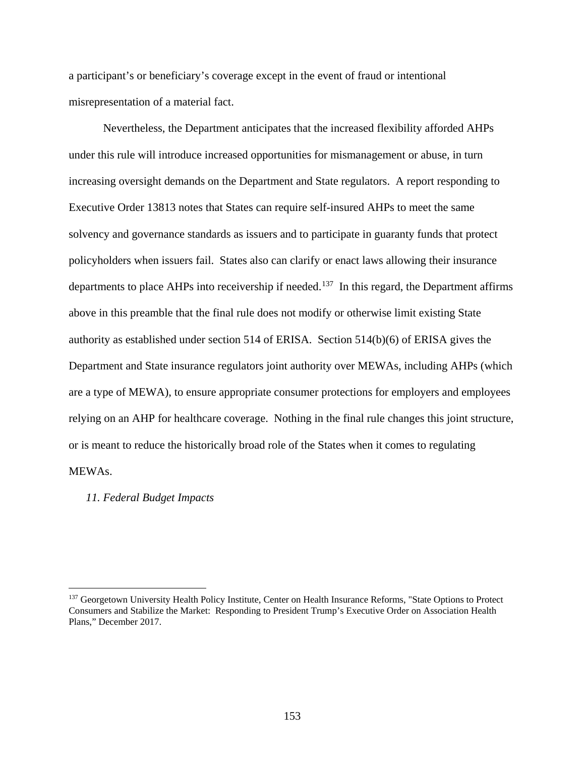a participant's or beneficiary's coverage except in the event of fraud or intentional misrepresentation of a material fact.

Nevertheless, the Department anticipates that the increased flexibility afforded AHPs under this rule will introduce increased opportunities for mismanagement or abuse, in turn increasing oversight demands on the Department and State regulators. A report responding to Executive Order 13813 notes that States can require self-insured AHPs to meet the same solvency and governance standards as issuers and to participate in guaranty funds that protect policyholders when issuers fail. States also can clarify or enact laws allowing their insurance departments to place AHPs into receivership if needed.<sup>[137](#page-152-0)</sup> In this regard, the Department affirms above in this preamble that the final rule does not modify or otherwise limit existing State authority as established under section 514 of ERISA. Section 514(b)(6) of ERISA gives the Department and State insurance regulators joint authority over MEWAs, including AHPs (which are a type of MEWA), to ensure appropriate consumer protections for employers and employees relying on an AHP for healthcare coverage. Nothing in the final rule changes this joint structure, or is meant to reduce the historically broad role of the States when it comes to regulating MEWAs.

### *11. Federal Budget Impacts*

<span id="page-152-0"></span><sup>&</sup>lt;sup>137</sup> Georgetown University Health Policy Institute, Center on Health Insurance Reforms, "State Options to Protect Consumers and Stabilize the Market: Responding to President Trump's Executive Order on Association Health Plans," December 2017.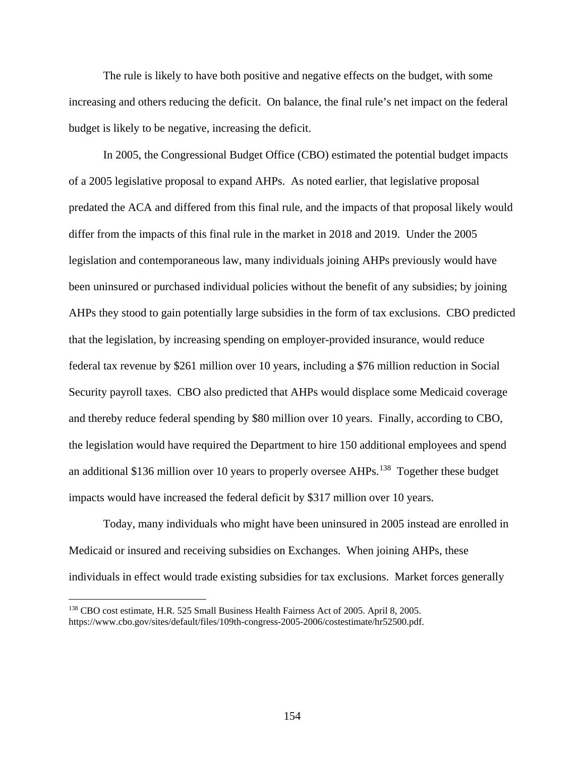The rule is likely to have both positive and negative effects on the budget, with some increasing and others reducing the deficit. On balance, the final rule's net impact on the federal budget is likely to be negative, increasing the deficit.

In 2005, the Congressional Budget Office (CBO) estimated the potential budget impacts of a 2005 legislative proposal to expand AHPs. As noted earlier, that legislative proposal predated the ACA and differed from this final rule, and the impacts of that proposal likely would differ from the impacts of this final rule in the market in 2018 and 2019. Under the 2005 legislation and contemporaneous law, many individuals joining AHPs previously would have been uninsured or purchased individual policies without the benefit of any subsidies; by joining AHPs they stood to gain potentially large subsidies in the form of tax exclusions. CBO predicted that the legislation, by increasing spending on employer-provided insurance, would reduce federal tax revenue by \$261 million over 10 years, including a \$76 million reduction in Social Security payroll taxes. CBO also predicted that AHPs would displace some Medicaid coverage and thereby reduce federal spending by \$80 million over 10 years. Finally, according to CBO, the legislation would have required the Department to hire 150 additional employees and spend an additional \$136 million over 10 years to properly oversee AHPs.<sup>[138](#page-153-0)</sup> Together these budget impacts would have increased the federal deficit by \$317 million over 10 years.

Today, many individuals who might have been uninsured in 2005 instead are enrolled in Medicaid or insured and receiving subsidies on Exchanges. When joining AHPs, these individuals in effect would trade existing subsidies for tax exclusions. Market forces generally

<span id="page-153-0"></span><sup>138</sup> CBO cost estimate, H.R. 525 Small Business Health Fairness Act of 2005. April 8, 2005. https://www.cbo.gov/sites/default/files/109th-congress-2005-2006/costestimate/hr52500.pdf.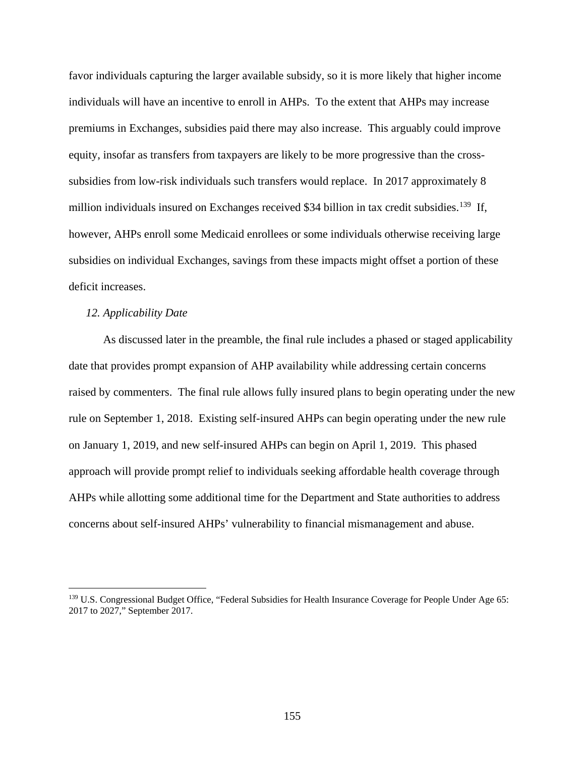favor individuals capturing the larger available subsidy, so it is more likely that higher income individuals will have an incentive to enroll in AHPs. To the extent that AHPs may increase premiums in Exchanges, subsidies paid there may also increase. This arguably could improve equity, insofar as transfers from taxpayers are likely to be more progressive than the crosssubsidies from low-risk individuals such transfers would replace. In 2017 approximately 8 million individuals insured on Exchanges received \$34 billion in tax credit subsidies.<sup>[139](#page-154-0)</sup> If, however, AHPs enroll some Medicaid enrollees or some individuals otherwise receiving large subsidies on individual Exchanges, savings from these impacts might offset a portion of these deficit increases.

### *12. Applicability Date*

 $\overline{a}$ 

As discussed later in the preamble, the final rule includes a phased or staged applicability date that provides prompt expansion of AHP availability while addressing certain concerns raised by commenters. The final rule allows fully insured plans to begin operating under the new rule on September 1, 2018. Existing self-insured AHPs can begin operating under the new rule on January 1, 2019, and new self-insured AHPs can begin on April 1, 2019. This phased approach will provide prompt relief to individuals seeking affordable health coverage through AHPs while allotting some additional time for the Department and State authorities to address concerns about self-insured AHPs' vulnerability to financial mismanagement and abuse.

<span id="page-154-0"></span><sup>&</sup>lt;sup>139</sup> U.S. Congressional Budget Office, "Federal Subsidies for Health Insurance Coverage for People Under Age 65: 2017 to 2027," September 2017.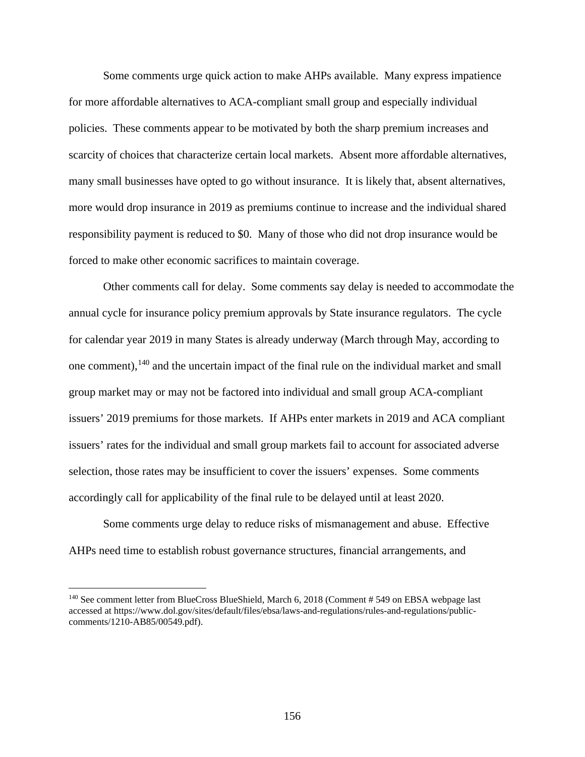Some comments urge quick action to make AHPs available. Many express impatience for more affordable alternatives to ACA-compliant small group and especially individual policies. These comments appear to be motivated by both the sharp premium increases and scarcity of choices that characterize certain local markets. Absent more affordable alternatives, many small businesses have opted to go without insurance. It is likely that, absent alternatives, more would drop insurance in 2019 as premiums continue to increase and the individual shared responsibility payment is reduced to \$0. Many of those who did not drop insurance would be forced to make other economic sacrifices to maintain coverage.

Other comments call for delay. Some comments say delay is needed to accommodate the annual cycle for insurance policy premium approvals by State insurance regulators. The cycle for calendar year 2019 in many States is already underway (March through May, according to one comment),  $140$  and the uncertain impact of the final rule on the individual market and small group market may or may not be factored into individual and small group ACA-compliant issuers' 2019 premiums for those markets. If AHPs enter markets in 2019 and ACA compliant issuers' rates for the individual and small group markets fail to account for associated adverse selection, those rates may be insufficient to cover the issuers' expenses. Some comments accordingly call for applicability of the final rule to be delayed until at least 2020.

Some comments urge delay to reduce risks of mismanagement and abuse. Effective AHPs need time to establish robust governance structures, financial arrangements, and

<span id="page-155-0"></span><sup>&</sup>lt;sup>140</sup> See comment letter from BlueCross BlueShield, March 6, 2018 (Comment # 549 on EBSA webpage last accessed at https://www.dol.gov/sites/default/files/ebsa/laws-and-regulations/rules-and-regulations/publiccomments/1210-AB85/00549.pdf).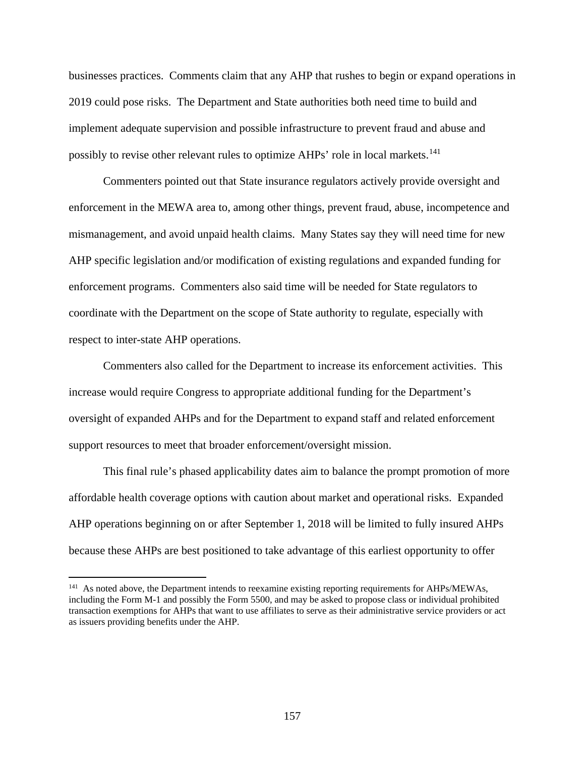businesses practices. Comments claim that any AHP that rushes to begin or expand operations in 2019 could pose risks. The Department and State authorities both need time to build and implement adequate supervision and possible infrastructure to prevent fraud and abuse and possibly to revise other relevant rules to optimize AHPs' role in local markets.<sup>[141](#page-156-0)</sup>

Commenters pointed out that State insurance regulators actively provide oversight and enforcement in the MEWA area to, among other things, prevent fraud, abuse, incompetence and mismanagement, and avoid unpaid health claims. Many States say they will need time for new AHP specific legislation and/or modification of existing regulations and expanded funding for enforcement programs. Commenters also said time will be needed for State regulators to coordinate with the Department on the scope of State authority to regulate, especially with respect to inter-state AHP operations.

Commenters also called for the Department to increase its enforcement activities. This increase would require Congress to appropriate additional funding for the Department's oversight of expanded AHPs and for the Department to expand staff and related enforcement support resources to meet that broader enforcement/oversight mission.

This final rule's phased applicability dates aim to balance the prompt promotion of more affordable health coverage options with caution about market and operational risks. Expanded AHP operations beginning on or after September 1, 2018 will be limited to fully insured AHPs because these AHPs are best positioned to take advantage of this earliest opportunity to offer

<span id="page-156-0"></span><sup>&</sup>lt;sup>141</sup> As noted above, the Department intends to reexamine existing reporting requirements for AHPs/MEWAs, including the Form M-1 and possibly the Form 5500, and may be asked to propose class or individual prohibited transaction exemptions for AHPs that want to use affiliates to serve as their administrative service providers or act as issuers providing benefits under the AHP.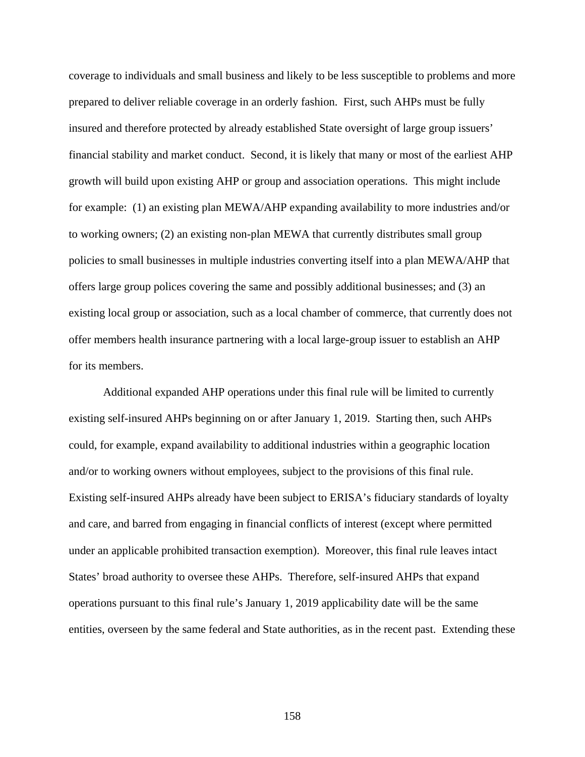coverage to individuals and small business and likely to be less susceptible to problems and more prepared to deliver reliable coverage in an orderly fashion. First, such AHPs must be fully insured and therefore protected by already established State oversight of large group issuers' financial stability and market conduct. Second, it is likely that many or most of the earliest AHP growth will build upon existing AHP or group and association operations. This might include for example: (1) an existing plan MEWA/AHP expanding availability to more industries and/or to working owners; (2) an existing non-plan MEWA that currently distributes small group policies to small businesses in multiple industries converting itself into a plan MEWA/AHP that offers large group polices covering the same and possibly additional businesses; and (3) an existing local group or association, such as a local chamber of commerce, that currently does not offer members health insurance partnering with a local large-group issuer to establish an AHP for its members.

Additional expanded AHP operations under this final rule will be limited to currently existing self-insured AHPs beginning on or after January 1, 2019. Starting then, such AHPs could, for example, expand availability to additional industries within a geographic location and/or to working owners without employees, subject to the provisions of this final rule. Existing self-insured AHPs already have been subject to ERISA's fiduciary standards of loyalty and care, and barred from engaging in financial conflicts of interest (except where permitted under an applicable prohibited transaction exemption). Moreover, this final rule leaves intact States' broad authority to oversee these AHPs. Therefore, self-insured AHPs that expand operations pursuant to this final rule's January 1, 2019 applicability date will be the same entities, overseen by the same federal and State authorities, as in the recent past. Extending these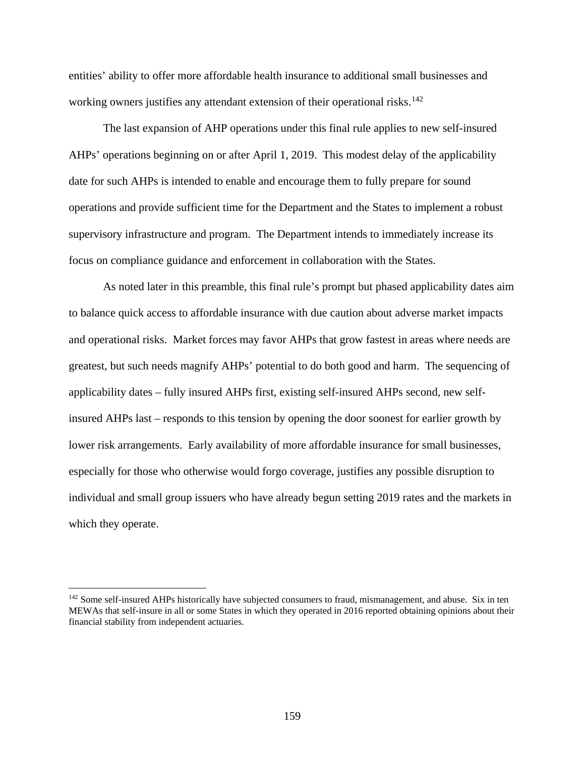entities' ability to offer more affordable health insurance to additional small businesses and working owners justifies any attendant extension of their operational risks.<sup>[142](#page-158-0)</sup>

The last expansion of AHP operations under this final rule applies to new self-insured AHPs' operations beginning on or after April 1, 2019. This modest delay of the applicability date for such AHPs is intended to enable and encourage them to fully prepare for sound operations and provide sufficient time for the Department and the States to implement a robust supervisory infrastructure and program. The Department intends to immediately increase its focus on compliance guidance and enforcement in collaboration with the States.

As noted later in this preamble, this final rule's prompt but phased applicability dates aim to balance quick access to affordable insurance with due caution about adverse market impacts and operational risks. Market forces may favor AHPs that grow fastest in areas where needs are greatest, but such needs magnify AHPs' potential to do both good and harm. The sequencing of applicability dates – fully insured AHPs first, existing self-insured AHPs second, new selfinsured AHPs last – responds to this tension by opening the door soonest for earlier growth by lower risk arrangements. Early availability of more affordable insurance for small businesses, especially for those who otherwise would forgo coverage, justifies any possible disruption to individual and small group issuers who have already begun setting 2019 rates and the markets in which they operate.

<span id="page-158-0"></span><sup>&</sup>lt;sup>142</sup> Some self-insured AHPs historically have subjected consumers to fraud, mismanagement, and abuse. Six in ten MEWAs that self-insure in all or some States in which they operated in 2016 reported obtaining opinions about their financial stability from independent actuaries.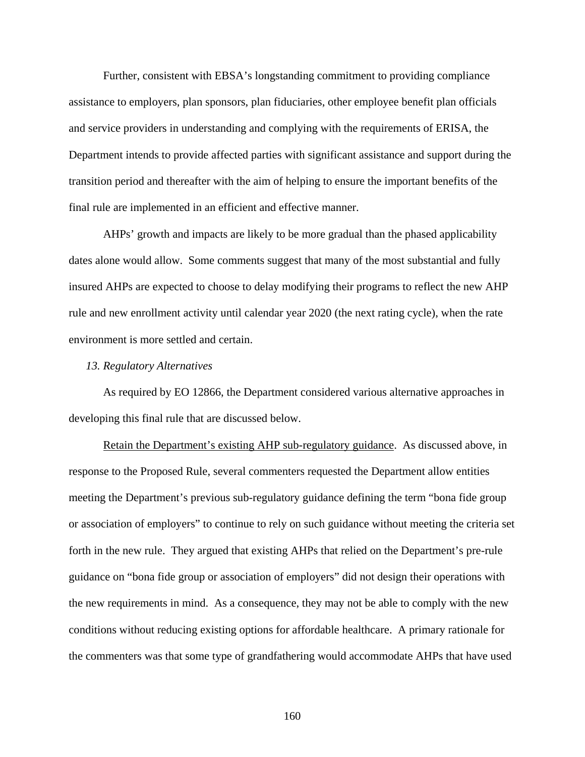Further, consistent with EBSA's longstanding commitment to providing compliance assistance to employers, plan sponsors, plan fiduciaries, other employee benefit plan officials and service providers in understanding and complying with the requirements of ERISA, the Department intends to provide affected parties with significant assistance and support during the transition period and thereafter with the aim of helping to ensure the important benefits of the final rule are implemented in an efficient and effective manner.

AHPs' growth and impacts are likely to be more gradual than the phased applicability dates alone would allow. Some comments suggest that many of the most substantial and fully insured AHPs are expected to choose to delay modifying their programs to reflect the new AHP rule and new enrollment activity until calendar year 2020 (the next rating cycle), when the rate environment is more settled and certain.

### *13. Regulatory Alternatives*

As required by EO 12866, the Department considered various alternative approaches in developing this final rule that are discussed below.

Retain the Department's existing AHP sub-regulatory guidance. As discussed above, in response to the Proposed Rule, several commenters requested the Department allow entities meeting the Department's previous sub-regulatory guidance defining the term "bona fide group or association of employers" to continue to rely on such guidance without meeting the criteria set forth in the new rule. They argued that existing AHPs that relied on the Department's pre-rule guidance on "bona fide group or association of employers" did not design their operations with the new requirements in mind. As a consequence, they may not be able to comply with the new conditions without reducing existing options for affordable healthcare. A primary rationale for the commenters was that some type of grandfathering would accommodate AHPs that have used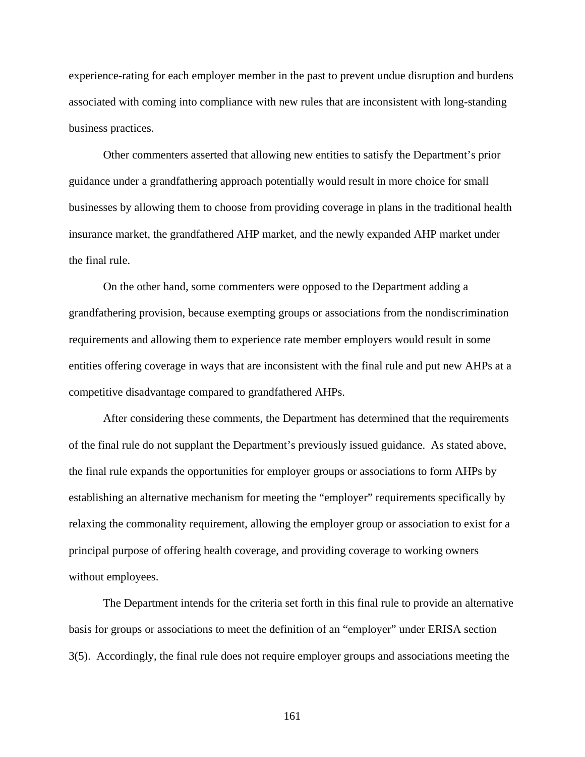experience-rating for each employer member in the past to prevent undue disruption and burdens associated with coming into compliance with new rules that are inconsistent with long-standing business practices.

Other commenters asserted that allowing new entities to satisfy the Department's prior guidance under a grandfathering approach potentially would result in more choice for small businesses by allowing them to choose from providing coverage in plans in the traditional health insurance market, the grandfathered AHP market, and the newly expanded AHP market under the final rule.

On the other hand, some commenters were opposed to the Department adding a grandfathering provision, because exempting groups or associations from the nondiscrimination requirements and allowing them to experience rate member employers would result in some entities offering coverage in ways that are inconsistent with the final rule and put new AHPs at a competitive disadvantage compared to grandfathered AHPs.

After considering these comments, the Department has determined that the requirements of the final rule do not supplant the Department's previously issued guidance. As stated above, the final rule expands the opportunities for employer groups or associations to form AHPs by establishing an alternative mechanism for meeting the "employer" requirements specifically by relaxing the commonality requirement, allowing the employer group or association to exist for a principal purpose of offering health coverage, and providing coverage to working owners without employees.

The Department intends for the criteria set forth in this final rule to provide an alternative basis for groups or associations to meet the definition of an "employer" under ERISA section 3(5). Accordingly, the final rule does not require employer groups and associations meeting the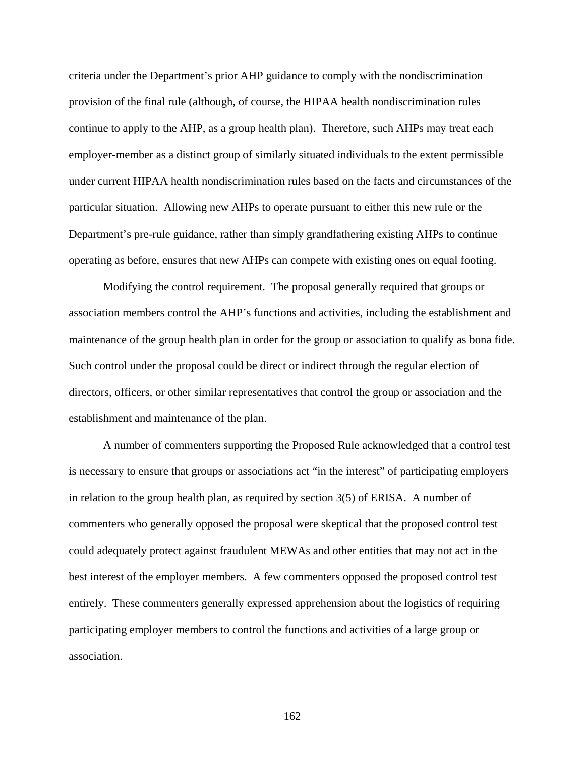criteria under the Department's prior AHP guidance to comply with the nondiscrimination provision of the final rule (although, of course, the HIPAA health nondiscrimination rules continue to apply to the AHP, as a group health plan). Therefore, such AHPs may treat each employer-member as a distinct group of similarly situated individuals to the extent permissible under current HIPAA health nondiscrimination rules based on the facts and circumstances of the particular situation. Allowing new AHPs to operate pursuant to either this new rule or the Department's pre-rule guidance, rather than simply grandfathering existing AHPs to continue operating as before, ensures that new AHPs can compete with existing ones on equal footing.

Modifying the control requirement*.* The proposal generally required that groups or association members control the AHP's functions and activities, including the establishment and maintenance of the group health plan in order for the group or association to qualify as bona fide. Such control under the proposal could be direct or indirect through the regular election of directors, officers, or other similar representatives that control the group or association and the establishment and maintenance of the plan.

A number of commenters supporting the Proposed Rule acknowledged that a control test is necessary to ensure that groups or associations act "in the interest" of participating employers in relation to the group health plan, as required by section 3(5) of ERISA. A number of commenters who generally opposed the proposal were skeptical that the proposed control test could adequately protect against fraudulent MEWAs and other entities that may not act in the best interest of the employer members. A few commenters opposed the proposed control test entirely. These commenters generally expressed apprehension about the logistics of requiring participating employer members to control the functions and activities of a large group or association.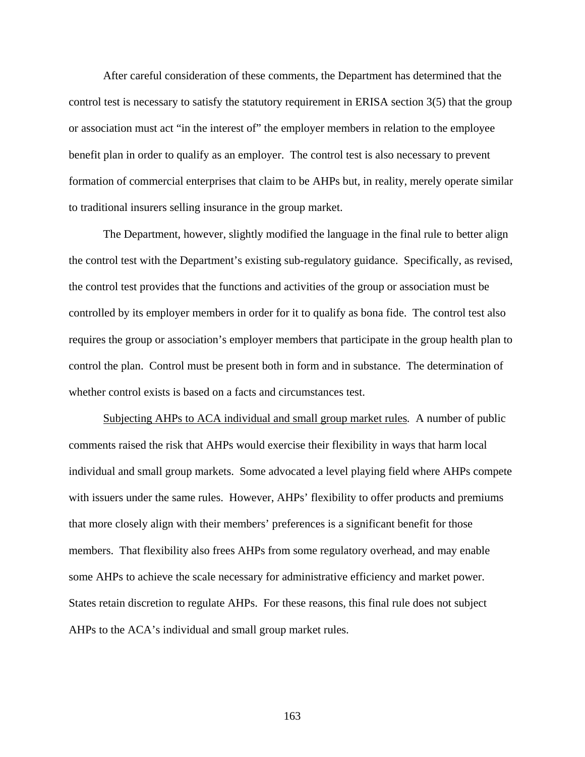After careful consideration of these comments, the Department has determined that the control test is necessary to satisfy the statutory requirement in ERISA section 3(5) that the group or association must act "in the interest of" the employer members in relation to the employee benefit plan in order to qualify as an employer. The control test is also necessary to prevent formation of commercial enterprises that claim to be AHPs but, in reality, merely operate similar to traditional insurers selling insurance in the group market.

The Department, however, slightly modified the language in the final rule to better align the control test with the Department's existing sub-regulatory guidance. Specifically, as revised, the control test provides that the functions and activities of the group or association must be controlled by its employer members in order for it to qualify as bona fide. The control test also requires the group or association's employer members that participate in the group health plan to control the plan. Control must be present both in form and in substance. The determination of whether control exists is based on a facts and circumstances test.

Subjecting AHPs to ACA individual and small group market rules*.* A number of public comments raised the risk that AHPs would exercise their flexibility in ways that harm local individual and small group markets. Some advocated a level playing field where AHPs compete with issuers under the same rules. However, AHPs' flexibility to offer products and premiums that more closely align with their members' preferences is a significant benefit for those members. That flexibility also frees AHPs from some regulatory overhead, and may enable some AHPs to achieve the scale necessary for administrative efficiency and market power. States retain discretion to regulate AHPs. For these reasons, this final rule does not subject AHPs to the ACA's individual and small group market rules.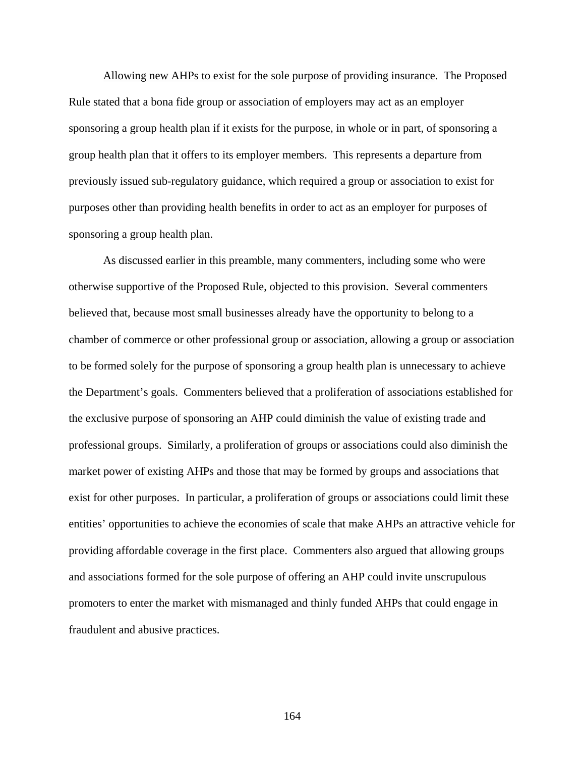Allowing new AHPs to exist for the sole purpose of providing insurance. The Proposed Rule stated that a bona fide group or association of employers may act as an employer sponsoring a group health plan if it exists for the purpose, in whole or in part, of sponsoring a group health plan that it offers to its employer members. This represents a departure from previously issued sub-regulatory guidance, which required a group or association to exist for purposes other than providing health benefits in order to act as an employer for purposes of sponsoring a group health plan.

As discussed earlier in this preamble, many commenters, including some who were otherwise supportive of the Proposed Rule, objected to this provision. Several commenters believed that, because most small businesses already have the opportunity to belong to a chamber of commerce or other professional group or association, allowing a group or association to be formed solely for the purpose of sponsoring a group health plan is unnecessary to achieve the Department's goals. Commenters believed that a proliferation of associations established for the exclusive purpose of sponsoring an AHP could diminish the value of existing trade and professional groups. Similarly, a proliferation of groups or associations could also diminish the market power of existing AHPs and those that may be formed by groups and associations that exist for other purposes. In particular, a proliferation of groups or associations could limit these entities' opportunities to achieve the economies of scale that make AHPs an attractive vehicle for providing affordable coverage in the first place. Commenters also argued that allowing groups and associations formed for the sole purpose of offering an AHP could invite unscrupulous promoters to enter the market with mismanaged and thinly funded AHPs that could engage in fraudulent and abusive practices.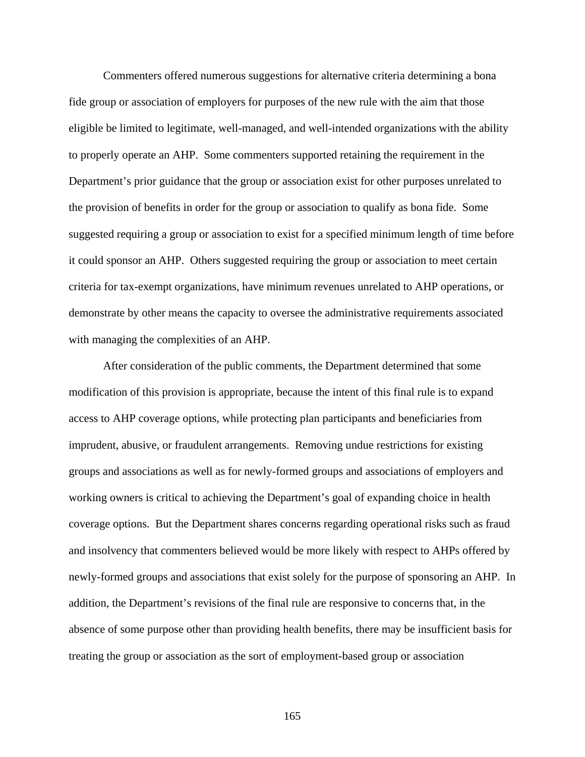Commenters offered numerous suggestions for alternative criteria determining a bona fide group or association of employers for purposes of the new rule with the aim that those eligible be limited to legitimate, well-managed, and well-intended organizations with the ability to properly operate an AHP. Some commenters supported retaining the requirement in the Department's prior guidance that the group or association exist for other purposes unrelated to the provision of benefits in order for the group or association to qualify as bona fide. Some suggested requiring a group or association to exist for a specified minimum length of time before it could sponsor an AHP. Others suggested requiring the group or association to meet certain criteria for tax-exempt organizations, have minimum revenues unrelated to AHP operations, or demonstrate by other means the capacity to oversee the administrative requirements associated with managing the complexities of an AHP.

After consideration of the public comments, the Department determined that some modification of this provision is appropriate, because the intent of this final rule is to expand access to AHP coverage options, while protecting plan participants and beneficiaries from imprudent, abusive, or fraudulent arrangements. Removing undue restrictions for existing groups and associations as well as for newly-formed groups and associations of employers and working owners is critical to achieving the Department's goal of expanding choice in health coverage options. But the Department shares concerns regarding operational risks such as fraud and insolvency that commenters believed would be more likely with respect to AHPs offered by newly-formed groups and associations that exist solely for the purpose of sponsoring an AHP. In addition, the Department's revisions of the final rule are responsive to concerns that, in the absence of some purpose other than providing health benefits, there may be insufficient basis for treating the group or association as the sort of employment-based group or association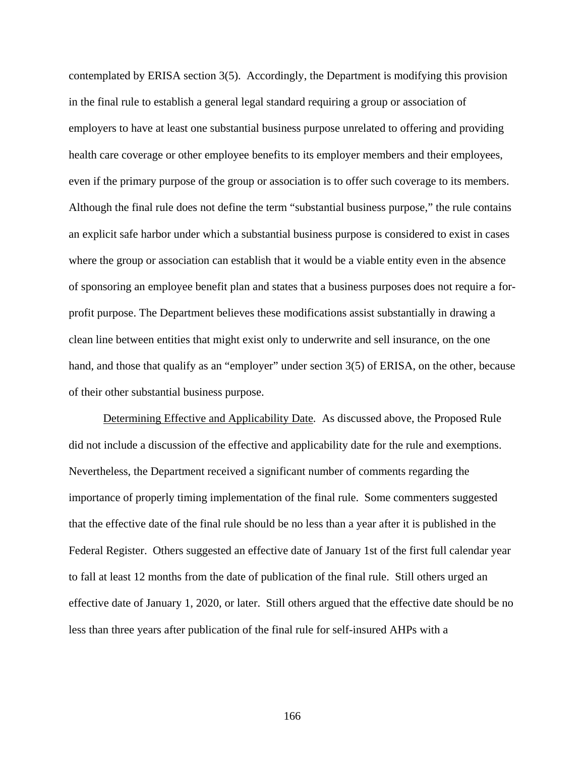contemplated by ERISA section 3(5). Accordingly, the Department is modifying this provision in the final rule to establish a general legal standard requiring a group or association of employers to have at least one substantial business purpose unrelated to offering and providing health care coverage or other employee benefits to its employer members and their employees, even if the primary purpose of the group or association is to offer such coverage to its members. Although the final rule does not define the term "substantial business purpose," the rule contains an explicit safe harbor under which a substantial business purpose is considered to exist in cases where the group or association can establish that it would be a viable entity even in the absence of sponsoring an employee benefit plan and states that a business purposes does not require a forprofit purpose. The Department believes these modifications assist substantially in drawing a clean line between entities that might exist only to underwrite and sell insurance, on the one hand, and those that qualify as an "employer" under section 3(5) of ERISA, on the other, because of their other substantial business purpose.

Determining Effective and Applicability Date*.* As discussed above, the Proposed Rule did not include a discussion of the effective and applicability date for the rule and exemptions. Nevertheless, the Department received a significant number of comments regarding the importance of properly timing implementation of the final rule. Some commenters suggested that the effective date of the final rule should be no less than a year after it is published in the Federal Register. Others suggested an effective date of January 1st of the first full calendar year to fall at least 12 months from the date of publication of the final rule. Still others urged an effective date of January 1, 2020, or later. Still others argued that the effective date should be no less than three years after publication of the final rule for self-insured AHPs with a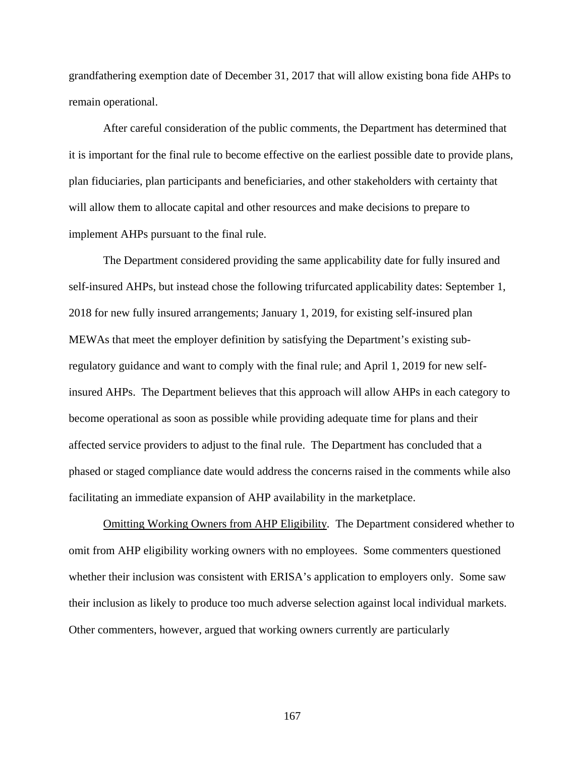grandfathering exemption date of December 31, 2017 that will allow existing bona fide AHPs to remain operational.

After careful consideration of the public comments, the Department has determined that it is important for the final rule to become effective on the earliest possible date to provide plans, plan fiduciaries, plan participants and beneficiaries, and other stakeholders with certainty that will allow them to allocate capital and other resources and make decisions to prepare to implement AHPs pursuant to the final rule.

The Department considered providing the same applicability date for fully insured and self-insured AHPs, but instead chose the following trifurcated applicability dates: September 1, 2018 for new fully insured arrangements; January 1, 2019, for existing self-insured plan MEWAs that meet the employer definition by satisfying the Department's existing subregulatory guidance and want to comply with the final rule; and April 1, 2019 for new selfinsured AHPs. The Department believes that this approach will allow AHPs in each category to become operational as soon as possible while providing adequate time for plans and their affected service providers to adjust to the final rule. The Department has concluded that a phased or staged compliance date would address the concerns raised in the comments while also facilitating an immediate expansion of AHP availability in the marketplace.

Omitting Working Owners from AHP Eligibility*.* The Department considered whether to omit from AHP eligibility working owners with no employees. Some commenters questioned whether their inclusion was consistent with ERISA's application to employers only. Some saw their inclusion as likely to produce too much adverse selection against local individual markets. Other commenters, however, argued that working owners currently are particularly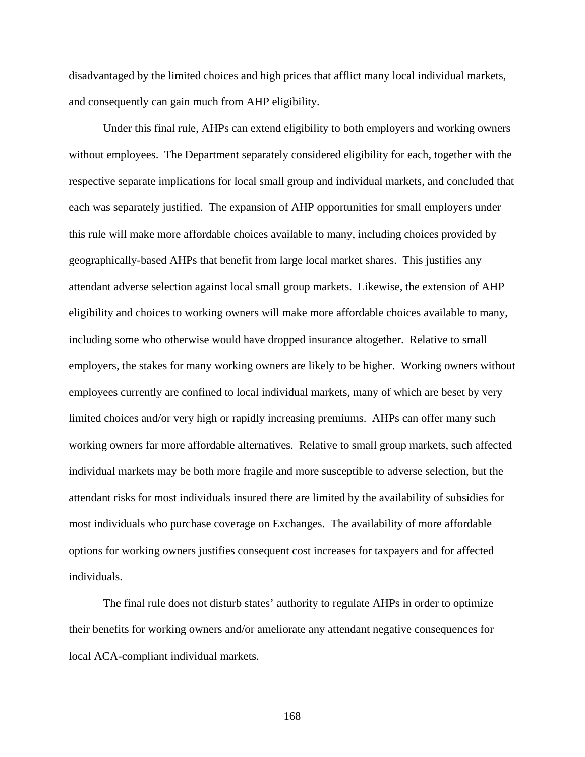disadvantaged by the limited choices and high prices that afflict many local individual markets, and consequently can gain much from AHP eligibility.

Under this final rule, AHPs can extend eligibility to both employers and working owners without employees. The Department separately considered eligibility for each, together with the respective separate implications for local small group and individual markets, and concluded that each was separately justified. The expansion of AHP opportunities for small employers under this rule will make more affordable choices available to many, including choices provided by geographically-based AHPs that benefit from large local market shares. This justifies any attendant adverse selection against local small group markets. Likewise, the extension of AHP eligibility and choices to working owners will make more affordable choices available to many, including some who otherwise would have dropped insurance altogether. Relative to small employers, the stakes for many working owners are likely to be higher. Working owners without employees currently are confined to local individual markets, many of which are beset by very limited choices and/or very high or rapidly increasing premiums. AHPs can offer many such working owners far more affordable alternatives. Relative to small group markets, such affected individual markets may be both more fragile and more susceptible to adverse selection, but the attendant risks for most individuals insured there are limited by the availability of subsidies for most individuals who purchase coverage on Exchanges. The availability of more affordable options for working owners justifies consequent cost increases for taxpayers and for affected individuals.

The final rule does not disturb states' authority to regulate AHPs in order to optimize their benefits for working owners and/or ameliorate any attendant negative consequences for local ACA-compliant individual markets.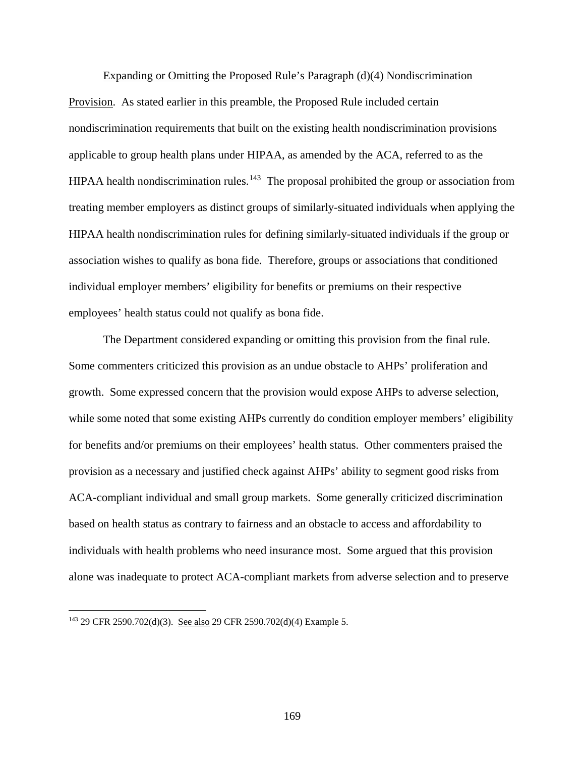#### Expanding or Omitting the Proposed Rule's Paragraph (d)(4) Nondiscrimination

Provision.As stated earlier in this preamble, the Proposed Rule included certain nondiscrimination requirements that built on the existing health nondiscrimination provisions applicable to group health plans under HIPAA, as amended by the ACA, referred to as the HIPAA health nondiscrimination rules.<sup>[143](#page-168-0)</sup> The proposal prohibited the group or association from treating member employers as distinct groups of similarly-situated individuals when applying the HIPAA health nondiscrimination rules for defining similarly-situated individuals if the group or association wishes to qualify as bona fide. Therefore, groups or associations that conditioned individual employer members' eligibility for benefits or premiums on their respective employees' health status could not qualify as bona fide.

The Department considered expanding or omitting this provision from the final rule. Some commenters criticized this provision as an undue obstacle to AHPs' proliferation and growth. Some expressed concern that the provision would expose AHPs to adverse selection, while some noted that some existing AHPs currently do condition employer members' eligibility for benefits and/or premiums on their employees' health status. Other commenters praised the provision as a necessary and justified check against AHPs' ability to segment good risks from ACA-compliant individual and small group markets. Some generally criticized discrimination based on health status as contrary to fairness and an obstacle to access and affordability to individuals with health problems who need insurance most. Some argued that this provision alone was inadequate to protect ACA-compliant markets from adverse selection and to preserve

<span id="page-168-0"></span><sup>143</sup> 29 CFR 2590.702(d)(3). See also 29 CFR 2590.702(d)(4) Example 5.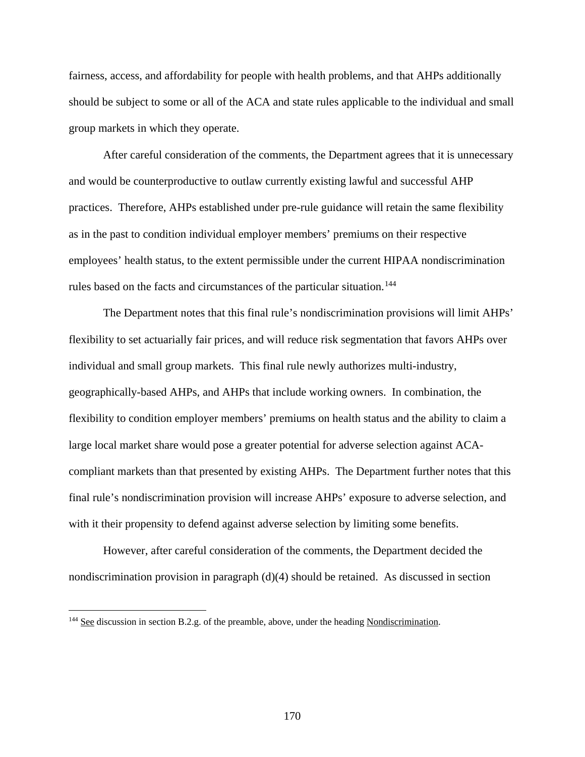fairness, access, and affordability for people with health problems, and that AHPs additionally should be subject to some or all of the ACA and state rules applicable to the individual and small group markets in which they operate.

After careful consideration of the comments, the Department agrees that it is unnecessary and would be counterproductive to outlaw currently existing lawful and successful AHP practices. Therefore, AHPs established under pre-rule guidance will retain the same flexibility as in the past to condition individual employer members' premiums on their respective employees' health status, to the extent permissible under the current HIPAA nondiscrimination rules based on the facts and circumstances of the particular situation.<sup>144</sup>

The Department notes that this final rule's nondiscrimination provisions will limit AHPs' flexibility to set actuarially fair prices, and will reduce risk segmentation that favors AHPs over individual and small group markets. This final rule newly authorizes multi-industry, geographically-based AHPs, and AHPs that include working owners. In combination, the flexibility to condition employer members' premiums on health status and the ability to claim a large local market share would pose a greater potential for adverse selection against ACAcompliant markets than that presented by existing AHPs. The Department further notes that this final rule's nondiscrimination provision will increase AHPs' exposure to adverse selection, and with it their propensity to defend against adverse selection by limiting some benefits.

However, after careful consideration of the comments, the Department decided the nondiscrimination provision in paragraph  $(d)(4)$  should be retained. As discussed in section

<span id="page-169-0"></span><sup>&</sup>lt;sup>144</sup> See discussion in section B.2.g. of the preamble, above, under the heading Nondiscrimination.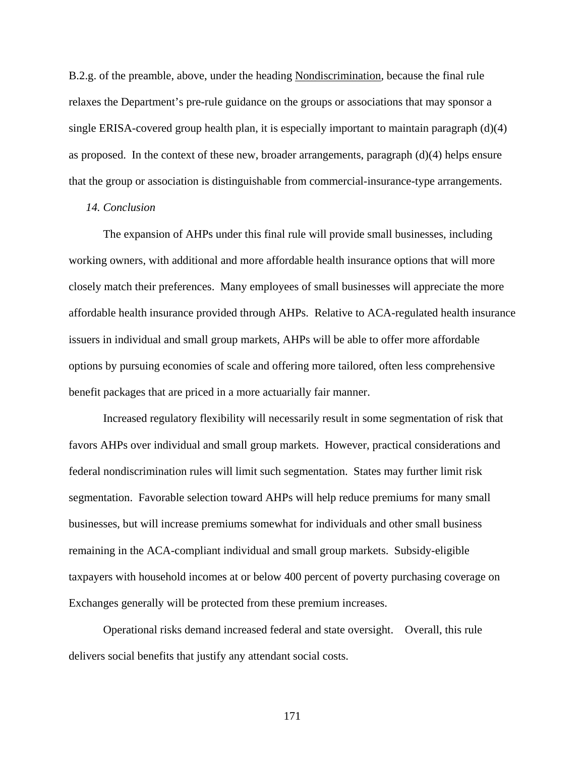B.2.g. of the preamble, above, under the heading Nondiscrimination, because the final rule relaxes the Department's pre-rule guidance on the groups or associations that may sponsor a single ERISA-covered group health plan, it is especially important to maintain paragraph (d)(4) as proposed. In the context of these new, broader arrangements, paragraph (d)(4) helps ensure that the group or association is distinguishable from commercial-insurance-type arrangements.

## *14. Conclusion*

The expansion of AHPs under this final rule will provide small businesses, including working owners, with additional and more affordable health insurance options that will more closely match their preferences. Many employees of small businesses will appreciate the more affordable health insurance provided through AHPs. Relative to ACA-regulated health insurance issuers in individual and small group markets, AHPs will be able to offer more affordable options by pursuing economies of scale and offering more tailored, often less comprehensive benefit packages that are priced in a more actuarially fair manner.

Increased regulatory flexibility will necessarily result in some segmentation of risk that favors AHPs over individual and small group markets. However, practical considerations and federal nondiscrimination rules will limit such segmentation. States may further limit risk segmentation. Favorable selection toward AHPs will help reduce premiums for many small businesses, but will increase premiums somewhat for individuals and other small business remaining in the ACA-compliant individual and small group markets. Subsidy-eligible taxpayers with household incomes at or below 400 percent of poverty purchasing coverage on Exchanges generally will be protected from these premium increases.

Operational risks demand increased federal and state oversight. Overall, this rule delivers social benefits that justify any attendant social costs.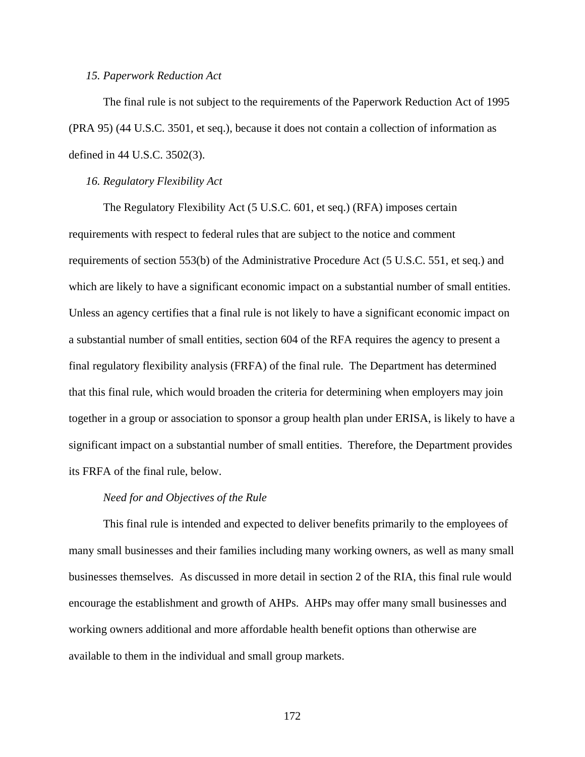### *15. Paperwork Reduction Act*

The final rule is not subject to the requirements of the Paperwork Reduction Act of 1995 (PRA 95) (44 U.S.C. 3501, et seq.), because it does not contain a collection of information as defined in 44 U.S.C. 3502(3).

### *16. Regulatory Flexibility Act*

The Regulatory Flexibility Act (5 U.S.C. 601, et seq.) (RFA) imposes certain requirements with respect to federal rules that are subject to the notice and comment requirements of section 553(b) of the Administrative Procedure Act (5 U.S.C. 551, et seq.) and which are likely to have a significant economic impact on a substantial number of small entities. Unless an agency certifies that a final rule is not likely to have a significant economic impact on a substantial number of small entities, section 604 of the RFA requires the agency to present a final regulatory flexibility analysis (FRFA) of the final rule. The Department has determined that this final rule, which would broaden the criteria for determining when employers may join together in a group or association to sponsor a group health plan under ERISA, is likely to have a significant impact on a substantial number of small entities. Therefore, the Department provides its FRFA of the final rule, below.

## *Need for and Objectives of the Rule*

This final rule is intended and expected to deliver benefits primarily to the employees of many small businesses and their families including many working owners, as well as many small businesses themselves. As discussed in more detail in section 2 of the RIA, this final rule would encourage the establishment and growth of AHPs. AHPs may offer many small businesses and working owners additional and more affordable health benefit options than otherwise are available to them in the individual and small group markets.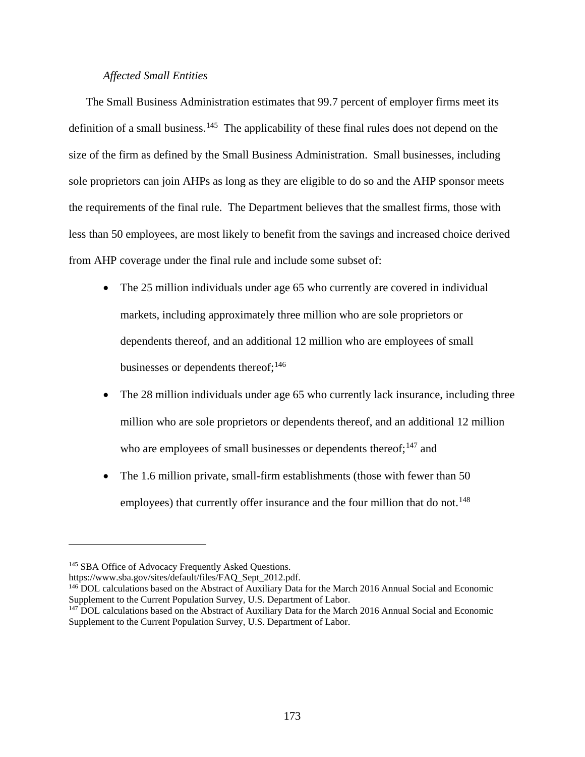# *Affected Small Entities*

The Small Business Administration estimates that 99.7 percent of employer firms meet its definition of a small business.<sup>[145](#page-172-0)</sup> The applicability of these final rules does not depend on the size of the firm as defined by the Small Business Administration. Small businesses, including sole proprietors can join AHPs as long as they are eligible to do so and the AHP sponsor meets the requirements of the final rule. The Department believes that the smallest firms, those with less than 50 employees, are most likely to benefit from the savings and increased choice derived from AHP coverage under the final rule and include some subset of:

- The 25 million individuals under age 65 who currently are covered in individual markets, including approximately three million who are sole proprietors or dependents thereof, and an additional 12 million who are employees of small businesses or dependents thereof;  $146$
- The 28 million individuals under age 65 who currently lack insurance, including three million who are sole proprietors or dependents thereof, and an additional 12 million who are employees of small businesses or dependents thereof;  $147$  and
- The 1.6 million private, small-firm establishments (those with fewer than 50) employees) that currently offer insurance and the four million that do not.<sup>[148](#page-172-1)</sup>

<span id="page-172-0"></span><sup>&</sup>lt;sup>145</sup> SBA Office of Advocacy Frequently Asked Questions.

<span id="page-172-1"></span>https://www.sba.gov/sites/default/files/FAQ\_Sept\_2012.pdf.<br><sup>146</sup> DOL calculations based on the Abstract of Auxiliary Data for the March 2016 Annual Social and Economic Supplement to the Current Population Survey, U.S. Department of Labor.

<span id="page-172-2"></span><sup>&</sup>lt;sup>147</sup> DOL calculations based on the Abstract of Auxiliary Data for the March 2016 Annual Social and Economic Supplement to the Current Population Survey, U.S. Department of Labor.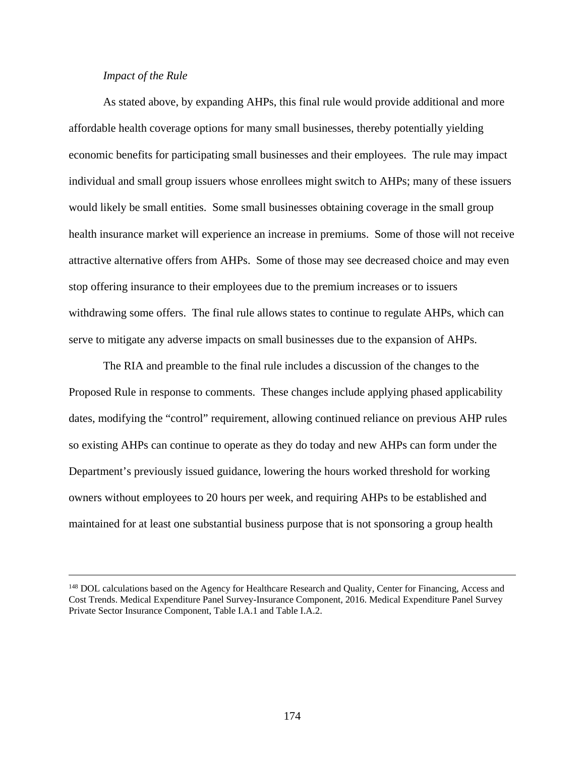# *Impact of the Rule*

 $\overline{a}$ 

As stated above, by expanding AHPs, this final rule would provide additional and more affordable health coverage options for many small businesses, thereby potentially yielding economic benefits for participating small businesses and their employees. The rule may impact individual and small group issuers whose enrollees might switch to AHPs; many of these issuers would likely be small entities. Some small businesses obtaining coverage in the small group health insurance market will experience an increase in premiums. Some of those will not receive attractive alternative offers from AHPs. Some of those may see decreased choice and may even stop offering insurance to their employees due to the premium increases or to issuers withdrawing some offers. The final rule allows states to continue to regulate AHPs, which can serve to mitigate any adverse impacts on small businesses due to the expansion of AHPs.

The RIA and preamble to the final rule includes a discussion of the changes to the Proposed Rule in response to comments. These changes include applying phased applicability dates, modifying the "control" requirement, allowing continued reliance on previous AHP rules so existing AHPs can continue to operate as they do today and new AHPs can form under the Department's previously issued guidance, lowering the hours worked threshold for working owners without employees to 20 hours per week, and requiring AHPs to be established and maintained for at least one substantial business purpose that is not sponsoring a group health

<sup>&</sup>lt;sup>148</sup> DOL calculations based on the Agency for Healthcare Research and Quality, Center for Financing, Access and Cost Trends. Medical Expenditure Panel Survey-Insurance Component, 2016. Medical Expenditure Panel Survey Private Sector Insurance Component, Table I.A.1 and Table I.A.2.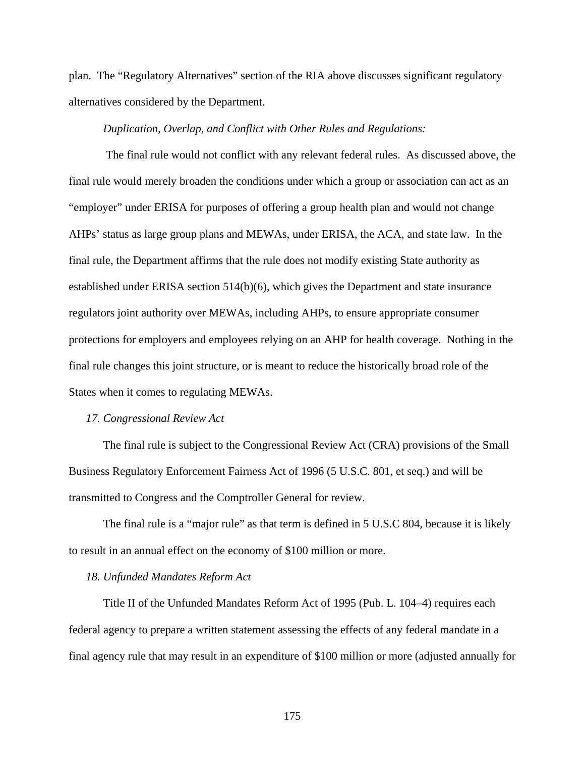plan. The "Regulatory Alternatives" section of the RIA above discusses significant regulatory alternatives considered by the Department.

## *Duplication, Overlap, and Conflict with Other Rules and Regulations:*

The final rule would not conflict with any relevant federal rules. As discussed above, the final rule would merely broaden the conditions under which a group or association can act as an "employer" under ERISA for purposes of offering a group health plan and would not change AHPs' status as large group plans and MEWAs, under ERISA, the ACA, and state law. In the final rule, the Department affirms that the rule does not modify existing State authority as established under ERISA section 514(b)(6), which gives the Department and state insurance regulators joint authority over MEWAs, including AHPs, to ensure appropriate consumer protections for employers and employees relying on an AHP for health coverage. Nothing in the final rule changes this joint structure, or is meant to reduce the historically broad role of the States when it comes to regulating MEWAs.

### *17. Congressional Review Act*

The final rule is subject to the Congressional Review Act (CRA) provisions of the Small Business Regulatory Enforcement Fairness Act of 1996 (5 U.S.C. 801, et seq.) and will be transmitted to Congress and the Comptroller General for review.

The final rule is a "major rule" as that term is defined in 5 U.S.C 804, because it is likely to result in an annual effect on the economy of \$100 million or more.

### *18. Unfunded Mandates Reform Act*

Title II of the Unfunded Mandates Reform Act of 1995 (Pub. L. 104–4) requires each federal agency to prepare a written statement assessing the effects of any federal mandate in a final agency rule that may result in an expenditure of \$100 million or more (adjusted annually for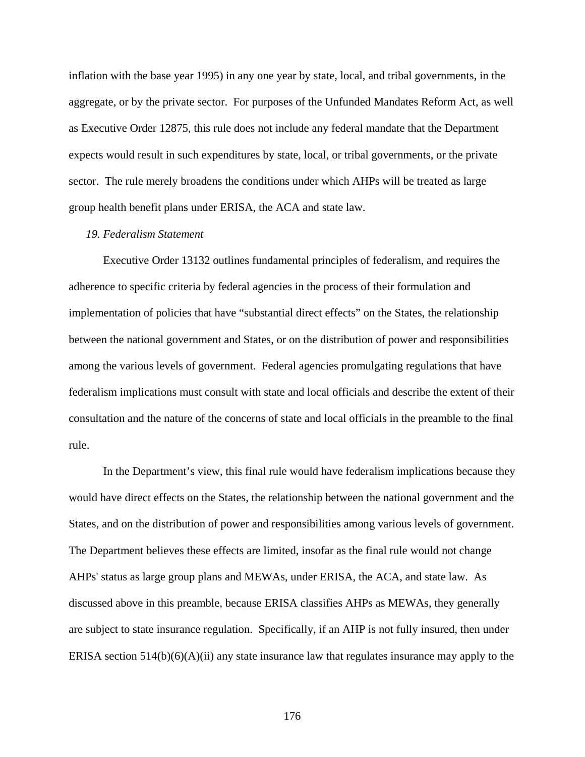inflation with the base year 1995) in any one year by state, local, and tribal governments, in the aggregate, or by the private sector. For purposes of the Unfunded Mandates Reform Act, as well as Executive Order 12875, this rule does not include any federal mandate that the Department expects would result in such expenditures by state, local, or tribal governments, or the private sector. The rule merely broadens the conditions under which AHPs will be treated as large group health benefit plans under ERISA, the ACA and state law.

## *19. Federalism Statement*

Executive Order 13132 outlines fundamental principles of federalism, and requires the adherence to specific criteria by federal agencies in the process of their formulation and implementation of policies that have "substantial direct effects" on the States, the relationship between the national government and States, or on the distribution of power and responsibilities among the various levels of government. Federal agencies promulgating regulations that have federalism implications must consult with state and local officials and describe the extent of their consultation and the nature of the concerns of state and local officials in the preamble to the final rule.

In the Department's view, this final rule would have federalism implications because they would have direct effects on the States, the relationship between the national government and the States, and on the distribution of power and responsibilities among various levels of government. The Department believes these effects are limited, insofar as the final rule would not change AHPs' status as large group plans and MEWAs, under ERISA, the ACA, and state law. As discussed above in this preamble, because ERISA classifies AHPs as MEWAs, they generally are subject to state insurance regulation. Specifically, if an AHP is not fully insured, then under ERISA section  $514(b)(6)(A)(ii)$  any state insurance law that regulates insurance may apply to the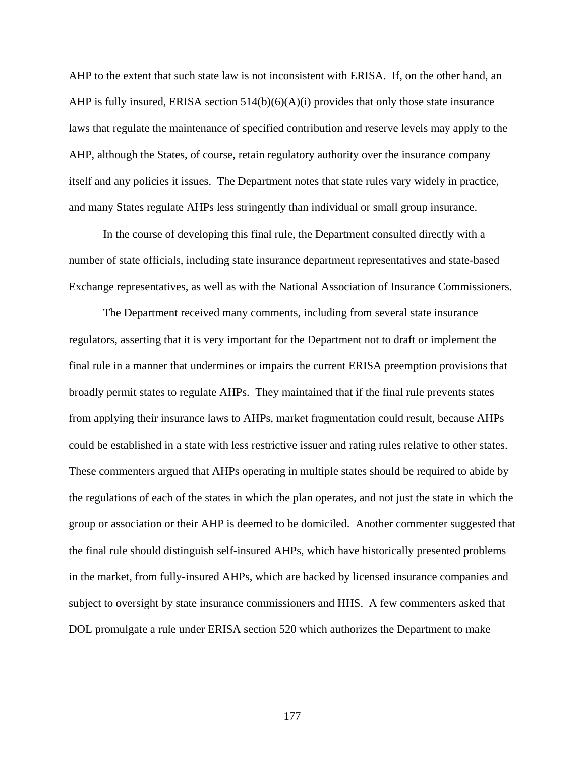AHP to the extent that such state law is not inconsistent with ERISA. If, on the other hand, an AHP is fully insured, ERISA section  $514(b)(6)(A)(i)$  provides that only those state insurance laws that regulate the maintenance of specified contribution and reserve levels may apply to the AHP, although the States, of course, retain regulatory authority over the insurance company itself and any policies it issues. The Department notes that state rules vary widely in practice, and many States regulate AHPs less stringently than individual or small group insurance.

In the course of developing this final rule, the Department consulted directly with a number of state officials, including state insurance department representatives and state-based Exchange representatives, as well as with the National Association of Insurance Commissioners.

The Department received many comments, including from several state insurance regulators, asserting that it is very important for the Department not to draft or implement the final rule in a manner that undermines or impairs the current ERISA preemption provisions that broadly permit states to regulate AHPs. They maintained that if the final rule prevents states from applying their insurance laws to AHPs, market fragmentation could result, because AHPs could be established in a state with less restrictive issuer and rating rules relative to other states. These commenters argued that AHPs operating in multiple states should be required to abide by the regulations of each of the states in which the plan operates, and not just the state in which the group or association or their AHP is deemed to be domiciled. Another commenter suggested that the final rule should distinguish self-insured AHPs, which have historically presented problems in the market, from fully-insured AHPs, which are backed by licensed insurance companies and subject to oversight by state insurance commissioners and HHS. A few commenters asked that DOL promulgate a rule under ERISA section 520 which authorizes the Department to make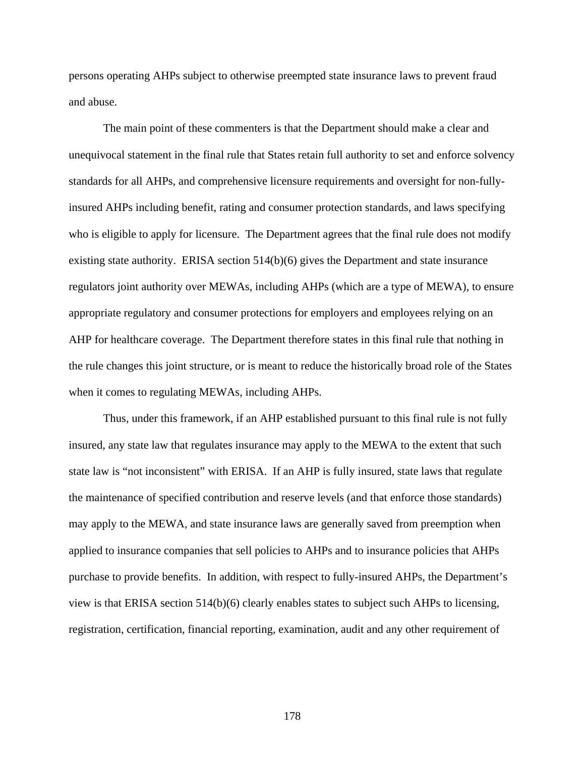persons operating AHPs subject to otherwise preempted state insurance laws to prevent fraud and abuse.

The main point of these commenters is that the Department should make a clear and unequivocal statement in the final rule that States retain full authority to set and enforce solvency standards for all AHPs, and comprehensive licensure requirements and oversight for non-fullyinsured AHPs including benefit, rating and consumer protection standards, and laws specifying who is eligible to apply for licensure. The Department agrees that the final rule does not modify existing state authority. ERISA section 514(b)(6) gives the Department and state insurance regulators joint authority over MEWAs, including AHPs (which are a type of MEWA), to ensure appropriate regulatory and consumer protections for employers and employees relying on an AHP for healthcare coverage. The Department therefore states in this final rule that nothing in the rule changes this joint structure, or is meant to reduce the historically broad role of the States when it comes to regulating MEWAs, including AHPs.

Thus, under this framework, if an AHP established pursuant to this final rule is not fully insured, any state law that regulates insurance may apply to the MEWA to the extent that such state law is "not inconsistent" with ERISA. If an AHP is fully insured, state laws that regulate the maintenance of specified contribution and reserve levels (and that enforce those standards) may apply to the MEWA, and state insurance laws are generally saved from preemption when applied to insurance companies that sell policies to AHPs and to insurance policies that AHPs purchase to provide benefits. In addition, with respect to fully-insured AHPs, the Department's view is that ERISA section 514(b)(6) clearly enables states to subject such AHPs to licensing, registration, certification, financial reporting, examination, audit and any other requirement of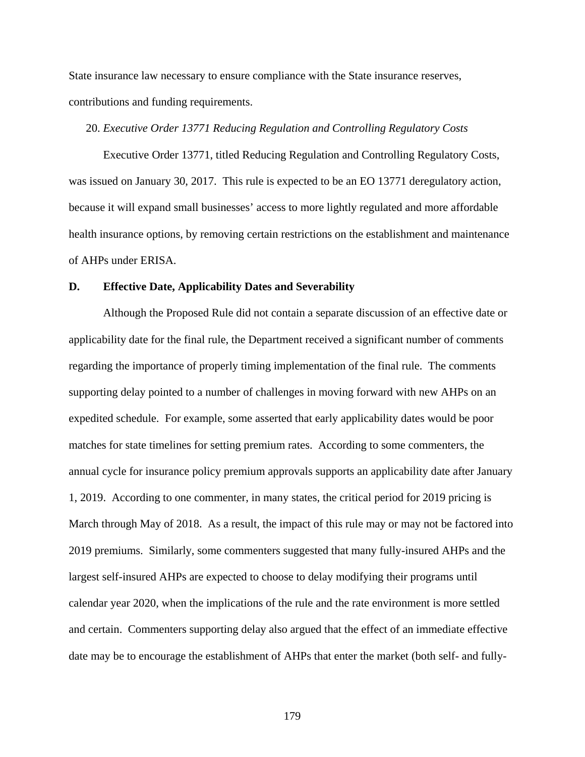State insurance law necessary to ensure compliance with the State insurance reserves, contributions and funding requirements.

## 20. *Executive Order 13771 Reducing Regulation and Controlling Regulatory Costs*

Executive Order 13771, titled Reducing Regulation and Controlling Regulatory Costs, was issued on January 30, 2017. This rule is expected to be an EO 13771 deregulatory action, because it will expand small businesses' access to more lightly regulated and more affordable health insurance options, by removing certain restrictions on the establishment and maintenance of AHPs under ERISA.

### **D. Effective Date, Applicability Dates and Severability**

Although the Proposed Rule did not contain a separate discussion of an effective date or applicability date for the final rule, the Department received a significant number of comments regarding the importance of properly timing implementation of the final rule. The comments supporting delay pointed to a number of challenges in moving forward with new AHPs on an expedited schedule. For example, some asserted that early applicability dates would be poor matches for state timelines for setting premium rates. According to some commenters, the annual cycle for insurance policy premium approvals supports an applicability date after January 1, 2019. According to one commenter, in many states, the critical period for 2019 pricing is March through May of 2018. As a result, the impact of this rule may or may not be factored into 2019 premiums. Similarly, some commenters suggested that many fully-insured AHPs and the largest self-insured AHPs are expected to choose to delay modifying their programs until calendar year 2020, when the implications of the rule and the rate environment is more settled and certain. Commenters supporting delay also argued that the effect of an immediate effective date may be to encourage the establishment of AHPs that enter the market (both self- and fully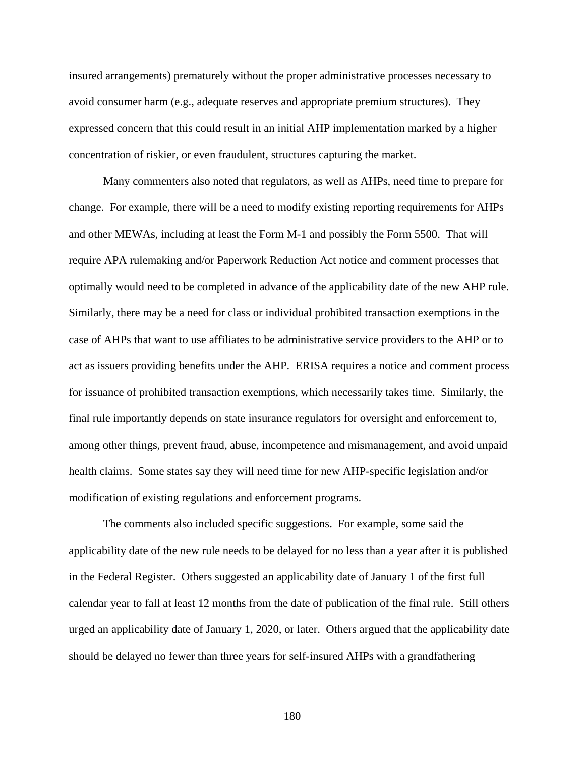insured arrangements) prematurely without the proper administrative processes necessary to avoid consumer harm (e.g., adequate reserves and appropriate premium structures). They expressed concern that this could result in an initial AHP implementation marked by a higher concentration of riskier, or even fraudulent, structures capturing the market.

Many commenters also noted that regulators, as well as AHPs, need time to prepare for change. For example, there will be a need to modify existing reporting requirements for AHPs and other MEWAs, including at least the Form M-1 and possibly the Form 5500. That will require APA rulemaking and/or Paperwork Reduction Act notice and comment processes that optimally would need to be completed in advance of the applicability date of the new AHP rule. Similarly, there may be a need for class or individual prohibited transaction exemptions in the case of AHPs that want to use affiliates to be administrative service providers to the AHP or to act as issuers providing benefits under the AHP. ERISA requires a notice and comment process for issuance of prohibited transaction exemptions, which necessarily takes time. Similarly, the final rule importantly depends on state insurance regulators for oversight and enforcement to, among other things, prevent fraud, abuse, incompetence and mismanagement, and avoid unpaid health claims. Some states say they will need time for new AHP-specific legislation and/or modification of existing regulations and enforcement programs.

The comments also included specific suggestions. For example, some said the applicability date of the new rule needs to be delayed for no less than a year after it is published in the Federal Register. Others suggested an applicability date of January 1 of the first full calendar year to fall at least 12 months from the date of publication of the final rule. Still others urged an applicability date of January 1, 2020, or later. Others argued that the applicability date should be delayed no fewer than three years for self-insured AHPs with a grandfathering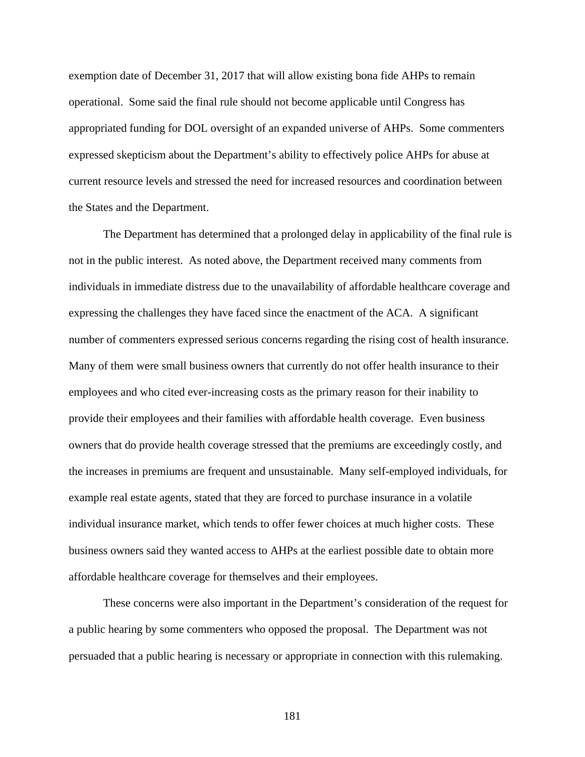exemption date of December 31, 2017 that will allow existing bona fide AHPs to remain operational. Some said the final rule should not become applicable until Congress has appropriated funding for DOL oversight of an expanded universe of AHPs. Some commenters expressed skepticism about the Department's ability to effectively police AHPs for abuse at current resource levels and stressed the need for increased resources and coordination between the States and the Department.

The Department has determined that a prolonged delay in applicability of the final rule is not in the public interest. As noted above, the Department received many comments from individuals in immediate distress due to the unavailability of affordable healthcare coverage and expressing the challenges they have faced since the enactment of the ACA. A significant number of commenters expressed serious concerns regarding the rising cost of health insurance. Many of them were small business owners that currently do not offer health insurance to their employees and who cited ever-increasing costs as the primary reason for their inability to provide their employees and their families with affordable health coverage. Even business owners that do provide health coverage stressed that the premiums are exceedingly costly, and the increases in premiums are frequent and unsustainable. Many self-employed individuals, for example real estate agents, stated that they are forced to purchase insurance in a volatile individual insurance market, which tends to offer fewer choices at much higher costs. These business owners said they wanted access to AHPs at the earliest possible date to obtain more affordable healthcare coverage for themselves and their employees.

These concerns were also important in the Department's consideration of the request for a public hearing by some commenters who opposed the proposal. The Department was not persuaded that a public hearing is necessary or appropriate in connection with this rulemaking.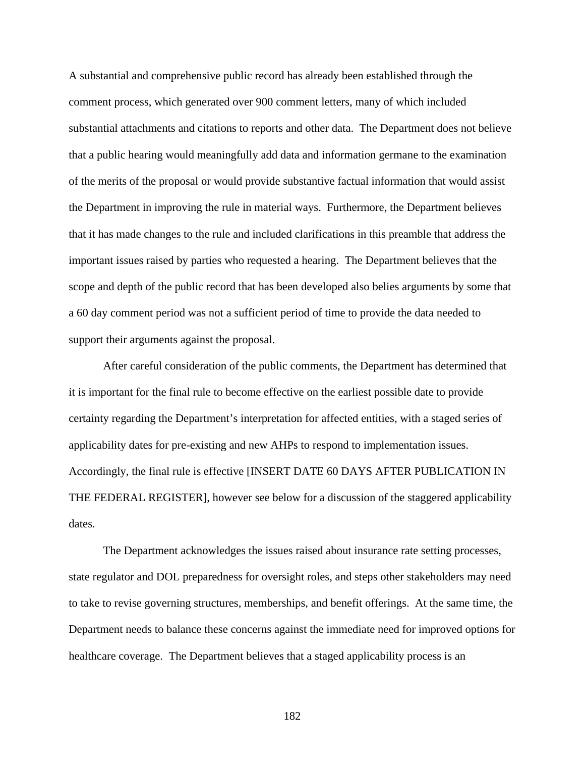A substantial and comprehensive public record has already been established through the comment process, which generated over 900 comment letters, many of which included substantial attachments and citations to reports and other data. The Department does not believe that a public hearing would meaningfully add data and information germane to the examination of the merits of the proposal or would provide substantive factual information that would assist the Department in improving the rule in material ways. Furthermore, the Department believes that it has made changes to the rule and included clarifications in this preamble that address the important issues raised by parties who requested a hearing. The Department believes that the scope and depth of the public record that has been developed also belies arguments by some that a 60 day comment period was not a sufficient period of time to provide the data needed to support their arguments against the proposal.

After careful consideration of the public comments, the Department has determined that it is important for the final rule to become effective on the earliest possible date to provide certainty regarding the Department's interpretation for affected entities, with a staged series of applicability dates for pre-existing and new AHPs to respond to implementation issues. Accordingly, the final rule is effective [INSERT DATE 60 DAYS AFTER PUBLICATION IN THE FEDERAL REGISTER], however see below for a discussion of the staggered applicability dates.

The Department acknowledges the issues raised about insurance rate setting processes, state regulator and DOL preparedness for oversight roles, and steps other stakeholders may need to take to revise governing structures, memberships, and benefit offerings. At the same time, the Department needs to balance these concerns against the immediate need for improved options for healthcare coverage. The Department believes that a staged applicability process is an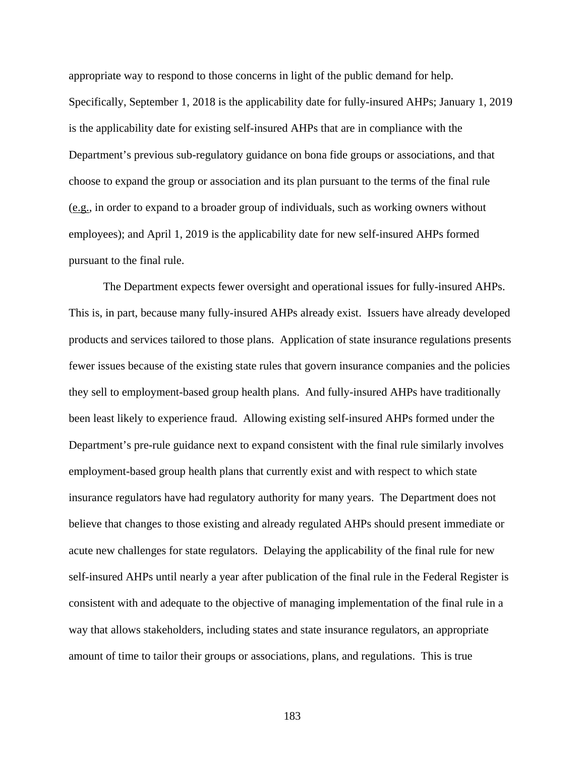appropriate way to respond to those concerns in light of the public demand for help. Specifically, September 1, 2018 is the applicability date for fully-insured AHPs; January 1, 2019 is the applicability date for existing self-insured AHPs that are in compliance with the Department's previous sub-regulatory guidance on bona fide groups or associations, and that choose to expand the group or association and its plan pursuant to the terms of the final rule (e.g., in order to expand to a broader group of individuals, such as working owners without employees); and April 1, 2019 is the applicability date for new self-insured AHPs formed pursuant to the final rule.

The Department expects fewer oversight and operational issues for fully-insured AHPs. This is, in part, because many fully-insured AHPs already exist. Issuers have already developed products and services tailored to those plans. Application of state insurance regulations presents fewer issues because of the existing state rules that govern insurance companies and the policies they sell to employment-based group health plans. And fully-insured AHPs have traditionally been least likely to experience fraud. Allowing existing self-insured AHPs formed under the Department's pre-rule guidance next to expand consistent with the final rule similarly involves employment-based group health plans that currently exist and with respect to which state insurance regulators have had regulatory authority for many years. The Department does not believe that changes to those existing and already regulated AHPs should present immediate or acute new challenges for state regulators. Delaying the applicability of the final rule for new self-insured AHPs until nearly a year after publication of the final rule in the Federal Register is consistent with and adequate to the objective of managing implementation of the final rule in a way that allows stakeholders, including states and state insurance regulators, an appropriate amount of time to tailor their groups or associations, plans, and regulations. This is true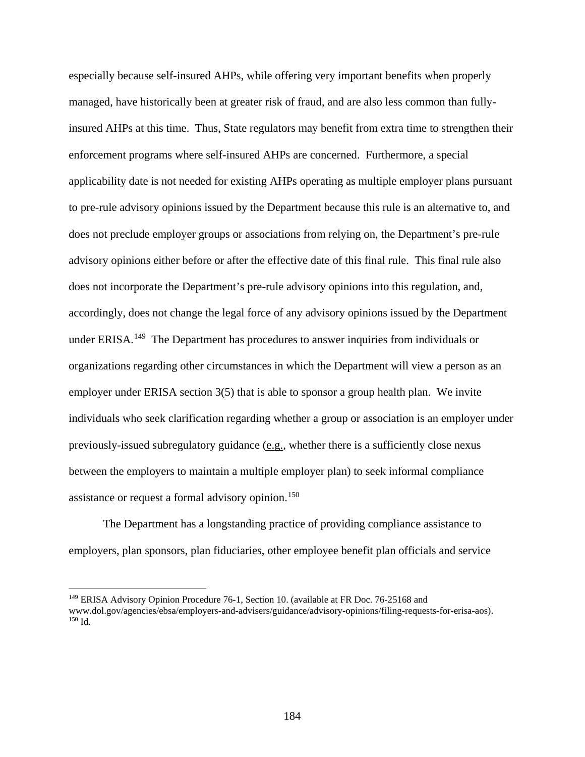especially because self-insured AHPs, while offering very important benefits when properly managed, have historically been at greater risk of fraud, and are also less common than fullyinsured AHPs at this time. Thus, State regulators may benefit from extra time to strengthen their enforcement programs where self-insured AHPs are concerned. Furthermore, a special applicability date is not needed for existing AHPs operating as multiple employer plans pursuant to pre-rule advisory opinions issued by the Department because this rule is an alternative to, and does not preclude employer groups or associations from relying on, the Department's pre-rule advisory opinions either before or after the effective date of this final rule. This final rule also does not incorporate the Department's pre-rule advisory opinions into this regulation, and, accordingly, does not change the legal force of any advisory opinions issued by the Department under ERISA.<sup>149</sup> The Department has procedures to answer inquiries from individuals or organizations regarding other circumstances in which the Department will view a person as an employer under ERISA section 3(5) that is able to sponsor a group health plan. We invite individuals who seek clarification regarding whether a group or association is an employer under previously-issued subregulatory guidance (e.g., whether there is a sufficiently close nexus between the employers to maintain a multiple employer plan) to seek informal compliance assistance or request a formal advisory opinion.<sup>[150](#page-183-1)</sup>

The Department has a longstanding practice of providing compliance assistance to employers, plan sponsors, plan fiduciaries, other employee benefit plan officials and service

 $\overline{a}$ 

<span id="page-183-1"></span><span id="page-183-0"></span><sup>149</sup> ERISA Advisory Opinion Procedure 76-1, Section 10. (available at FR Doc. 76-25168 and www.dol.gov/agencies/ebsa/employers-and-advisers/guidance/advisory-opinions/filing-requests-for-erisa-aos). <sup>150</sup> Id.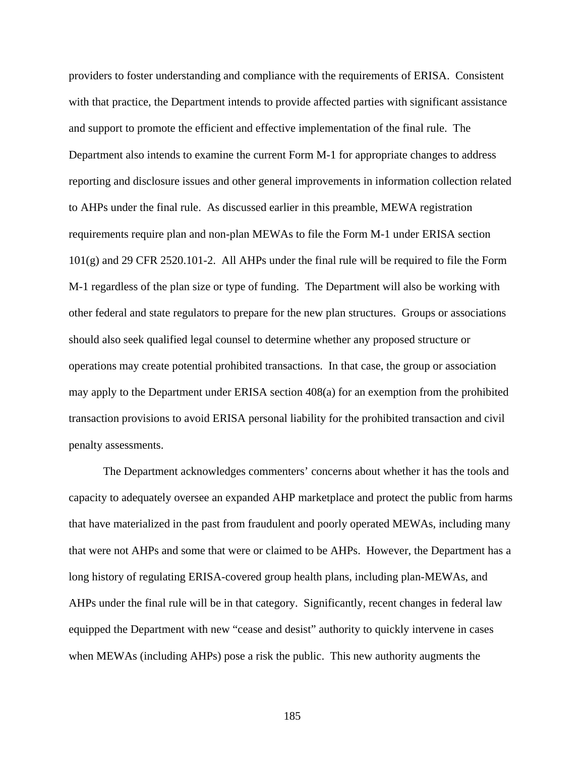providers to foster understanding and compliance with the requirements of ERISA. Consistent with that practice, the Department intends to provide affected parties with significant assistance and support to promote the efficient and effective implementation of the final rule. The Department also intends to examine the current Form M-1 for appropriate changes to address reporting and disclosure issues and other general improvements in information collection related to AHPs under the final rule. As discussed earlier in this preamble, MEWA registration requirements require plan and non-plan MEWAs to file the Form M-1 under ERISA section 101(g) and 29 CFR 2520.101-2. All AHPs under the final rule will be required to file the Form M-1 regardless of the plan size or type of funding. The Department will also be working with other federal and state regulators to prepare for the new plan structures. Groups or associations should also seek qualified legal counsel to determine whether any proposed structure or operations may create potential prohibited transactions. In that case, the group or association may apply to the Department under ERISA section 408(a) for an exemption from the prohibited transaction provisions to avoid ERISA personal liability for the prohibited transaction and civil penalty assessments.

The Department acknowledges commenters' concerns about whether it has the tools and capacity to adequately oversee an expanded AHP marketplace and protect the public from harms that have materialized in the past from fraudulent and poorly operated MEWAs, including many that were not AHPs and some that were or claimed to be AHPs. However, the Department has a long history of regulating ERISA-covered group health plans, including plan-MEWAs, and AHPs under the final rule will be in that category. Significantly, recent changes in federal law equipped the Department with new "cease and desist" authority to quickly intervene in cases when MEWAs (including AHPs) pose a risk the public. This new authority augments the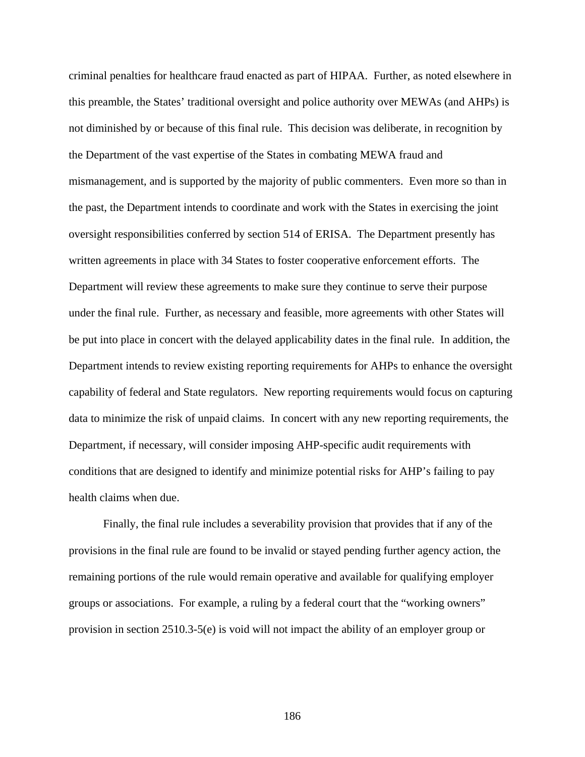criminal penalties for healthcare fraud enacted as part of HIPAA. Further, as noted elsewhere in this preamble, the States' traditional oversight and police authority over MEWAs (and AHPs) is not diminished by or because of this final rule. This decision was deliberate, in recognition by the Department of the vast expertise of the States in combating MEWA fraud and mismanagement, and is supported by the majority of public commenters. Even more so than in the past, the Department intends to coordinate and work with the States in exercising the joint oversight responsibilities conferred by section 514 of ERISA. The Department presently has written agreements in place with 34 States to foster cooperative enforcement efforts. The Department will review these agreements to make sure they continue to serve their purpose under the final rule. Further, as necessary and feasible, more agreements with other States will be put into place in concert with the delayed applicability dates in the final rule. In addition, the Department intends to review existing reporting requirements for AHPs to enhance the oversight capability of federal and State regulators. New reporting requirements would focus on capturing data to minimize the risk of unpaid claims. In concert with any new reporting requirements, the Department, if necessary, will consider imposing AHP-specific audit requirements with conditions that are designed to identify and minimize potential risks for AHP's failing to pay health claims when due.

Finally, the final rule includes a severability provision that provides that if any of the provisions in the final rule are found to be invalid or stayed pending further agency action, the remaining portions of the rule would remain operative and available for qualifying employer groups or associations. For example, a ruling by a federal court that the "working owners" provision in section 2510.3-5(e) is void will not impact the ability of an employer group or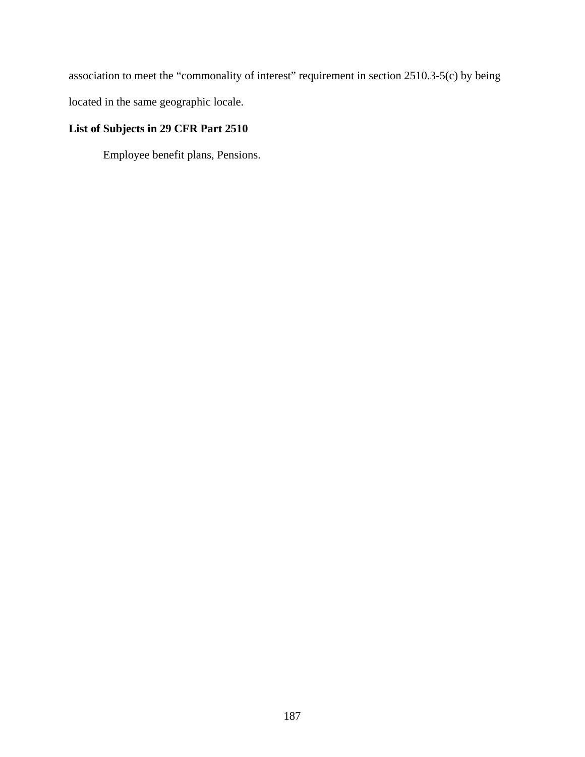association to meet the "commonality of interest" requirement in section 2510.3-5(c) by being

located in the same geographic locale.

## **List of Subjects in 29 CFR Part 2510**

Employee benefit plans, Pensions.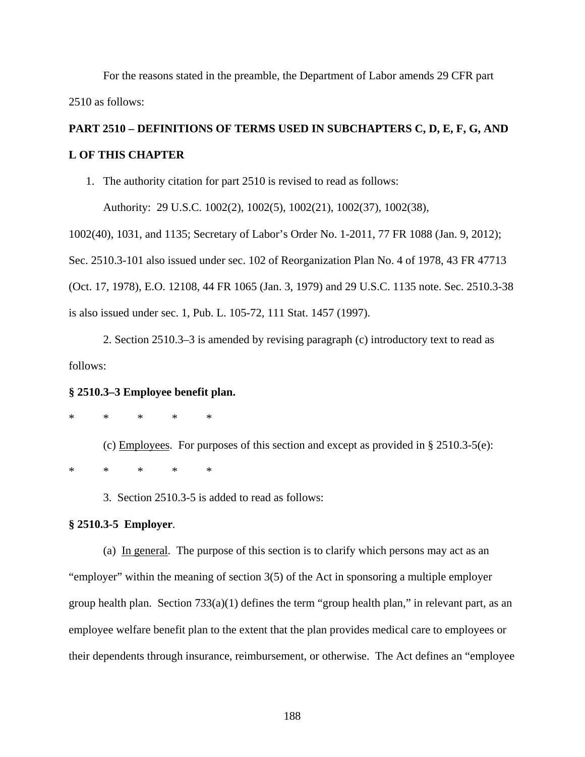For the reasons stated in the preamble, the Department of Labor amends 29 CFR part 2510 as follows:

## **PART 2510 – DEFINITIONS OF TERMS USED IN SUBCHAPTERS C, D, E, F, G, AND L OF THIS CHAPTER**

1. The authority citation for part 2510 is revised to read as follows:

Authority: 29 U.S.C. 1002(2), 1002(5), 1002(21), 1002(37), 1002(38),

1002(40), 1031, and 1135; Secretary of Labor's Order No. 1-2011, 77 FR 1088 (Jan. 9, 2012); Sec. 2510.3-101 also issued under sec. 102 of Reorganization Plan No. 4 of 1978, 43 FR 47713 (Oct. 17, 1978), E.O. 12108, 44 FR 1065 (Jan. 3, 1979) and 29 U.S.C. 1135 note. Sec. 2510.3-38 is also issued under sec. 1, Pub. L. 105-72, 111 Stat. 1457 (1997).

2. Section 2510.3–3 is amended by revising paragraph (c) introductory text to read as follows:

## **§ 2510.3–3 Employee benefit plan.**

\* \* \* \* \*

(c) Employees. For purposes of this section and except as provided in § 2510.3-5(e): \* \* \* \* \*

3. Section 2510.3-5 is added to read as follows:

## **§ 2510.3-5 Employer***.*

(a) In general. The purpose of this section is to clarify which persons may act as an "employer" within the meaning of section 3(5) of the Act in sponsoring a multiple employer group health plan. Section 733(a)(1) defines the term "group health plan," in relevant part, as an employee welfare benefit plan to the extent that the plan provides medical care to employees or their dependents through insurance, reimbursement, or otherwise. The Act defines an "employee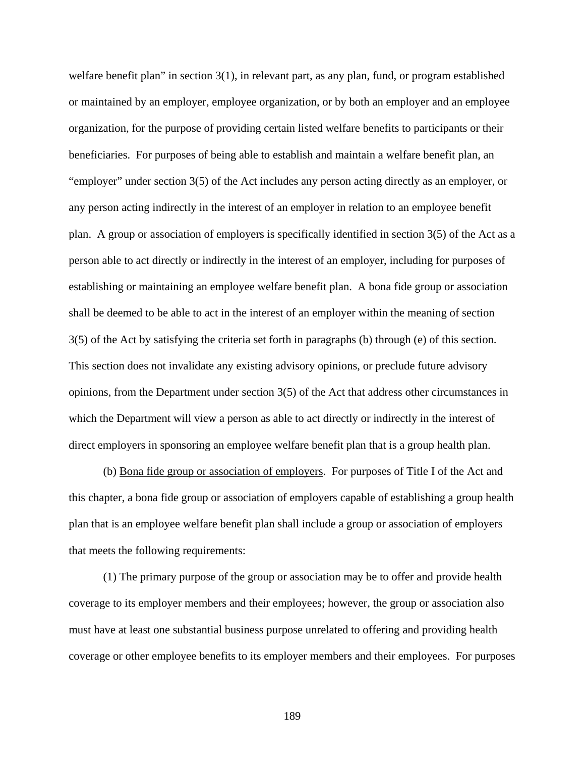welfare benefit plan" in section 3(1), in relevant part, as any plan, fund, or program established or maintained by an employer, employee organization, or by both an employer and an employee organization, for the purpose of providing certain listed welfare benefits to participants or their beneficiaries. For purposes of being able to establish and maintain a welfare benefit plan, an "employer" under section 3(5) of the Act includes any person acting directly as an employer, or any person acting indirectly in the interest of an employer in relation to an employee benefit plan. A group or association of employers is specifically identified in section 3(5) of the Act as a person able to act directly or indirectly in the interest of an employer, including for purposes of establishing or maintaining an employee welfare benefit plan. A bona fide group or association shall be deemed to be able to act in the interest of an employer within the meaning of section 3(5) of the Act by satisfying the criteria set forth in paragraphs (b) through (e) of this section. This section does not invalidate any existing advisory opinions, or preclude future advisory opinions, from the Department under section 3(5) of the Act that address other circumstances in which the Department will view a person as able to act directly or indirectly in the interest of direct employers in sponsoring an employee welfare benefit plan that is a group health plan.

(b) Bona fide group or association of employers. For purposes of Title I of the Act and this chapter, a bona fide group or association of employers capable of establishing a group health plan that is an employee welfare benefit plan shall include a group or association of employers that meets the following requirements:

(1) The primary purpose of the group or association may be to offer and provide health coverage to its employer members and their employees; however, the group or association also must have at least one substantial business purpose unrelated to offering and providing health coverage or other employee benefits to its employer members and their employees. For purposes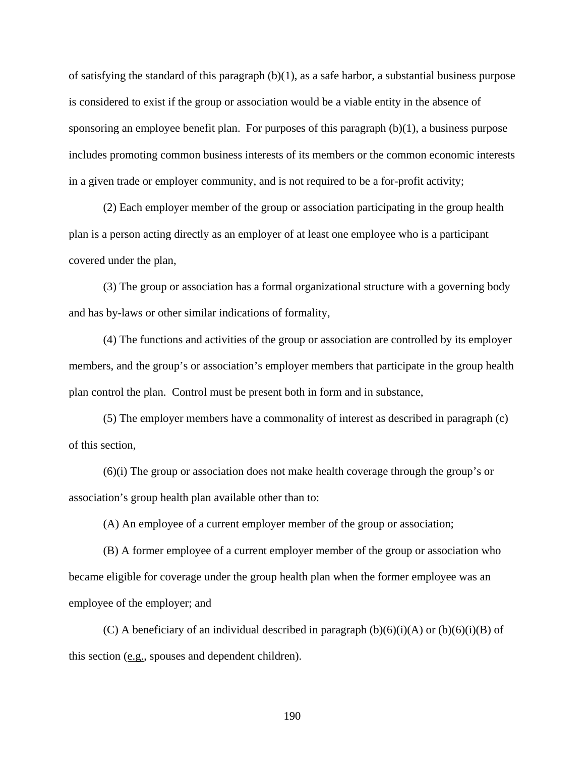of satisfying the standard of this paragraph (b)(1), as a safe harbor, a substantial business purpose is considered to exist if the group or association would be a viable entity in the absence of sponsoring an employee benefit plan. For purposes of this paragraph (b)(1), a business purpose includes promoting common business interests of its members or the common economic interests in a given trade or employer community, and is not required to be a for-profit activity;

(2) Each employer member of the group or association participating in the group health plan is a person acting directly as an employer of at least one employee who is a participant covered under the plan,

(3) The group or association has a formal organizational structure with a governing body and has by-laws or other similar indications of formality,

(4) The functions and activities of the group or association are controlled by its employer members, and the group's or association's employer members that participate in the group health plan control the plan. Control must be present both in form and in substance,

(5) The employer members have a commonality of interest as described in paragraph (c) of this section,

(6)(i) The group or association does not make health coverage through the group's or association's group health plan available other than to:

(A) An employee of a current employer member of the group or association;

(B) A former employee of a current employer member of the group or association who became eligible for coverage under the group health plan when the former employee was an employee of the employer; and

(C) A beneficiary of an individual described in paragraph  $(b)(6)(i)(A)$  or  $(b)(6)(i)(B)$  of this section (e.g., spouses and dependent children).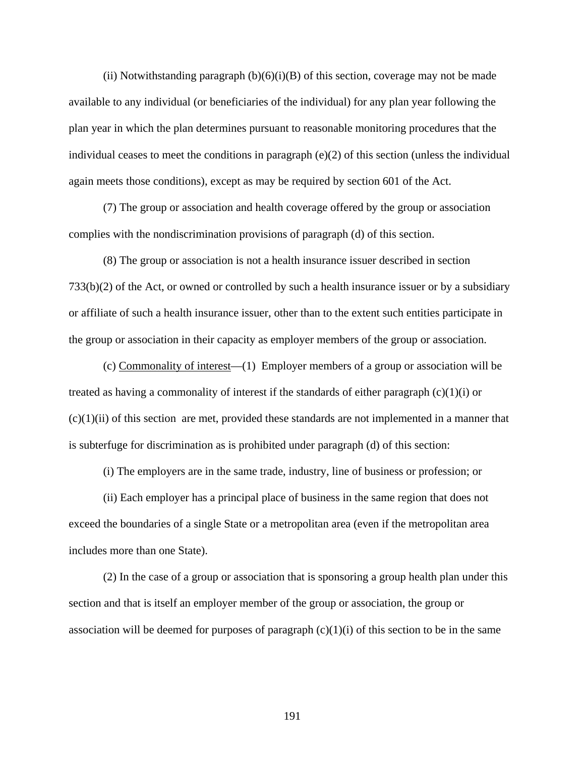(ii) Notwithstanding paragraph  $(b)(6)(i)(B)$  of this section, coverage may not be made available to any individual (or beneficiaries of the individual) for any plan year following the plan year in which the plan determines pursuant to reasonable monitoring procedures that the individual ceases to meet the conditions in paragraph (e)(2) of this section (unless the individual again meets those conditions), except as may be required by section 601 of the Act.

(7) The group or association and health coverage offered by the group or association complies with the nondiscrimination provisions of paragraph (d) of this section.

(8) The group or association is not a health insurance issuer described in section 733(b)(2) of the Act, or owned or controlled by such a health insurance issuer or by a subsidiary or affiliate of such a health insurance issuer, other than to the extent such entities participate in the group or association in their capacity as employer members of the group or association.

(c) Commonality of interest—(1) Employer members of a group or association will be treated as having a commonality of interest if the standards of either paragraph  $(c)(1)(i)$  or  $(c)(1)(ii)$  of this section are met, provided these standards are not implemented in a manner that is subterfuge for discrimination as is prohibited under paragraph (d) of this section:

(i) The employers are in the same trade, industry, line of business or profession; or

(ii) Each employer has a principal place of business in the same region that does not exceed the boundaries of a single State or a metropolitan area (even if the metropolitan area includes more than one State).

(2) In the case of a group or association that is sponsoring a group health plan under this section and that is itself an employer member of the group or association, the group or association will be deemed for purposes of paragraph  $(c)(1)(i)$  of this section to be in the same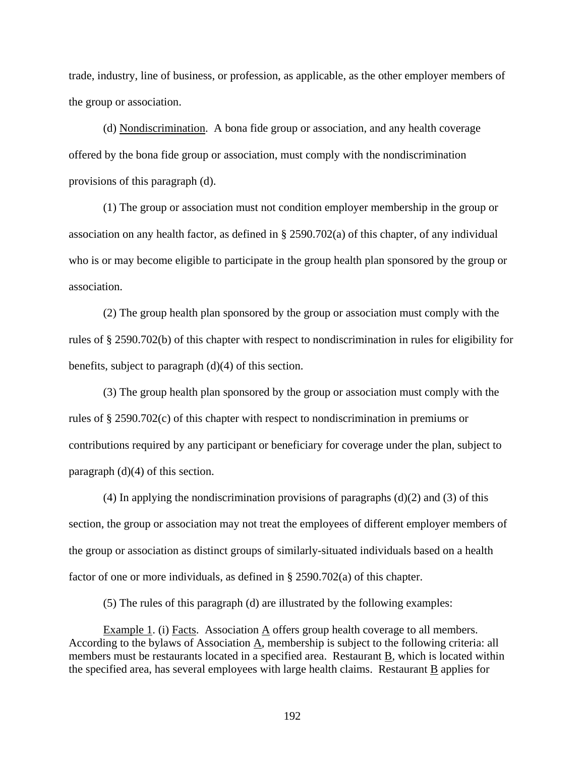trade, industry, line of business, or profession, as applicable, as the other employer members of the group or association.

(d) Nondiscrimination. A bona fide group or association, and any health coverage offered by the bona fide group or association, must comply with the nondiscrimination provisions of this paragraph (d).

(1) The group or association must not condition employer membership in the group or association on any health factor, as defined in § 2590.702(a) of this chapter, of any individual who is or may become eligible to participate in the group health plan sponsored by the group or association.

(2) The group health plan sponsored by the group or association must comply with the rules of § 2590.702(b) of this chapter with respect to nondiscrimination in rules for eligibility for benefits, subject to paragraph (d)(4) of this section.

(3) The group health plan sponsored by the group or association must comply with the rules of § 2590.702(c) of this chapter with respect to nondiscrimination in premiums or contributions required by any participant or beneficiary for coverage under the plan, subject to paragraph (d)(4) of this section.

 $(4)$  In applying the nondiscrimination provisions of paragraphs  $(d)(2)$  and  $(3)$  of this section, the group or association may not treat the employees of different employer members of the group or association as distinct groups of similarly-situated individuals based on a health factor of one or more individuals, as defined in § 2590.702(a) of this chapter.

(5) The rules of this paragraph (d) are illustrated by the following examples:

Example 1. (i) Facts. Association  $\underline{A}$  offers group health coverage to all members. According to the bylaws of Association A, membership is subject to the following criteria: all members must be restaurants located in a specified area. Restaurant B, which is located within the specified area, has several employees with large health claims. Restaurant B applies for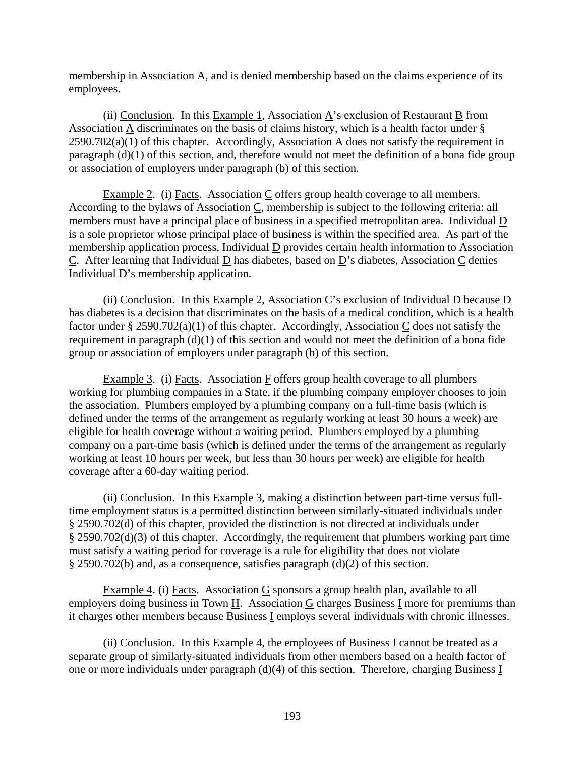membership in Association  $\underline{A}$ , and is denied membership based on the claims experience of its employees.

(ii) Conclusion. In this Example 1, Association  $\underline{A}$ 's exclusion of Restaurant  $\underline{B}$  from Association A discriminates on the basis of claims history, which is a health factor under §  $2590.702(a)(1)$  of this chapter. Accordingly, Association  $\underline{A}$  does not satisfy the requirement in paragraph (d)(1) of this section, and, therefore would not meet the definition of a bona fide group or association of employers under paragraph (b) of this section.

Example 2. (i) Facts. Association C offers group health coverage to all members. According to the bylaws of Association C, membership is subject to the following criteria: all members must have a principal place of business in a specified metropolitan area. Individual D is a sole proprietor whose principal place of business is within the specified area. As part of the membership application process, Individual  $\underline{D}$  provides certain health information to Association C. After learning that Individual D has diabetes, based on D's diabetes, Association C denies Individual D's membership application.

(ii) Conclusion. In this Example 2, Association C's exclusion of Individual D because D has diabetes is a decision that discriminates on the basis of a medical condition, which is a health factor under § 2590.702(a)(1) of this chapter. Accordingly, Association C does not satisfy the requirement in paragraph (d)(1) of this section and would not meet the definition of a bona fide group or association of employers under paragraph (b) of this section.

Example 3. (i) Facts. Association F offers group health coverage to all plumbers working for plumbing companies in a State, if the plumbing company employer chooses to join the association. Plumbers employed by a plumbing company on a full-time basis (which is defined under the terms of the arrangement as regularly working at least 30 hours a week) are eligible for health coverage without a waiting period. Plumbers employed by a plumbing company on a part-time basis (which is defined under the terms of the arrangement as regularly working at least 10 hours per week, but less than 30 hours per week) are eligible for health coverage after a 60-day waiting period.

(ii) Conclusion. In this  $Example 3$ , making a distinction between part-time versus fulltime employment status is a permitted distinction between similarly-situated individuals under § 2590.702(d) of this chapter, provided the distinction is not directed at individuals under § 2590.702(d)(3) of this chapter. Accordingly, the requirement that plumbers working part time must satisfy a waiting period for coverage is a rule for eligibility that does not violate § 2590.702(b) and, as a consequence, satisfies paragraph (d)(2) of this section.

Example 4. (i) Facts. Association G sponsors a group health plan, available to all employers doing business in Town H. Association G charges Business I more for premiums than it charges other members because Business I employs several individuals with chronic illnesses.

(ii) Conclusion. In this Example 4, the employees of Business I cannot be treated as a separate group of similarly-situated individuals from other members based on a health factor of one or more individuals under paragraph (d)(4) of this section. Therefore, charging Business I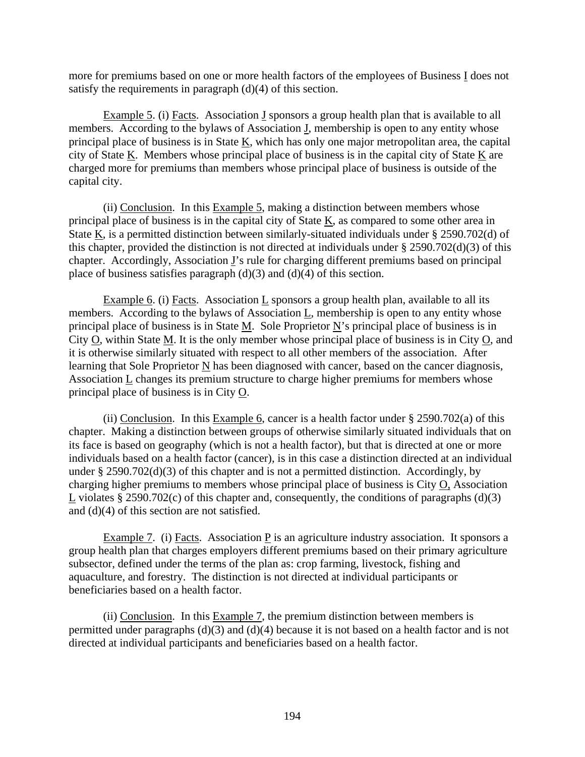more for premiums based on one or more health factors of the employees of Business I does not satisfy the requirements in paragraph (d)(4) of this section.

Example 5. (i) Facts. Association  $I$  sponsors a group health plan that is available to all members. According to the bylaws of Association J, membership is open to any entity whose principal place of business is in State  $K$ , which has only one major metropolitan area, the capital city of State K. Members whose principal place of business is in the capital city of State K are charged more for premiums than members whose principal place of business is outside of the capital city.

(ii) Conclusion. In this Example 5, making a distinction between members whose principal place of business is in the capital city of State K, as compared to some other area in State  $K$ , is a permitted distinction between similarly-situated individuals under § 2590.702(d) of this chapter, provided the distinction is not directed at individuals under § 2590.702(d)(3) of this chapter. Accordingly, Association J's rule for charging different premiums based on principal place of business satisfies paragraph  $(d)(3)$  and  $(d)(4)$  of this section.

Example 6. (i) Facts. Association L sponsors a group health plan, available to all its members. According to the bylaws of Association L, membership is open to any entity whose principal place of business is in State M. Sole Proprietor N's principal place of business is in City O, within State M. It is the only member whose principal place of business is in City O, and it is otherwise similarly situated with respect to all other members of the association. After learning that Sole Proprietor N has been diagnosed with cancer, based on the cancer diagnosis, Association L changes its premium structure to charge higher premiums for members whose principal place of business is in City O.

(ii) Conclusion. In this Example 6, cancer is a health factor under § 2590.702(a) of this chapter. Making a distinction between groups of otherwise similarly situated individuals that on its face is based on geography (which is not a health factor), but that is directed at one or more individuals based on a health factor (cancer), is in this case a distinction directed at an individual under § 2590.702(d)(3) of this chapter and is not a permitted distinction. Accordingly, by charging higher premiums to members whose principal place of business is City O, Association L violates § 2590.702 $(c)$  of this chapter and, consequently, the conditions of paragraphs  $(d)(3)$ and (d)(4) of this section are not satisfied.

Example 7. (i) Facts. Association P is an agriculture industry association. It sponsors a group health plan that charges employers different premiums based on their primary agriculture subsector, defined under the terms of the plan as: crop farming, livestock, fishing and aquaculture, and forestry. The distinction is not directed at individual participants or beneficiaries based on a health factor.

(ii) Conclusion. In this Example 7, the premium distinction between members is permitted under paragraphs (d)(3) and (d)(4) because it is not based on a health factor and is not directed at individual participants and beneficiaries based on a health factor.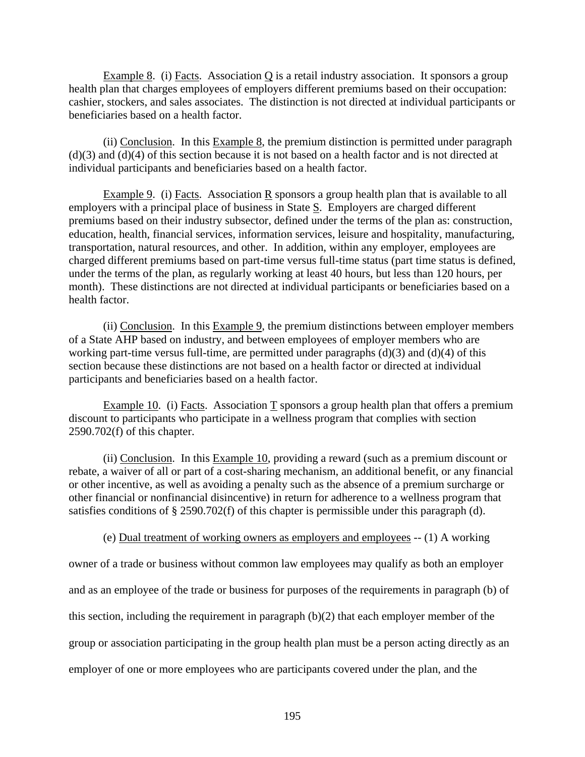Example 8. (i) Facts. Association Q is a retail industry association. It sponsors a group health plan that charges employees of employers different premiums based on their occupation: cashier, stockers, and sales associates. The distinction is not directed at individual participants or beneficiaries based on a health factor.

(ii) Conclusion. In this Example  $8$ , the premium distinction is permitted under paragraph (d)(3) and (d)(4) of this section because it is not based on a health factor and is not directed at individual participants and beneficiaries based on a health factor.

Example 9. (i) Facts. Association R sponsors a group health plan that is available to all employers with a principal place of business in State S. Employers are charged different premiums based on their industry subsector, defined under the terms of the plan as: construction, education, health, financial services, information services, leisure and hospitality, manufacturing, transportation, natural resources, and other. In addition, within any employer, employees are charged different premiums based on part-time versus full-time status (part time status is defined, under the terms of the plan, as regularly working at least 40 hours, but less than 120 hours, per month). These distinctions are not directed at individual participants or beneficiaries based on a health factor.

(ii) Conclusion. In this Example 9, the premium distinctions between employer members of a State AHP based on industry, and between employees of employer members who are working part-time versus full-time, are permitted under paragraphs  $(d)(3)$  and  $(d)(4)$  of this section because these distinctions are not based on a health factor or directed at individual participants and beneficiaries based on a health factor.

Example 10. (i) Facts. Association T sponsors a group health plan that offers a premium discount to participants who participate in a wellness program that complies with section 2590.702(f) of this chapter.

(ii) Conclusion. In this Example 10, providing a reward (such as a premium discount or rebate, a waiver of all or part of a cost-sharing mechanism, an additional benefit, or any financial or other incentive, as well as avoiding a penalty such as the absence of a premium surcharge or other financial or nonfinancial disincentive) in return for adherence to a wellness program that satisfies conditions of § 2590.702(f) of this chapter is permissible under this paragraph (d).

(e) Dual treatment of working owners as employers and employees -- (1) A working

owner of a trade or business without common law employees may qualify as both an employer and as an employee of the trade or business for purposes of the requirements in paragraph (b) of this section, including the requirement in paragraph (b)(2) that each employer member of the group or association participating in the group health plan must be a person acting directly as an employer of one or more employees who are participants covered under the plan, and the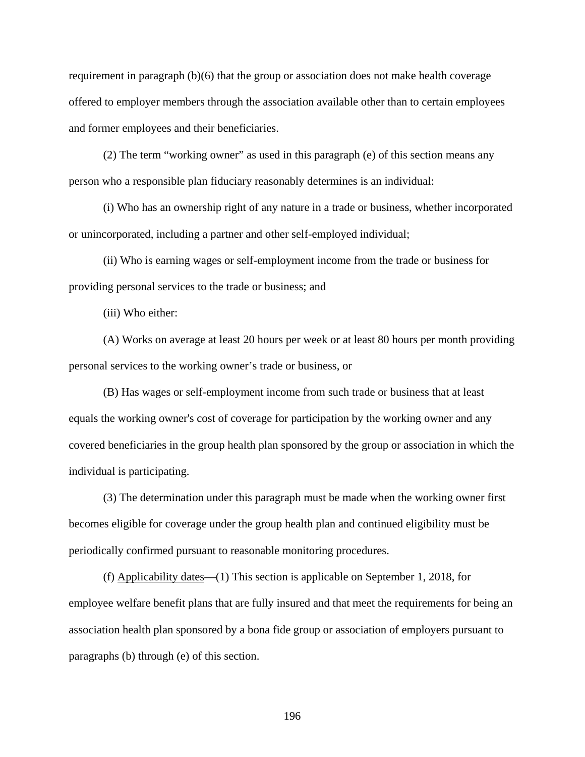requirement in paragraph (b)(6) that the group or association does not make health coverage offered to employer members through the association available other than to certain employees and former employees and their beneficiaries.

(2) The term "working owner" as used in this paragraph (e) of this section means any person who a responsible plan fiduciary reasonably determines is an individual:

(i) Who has an ownership right of any nature in a trade or business, whether incorporated or unincorporated, including a partner and other self-employed individual;

(ii) Who is earning wages or self-employment income from the trade or business for providing personal services to the trade or business; and

(iii) Who either:

(A) Works on average at least 20 hours per week or at least 80 hours per month providing personal services to the working owner's trade or business, or

(B) Has wages or self-employment income from such trade or business that at least equals the working owner's cost of coverage for participation by the working owner and any covered beneficiaries in the group health plan sponsored by the group or association in which the individual is participating.

(3) The determination under this paragraph must be made when the working owner first becomes eligible for coverage under the group health plan and continued eligibility must be periodically confirmed pursuant to reasonable monitoring procedures.

(f) Applicability dates—(1) This section is applicable on September 1, 2018, for employee welfare benefit plans that are fully insured and that meet the requirements for being an association health plan sponsored by a bona fide group or association of employers pursuant to paragraphs (b) through (e) of this section.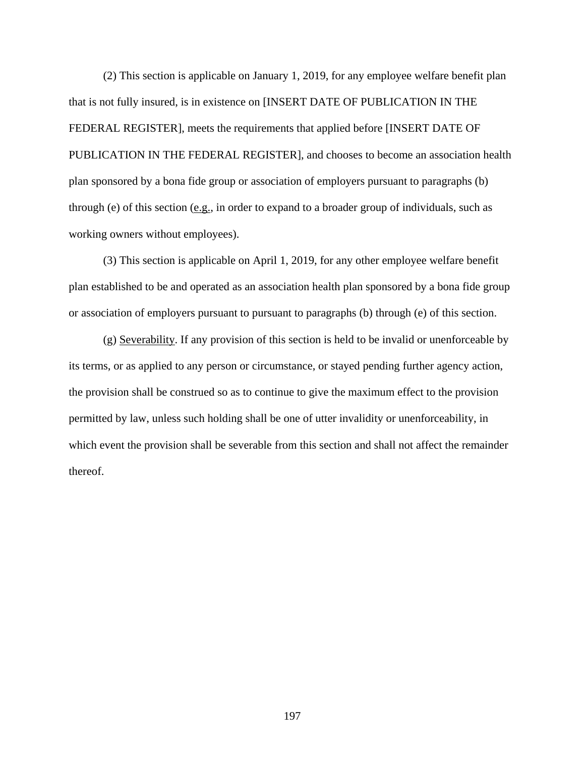(2) This section is applicable on January 1, 2019, for any employee welfare benefit plan that is not fully insured, is in existence on [INSERT DATE OF PUBLICATION IN THE FEDERAL REGISTER], meets the requirements that applied before [INSERT DATE OF PUBLICATION IN THE FEDERAL REGISTER], and chooses to become an association health plan sponsored by a bona fide group or association of employers pursuant to paragraphs (b) through (e) of this section  $(e.g., in order to expand to a broader group of individuals, such as$ working owners without employees).

(3) This section is applicable on April 1, 2019, for any other employee welfare benefit plan established to be and operated as an association health plan sponsored by a bona fide group or association of employers pursuant to pursuant to paragraphs (b) through (e) of this section.

(g) Severability. If any provision of this section is held to be invalid or unenforceable by its terms, or as applied to any person or circumstance, or stayed pending further agency action, the provision shall be construed so as to continue to give the maximum effect to the provision permitted by law, unless such holding shall be one of utter invalidity or unenforceability, in which event the provision shall be severable from this section and shall not affect the remainder thereof.